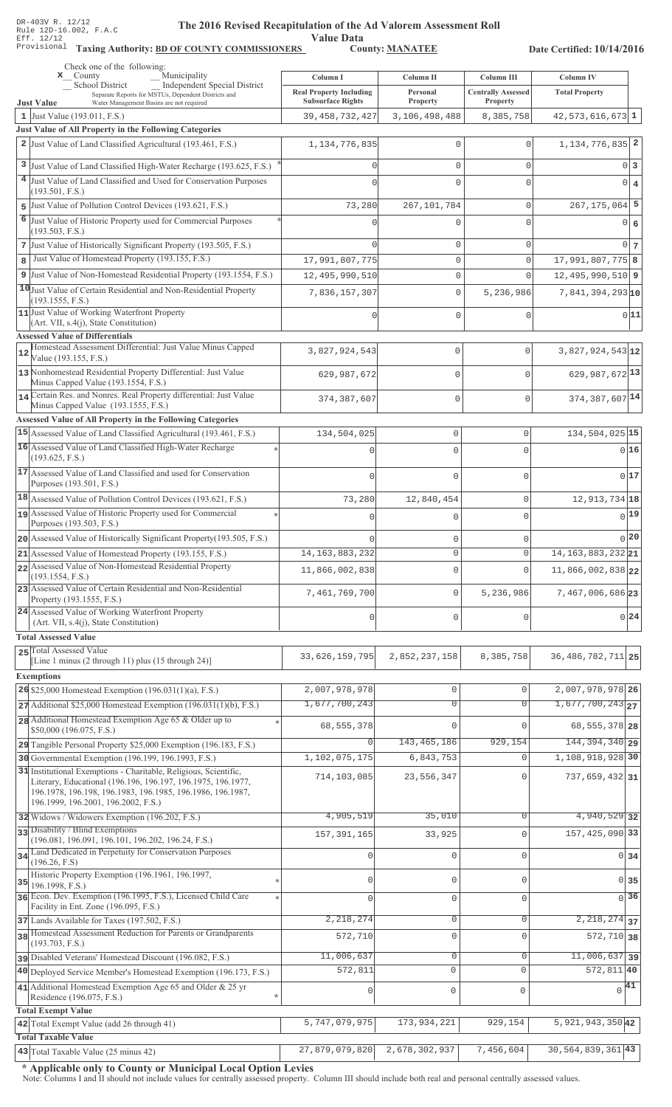Value Data<br>County: MANATEE Taxing Authority: BD OF COUNTY COMMISSIONERS County: MANATEE

Date Certified: 10/14/2016

| Check one of the following:<br>Municipality<br>$\mathbf{x}$ County                                                                                                                                                                    | Column I                       | Column II           | Column III                | <b>Column IV</b>              |
|---------------------------------------------------------------------------------------------------------------------------------------------------------------------------------------------------------------------------------------|--------------------------------|---------------------|---------------------------|-------------------------------|
| <b>Independent Special District</b><br><b>School District</b>                                                                                                                                                                         | <b>Real Property Including</b> | Personal            | <b>Centrally Assessed</b> | <b>Total Property</b>         |
| Separate Reports for MSTUs, Dependent Districts and<br><b>Just Value</b><br>Water Management Basins are not required                                                                                                                  | <b>Subsurface Rights</b>       | Property            | Property                  |                               |
| 1 Just Value (193.011, F.S.)                                                                                                                                                                                                          | 39, 458, 732, 427              | 3,106,498,488       | 8,385,758                 | $42,573,616,673$ 1            |
| Just Value of All Property in the Following Categories                                                                                                                                                                                |                                |                     |                           |                               |
| 2 Just Value of Land Classified Agricultural (193.461, F.S.)                                                                                                                                                                          | 1, 134, 776, 835               | 0                   | $\Omega$                  | 1, 134, 776, 835 2            |
| 3 Just Value of Land Classified High-Water Recharge (193.625, F.S.)                                                                                                                                                                   |                                | 0                   | $\mathbf{0}$              | 0 <sup>3</sup>                |
| 4 Just Value of Land Classified and Used for Conservation Purposes                                                                                                                                                                    |                                | 0                   | $\Omega$                  | $0 \mid 4$                    |
| (193.501, F.S.)<br>5 Just Value of Pollution Control Devices (193.621, F.S.)                                                                                                                                                          |                                |                     | $\mathbf 0$               | $267, 175, 064$ 5             |
| 6 Just Value of Historic Property used for Commercial Purposes                                                                                                                                                                        | 73,280                         | 267, 101, 784       |                           |                               |
| (193.503, F.S.)                                                                                                                                                                                                                       |                                | Ω                   | $\Omega$                  | 0 6                           |
| 7 Just Value of Historically Significant Property (193.505, F.S.)                                                                                                                                                                     |                                | 0                   | $\mathbf{0}$              | 0 <sub>7</sub>                |
| Just Value of Homestead Property (193.155, F.S.)<br>8                                                                                                                                                                                 | 17,991,807,775                 | 0                   | $\circ$                   | 17,991,807,775 8              |
| 9 Just Value of Non-Homestead Residential Property (193.1554, F.S.)                                                                                                                                                                   | 12,495,990,510                 | 0                   | $\Omega$                  | $12,495,990,510$ 9            |
| 10 Just Value of Certain Residential and Non-Residential Property                                                                                                                                                                     | 7,836,157,307                  | 0                   | 5,236,986                 | $7,841,394,293$ <sub>10</sub> |
| (193.1555, F.S.)<br>11 Just Value of Working Waterfront Property                                                                                                                                                                      |                                |                     |                           |                               |
| (Art. VII, s.4(j), State Constitution)                                                                                                                                                                                                |                                | 0                   | $\mathbf 0$               | 0 11                          |
| <b>Assessed Value of Differentials</b>                                                                                                                                                                                                |                                |                     |                           |                               |
| Homestead Assessment Differential: Just Value Minus Capped<br>12<br>Value (193.155, F.S.)                                                                                                                                             | 3,827,924,543                  | $\mathbb O$         | 0                         | $3,827,924,543$ <sub>12</sub> |
| 13 Nonhomestead Residential Property Differential: Just Value<br>Minus Capped Value (193.1554, F.S.)                                                                                                                                  | 629, 987, 672                  | 0                   | $\Omega$                  | 629, 987, 672 13              |
| 14 Certain Res. and Nonres. Real Property differential: Just Value                                                                                                                                                                    | 374, 387, 607                  | 0                   | $\Omega$                  | 374, 387, 607 14              |
| Minus Capped Value (193.1555, F.S.)                                                                                                                                                                                                   |                                |                     |                           |                               |
| Assessed Value of All Property in the Following Categories                                                                                                                                                                            |                                |                     |                           |                               |
| 15 Assessed Value of Land Classified Agricultural (193.461, F.S.)<br>16 Assessed Value of Land Classified High-Water Recharge                                                                                                         | 134,504,025                    | $\mathbb O$         | $\mathbf 0$               | 134, 504, 025 15              |
| (193.625, F.S.)                                                                                                                                                                                                                       |                                | $\Omega$            | $\Omega$                  | 016                           |
| 17 Assessed Value of Land Classified and used for Conservation<br>Purposes (193.501, F.S.)                                                                                                                                            |                                | $\mathbf 0$         | 0                         | 017                           |
| 18 Assessed Value of Pollution Control Devices (193.621, F.S.)                                                                                                                                                                        | 73,280                         | 12,840,454          | $\mathbf 0$               | 12, 913, 734 18               |
| 19 Assessed Value of Historic Property used for Commercial                                                                                                                                                                            |                                | $\Omega$            | 0                         | 0 19                          |
| Purposes (193.503, F.S.)                                                                                                                                                                                                              |                                |                     |                           |                               |
| 20 Assessed Value of Historically Significant Property (193.505, F.S.)                                                                                                                                                                |                                | $\mathbf{0}$        | 0                         | 0 20                          |
| 21 Assessed Value of Homestead Property (193.155, F.S.)<br>22 Assessed Value of Non-Homestead Residential Property                                                                                                                    | 14, 163, 883, 232              | $\circ$             | $\circ$                   | 14, 163, 883, 232 21          |
| (193.1554, F.S.)                                                                                                                                                                                                                      | 11,866,002,838                 | $\mathbf{0}$        | $\Omega$                  | 11,866,002,838 22             |
| 23 Assessed Value of Certain Residential and Non-Residential<br>Property (193.1555, F.S.)                                                                                                                                             | 7,461,769,700                  | $\mathbf 0$         | 5,236,986                 | 7,467,006,686 23              |
| 24 Assessed Value of Working Waterfront Property<br>(Art. VII, s.4(j), State Constitution)                                                                                                                                            | $\Omega$                       | $\mathbf{0}$        | $\cap$                    | 0 24                          |
| <b>Total Assessed Value</b>                                                                                                                                                                                                           |                                |                     |                           |                               |
| 25 Total Assessed Value                                                                                                                                                                                                               |                                |                     |                           |                               |
| [Line 1 minus (2 through 11) plus (15 through 24)]                                                                                                                                                                                    | 33, 626, 159, 795              | 2,852,237,158       | 8,385,758                 | 36, 486, 782, 711 25          |
| <b>Exemptions</b>                                                                                                                                                                                                                     |                                |                     |                           |                               |
| 26 \$25,000 Homestead Exemption (196.031(1)(a), F.S.)                                                                                                                                                                                 | 2,007,978,978                  | $\mathsf{O}\xspace$ | $\mathbf 0$               | 2,007,978,978 26              |
| $27$ Additional \$25,000 Homestead Exemption (196.031(1)(b), F.S.)                                                                                                                                                                    | 1,677,700,243                  | $\overline{0}$      | $\overline{0}$            | $1,677,700,243$ <sub>27</sub> |
| 28 Additional Homestead Exemption Age 65 & Older up to<br>\$50,000 (196.075, F.S.)                                                                                                                                                    | 68, 555, 378                   | $\Omega$            | $\Omega$                  | 68, 555, 378 28               |
| 29 Tangible Personal Property \$25,000 Exemption (196.183, F.S.)                                                                                                                                                                      | O                              | 143, 465, 186       | 929,154                   | 144, 394, 340 29              |
| 30 Governmental Exemption (196.199, 196.1993, F.S.)                                                                                                                                                                                   | 1,102,075,175                  | 6,843,753           | $\Omega$                  | 1, 108, 918, 928 30           |
| 31 Institutional Exemptions - Charitable, Religious, Scientific,<br>Literary, Educational (196.196, 196.197, 196.1975, 196.1977,<br>196.1978, 196.198, 196.1983, 196.1985, 196.1986, 196.1987,<br>196.1999, 196.2001, 196.2002, F.S.) | 714,103,085                    | 23,556,347          | $\Omega$                  | $737,659,432$ 31              |
| 32 Widows / Widowers Exemption (196.202, F.S.)                                                                                                                                                                                        | 4,905,519                      | 35,010              | 0                         | 4,940,529 32                  |
| 33 Disability / Blind Exemptions                                                                                                                                                                                                      | 157, 391, 165                  | 33,925              | $\Omega$                  | 157, 425, 090 33              |
| (196.081, 196.091, 196.101, 196.202, 196.24, F.S.)<br>34 Land Dedicated in Perpetuity for Conservation Purposes                                                                                                                       |                                |                     |                           |                               |
| (196.26, F.S)                                                                                                                                                                                                                         | O                              | $\mathbf 0$         | $\Omega$                  | $0 \overline{\smash{34}}$     |
| Historic Property Exemption (196.1961, 196.1997,<br>35                                                                                                                                                                                | O                              | $\mathbf{0}$        | $\cap$                    | $\Omega$<br>35                |
| 196.1998, F.S.)<br>36 Econ. Dev. Exemption (196.1995, F.S.), Licensed Child Care                                                                                                                                                      | $\Omega$                       | $\mathbf 0$         |                           | $\overline{0}$ 36             |
| Facility in Ent. Zone (196.095, F.S.)                                                                                                                                                                                                 |                                |                     | $\mathbf 0$               |                               |
| 37 Lands Available for Taxes (197.502, F.S.)                                                                                                                                                                                          | 2,218,274                      | $\mathbf 0$         | 0                         | $\overline{2,218,274}$ 37     |
| 38 Homestead Assessment Reduction for Parents or Grandparents<br>(193.703, F.S.)                                                                                                                                                      | 572,710                        | $\mathbf{0}$        | $\Omega$                  | $572, 710$ 38                 |
| pisabled Veterans' Homestead Discount (196.082, F.S.)                                                                                                                                                                                 | 11,006,637                     | 0                   | $\Omega$                  | $11,006,637$ 39               |
| 40 Deployed Service Member's Homestead Exemption (196.173, F.S.)                                                                                                                                                                      | 572,811                        | $\mathbf 0$         | $\Omega$                  | $572, 811$ 40                 |
| 41 Additional Homestead Exemption Age 65 and Older & 25 yr                                                                                                                                                                            | 0                              | $\mathbb O$         | $\mathbf 0$               | $\sqrt{41}$                   |
| Residence (196.075, F.S.)                                                                                                                                                                                                             |                                |                     |                           |                               |
| <b>Total Exempt Value</b><br>42 Total Exempt Value (add 26 through 41)                                                                                                                                                                | 5,747,079,975                  | 173,934,221         | 929,154                   | 5, 921, 943, 350 42           |
| <b>Total Taxable Value</b>                                                                                                                                                                                                            |                                |                     |                           |                               |
| 43 Total Taxable Value (25 minus 42)                                                                                                                                                                                                  | 27,879,079,820                 | 2,678,302,937       | 7,456,604                 | $30,564,839,361$ 43           |

\* Applicable only to County or Municipal Local Option Levies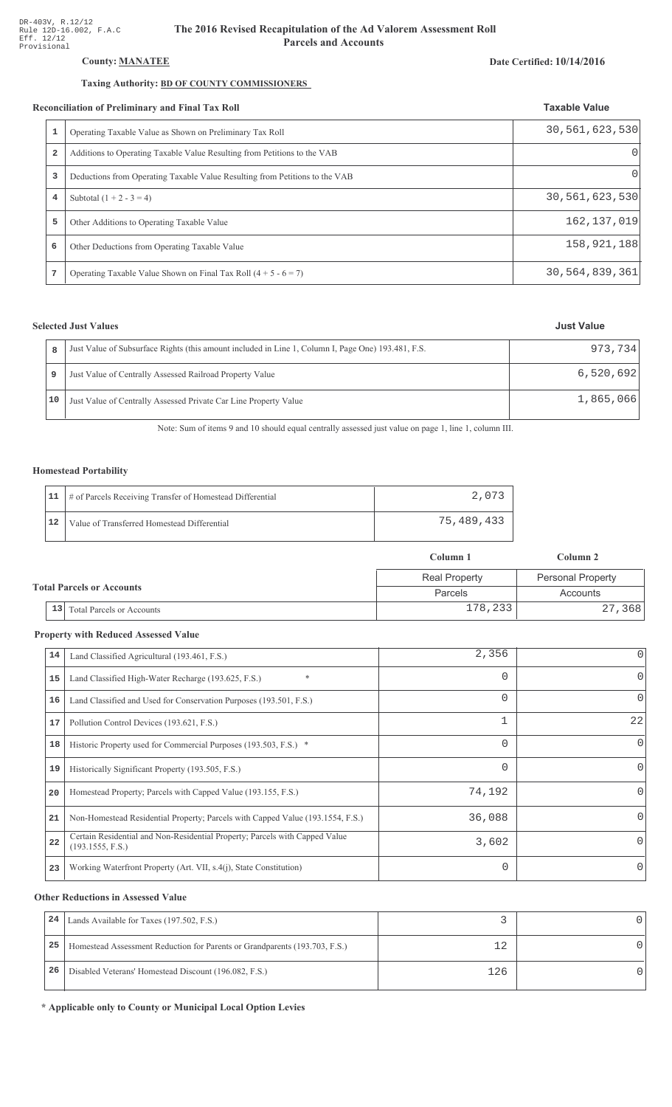## County: **MANATEE**

## Taxing Authority: **BD OF COUNTY COMMISSIONERS**

### Reconciliation of Preliminary and Final Tax Roll

|                | conciliation of Preliminary and Final Tax Roll                              | <b>Taxable Value</b> |  |
|----------------|-----------------------------------------------------------------------------|----------------------|--|
|                | Operating Taxable Value as Shown on Preliminary Tax Roll                    | 30,561,623,530       |  |
| $\overline{a}$ | Additions to Operating Taxable Value Resulting from Petitions to the VAB    | $\Omega$             |  |
| 3              | Deductions from Operating Taxable Value Resulting from Petitions to the VAB |                      |  |
| 4              | Subtotal $(1 + 2 - 3 = 4)$                                                  | 30,561,623,530       |  |
| 5              | Other Additions to Operating Taxable Value                                  | 162, 137, 019        |  |
| 6              | Other Deductions from Operating Taxable Value                               | 158, 921, 188        |  |
| 7              | Operating Taxable Value Shown on Final Tax Roll $(4 + 5 - 6 = 7)$           | 30,564,839,361       |  |

## **Selected Just Values**

| 8  | Just Value of Subsurface Rights (this amount included in Line 1, Column I, Page One) 193.481, F.S. | 973,734   |
|----|----------------------------------------------------------------------------------------------------|-----------|
|    | Just Value of Centrally Assessed Railroad Property Value                                           | 6,520,692 |
| 10 | Just Value of Centrally Assessed Private Car Line Property Value                                   | 1,865,066 |

Note: Sum of items 9 and 10 should equal centrally assessed just value on page 1, line 1, column III.

## Homestead Portability

|    | 11   # of Parcels Receiving Transfer of Homestead Differential | 2.073      |
|----|----------------------------------------------------------------|------------|
| 12 | Value of Transferred Homestead Differential                    | 75,489,433 |

|                                        | Column 1             |                          |  |
|----------------------------------------|----------------------|--------------------------|--|
|                                        | <b>Real Property</b> | <b>Personal Property</b> |  |
| <b>Total Parcels or Accounts</b>       | Parcels              |                          |  |
| 13<br><b>Total Parcels or Accounts</b> | 178,233              | 27,368                   |  |

#### **Property with Reduced Assessed Value**

| 14 | Land Classified Agricultural (193.461, F.S.)                                                    | 2,356    | 0            |
|----|-------------------------------------------------------------------------------------------------|----------|--------------|
| 15 | $\ast$<br>Land Classified High-Water Recharge (193.625, F.S.)                                   | 0        | 0            |
| 16 | Land Classified and Used for Conservation Purposes (193.501, F.S.)                              | 0        | $\Omega$     |
| 17 | Pollution Control Devices (193.621, F.S.)                                                       |          | 22           |
| 18 | Historic Property used for Commercial Purposes (193.503, F.S.) *                                | 0        | 0            |
| 19 | Historically Significant Property (193.505, F.S.)                                               | 0        | 0            |
| 20 | Homestead Property; Parcels with Capped Value (193.155, F.S.)                                   | 74,192   | 0            |
| 21 | Non-Homestead Residential Property; Parcels with Capped Value (193.1554, F.S.)                  | 36,088   | <sup>n</sup> |
| 22 | Certain Residential and Non-Residential Property; Parcels with Capped Value<br>(193.1555, F.S.) | 3,602    |              |
| 23 | Working Waterfront Property (Art. VII, s.4(j), State Constitution)                              | $\Omega$ | 0            |

#### **Other Reductions in Assessed Value**

| 24 | Lands Available for Taxes (197.502, F.S.)                                  |     |  |
|----|----------------------------------------------------------------------------|-----|--|
| 25 | Homestead Assessment Reduction for Parents or Grandparents (193.703, F.S.) |     |  |
| 26 | Disabled Veterans' Homestead Discount (196.082, F.S.)                      | 126 |  |

\* Applicable only to County or Municipal Local Option Levies

# Date Certified: 10/14/2016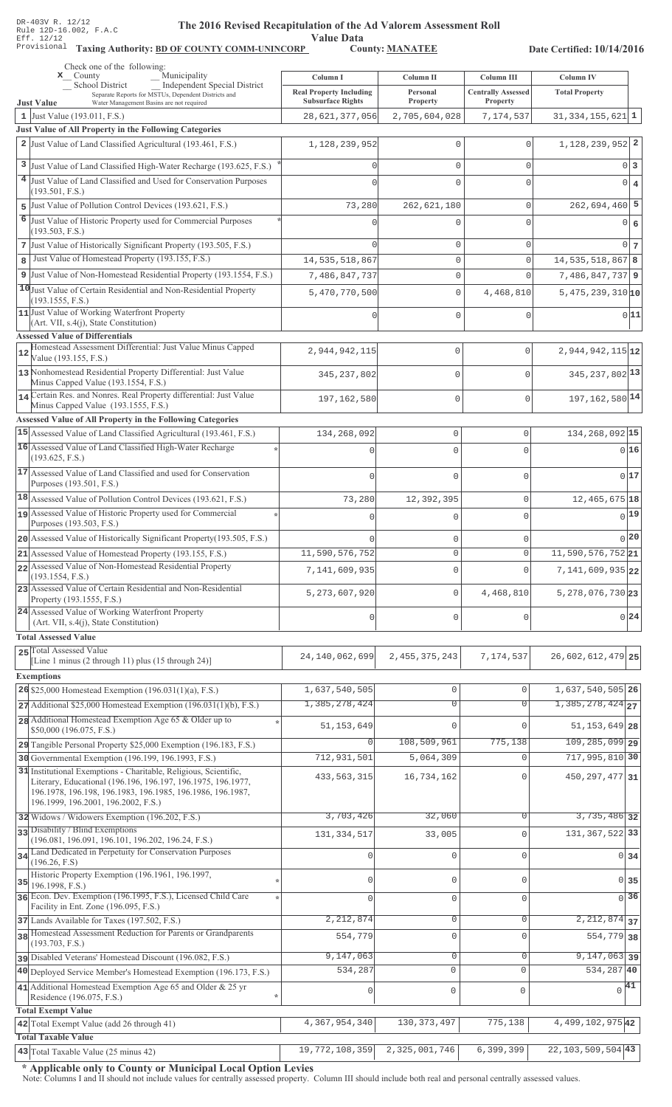Value Data<br>County: MANATEE

Taxing Authority: BD OF COUNTY COMM-UNINCORP County: MANATEE

Date Certified: 10/14/2016

|    | Check one of the following:<br>Municipality<br>$\mathbf{x}$ County                                                                                                                                                                    | Column I                                                   | Column II            | Column III                            | Column IV                                         |                   |
|----|---------------------------------------------------------------------------------------------------------------------------------------------------------------------------------------------------------------------------------------|------------------------------------------------------------|----------------------|---------------------------------------|---------------------------------------------------|-------------------|
|    | <b>School District</b><br><b>Independent Special District</b><br>Separate Reports for MSTUs, Dependent Districts and<br>Water Management Basins are not required                                                                      | <b>Real Property Including</b><br><b>Subsurface Rights</b> | Personal<br>Property | <b>Centrally Assessed</b><br>Property | <b>Total Property</b>                             |                   |
|    | <b>Just Value</b><br>1 Just Value $(193.011, F.S.)$                                                                                                                                                                                   | 28,621,377,056                                             | 2,705,604,028        | 7,174,537                             | $31,334,155,621$ 1                                |                   |
|    | Just Value of All Property in the Following Categories                                                                                                                                                                                |                                                            |                      |                                       |                                                   |                   |
|    | 2 Just Value of Land Classified Agricultural (193.461, F.S.)                                                                                                                                                                          | 1, 128, 239, 952                                           | $\Omega$             | $\Omega$                              | 1, 128, 239, 952 2                                |                   |
|    | 3 Just Value of Land Classified High-Water Recharge (193.625, F.S.)                                                                                                                                                                   |                                                            | $\mathbf{0}$         | $\mathbf{0}$                          |                                                   | 0 3               |
|    | 4 Just Value of Land Classified and Used for Conservation Purposes                                                                                                                                                                    |                                                            | $\Omega$             | $\cap$                                |                                                   | $0 \mid 4$        |
|    | (193.501, F.S.)                                                                                                                                                                                                                       |                                                            |                      |                                       |                                                   |                   |
|    | 5 Just Value of Pollution Control Devices (193.621, F.S.)                                                                                                                                                                             | 73,280                                                     | 262,621,180          | $\mathbf 0$                           | $262,694,460$ 5                                   |                   |
| 6  | Just Value of Historic Property used for Commercial Purposes<br>(193.503, F.S.)                                                                                                                                                       |                                                            | $\Omega$             | $\cap$                                |                                                   | 0 6               |
|    | 7 Just Value of Historically Significant Property (193.505, F.S.)                                                                                                                                                                     |                                                            | $\mathbf{0}$         | $\mathbf{0}$                          |                                                   | $0\vert$ 7        |
| 8  | Just Value of Homestead Property (193.155, F.S.)                                                                                                                                                                                      | 14, 535, 518, 867                                          | $\mathsf{O}\xspace$  | $\mathbf 0$                           | 14, 535, 518, 867 8                               |                   |
|    | 9 Just Value of Non-Homestead Residential Property (193.1554, F.S.)                                                                                                                                                                   | 7,486,847,737                                              | $\mathbf 0$          | $\Omega$                              | $7,486,847,737$ 9                                 |                   |
|    | 10 Just Value of Certain Residential and Non-Residential Property                                                                                                                                                                     | 5,470,770,500                                              | $\mathbf{0}$         | 4,468,810                             | $5,475,239,310$ 10                                |                   |
|    | (193.1555, F.S.)<br>11 Just Value of Working Waterfront Property                                                                                                                                                                      |                                                            |                      |                                       |                                                   |                   |
|    | (Art. VII, s.4(j), State Constitution)                                                                                                                                                                                                |                                                            | $\Omega$             | $\mathbf{0}$                          |                                                   | 0 11              |
|    | <b>Assessed Value of Differentials</b>                                                                                                                                                                                                |                                                            |                      |                                       |                                                   |                   |
| 12 | Homestead Assessment Differential: Just Value Minus Capped<br>Value (193.155, F.S.)                                                                                                                                                   | 2,944,942,115                                              | 0                    | $\mathbf 0$                           | $2,944,942,115$ <sub>12</sub>                     |                   |
|    | 13 Nonhomestead Residential Property Differential: Just Value<br>Minus Capped Value (193.1554, F.S.)                                                                                                                                  | 345, 237, 802                                              | 0                    | $\Omega$                              | 345, 237, 802 13                                  |                   |
|    | 14 Certain Res. and Nonres. Real Property differential: Just Value                                                                                                                                                                    |                                                            |                      |                                       |                                                   |                   |
|    | Minus Capped Value (193.1555, F.S.)                                                                                                                                                                                                   | 197,162,580                                                | 0                    | $\mathbf 0$                           | 197, 162, 580 14                                  |                   |
|    | Assessed Value of All Property in the Following Categories                                                                                                                                                                            |                                                            |                      |                                       |                                                   |                   |
|    | 15 Assessed Value of Land Classified Agricultural (193.461, F.S.)                                                                                                                                                                     | 134, 268, 092                                              | $\mathbf 0$          | 0                                     | 134, 268, 092 15                                  |                   |
|    | 16 Assessed Value of Land Classified High-Water Recharge<br>(193.625, F.S.)                                                                                                                                                           |                                                            | $\Omega$             | $\Omega$                              |                                                   | 016               |
|    | 17 Assessed Value of Land Classified and used for Conservation<br>Purposes (193.501, F.S.)                                                                                                                                            | $\Omega$                                                   | $\mathbf 0$          | $\Omega$                              |                                                   | 0 17              |
|    | $18$ Assessed Value of Pollution Control Devices (193.621, F.S.)                                                                                                                                                                      | 73,280                                                     | 12,392,395           | 0                                     | 12, 465, 675 18                                   |                   |
|    | 19 Assessed Value of Historic Property used for Commercial                                                                                                                                                                            |                                                            | C                    | $\Omega$                              |                                                   | $0$ <sup>19</sup> |
|    | Purposes (193.503, F.S.)                                                                                                                                                                                                              |                                                            |                      |                                       |                                                   |                   |
|    | 20 Assessed Value of Historically Significant Property (193.505, F.S.)                                                                                                                                                                |                                                            | $\mathbf{0}$         | 0                                     |                                                   | 0 20              |
|    | 21 Assessed Value of Homestead Property (193.155, F.S.)                                                                                                                                                                               | 11,590,576,752                                             | $\circ$              | 0                                     | $11,590,576,752$  21                              |                   |
|    | 22 Assessed Value of Non-Homestead Residential Property<br>(193.1554, F.S.)                                                                                                                                                           | 7,141,609,935                                              | $\mathbf{0}$         | $\Omega$                              | $7,141,609,935$ 22                                |                   |
|    | 23 Assessed Value of Certain Residential and Non-Residential<br>Property (193.1555, F.S.)                                                                                                                                             | 5, 273, 607, 920                                           | $\mathbf 0$          | 4,468,810                             | 5, 278, 076, 730 23                               |                   |
|    | 24 Assessed Value of Working Waterfront Property<br>(Art. VII, s.4(j), State Constitution)                                                                                                                                            | $\mathbf{0}$                                               | $\mathbf 0$          | 0                                     |                                                   | 0 24              |
|    | <b>Total Assessed Value</b>                                                                                                                                                                                                           |                                                            |                      |                                       |                                                   |                   |
|    | 25 Total Assessed Value                                                                                                                                                                                                               | 24, 140, 062, 699                                          | 2, 455, 375, 243     | 7,174,537                             | 26,602,612,479 25                                 |                   |
|    | [Line 1 minus (2 through 11) plus (15 through 24)]                                                                                                                                                                                    |                                                            |                      |                                       |                                                   |                   |
|    | <b>Exemptions</b>                                                                                                                                                                                                                     |                                                            |                      |                                       |                                                   |                   |
|    | 26 \$25,000 Homestead Exemption $(196.031(1)(a), F.S.)$<br>$27$ Additional \$25,000 Homestead Exemption (196.031(1)(b), F.S.)                                                                                                         | 1,637,540,505<br>1,385,278,424                             | 0<br>$\overline{0}$  | $\mathbf 0$<br>$\Omega$               | 1,637,540,505 26<br>$1,385,278,424$ <sub>27</sub> |                   |
|    | 28 Additional Homestead Exemption Age 65 & Older up to                                                                                                                                                                                |                                                            |                      |                                       |                                                   |                   |
|    | \$50,000 (196.075, F.S.)                                                                                                                                                                                                              | 51, 153, 649                                               | $\Omega$             | $\Omega$                              | 51, 153, 649 28                                   |                   |
|    | 29 Tangible Personal Property \$25,000 Exemption (196.183, F.S.)                                                                                                                                                                      | 0                                                          | 108,509,961          | 775,138                               | $109, 285, 099$ 29                                |                   |
|    | 30 Governmental Exemption (196.199, 196.1993, F.S.)                                                                                                                                                                                   | 712,931,501                                                | 5,064,309            | $\Omega$                              | 717,995,810 30                                    |                   |
|    | 31 Institutional Exemptions - Charitable, Religious, Scientific,<br>Literary, Educational (196.196, 196.197, 196.1975, 196.1977,<br>196.1978, 196.198, 196.1983, 196.1985, 196.1986, 196.1987,<br>196.1999, 196.2001, 196.2002, F.S.) | 433, 563, 315                                              | 16,734,162           |                                       | 450, 297, 477 31                                  |                   |
|    | 32 Widows / Widowers Exemption (196.202, F.S.)                                                                                                                                                                                        | 3,703,426                                                  | 32,060               | $\Omega$                              | $3,735,486$ 32                                    |                   |
|    | 33 Disability / Blind Exemptions                                                                                                                                                                                                      | 131, 334, 517                                              | 33,005               | $\mathbf 0$                           | 131, 367, 522 33                                  |                   |
|    | (196.081, 196.091, 196.101, 196.202, 196.24, F.S.)<br>34 Land Dedicated in Perpetuity for Conservation Purposes                                                                                                                       |                                                            |                      |                                       |                                                   |                   |
|    | (196.26, F.S)                                                                                                                                                                                                                         |                                                            | $\mathbf{0}$         | $\Omega$                              |                                                   | $0\overline{34}$  |
| 35 | Historic Property Exemption (196.1961, 196.1997,<br>196.1998, F.S.)                                                                                                                                                                   |                                                            | $\mathbf 0$          | $\Omega$                              |                                                   | 0 35              |
|    | 36 Econ. Dev. Exemption (196.1995, F.S.), Licensed Child Care<br>Facility in Ent. Zone (196.095, F.S.)                                                                                                                                |                                                            | $\mathbf 0$          | $\mathbf 0$                           |                                                   | $\overline{0}$ 36 |
|    | 37 Lands Available for Taxes (197.502, F.S.)                                                                                                                                                                                          | 2,212,874                                                  | $\circ$              | 0                                     | $2,212,874$ 37                                    |                   |
|    | 38 Homestead Assessment Reduction for Parents or Grandparents<br>(193.703, F.S.)                                                                                                                                                      | 554,779                                                    | $\mathsf{O}\xspace$  | $\mathbf 0$                           | 554,779 38                                        |                   |
|    | pisabled Veterans' Homestead Discount (196.082, F.S.)                                                                                                                                                                                 | 9,147,063                                                  | $\mathbb O$          | $\mathsf{O}\xspace$                   | $9,147,063$ 39                                    |                   |
|    | 40 Deployed Service Member's Homestead Exemption (196.173, F.S.)                                                                                                                                                                      | 534,287                                                    | $\mathsf{O}$         | $\Omega$                              | 534,287 40                                        |                   |
|    | 41 Additional Homestead Exemption Age 65 and Older & 25 yr                                                                                                                                                                            | $\circ$                                                    | $\mathsf 0$          | $\mathbf 0$                           | $\sqrt{41}$                                       |                   |
|    | Residence (196.075, F.S.)                                                                                                                                                                                                             |                                                            |                      |                                       |                                                   |                   |
|    | <b>Total Exempt Value</b><br>42 Total Exempt Value (add 26 through 41)                                                                                                                                                                | 4,367,954,340                                              | 130, 373, 497        | 775,138                               | 4, 499, 102, 975 42                               |                   |
|    | <b>Total Taxable Value</b>                                                                                                                                                                                                            |                                                            |                      |                                       |                                                   |                   |
|    | $\sqrt{43}$ Total Taxable Value (25 minus 42)                                                                                                                                                                                         | 19, 772, 108, 359 2, 325, 001, 746                         |                      | 6,399,399                             | $\boxed{22, 103, 509, 504}$ 43                    |                   |

\* Applicable only to County or Municipal Local Option Levies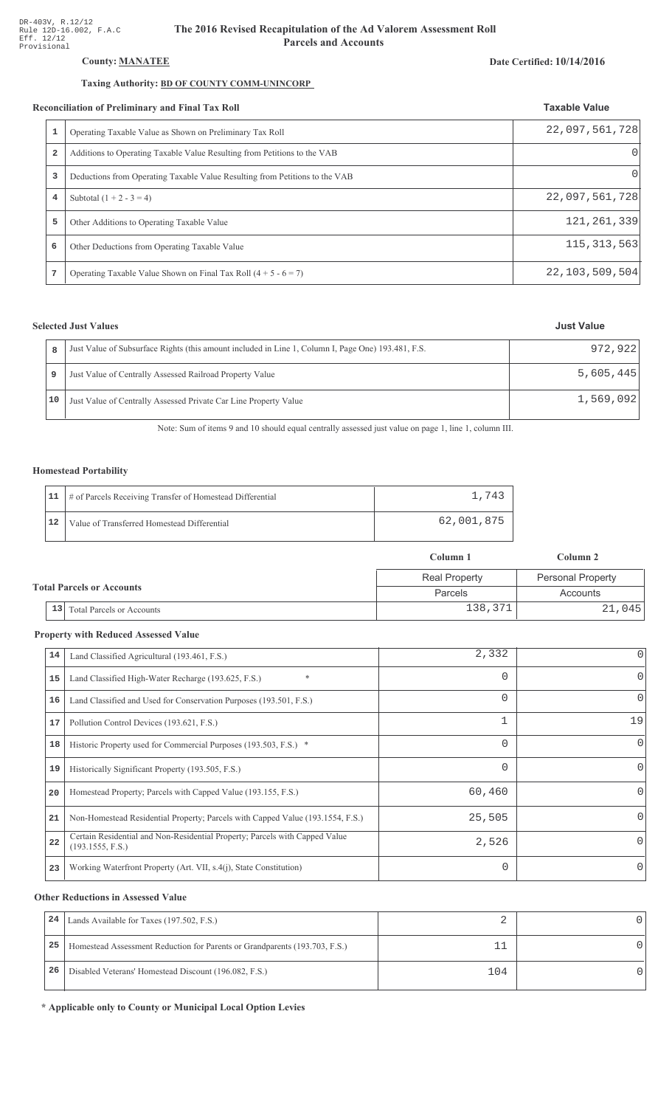## County: **MANATEE**

## Taxing Authority: BD OF COUNTY COMM-UNINCORP

#### Reconciliation of Preliminary and Final Tax Roll

|   | Operating Taxable Value as Shown on Preliminary Tax Roll                    | 22,097,561,728    |
|---|-----------------------------------------------------------------------------|-------------------|
| 2 | Additions to Operating Taxable Value Resulting from Petitions to the VAB    |                   |
| 3 | Deductions from Operating Taxable Value Resulting from Petitions to the VAB |                   |
| 4 | Subtotal $(1 + 2 - 3 = 4)$                                                  | 22,097,561,728    |
| 5 | Other Additions to Operating Taxable Value                                  | 121, 261, 339     |
| 6 | Other Deductions from Operating Taxable Value                               | 115, 313, 563     |
| 7 | Operating Taxable Value Shown on Final Tax Roll $(4 + 5 - 6 = 7)$           | 22, 103, 509, 504 |

## **Selected Just Values**

|    | Just Value of Subsurface Rights (this amount included in Line 1, Column I, Page One) 193.481, F.S. | 972,922   |
|----|----------------------------------------------------------------------------------------------------|-----------|
|    | Just Value of Centrally Assessed Railroad Property Value                                           | 5,605,445 |
| 10 | Just Value of Centrally Assessed Private Car Line Property Value                                   | 1,569,092 |

Note: Sum of items 9 and 10 should equal centrally assessed just value on page 1, line 1, column III.

## Homestead Portability

|    | 11   # of Parcels Receiving Transfer of Homestead Differential | 1,743      |
|----|----------------------------------------------------------------|------------|
| 12 | Value of Transferred Homestead Differential                    | 62,001,875 |

|                                  |                                        | Column 1             | Column 2                 |  |
|----------------------------------|----------------------------------------|----------------------|--------------------------|--|
|                                  |                                        | <b>Real Property</b> | <b>Personal Property</b> |  |
| <b>Total Parcels or Accounts</b> |                                        | Parcels              | Accounts                 |  |
|                                  | 13<br><b>Total Parcels or Accounts</b> | 138,371              | 21,045                   |  |

#### **Property with Reduced Assessed Value**

| 14 | Land Classified Agricultural (193.461, F.S.)                                                    | 2,332  | $\Omega$ |
|----|-------------------------------------------------------------------------------------------------|--------|----------|
| 15 | $\ast$<br>Land Classified High-Water Recharge (193.625, F.S.)                                   | 0      | $\Omega$ |
| 16 | Land Classified and Used for Conservation Purposes (193.501, F.S.)                              | 0      | $\Omega$ |
| 17 | Pollution Control Devices (193.621, F.S.)                                                       | 1      | 19       |
| 18 | Historic Property used for Commercial Purposes (193.503, F.S.) *                                | 0      | $\Omega$ |
| 19 | Historically Significant Property (193.505, F.S.)                                               | 0      | $\Omega$ |
| 20 | Homestead Property; Parcels with Capped Value (193.155, F.S.)                                   | 60,460 | $\Omega$ |
| 21 | Non-Homestead Residential Property; Parcels with Capped Value (193.1554, F.S.)                  | 25,505 | $\Omega$ |
| 22 | Certain Residential and Non-Residential Property; Parcels with Capped Value<br>(193.1555, F.S.) | 2,526  | $\Omega$ |
| 23 | Working Waterfront Property (Art. VII, s.4(j), State Constitution)                              | 0      | $\Omega$ |

#### **Other Reductions in Assessed Value**

| 24 | Lands Available for Taxes (197.502, F.S.)                                  |     |  |
|----|----------------------------------------------------------------------------|-----|--|
| 25 | Homestead Assessment Reduction for Parents or Grandparents (193.703, F.S.) |     |  |
| 26 | Disabled Veterans' Homestead Discount (196.082, F.S.)                      | 104 |  |

\* Applicable only to County or Municipal Local Option Levies

# Date Certified: 10/14/2016

**Taxable Value**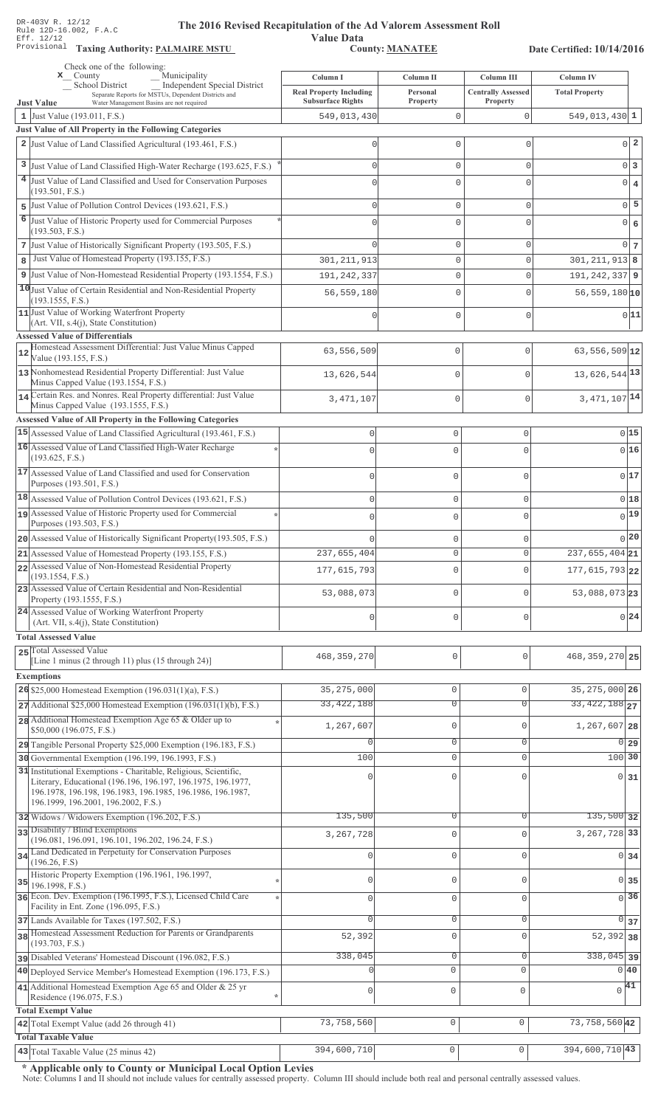**Taxing Auth** 

#### **Th** e 2016 Revised Recapitulation of the Ad Valorem Assessment Roll

**Value Data** ,%\$ \*\$ 0 ",\$1\*\*

Date Certified: 10/14/2016

|    | Check one of the following:<br>Municipality<br>$\mathbf{x}$ County                                                                                                | Column I                                                   | Column II            | Column III                            | Column IV                    |  |
|----|-------------------------------------------------------------------------------------------------------------------------------------------------------------------|------------------------------------------------------------|----------------------|---------------------------------------|------------------------------|--|
|    | Independent Special District<br><b>School District</b><br>Separate Reports for MSTUs, Dependent Districts and<br>Water Management Basins are not required         | <b>Real Property Including</b><br><b>Subsurface Rights</b> | Personal<br>Property | <b>Centrally Assessed</b><br>Property | <b>Total Property</b>        |  |
|    | <b>Just Value</b><br>1 Just Value $(193.011, F.S.)$                                                                                                               | 549,013,430                                                | 0                    | 0                                     | $549,013,430$ 1              |  |
|    | Just Value of All Property in the Following Categories                                                                                                            |                                                            |                      |                                       |                              |  |
|    | 2 Just Value of Land Classified Agricultural (193.461, F.S.)                                                                                                      |                                                            | 0                    | $\mathbf 0$                           | $0\vert 2$                   |  |
|    |                                                                                                                                                                   |                                                            |                      |                                       |                              |  |
| 3  | Just Value of Land Classified High-Water Recharge (193.625, F.S.)                                                                                                 |                                                            | 0                    | $\mathbf 0$                           | $0\vert 3$                   |  |
|    | 4 Just Value of Land Classified and Used for Conservation Purposes<br>(193.501, F.S.)                                                                             |                                                            | 0                    | $\mathbf{0}$                          | $0 \mid 4$                   |  |
| 5  | Just Value of Pollution Control Devices (193.621, F.S.)                                                                                                           |                                                            | 0                    | 0                                     | $0\overline{5}$              |  |
|    | 6 Just Value of Historic Property used for Commercial Purposes                                                                                                    |                                                            | 0                    | $\mathbf{0}$                          | $\overline{0}$<br>$\epsilon$ |  |
|    | (193.503, F.S.)                                                                                                                                                   |                                                            |                      |                                       |                              |  |
|    | 7 Just Value of Historically Significant Property (193.505, F.S.)                                                                                                 |                                                            | 0                    | $\mathbf 0$                           | $0\overline{7}$              |  |
| 8  | Just Value of Homestead Property (193.155, F.S.)                                                                                                                  | 301, 211, 913                                              | 0                    | $\mathbf{0}$                          | $301, 211, 913$ 8            |  |
|    | 9 Just Value of Non-Homestead Residential Property (193.1554, F.S.)                                                                                               | 191, 242, 337                                              | 0                    | 0                                     | $191, 242, 337$ 9            |  |
|    | 10 Just Value of Certain Residential and Non-Residential Property                                                                                                 | 56,559,180                                                 | 0                    | $\mathbf 0$                           | $56, 559, 180$ <sup>10</sup> |  |
|    | (193.1555, F.S.)<br>11 Just Value of Working Waterfront Property                                                                                                  |                                                            |                      |                                       |                              |  |
|    | $(Art. VII, s.4(j), State Constitution)$                                                                                                                          |                                                            | 0                    | $\mathbf 0$                           | 0 11                         |  |
|    | <b>Assessed Value of Differentials</b>                                                                                                                            |                                                            |                      |                                       |                              |  |
| 12 | Homestead Assessment Differential: Just Value Minus Capped<br>Value (193.155, F.S.)                                                                               | 63,556,509                                                 | $\mathbf 0$          | $\mathbf{0}$                          | $63,556,509$ 12              |  |
|    | 13 Nonhomestead Residential Property Differential: Just Value                                                                                                     | 13,626,544                                                 | $\mathbf 0$          | $\Omega$                              | 13,626,544 13                |  |
|    | Minus Capped Value (193.1554, F.S.)<br>14 Certain Res. and Nonres. Real Property differential: Just Value                                                         |                                                            |                      |                                       |                              |  |
|    | Minus Capped Value (193.1555, F.S.)                                                                                                                               | 3,471,107                                                  | $\mathbf 0$          | $\mathbf 0$                           | 3, 471, 107 14               |  |
|    | Assessed Value of All Property in the Following Categories                                                                                                        |                                                            |                      |                                       |                              |  |
|    | 15 Assessed Value of Land Classified Agricultural (193.461, F.S.)                                                                                                 | $\mathsf 0$                                                | $\mathsf{O}\xspace$  | $\circ$                               | 0 15                         |  |
|    | 16 Assessed Value of Land Classified High-Water Recharge                                                                                                          | $\Omega$                                                   | $\mathbf 0$          | $\Omega$                              | 0 16                         |  |
|    | (193.625, F.S.)                                                                                                                                                   |                                                            |                      |                                       |                              |  |
|    | 17 Assessed Value of Land Classified and used for Conservation<br>Purposes (193.501, F.S.)                                                                        | $\mathbf 0$                                                | $\mathbf 0$          | $\Omega$                              | 017                          |  |
|    | 18 Assessed Value of Pollution Control Devices (193.621, F.S.)                                                                                                    | $\mathsf 0$                                                | $\mathsf{O}\xspace$  | $\mathbf{0}$                          | 018                          |  |
|    | 19 Assessed Value of Historic Property used for Commercial                                                                                                        | $\Omega$                                                   | $\mathbf 0$          | $\mathbf 0$                           | $0$ 19                       |  |
|    | Purposes (193.503, F.S.)                                                                                                                                          |                                                            |                      |                                       |                              |  |
|    | 20 Assessed Value of Historically Significant Property (193.505, F.S.)                                                                                            |                                                            | $\mathsf 0$          | $\mathbf{0}$                          | 0 20                         |  |
|    | 21 Assessed Value of Homestead Property (193.155, F.S.)                                                                                                           | 237,655,404                                                | $\mathbf 0$          | $\mathbf 0$                           | $\overline{237,655,404}$ 21  |  |
|    | 22 Assessed Value of Non-Homestead Residential Property                                                                                                           | 177,615,793                                                | $\mathbf 0$          | $\Omega$                              | 177, 615, 793 22             |  |
|    | (193.1554, F.S.)<br>23 Assessed Value of Certain Residential and Non-Residential                                                                                  |                                                            |                      |                                       |                              |  |
|    | Property (193.1555, F.S.)                                                                                                                                         | 53,088,073                                                 | $\mathbf 0$          | $\Omega$                              | 53,088,073 23                |  |
|    | 24 Assessed Value of Working Waterfront Property<br>(Art. VII, s.4(j), State Constitution)                                                                        | 0                                                          | $\mathsf 0$          | $\mathbf{0}$                          | 0 24                         |  |
|    | <b>Total Assessed Value</b>                                                                                                                                       |                                                            |                      |                                       |                              |  |
|    | 25 Total Assessed Value                                                                                                                                           | 468, 359, 270                                              | $\mathbb O$          | $\mathbf 0$                           | 468, 359, 270 25             |  |
|    | [Line 1 minus (2 through 11) plus (15 through 24)]                                                                                                                |                                                            |                      |                                       |                              |  |
|    | <b>Exemptions</b>                                                                                                                                                 |                                                            |                      |                                       |                              |  |
|    | $26$ \$25,000 Homestead Exemption (196.031(1)(a), F.S.)                                                                                                           | 35, 275, 000                                               | 0                    | $\mathbf{0}$                          | 35, 275, 000 26              |  |
|    | $27$ Additional \$25,000 Homestead Exemption (196.031(1)(b), F.S.)                                                                                                | 33, 422, 188                                               | $\overline{0}$       | $\overline{0}$                        | 33, 422, 188 27              |  |
|    | 28 Additional Homestead Exemption Age 65 & Older up to<br>\$50,000 (196.075, F.S.)                                                                                | 1,267,607                                                  | 0                    | $\mathbf{0}$                          | 1,267,607 28                 |  |
|    | 29 Tangible Personal Property \$25,000 Exemption (196.183, F.S.)                                                                                                  |                                                            | $\mathbf 0$          | 0                                     | $0$ 29                       |  |
|    | 30 Governmental Exemption (196.199, 196.1993, F.S.)                                                                                                               | 100                                                        | 0                    | $\mathbf{0}$                          | $100$ 30                     |  |
|    | 31 Institutional Exemptions - Charitable, Religious, Scientific,                                                                                                  |                                                            | 0                    | $\cap$                                |                              |  |
|    | Literary, Educational (196.196, 196.197, 196.1975, 196.1977,<br>196.1978, 196.198, 196.1983, 196.1985, 196.1986, 196.1987,<br>196.1999, 196.2001, 196.2002, F.S.) |                                                            |                      |                                       | $0 \overline{31}$            |  |
|    | 32 Widows / Widowers Exemption (196.202, F.S.)                                                                                                                    | 135,500                                                    | 0                    | 0                                     | $135,500$ 32                 |  |
|    | 33 Disability / Blind Exemptions                                                                                                                                  | 3, 267, 728                                                | $\mathsf 0$          | $\Omega$                              | 3, 267, 728 33               |  |
|    | (196.081, 196.091, 196.101, 196.202, 196.24, F.S.)                                                                                                                |                                                            |                      |                                       |                              |  |
| 34 | Land Dedicated in Perpetuity for Conservation Purposes<br>(196.26, F.S)                                                                                           |                                                            | 0                    | $\Omega$                              | $0 \overline{\smash{34}}$    |  |
|    | Historic Property Exemption (196.1961, 196.1997,                                                                                                                  | C                                                          | 0                    | $\mathbf 0$                           | 0 35                         |  |
| 35 | 196.1998, F.S.)<br>36 Econ. Dev. Exemption (196.1995, F.S.), Licensed Child Care                                                                                  |                                                            |                      |                                       |                              |  |
|    | Facility in Ent. Zone (196.095, F.S.)                                                                                                                             | $\Omega$                                                   | $\mathsf 0$          | $\mathbf{0}$                          | $\overline{0}$ 36            |  |
|    | 37 Lands Available for Taxes (197.502, F.S.)                                                                                                                      |                                                            | 0                    | $\mathbf{0}$                          | $\overline{0}$ 37            |  |
|    | 38 Homestead Assessment Reduction for Parents or Grandparents                                                                                                     | 52,392                                                     | $\mathsf 0$          | $\mathbf 0$                           | $52,392$ 38                  |  |
|    | (193.703, F.S.)                                                                                                                                                   |                                                            |                      |                                       |                              |  |
|    | pisabled Veterans' Homestead Discount (196.082, F.S.)                                                                                                             | 338,045                                                    | 0<br>$\mathbf 0$     | $\mathbf 0$<br>$\mathbf{0}$           | $338,045$ 39<br>0 40         |  |
|    | 40 Deployed Service Member's Homestead Exemption (196.173, F.S.)                                                                                                  |                                                            |                      |                                       |                              |  |
|    | 41 Additional Homestead Exemption Age 65 and Older $& 25$ yr<br>Residence (196.075, F.S.)<br>$\star$                                                              | 0                                                          | $\mathbb O$          | $\mathbf 0$                           | $\sqrt{41}$                  |  |
|    | <b>Total Exempt Value</b>                                                                                                                                         |                                                            |                      |                                       |                              |  |
|    | 42 Total Exempt Value (add 26 through 41)                                                                                                                         | 73,758,560                                                 | $\mathbb O$          | $\mathsf{O}\xspace$                   | 73, 758, 560 42              |  |
|    | <b>Total Taxable Value</b>                                                                                                                                        |                                                            |                      |                                       |                              |  |
|    | 43 Total Taxable Value (25 minus 42)                                                                                                                              | 394,600,710                                                | $\mathsf{O}\xspace$  | $\mathsf{O}\xspace$                   | $\overline{394,600,710}$ 43  |  |

\* Applicable only to County or Municipal Local Option Levies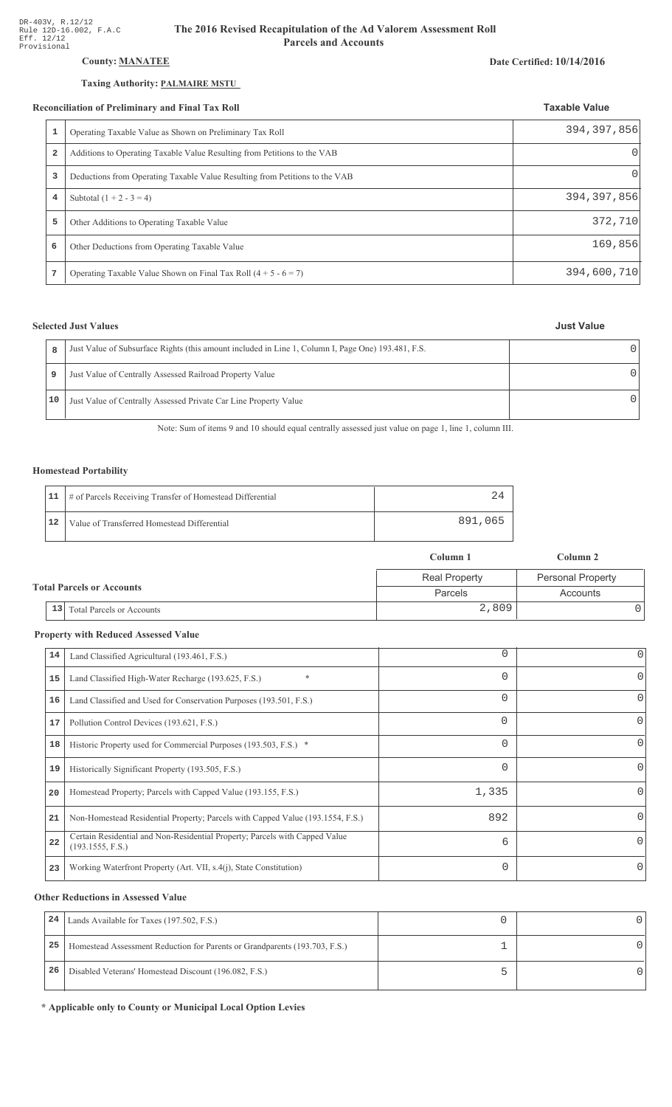## **County: MANATEE**

## Taxing Authority: PALMAIRE MSTU

### **Reconciliation of Preliminary and Final Tax Roll**

|   | econciliation of Preliminary and Final Tax Roll                                                     | <b>Taxable Value</b> |
|---|-----------------------------------------------------------------------------------------------------|----------------------|
|   | Operating Taxable Value as Shown on Preliminary Tax Roll                                            | 394, 397, 856        |
|   | $\overline{\mathbf{2}}$<br>Additions to Operating Taxable Value Resulting from Petitions to the VAB | 0                    |
|   | 3<br>Deductions from Operating Taxable Value Resulting from Petitions to the VAB                    | 0                    |
|   | Subtotal $(1 + 2 - 3 = 4)$<br>4                                                                     | 394, 397, 856        |
|   | 5<br>Other Additions to Operating Taxable Value                                                     | 372,710              |
| 6 | Other Deductions from Operating Taxable Value                                                       | 169,856              |
| 7 | Operating Taxable Value Shown on Final Tax Roll $(4 + 5 - 6 = 7)$                                   | 394,600,710          |

## **Selected Just Values**

## **Just Value**

| R  | Just Value of Subsurface Rights (this amount included in Line 1, Column I, Page One) 193.481, F.S. |  |
|----|----------------------------------------------------------------------------------------------------|--|
| 9  | Just Value of Centrally Assessed Railroad Property Value                                           |  |
| 10 | Just Value of Centrally Assessed Private Car Line Property Value                                   |  |

Note: Sum of items 9 and 10 should equal centrally assessed just value on page 1, line 1, column III.

## **Homestead Portability**

|    | 11   # of Parcels Receiving Transfer of Homestead Differential |         |
|----|----------------------------------------------------------------|---------|
| 12 | Value of Transferred Homestead Differential                    | 891,065 |

|                                  |                                        | Column 1             | Column 2                 |  |
|----------------------------------|----------------------------------------|----------------------|--------------------------|--|
| <b>Total Parcels or Accounts</b> |                                        | <b>Real Property</b> | <b>Personal Property</b> |  |
|                                  |                                        | <b>Parcels</b>       | Accounts                 |  |
|                                  | 13<br><b>Total Parcels or Accounts</b> | 2,809                |                          |  |

## **Property with Reduced Assessed Value**

| 14 | Land Classified Agricultural (193.461, F.S.)                                                    | 0        | 0 |
|----|-------------------------------------------------------------------------------------------------|----------|---|
| 15 | $\ast$<br>Land Classified High-Water Recharge (193.625, F.S.)                                   | $\Omega$ | 0 |
| 16 | Land Classified and Used for Conservation Purposes (193.501, F.S.)                              | $\Omega$ | 0 |
| 17 | Pollution Control Devices (193.621, F.S.)                                                       | 0        | 0 |
| 18 | Historic Property used for Commercial Purposes (193.503, F.S.) *                                | $\Omega$ | 0 |
| 19 | Historically Significant Property (193.505, F.S.)                                               | $\Omega$ | 0 |
| 20 | Homestead Property; Parcels with Capped Value (193.155, F.S.)                                   | 1,335    |   |
| 21 | Non-Homestead Residential Property; Parcels with Capped Value (193.1554, F.S.)                  | 892      | 0 |
| 22 | Certain Residential and Non-Residential Property; Parcels with Capped Value<br>(193.1555, F.S.) | 6        |   |
| 23 | Working Waterfront Property (Art. VII, s.4(j), State Constitution)                              | $\Omega$ | 0 |

## **Other Reductions in Assessed Value**

| 24 | Lands Available for Taxes (197.502, F.S.)                                  |  |
|----|----------------------------------------------------------------------------|--|
| 25 | Homestead Assessment Reduction for Parents or Grandparents (193.703, F.S.) |  |
| 26 | Disabled Veterans' Homestead Discount (196.082, F.S.)                      |  |

\* Applicable only to County or Municipal Local Option Levies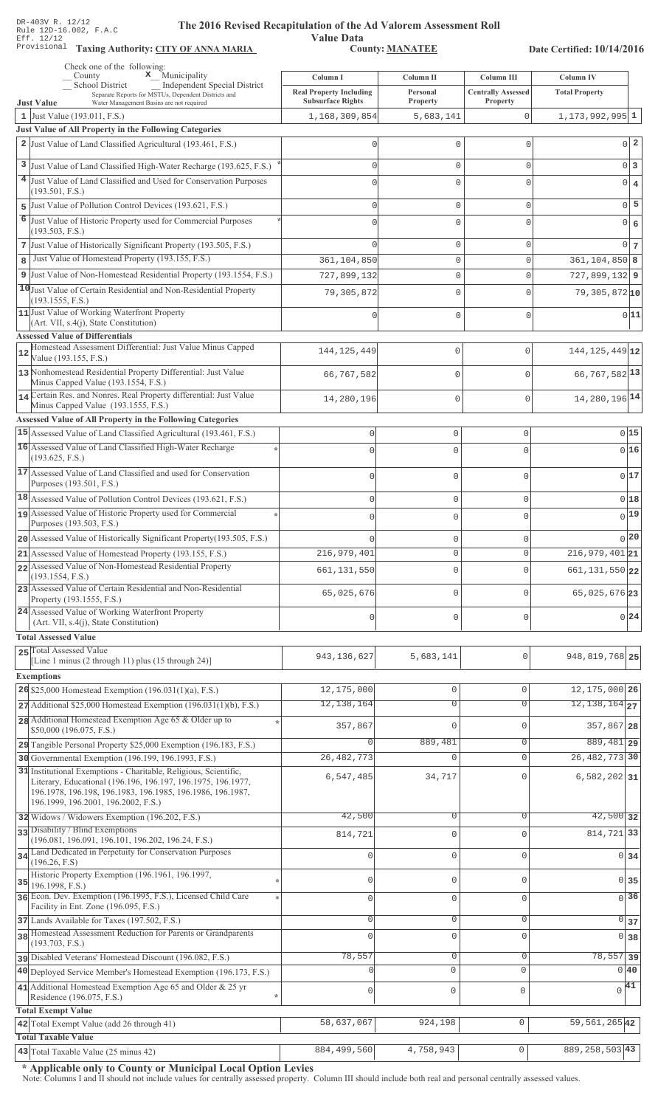Value Data<br>County: MANATEE Taxing Authority: CITY OF ANNA MARIA County: MANATEE

Date Certified: 10/14/2016

| Check one of the following:<br>$\mathbf x$ Municipality<br>County                                                                                                                                                                     | Column I                                                   | Column II                  | Column III                            | Column IV                     |
|---------------------------------------------------------------------------------------------------------------------------------------------------------------------------------------------------------------------------------------|------------------------------------------------------------|----------------------------|---------------------------------------|-------------------------------|
| <b>Independent Special District</b><br><b>School District</b><br>Separate Reports for MSTUs, Dependent Districts and                                                                                                                  | <b>Real Property Including</b><br><b>Subsurface Rights</b> | Personal<br>Property       | <b>Centrally Assessed</b><br>Property | <b>Total Property</b>         |
| <b>Just Value</b><br>Water Management Basins are not required<br>1 Just Value (193.011, F.S.)                                                                                                                                         | 1,168,309,854                                              | 5,683,141                  | 0                                     | $1, 173, 992, 995$ 1          |
| Just Value of All Property in the Following Categories                                                                                                                                                                                |                                                            |                            |                                       |                               |
| 2 Just Value of Land Classified Agricultural (193.461, F.S.)                                                                                                                                                                          |                                                            | $\Omega$                   | 0                                     | $0\vert 2$                    |
| 3 Just Value of Land Classified High-Water Recharge (193.625, F.S.)                                                                                                                                                                   |                                                            | $\mathbf{0}$               | $\Omega$                              | $0\vert 3$                    |
| 4 Just Value of Land Classified and Used for Conservation Purposes                                                                                                                                                                    |                                                            | n                          | Λ                                     | $0 \mid 4$                    |
| (193.501, F.S.)                                                                                                                                                                                                                       |                                                            |                            |                                       |                               |
| Just Value of Pollution Control Devices (193.621, F.S.)<br>5                                                                                                                                                                          |                                                            | $\mathbf{0}$               | 0                                     | $0$ 5                         |
| 6<br>Just Value of Historic Property used for Commercial Purposes<br>(193.503, F.S.)                                                                                                                                                  |                                                            | O                          | O                                     | $0 \big  6$                   |
| 7 Just Value of Historically Significant Property (193.505, F.S.)                                                                                                                                                                     |                                                            | $\mathbf{0}$               | 0                                     | $0\vert 7$                    |
| Just Value of Homestead Property (193.155, F.S.)<br>8                                                                                                                                                                                 | 361,104,850                                                | $\mathbb O$                | 0                                     | $361, 104, 850$ 8             |
| 9 Just Value of Non-Homestead Residential Property (193.1554, F.S.)                                                                                                                                                                   | 727,899,132                                                | $\mathbf{0}$               | $\Omega$                              | $727,899,132$ 9               |
| 10 Just Value of Certain Residential and Non-Residential Property                                                                                                                                                                     | 79,305,872                                                 | $\Omega$                   | $\Omega$                              | $79,305,872$ <sup>10</sup>    |
| (193.1555, F.S.)                                                                                                                                                                                                                      |                                                            |                            |                                       |                               |
| 11 Just Value of Working Waterfront Property<br>(Art. VII, s.4(j), State Constitution)                                                                                                                                                |                                                            | $\Omega$                   | 0                                     | 0 11                          |
| <b>Assessed Value of Differentials</b>                                                                                                                                                                                                |                                                            |                            |                                       |                               |
| Homestead Assessment Differential: Just Value Minus Capped<br>12<br>Value (193.155, F.S.)                                                                                                                                             | 144, 125, 449                                              | 0                          | $\mathbf{0}$                          | 144, 125, 449 12              |
| 13 Nonhomestead Residential Property Differential: Just Value<br>Minus Capped Value (193.1554, F.S.)                                                                                                                                  | 66,767,582                                                 | 0                          | $\mathbf 0$                           | 66, 767, 582 13               |
| 14 Certain Res. and Nonres. Real Property differential: Just Value                                                                                                                                                                    | 14,280,196                                                 | 0                          | $\mathbf{0}$                          | 14, 280, 196 14               |
| Minus Capped Value (193.1555, F.S.)                                                                                                                                                                                                   |                                                            |                            |                                       |                               |
| <b>Assessed Value of All Property in the Following Categories</b><br>15 Assessed Value of Land Classified Agricultural (193.461, F.S.)                                                                                                |                                                            |                            |                                       |                               |
| 16 Assessed Value of Land Classified High-Water Recharge                                                                                                                                                                              | $\mathbf 0$                                                | $\mathbf 0$                | $\mathsf{O}\xspace$                   | 0 15                          |
| (193.625, F.S.)                                                                                                                                                                                                                       |                                                            | $\mathbf 0$                | 0                                     | 016                           |
| 17 Assessed Value of Land Classified and used for Conservation<br>Purposes (193.501, F.S.)                                                                                                                                            | $\Omega$                                                   | $\mathbf 0$                | $\mathbf 0$                           | 0 17                          |
| 18 Assessed Value of Pollution Control Devices (193.621, F.S.)                                                                                                                                                                        | $\Omega$                                                   | $\mathbf 0$                | $\mathbf 0$                           | 018                           |
| 19 Assessed Value of Historic Property used for Commercial                                                                                                                                                                            | $\cap$                                                     | $\mathbf 0$                | 0                                     | $0$ <sup>19</sup>             |
| Purposes (193.503, F.S.)                                                                                                                                                                                                              |                                                            |                            |                                       | 0 20                          |
| 20 Assessed Value of Historically Significant Property (193.505, F.S.)<br>21 Assessed Value of Homestead Property (193.155, F.S.)                                                                                                     | 216,979,401                                                | $\mathbf 0$<br>$\mathbb O$ | 0<br>0                                | $\overline{216,979,401}$ 21   |
| 22 Assessed Value of Non-Homestead Residential Property                                                                                                                                                                               |                                                            |                            |                                       |                               |
| (193.1554, F.S.)                                                                                                                                                                                                                      | 661, 131, 550                                              | 0                          | $\mathbf{0}$                          | 661, 131, 550 22              |
| 23 Assessed Value of Certain Residential and Non-Residential<br>Property (193.1555, F.S.)                                                                                                                                             | 65,025,676                                                 | $\mathbf 0$                | 0                                     | 65,025,676 23                 |
| 24 Assessed Value of Working Waterfront Property                                                                                                                                                                                      | 0                                                          | $\Omega$                   | 0                                     | 0 24                          |
| (Art. VII, s.4(j), State Constitution)<br><b>Total Assessed Value</b>                                                                                                                                                                 |                                                            |                            |                                       |                               |
| 25 Total Assessed Value                                                                                                                                                                                                               |                                                            |                            |                                       |                               |
| [Line 1 minus (2 through 11) plus (15 through 24)]                                                                                                                                                                                    | 943, 136, 627                                              | 5,683,141                  | U                                     | 948, 819, 768 25              |
| <b>Exemptions</b>                                                                                                                                                                                                                     |                                                            |                            |                                       |                               |
| 26 \$25,000 Homestead Exemption $(196.031(1)(a), F.S.)$                                                                                                                                                                               | 12,175,000                                                 | $\mathbb O$                | 0                                     | 12, 175, 000 26               |
| $27$ Additional \$25,000 Homestead Exemption (196.031(1)(b), F.S.)                                                                                                                                                                    | 12, 138, 164                                               | $\overline{0}$             | $\overline{0}$                        | $12, 138, 164$ <sub>27</sub>  |
| 28 Additional Homestead Exemption Age 65 & Older up to<br>\$50,000 (196.075, F.S.)                                                                                                                                                    | 357,867                                                    | $\mathbf{0}$               | $\Omega$                              | 357,867 28                    |
| 29 Tangible Personal Property \$25,000 Exemption (196.183, F.S.)                                                                                                                                                                      | $\Omega$                                                   | 889,481                    | 0                                     | 889, 481 29                   |
| 30 Governmental Exemption (196.199, 196.1993, F.S.)                                                                                                                                                                                   | 26, 482, 773                                               | $\mathbf{0}$               | 0                                     | 26, 482, 773 30               |
| 31 Institutional Exemptions - Charitable, Religious, Scientific,<br>Literary, Educational (196.196, 196.197, 196.1975, 196.1977,<br>196.1978, 196.198, 196.1983, 196.1985, 196.1986, 196.1987,<br>196.1999, 196.2001, 196.2002, F.S.) | 6,547,485                                                  | 34,717                     | $\Omega$                              | $6,582,202$ 31                |
| 32 Widows / Widowers Exemption (196.202, F.S.)                                                                                                                                                                                        | 42,500                                                     | $\mathbf 0$                | 0                                     | $42,500$ 32                   |
| 33 Disability / Blind Exemptions<br>(196.081, 196.091, 196.101, 196.202, 196.24, F.S.)                                                                                                                                                | 814,721                                                    | $\mathbf{0}$               | $\Omega$                              | 814,721 33                    |
| 34 Land Dedicated in Perpetuity for Conservation Purposes                                                                                                                                                                             | $\cap$                                                     | $\mathbf 0$                | $\Omega$                              | 0 34                          |
| (196.26, F.S)                                                                                                                                                                                                                         |                                                            |                            |                                       |                               |
| Historic Property Exemption (196.1961, 196.1997,<br>35<br>196.1998, F.S.)                                                                                                                                                             | 0                                                          | $\mathbb O$                | 0                                     | 0 35                          |
| 36 Econ. Dev. Exemption (196.1995, F.S.), Licensed Child Care                                                                                                                                                                         | $\mathbf{0}$                                               | $\mathsf{O}\xspace$        | 0                                     | $\overline{0}$ 36             |
| Facility in Ent. Zone (196.095, F.S.)<br>37 Lands Available for Taxes (197.502, F.S.)                                                                                                                                                 | $\mathbf{0}$                                               | 0                          | 0                                     | $\overline{0}$ 37             |
| 38 Homestead Assessment Reduction for Parents or Grandparents                                                                                                                                                                         | $\Omega$                                                   | $\mathbf 0$                | $\Omega$                              | 0 38                          |
| (193.703, F.S.)                                                                                                                                                                                                                       |                                                            |                            |                                       |                               |
| pisabled Veterans' Homestead Discount (196.082, F.S.)                                                                                                                                                                                 | 78,557                                                     | $\circ$<br>$\mathbf 0$     | 0<br>$\mathbf 0$                      | $78,557$ 39<br>0 40           |
| 40 Deployed Service Member's Homestead Exemption (196.173, F.S.)<br>41 Additional Homestead Exemption Age 65 and Older & 25 yr                                                                                                        |                                                            |                            |                                       |                               |
| Residence (196.075, F.S.)                                                                                                                                                                                                             | $\circ$                                                    | $\mathbb O$                | 0                                     | $\sqrt{41}$                   |
| <b>Total Exempt Value</b>                                                                                                                                                                                                             |                                                            |                            |                                       |                               |
| 42 Total Exempt Value (add 26 through 41)                                                                                                                                                                                             | 58,637,067                                                 | 924,198                    | $\mathbb O$                           | $\overline{59}$ , 561, 265 42 |
| <b>Total Taxable Value</b>                                                                                                                                                                                                            | 884,499,560                                                | 4,758,943                  | $\mathsf{O}\xspace$                   | 889, 258, 503 43              |
| $\overline{43}$ Total Taxable Value (25 minus 42)                                                                                                                                                                                     |                                                            |                            |                                       |                               |

\* Applicable only to County or Municipal Local Option Levies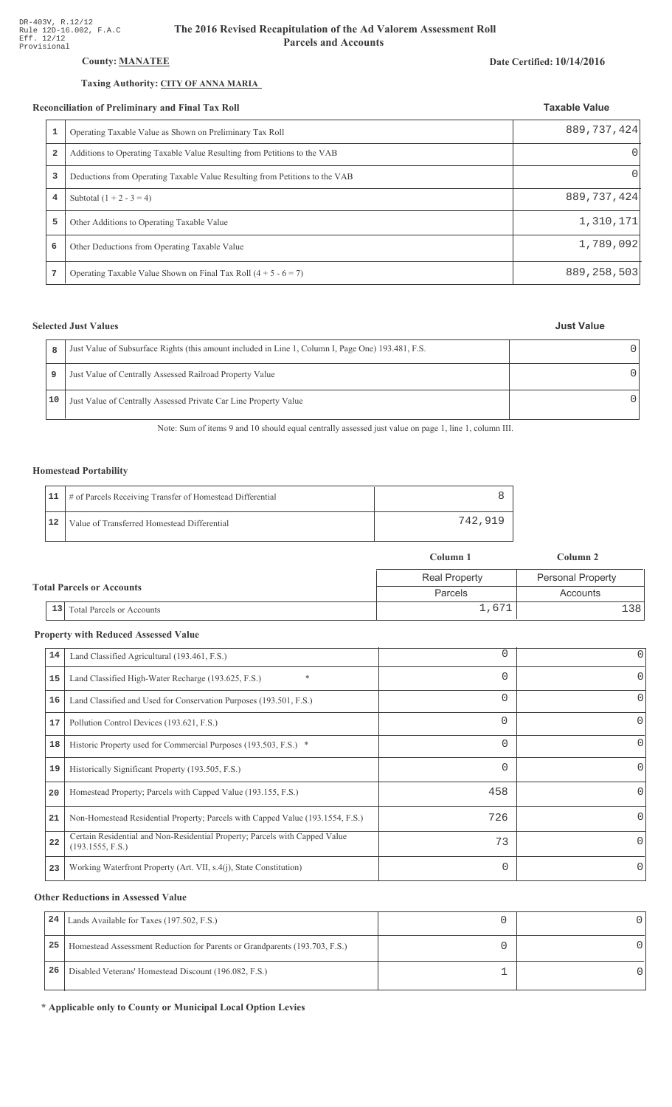## **County: MANATEE**

## Taxing Authority: CITY OF ANNA MARIA

### Reconciliation of Preliminary and Final Tax Roll

|                         | conciliation of Preliminary and Final Tax Roll                              | <b>Taxable Value</b> |  |
|-------------------------|-----------------------------------------------------------------------------|----------------------|--|
| 1                       | Operating Taxable Value as Shown on Preliminary Tax Roll                    | 889, 737, 424        |  |
| $\overline{\mathbf{2}}$ | Additions to Operating Taxable Value Resulting from Petitions to the VAB    | $\Omega$             |  |
| 3                       | Deductions from Operating Taxable Value Resulting from Petitions to the VAB | $\Omega$             |  |
| 4                       | Subtotal $(1 + 2 - 3 = 4)$                                                  | 889, 737, 424        |  |
| 5                       | Other Additions to Operating Taxable Value                                  | 1,310,171            |  |
| 6                       | Other Deductions from Operating Taxable Value                               | 1,789,092            |  |
|                         | Operating Taxable Value Shown on Final Tax Roll $(4 + 5 - 6 = 7)$           | 889, 258, 503        |  |

## **Selected Just Values**

|    | Just Value of Subsurface Rights (this amount included in Line 1, Column I, Page One) 193.481, F.S. |  |
|----|----------------------------------------------------------------------------------------------------|--|
| 9  | Just Value of Centrally Assessed Railroad Property Value                                           |  |
| 10 | Just Value of Centrally Assessed Private Car Line Property Value                                   |  |

Note: Sum of items 9 and 10 should equal centrally assessed just value on page 1, line 1, column III.

## **Homestead Portability**

|    | 11   # of Parcels Receiving Transfer of Homestead Differential |         |
|----|----------------------------------------------------------------|---------|
| 12 | Value of Transferred Homestead Differential                    | 742.919 |

|                                  |    |                                  | Column 1             | Column 2                 |
|----------------------------------|----|----------------------------------|----------------------|--------------------------|
| <b>Total Parcels or Accounts</b> |    |                                  | <b>Real Property</b> | <b>Personal Property</b> |
|                                  |    |                                  | Parcels              | Accounts                 |
|                                  | 13 | <b>Total Parcels or Accounts</b> | 1,671                | ⊥38'                     |

## **Property with Reduced Assessed Value**

| 14 | Land Classified Agricultural (193.461, F.S.)                                                    | $\Omega$ | 0        |
|----|-------------------------------------------------------------------------------------------------|----------|----------|
| 15 | Land Classified High-Water Recharge (193.625, F.S.)                                             | 0        | $\Omega$ |
| 16 | Land Classified and Used for Conservation Purposes (193.501, F.S.)                              | $\Omega$ | 0        |
| 17 | Pollution Control Devices (193.621, F.S.)                                                       | 0        | 0        |
| 18 | Historic Property used for Commercial Purposes (193.503, F.S.) *                                | $\Omega$ | 0        |
| 19 | Historically Significant Property (193.505, F.S.)                                               | 0        | $\Omega$ |
| 20 | Homestead Property; Parcels with Capped Value (193.155, F.S.)                                   | 458      | 0        |
| 21 | Non-Homestead Residential Property; Parcels with Capped Value (193.1554, F.S.)                  | 726      | 0        |
| 22 | Certain Residential and Non-Residential Property; Parcels with Capped Value<br>(193.1555, F.S.) | 73       | 0        |
| 23 | Working Waterfront Property (Art. VII, s.4(j), State Constitution)                              | $\Omega$ | $\Omega$ |
|    |                                                                                                 |          |          |

## **Other Reductions in Assessed Value**

| 24 | Lands Available for Taxes (197.502, F.S.)                                  |  |
|----|----------------------------------------------------------------------------|--|
| 25 | Homestead Assessment Reduction for Parents or Grandparents (193.703, F.S.) |  |
| 26 | Disabled Veterans' Homestead Discount (196.082, F.S.)                      |  |

\* Applicable only to County or Municipal Local Option Levies

### Date Certified: 10/14/2016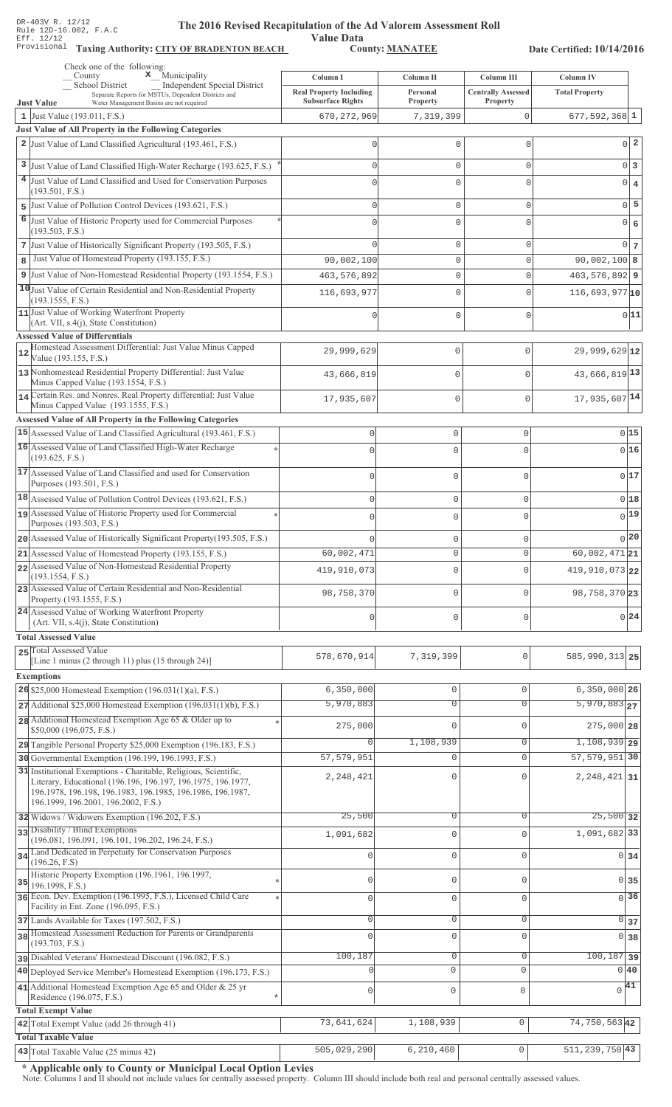Value Data<br>County: MANATEE Taxing Authority: CITY OF BRADENTON BEACH County: MANATEE

Date Certified: 10/14/2016

| Check one of the following:<br>$\mathbf{x}$ Municipality<br>County                                                                                                                                                                    | Column I                                                   | Column II            | Column III                            | Column IV                        |
|---------------------------------------------------------------------------------------------------------------------------------------------------------------------------------------------------------------------------------------|------------------------------------------------------------|----------------------|---------------------------------------|----------------------------------|
| Independent Special District<br><b>School District</b><br>Separate Reports for MSTUs, Dependent Districts and<br><b>Just Value</b><br>Water Management Basins are not required                                                        | <b>Real Property Including</b><br><b>Subsurface Rights</b> | Personal<br>Property | <b>Centrally Assessed</b><br>Property | <b>Total Property</b>            |
| 1 Just Value (193.011, F.S.)                                                                                                                                                                                                          | 670, 272, 969                                              | 7,319,399            | 0                                     | $677, 592, 368$ 1                |
| Just Value of All Property in the Following Categories                                                                                                                                                                                |                                                            |                      |                                       |                                  |
| 2 Just Value of Land Classified Agricultural (193.461, F.S.)                                                                                                                                                                          |                                                            | $\Omega$             | $\mathbf{0}$                          | $0\vert 2$                       |
| 3 Just Value of Land Classified High-Water Recharge (193.625, F.S.)                                                                                                                                                                   |                                                            | $\Omega$             | $\Omega$                              | $0\vert 3$                       |
| 4 Just Value of Land Classified and Used for Conservation Purposes                                                                                                                                                                    |                                                            | U                    | C                                     | $\bf{4}$<br> 0                   |
| (193.501, F.S.)                                                                                                                                                                                                                       |                                                            |                      |                                       |                                  |
| Just Value of Pollution Control Devices (193.621, F.S.)<br>5                                                                                                                                                                          |                                                            | 0                    | $\Omega$                              | $0\overline{5}$                  |
| 6<br>Just Value of Historic Property used for Commercial Purposes<br>(193.503, F.S.)                                                                                                                                                  |                                                            | $\Omega$             | $\Omega$                              | $\epsilon$<br> 0                 |
| 7 Just Value of Historically Significant Property (193.505, F.S.)                                                                                                                                                                     |                                                            | 0                    | $\mathbf{0}$                          | $0\overline{7}$                  |
| Just Value of Homestead Property (193.155, F.S.)<br>8                                                                                                                                                                                 | 90,002,100                                                 | 0                    | $\mathbf{0}$                          | $90,002,100$ 8                   |
| 9 Just Value of Non-Homestead Residential Property (193.1554, F.S.)                                                                                                                                                                   | 463, 576, 892                                              | 0                    | $\mathbf{0}$                          | $463,576,892$ 9                  |
| 10 Just Value of Certain Residential and Non-Residential Property                                                                                                                                                                     | 116,693,977                                                | 0                    | $\mathbf{0}$                          | $116,693,977$ <sup>10</sup>      |
| (193.1555, F.S.)<br>11 Just Value of Working Waterfront Property                                                                                                                                                                      |                                                            |                      |                                       |                                  |
| (Art. VII, s.4(j), State Constitution)                                                                                                                                                                                                |                                                            | 0                    | $\mathbf{0}$                          | 0 11                             |
| <b>Assessed Value of Differentials</b>                                                                                                                                                                                                |                                                            |                      |                                       |                                  |
| Homestead Assessment Differential: Just Value Minus Capped<br>12<br>Value (193.155, F.S.)                                                                                                                                             | 29,999,629                                                 | 0                    | $\Omega$                              | $29,999,629$ <sub>12</sub>       |
| 13 Nonhomestead Residential Property Differential: Just Value<br>Minus Capped Value (193.1554, F.S.)                                                                                                                                  | 43,666,819                                                 | $\mathbf 0$          | $\bigcap$                             | 43,666,819 13                    |
| 14 Certain Res. and Nonres. Real Property differential: Just Value                                                                                                                                                                    | 17,935,607                                                 | $\mathbf 0$          | $\mathbf{0}$                          | 17,935,607 14                    |
| Minus Capped Value (193.1555, F.S.)                                                                                                                                                                                                   |                                                            |                      |                                       |                                  |
| <b>Assessed Value of All Property in the Following Categories</b>                                                                                                                                                                     |                                                            |                      |                                       |                                  |
| 15 Assessed Value of Land Classified Agricultural (193.461, F.S.)<br>16 Assessed Value of Land Classified High-Water Recharge                                                                                                         | $\mathbb O$                                                | 0                    | $\circ$                               | 0 15                             |
| (193.625, F.S.)                                                                                                                                                                                                                       | $\Omega$                                                   | 0                    | $\Omega$                              | 016                              |
| 17 Assessed Value of Land Classified and used for Conservation<br>Purposes (193.501, F.S.)                                                                                                                                            | $\Omega$                                                   | 0                    | $\circ$                               | 017                              |
| 18 Assessed Value of Pollution Control Devices (193.621, F.S.)                                                                                                                                                                        | $\Omega$                                                   | 0                    | $\mathbf{0}$                          | 0 18                             |
| 19 Assessed Value of Historic Property used for Commercial                                                                                                                                                                            | $\Omega$                                                   |                      | $\Omega$                              | $0$ 19                           |
| Purposes (193.503, F.S.)                                                                                                                                                                                                              |                                                            | 0                    |                                       |                                  |
| 20 Assessed Value of Historically Significant Property (193.505, F.S.)                                                                                                                                                                |                                                            | 0                    | $\mathbf 0$                           | 0 20                             |
| 21 Assessed Value of Homestead Property (193.155, F.S.)                                                                                                                                                                               | 60,002,471                                                 | 0                    | $\Omega$                              | $\overline{60,002,471}$ 21       |
| 22 Assessed Value of Non-Homestead Residential Property<br>(193.1554, F.S.)                                                                                                                                                           | 419,910,073                                                | 0                    | 0                                     | $419,910,073$ 22                 |
| 23 Assessed Value of Certain Residential and Non-Residential<br>Property (193.1555, F.S.)                                                                                                                                             | 98,758,370                                                 | 0                    | $\Omega$                              | 98, 758, 370 23                  |
| 24 Assessed Value of Working Waterfront Property<br>(Art. VII, s.4(j), State Constitution)                                                                                                                                            | $\Omega$                                                   | 0                    | $\Omega$                              | $0\vert 24$                      |
| <b>Total Assessed Value</b>                                                                                                                                                                                                           |                                                            |                      |                                       |                                  |
| 25 Total Assessed Value                                                                                                                                                                                                               |                                                            |                      |                                       |                                  |
| [Line 1 minus (2 through 11) plus (15 through 24)]                                                                                                                                                                                    | 578,670,914                                                | 7,319,399            | 0                                     | 585, 990, 313 25                 |
| <b>Exemptions</b>                                                                                                                                                                                                                     |                                                            |                      |                                       |                                  |
| 26 \$25,000 Homestead Exemption $(196.031(1)(a), F.S.)$                                                                                                                                                                               | 6,350,000                                                  | $\mathbb O$          | $\mathbf{0}$                          | $6,350,000$ 26                   |
| $27$ Additional \$25,000 Homestead Exemption (196.031(1)(b), F.S.)                                                                                                                                                                    | 5,970,883                                                  | $\overline{0}$       | $\overline{0}$                        | $5,970,883$ <sub>27</sub>        |
| 28 Additional Homestead Exemption Age 65 & Older up to<br>\$50,000 (196.075, F.S.)                                                                                                                                                    | 275,000                                                    | $\mathbf{0}$         | $\Omega$                              | $275,000$ 28                     |
| 29 Tangible Personal Property \$25,000 Exemption (196.183, F.S.)                                                                                                                                                                      | $\circ$                                                    | 1,108,939            | $\overline{0}$                        | 1,108,939 29                     |
| 30 Governmental Exemption (196.199, 196.1993, F.S.)                                                                                                                                                                                   | 57, 579, 951                                               | 0                    | $\mathbf{0}$                          | 57, 579, 951 30                  |
| 31 Institutional Exemptions - Charitable, Religious, Scientific,<br>Literary, Educational (196.196, 196.197, 196.1975, 196.1977,<br>196.1978, 196.198, 196.1983, 196.1985, 196.1986, 196.1987,<br>196.1999, 196.2001, 196.2002, F.S.) | 2, 248, 421                                                | $\mathbf 0$          | $\Omega$                              | 2, 248, 421 31                   |
| 32 Widows / Widowers Exemption (196.202, F.S.)                                                                                                                                                                                        | 25,500                                                     | $\overline{0}$       | $\Omega$                              | $25,500$ 32                      |
| 33 Disability / Blind Exemptions                                                                                                                                                                                                      | 1,091,682                                                  | $\mathbf{0}$         | $\Omega$                              | 1,091,682 33                     |
| (196.081, 196.091, 196.101, 196.202, 196.24, F.S.)<br>34 Land Dedicated in Perpetuity for Conservation Purposes                                                                                                                       |                                                            |                      |                                       |                                  |
| (196.26, F.S)<br>Historic Property Exemption (196.1961, 196.1997,                                                                                                                                                                     |                                                            | $\mathbf 0$          | $\Omega$                              | $0 \overline{\smash{34}}$        |
| 35<br>196.1998, F.S.)                                                                                                                                                                                                                 | $\Omega$                                                   | $\mathbb O$          | $\mathbf{0}$                          | $0 \overline{\smash{\big)}\ 35}$ |
| 36 Econ. Dev. Exemption (196.1995, F.S.), Licensed Child Care<br>Facility in Ent. Zone (196.095, F.S.)                                                                                                                                | $\mathbf{0}$                                               | $\mathsf{O}\xspace$  | $\mathbf 0$                           | $\overline{0}$ 36                |
| 37 Lands Available for Taxes (197.502, F.S.)                                                                                                                                                                                          | $\Omega$                                                   | $\circ$              | $\mathbf{0}$                          | $\overline{0}$ 37                |
| 38 Homestead Assessment Reduction for Parents or Grandparents<br>(193.703, F.S.)                                                                                                                                                      | $\cap$                                                     | $\mathbf 0$          | $\Omega$                              | $0 \overline{\smash{\big)}\ 38}$ |
| pisabled Veterans' Homestead Discount (196.082, F.S.)                                                                                                                                                                                 | 100,187                                                    | $\mathsf{O}\xspace$  | $\mathbf{0}$                          | $\overline{100,187}$ 39          |
| 40 Deployed Service Member's Homestead Exemption (196.173, F.S.)                                                                                                                                                                      |                                                            | $\mathbf 0$          | $\Omega$                              | $0\vert 40$                      |
| 41 Additional Homestead Exemption Age 65 and Older & 25 yr                                                                                                                                                                            | $\mathbf{0}$                                               | $\mathsf{O}\xspace$  | $\mathbf 0$                           | $\sqrt{41}$                      |
| Residence (196.075, F.S.)                                                                                                                                                                                                             |                                                            |                      |                                       |                                  |
| <b>Total Exempt Value</b>                                                                                                                                                                                                             | 73,641,624                                                 | 1,108,939            | $\mathbb O$                           | 74, 750, 563 42                  |
| 42 Total Exempt Value (add 26 through 41)<br><b>Total Taxable Value</b>                                                                                                                                                               |                                                            |                      |                                       |                                  |
| $ 43 $ Total Taxable Value (25 minus 42)                                                                                                                                                                                              | 505,029,290                                                | 6,210,460            |                                       | 511, 239, 750   43               |

\* Applicable only to County or Municipal Local Option Levies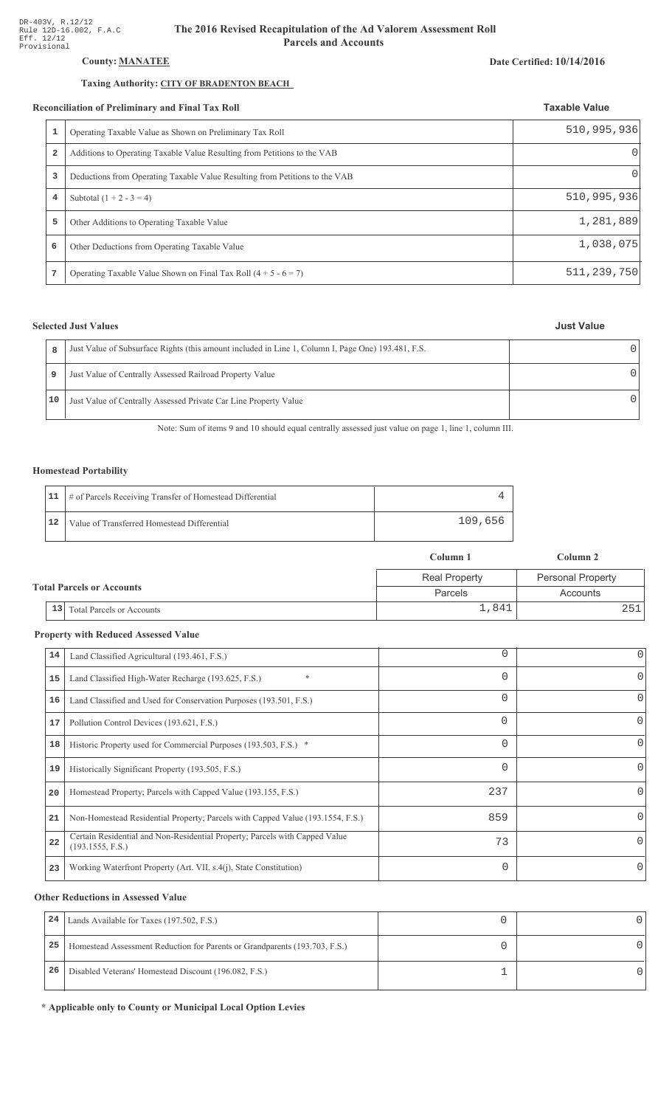## **County: MANATEE**

## Taxing Authority: CITY OF BRADENTON BEACH

### Reconciliation of Preliminary and Final Tax Roll

|                | Operating Taxable Value as Shown on Preliminary Tax Roll                    | 510, 995, 936 |
|----------------|-----------------------------------------------------------------------------|---------------|
| $\overline{a}$ | Additions to Operating Taxable Value Resulting from Petitions to the VAB    | 01            |
| 3              | Deductions from Operating Taxable Value Resulting from Petitions to the VAB | 01            |
| 4              | Subtotal $(1 + 2 - 3 = 4)$                                                  | 510, 995, 936 |
| 5              | Other Additions to Operating Taxable Value                                  | 1,281,889     |
| 6              | Other Deductions from Operating Taxable Value                               | 1,038,075     |
| 7              | Operating Taxable Value Shown on Final Tax Roll $(4 + 5 - 6 = 7)$           | 511, 239, 750 |

## **Selected Just Values**

| 8  | Just Value of Subsurface Rights (this amount included in Line 1, Column I, Page One) 193.481, F.S. |  |
|----|----------------------------------------------------------------------------------------------------|--|
| 9  | Just Value of Centrally Assessed Railroad Property Value                                           |  |
| 10 | Just Value of Centrally Assessed Private Car Line Property Value                                   |  |

Note: Sum of items 9 and 10 should equal centrally assessed just value on page 1, line 1, column III.

## **Homestead Portability**

|    | 11   # of Parcels Receiving Transfer of Homestead Differential |         |
|----|----------------------------------------------------------------|---------|
| 12 | Value of Transferred Homestead Differential                    | 109,656 |

|                                  |                                        | Column 1             | Column 2                 |
|----------------------------------|----------------------------------------|----------------------|--------------------------|
| <b>Total Parcels or Accounts</b> |                                        | <b>Real Property</b> | <b>Personal Property</b> |
|                                  |                                        | Parcels              | Accounts                 |
|                                  | 13<br><b>Total Parcels or Accounts</b> | 1,841                | 2511                     |

## **Property with Reduced Assessed Value**

| 14 | Land Classified Agricultural (193.461, F.S.)                                                    | 0        | 0        |
|----|-------------------------------------------------------------------------------------------------|----------|----------|
| 15 | $\ast$<br>Land Classified High-Water Recharge (193.625, F.S.)                                   | $\Omega$ | 0        |
| 16 | Land Classified and Used for Conservation Purposes (193.501, F.S.)                              | $\Omega$ | 0        |
| 17 | Pollution Control Devices (193.621, F.S.)                                                       | 0        | 0        |
| 18 | Historic Property used for Commercial Purposes (193.503, F.S.) *                                | $\Omega$ |          |
| 19 | Historically Significant Property (193.505, F.S.)                                               | $\Omega$ | 0        |
| 20 | Homestead Property; Parcels with Capped Value (193.155, F.S.)                                   | 237      |          |
| 21 | Non-Homestead Residential Property; Parcels with Capped Value (193.1554, F.S.)                  | 859      | 0        |
| 22 | Certain Residential and Non-Residential Property; Parcels with Capped Value<br>(193.1555, F.S.) | 73       | 0        |
| 23 | Working Waterfront Property (Art. VII, s.4(j), State Constitution)                              | $\Omega$ | $\Omega$ |

## **Other Reductions in Assessed Value**

| 24 | Lands Available for Taxes (197.502, F.S.)                                  |  |
|----|----------------------------------------------------------------------------|--|
| 25 | Homestead Assessment Reduction for Parents or Grandparents (193.703, F.S.) |  |
| 26 | Disabled Veterans' Homestead Discount (196.082, F.S.)                      |  |

\* Applicable only to County or Municipal Local Option Levies

### Date Certified: 10/14/2016

**Taxable Value**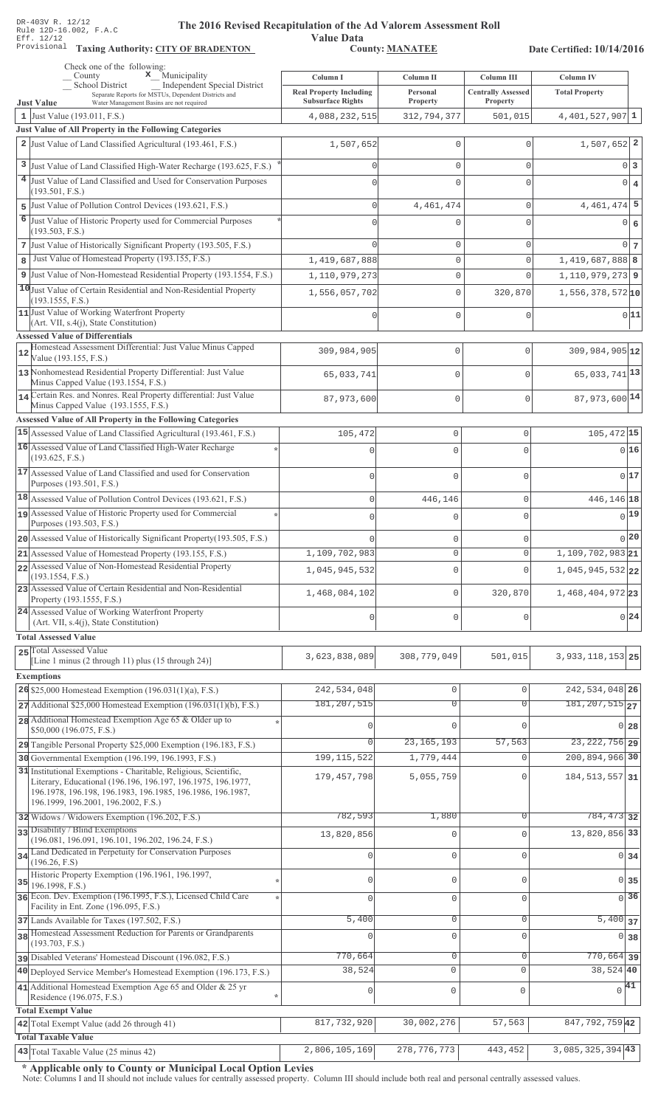**Taxing Auth** 

#### **The 2016 Rev** ised Recapitulation of the Ad Valorem Assessment Roll

**Value Data** ority: <u>CITY OF BRADENTON</u> County: MANATEE

Date Certified: 10/14/2016

|              | Check one of the following:<br>$\mathbf x$ Municipality<br>County                                                                                                       | Column I                                                   | Column II            | Column III                            | Column IV                     |                  |
|--------------|-------------------------------------------------------------------------------------------------------------------------------------------------------------------------|------------------------------------------------------------|----------------------|---------------------------------------|-------------------------------|------------------|
|              | School District<br>Independent Special District<br>Separate Reports for MSTUs, Dependent Districts and<br>Water Management Basins are not required<br><b>Just Value</b> | <b>Real Property Including</b><br><b>Subsurface Rights</b> | Personal<br>Property | <b>Centrally Assessed</b><br>Property | <b>Total Property</b>         |                  |
|              | 1 Just Value $(193.011, F.S.)$                                                                                                                                          | 4,088,232,515                                              | 312,794,377          | 501,015                               | $4,401,527,907$ <sup>1</sup>  |                  |
|              | Just Value of All Property in the Following Categories                                                                                                                  |                                                            |                      |                                       |                               |                  |
|              | 2 Just Value of Land Classified Agricultural (193.461, F.S.)                                                                                                            | 1,507,652                                                  | 0                    | 0                                     | $1,507,652$ 2                 |                  |
|              | 3 Just Value of Land Classified High-Water Recharge (193.625, F.S.)                                                                                                     | Λ                                                          | $\mathbf{0}$         | $\Omega$                              |                               | 0 3              |
|              | 4 Just Value of Land Classified and Used for Conservation Purposes                                                                                                      | $\Omega$                                                   | 0                    | $\Omega$                              |                               | $0 \mid 4$       |
|              | (193.501, F.S.)<br>5 Just Value of Pollution Control Devices (193.621, F.S.)                                                                                            | $\Omega$                                                   | 4, 461, 474          | 0                                     | $4,461,474$ 5                 |                  |
|              | 6 Just Value of Historic Property used for Commercial Purposes                                                                                                          |                                                            |                      |                                       |                               |                  |
|              | (193.503, F.S.)                                                                                                                                                         |                                                            | 0                    | $\Omega$                              |                               | 0 6              |
|              | 7 Just Value of Historically Significant Property (193.505, F.S.)                                                                                                       | ∩                                                          | 0                    | 0                                     |                               | $0\vert$ 7       |
| $\mathbf{8}$ | Just Value of Homestead Property (193.155, F.S.)                                                                                                                        | 1,419,687,888                                              | $\mathbf 0$          | 0                                     | 1,419,687,888 8               |                  |
|              | 9 Just Value of Non-Homestead Residential Property (193.1554, F.S.)                                                                                                     | 1,110,979,273                                              | $\mathbb O$          | $\Omega$                              | $1,110,979,273$ 9             |                  |
|              | 10 Just Value of Certain Residential and Non-Residential Property<br>(193.1555, F.S.)                                                                                   | 1,556,057,702                                              | $\mathbf{0}$         | 320,870                               | $1,556,378,572$ 10            |                  |
|              | 11 Just Value of Working Waterfront Property                                                                                                                            |                                                            | 0                    | 0                                     |                               | 0 11             |
|              | $(Art. VII, s.4(j), State Constitution)$<br><b>Assessed Value of Differentials</b>                                                                                      |                                                            |                      |                                       |                               |                  |
| 12           | Homestead Assessment Differential: Just Value Minus Capped                                                                                                              | 309,984,905                                                | $\mathbf{0}$         | $\Omega$                              | 309,984,905 12                |                  |
|              | Value (193.155, F.S.)                                                                                                                                                   |                                                            |                      |                                       |                               |                  |
|              | 13 Nonhomestead Residential Property Differential: Just Value<br>Minus Capped Value (193.1554, F.S.)                                                                    | 65,033,741                                                 | $\Omega$             | $\Omega$                              | 65, 033, 741 13               |                  |
|              | 14 Certain Res. and Nonres. Real Property differential: Just Value<br>Minus Capped Value (193.1555, F.S.)                                                               | 87,973,600                                                 | $\mathbf{0}$         | $\circ$                               | 87,973,600 14                 |                  |
|              | Assessed Value of All Property in the Following Categories                                                                                                              |                                                            |                      |                                       |                               |                  |
|              | 15 Assessed Value of Land Classified Agricultural (193.461, F.S.)                                                                                                       | 105,472                                                    | $\mathsf{O}\xspace$  | 0                                     | $105,472$ 15                  |                  |
|              | 16 Assessed Value of Land Classified High-Water Recharge                                                                                                                |                                                            | $\cap$               | 0                                     |                               | 0 16             |
|              | (193.625, F.S.)                                                                                                                                                         |                                                            |                      |                                       |                               |                  |
|              | 17 Assessed Value of Land Classified and used for Conservation<br>Purposes (193.501, F.S.)                                                                              | $\Omega$                                                   | $\Omega$             | 0                                     |                               | 0 17             |
|              | 18 Assessed Value of Pollution Control Devices (193.621, F.S.)                                                                                                          | $\mathsf 0$                                                | 446,146              | $\mathsf 0$                           | 446,146 18                    |                  |
|              | 19 Assessed Value of Historic Property used for Commercial                                                                                                              | $\Omega$                                                   | $\Omega$             | 0                                     |                               | $_{0}$ 19        |
|              | Purposes (193.503, F.S.)<br>20 Assessed Value of Historically Significant Property (193.505, F.S.)                                                                      |                                                            |                      |                                       |                               | $0$  20          |
|              | 21 Assessed Value of Homestead Property (193.155, F.S.)                                                                                                                 | 1,109,702,983                                              | 0<br>$\Omega$        | 0<br>0                                | $1,109,702,983$ <sub>21</sub> |                  |
|              | 22 Assessed Value of Non-Homestead Residential Property                                                                                                                 | 1,045,945,532                                              | $\mathbf 0$          | $\mathbf 0$                           | 1,045,945,532 22              |                  |
|              | (193.1554, F.S.)<br>23 Assessed Value of Certain Residential and Non-Residential                                                                                        |                                                            |                      |                                       |                               |                  |
|              | Property (193.1555, F.S.)<br>24 Assessed Value of Working Waterfront Property                                                                                           | 1,468,084,102                                              | $\mathbf 0$          | 320,870                               | 1,468,404,97223               |                  |
|              | (Art. VII, s.4(j), State Constitution)                                                                                                                                  | 0                                                          | $\mathsf 0$          | 0                                     |                               | 0 24             |
|              | <b>Total Assessed Value</b>                                                                                                                                             |                                                            |                      |                                       |                               |                  |
|              | 25 Total Assessed Value<br>[Line 1 minus (2 through 11) plus (15 through 24)]                                                                                           | 3,623,838,089                                              | 308,779,049          | 501,015                               | 3, 933, 118, 153 25           |                  |
|              | <b>Exemptions</b>                                                                                                                                                       |                                                            |                      |                                       |                               |                  |
|              | 26 \$25,000 Homestead Exemption $(196.031(1)(a), F.S.)$                                                                                                                 | 242,534,048                                                | $\mathbb O$          | $\circ$                               | 242, 534, 048 26              |                  |
|              | $27$ Additional \$25,000 Homestead Exemption (196.031(1)(b), F.S.)                                                                                                      | 181, 207, 515                                              | $\overline{0}$       | $\Omega$                              | $181, 207, 515$ <sub>27</sub> |                  |
|              | 28 Additional Homestead Exemption Age 65 & Older up to<br>\$50,000 (196.075, F.S.)                                                                                      | n                                                          | $\Omega$             | $\cap$                                |                               | $0\overline{28}$ |
|              | 29 Tangible Personal Property \$25,000 Exemption (196.183, F.S.)                                                                                                        | $\Omega$                                                   | 23, 165, 193         | 57,563                                | 23, 222, 756 29               |                  |
|              | 30 Governmental Exemption (196.199, 196.1993, F.S.)                                                                                                                     | 199, 115, 522                                              | 1,779,444            | $\mathbf{0}$                          | 200,894,966 30                |                  |
|              | 31 Institutional Exemptions - Charitable, Religious, Scientific,<br>Literary, Educational (196.196, 196.197, 196.1975, 196.1977,                                        | 179, 457, 798                                              | 5,055,759            | $\Omega$                              | 184, 513, 557 31              |                  |
|              | 196.1978, 196.198, 196.1983, 196.1985, 196.1986, 196.1987,                                                                                                              |                                                            |                      |                                       |                               |                  |
|              | 196.1999, 196.2001, 196.2002, F.S.)                                                                                                                                     |                                                            |                      |                                       |                               |                  |
|              | 32 Widows / Widowers Exemption (196.202, F.S.)<br>33 Disability / Blind Exemptions                                                                                      | 782,593                                                    | 1,880                | $\Omega$                              | 784, 473 32                   |                  |
|              | (196.081, 196.091, 196.101, 196.202, 196.24, F.S.)                                                                                                                      | 13,820,856                                                 | $\mathbf 0$          | $\Omega$                              | 13,820,856 33                 |                  |
|              | 34 Land Dedicated in Perpetuity for Conservation Purposes<br>(196.26, F.S)                                                                                              | $\Omega$                                                   | $\mathbb O$          | $\Omega$                              |                               | 0 34             |
|              | Historic Property Exemption (196.1961, 196.1997,                                                                                                                        | $\mathbf 0$                                                | $\mathbf 0$          | $\mathbf{0}$                          |                               | $0\overline{35}$ |
| 35           | 196.1998, F.S.)<br>36 Econ. Dev. Exemption (196.1995, F.S.), Licensed Child Care                                                                                        |                                                            |                      |                                       |                               | $\sqrt{0}$ 36    |
|              | Facility in Ent. Zone (196.095, F.S.)                                                                                                                                   | $\Omega$                                                   | $\mathsf{O}\xspace$  | $\Omega$                              |                               |                  |
|              | 37 Lands Available for Taxes (197.502, F.S.)                                                                                                                            | 5,400                                                      | $\mathbb O$          | $\mathbf 0$                           | $5,400$ 37                    |                  |
|              | 38 Homestead Assessment Reduction for Parents or Grandparents<br>(193.703, F.S.)                                                                                        | $\Omega$                                                   | $\mathbf 0$          | $\Omega$                              |                               | $0\overline{38}$ |
|              | pisabled Veterans' Homestead Discount (196.082, F.S.)                                                                                                                   | 770,664                                                    | $\overline{0}$       | $\mathsf 0$                           | $770,664$ 39                  |                  |
|              | 40 Deployed Service Member's Homestead Exemption (196.173, F.S.)                                                                                                        | 38,524                                                     | $\mathsf{O}\xspace$  | $\mathbf{0}$                          | 38,524 40                     |                  |
|              | 41 Additional Homestead Exemption Age 65 and Older & 25 yr<br>Residence (196.075, F.S.)                                                                                 | $\mathbb O$                                                | $\mathsf{O}\xspace$  | $\overline{0}$                        | $\sqrt{41}$                   |                  |
|              | <b>Total Exempt Value</b>                                                                                                                                               |                                                            |                      |                                       |                               |                  |
|              | 42 Total Exempt Value (add 26 through 41)                                                                                                                               | 817,732,920                                                | 30,002,276           | 57,563                                | 847, 792, 759 42              |                  |
|              | <b>Total Taxable Value</b>                                                                                                                                              |                                                            |                      |                                       |                               |                  |
|              | 43 Total Taxable Value (25 minus 42)                                                                                                                                    | 2,806,105,169                                              | 278, 776, 773        | $443\,, 452$                          | $3,085,325,394$ 43            |                  |

\* Applicable only to County or Municipal Local Option Levies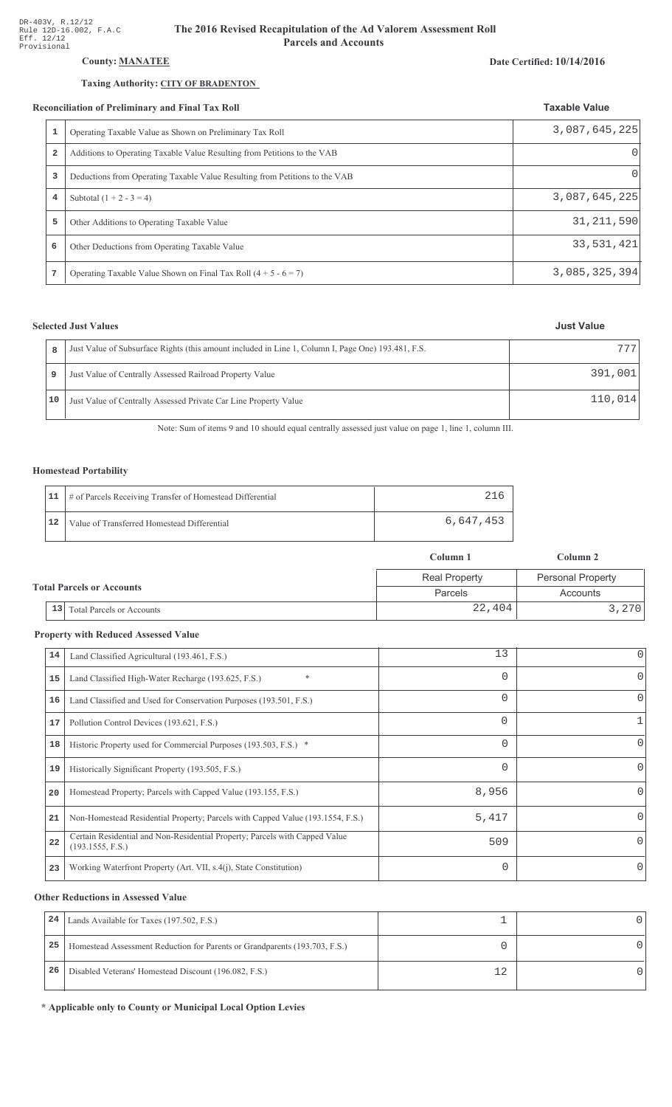## County: **MANATEE**

## Taxing Authority: CITY OF BRADENTON

#### Reconciliation of Preliminary and Final Tax Roll

| 1 | Operating Taxable Value as Shown on Preliminary Tax Roll                    | 3,087,645,225 |
|---|-----------------------------------------------------------------------------|---------------|
| 2 | Additions to Operating Taxable Value Resulting from Petitions to the VAB    | O             |
| 3 | Deductions from Operating Taxable Value Resulting from Petitions to the VAB | 0             |
| 4 | Subtotal $(1 + 2 - 3 = 4)$                                                  | 3,087,645,225 |
| 5 | Other Additions to Operating Taxable Value                                  | 31, 211, 590  |
| 6 | Other Deductions from Operating Taxable Value                               | 33,531,421    |
| 7 | Operating Taxable Value Shown on Final Tax Roll $(4 + 5 - 6 = 7)$           | 3,085,325,394 |

## **Selected Just Values**

| 8  | Just Value of Subsurface Rights (this amount included in Line 1, Column I, Page One) 193.481, F.S. | 777.    |
|----|----------------------------------------------------------------------------------------------------|---------|
| 9  | Just Value of Centrally Assessed Railroad Property Value                                           | 391,001 |
| 10 | Just Value of Centrally Assessed Private Car Line Property Value                                   | 110,014 |

Note: Sum of items 9 and 10 should equal centrally assessed just value on page 1, line 1, column III.

## Homestead Portability

|    | 11   # of Parcels Receiving Transfer of Homestead Differential |           |
|----|----------------------------------------------------------------|-----------|
| 12 | Value of Transferred Homestead Differential                    | 6,647,453 |

|                                  |                                        | Column 1             | Column 2                 |
|----------------------------------|----------------------------------------|----------------------|--------------------------|
|                                  |                                        | <b>Real Property</b> | <b>Personal Property</b> |
| <b>Total Parcels or Accounts</b> |                                        | <b>Parcels</b>       | Accounts                 |
|                                  | 13<br><b>Total Parcels or Accounts</b> | 22,404               | 3,270                    |

#### **Property with Reduced Assessed Value**

| 14 | Land Classified Agricultural (193.461, F.S.)                                                    | 13       | 0        |
|----|-------------------------------------------------------------------------------------------------|----------|----------|
| 15 | *<br>Land Classified High-Water Recharge (193.625, F.S.)                                        | 0        | 0        |
| 16 | Land Classified and Used for Conservation Purposes (193.501, F.S.)                              | 0        |          |
| 17 | Pollution Control Devices (193.621, F.S.)                                                       | 0        |          |
| 18 | Historic Property used for Commercial Purposes (193.503, F.S.) *                                | 0        |          |
| 19 | Historically Significant Property (193.505, F.S.)                                               | $\Omega$ | 0        |
| 20 | Homestead Property; Parcels with Capped Value (193.155, F.S.)                                   | 8,956    | 0        |
| 21 | Non-Homestead Residential Property; Parcels with Capped Value (193.1554, F.S.)                  | 5,417    | 0        |
| 22 | Certain Residential and Non-Residential Property; Parcels with Capped Value<br>(193.1555, F.S.) | 509      | $\Omega$ |
| 23 | Working Waterfront Property (Art. VII, s.4(j), State Constitution)                              | $\Omega$ |          |
|    |                                                                                                 |          |          |

#### **Other Reductions in Assessed Value**

| 24 | Lands Available for Taxes (197.502, F.S.)                                  |  |
|----|----------------------------------------------------------------------------|--|
| 25 | Homestead Assessment Reduction for Parents or Grandparents (193.703, F.S.) |  |
| 26 | Disabled Veterans' Homestead Discount (196.082, F.S.)                      |  |

\* Applicable only to County or Municipal Local Option Levies

### Date Certified: 10/14/2016

**Taxable Value**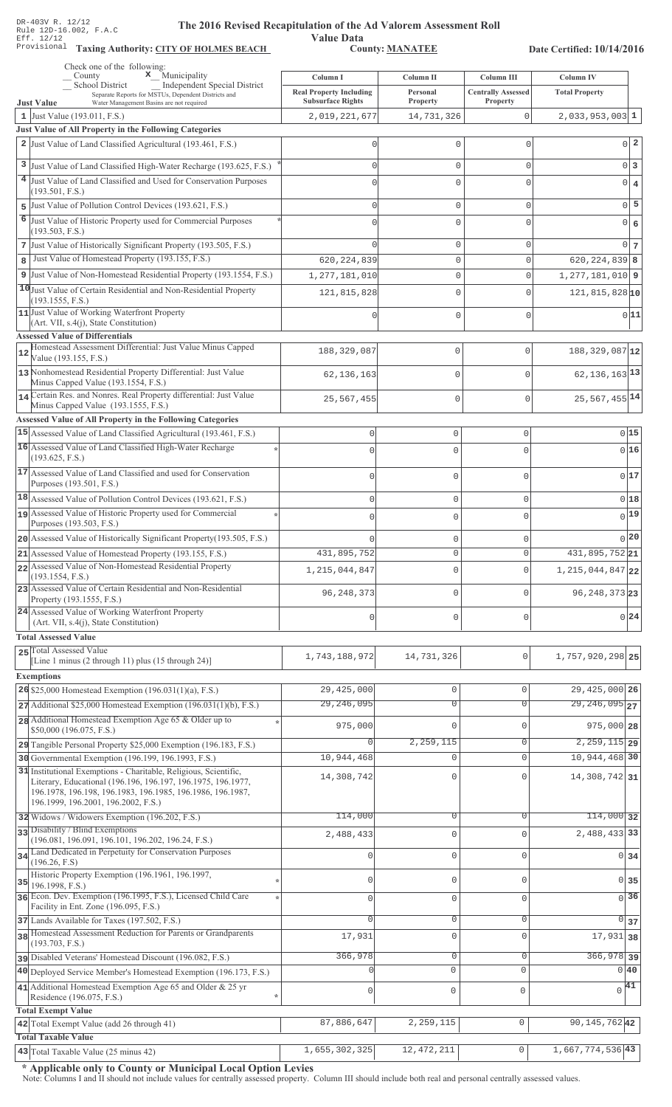Value Data<br>County: MANATEE Taxing Authority: CITY OF HOLMES BEACH County: MANATEE

Date Certified: 10/14/2016

|                | Check one of the following:<br>$\boldsymbol{\mathsf{x}}$ Municipality<br>County                                                                                                                                                       | Column I                                                   | Column II            | Column III                            | Column IV                        |
|----------------|---------------------------------------------------------------------------------------------------------------------------------------------------------------------------------------------------------------------------------------|------------------------------------------------------------|----------------------|---------------------------------------|----------------------------------|
|                | School District<br><b>Independent Special District</b><br>Separate Reports for MSTUs, Dependent Districts and                                                                                                                         | <b>Real Property Including</b><br><b>Subsurface Rights</b> | Personal<br>Property | <b>Centrally Assessed</b><br>Property | <b>Total Property</b>            |
|                | <b>Just Value</b><br>Water Management Basins are not required<br>1 Just Value $(193.011, F.S.)$                                                                                                                                       | 2,019,221,677                                              | 14,731,326           | 0                                     | $2,033,953,003$ 1                |
|                | Just Value of All Property in the Following Categories                                                                                                                                                                                |                                                            |                      |                                       |                                  |
|                | 2 Just Value of Land Classified Agricultural (193.461, F.S.)                                                                                                                                                                          |                                                            | 0                    | $\mathbf 0$                           | $0\vert 2$                       |
|                | 3 Just Value of Land Classified High-Water Recharge (193.625, F.S.)                                                                                                                                                                   |                                                            | 0                    | $\mathbf{0}$                          | $0\vert 3$                       |
|                | 4 Just Value of Land Classified and Used for Conservation Purposes                                                                                                                                                                    |                                                            | $\Omega$             | C                                     | $0 \mid 4$                       |
|                | (193.501, F.S.)                                                                                                                                                                                                                       |                                                            |                      |                                       |                                  |
| 5              | Just Value of Pollution Control Devices (193.621, F.S.)                                                                                                                                                                               |                                                            | 0                    | $\mathbf{0}$                          | $0\overline{5}$                  |
| $\overline{6}$ | Just Value of Historic Property used for Commercial Purposes<br>(193.503, F.S.)                                                                                                                                                       |                                                            | 0                    | $\circ$                               | 0 <br>$\epsilon$                 |
|                | 7 Just Value of Historically Significant Property (193.505, F.S.)                                                                                                                                                                     |                                                            | 0                    | $\mathbf{0}$                          | $0 \mid 7 \mid$                  |
| 8              | Just Value of Homestead Property (193.155, F.S.)                                                                                                                                                                                      | 620, 224, 839                                              | 0                    | $\mathbf 0$                           | $620, 224, 839$ 8                |
|                | 9 Just Value of Non-Homestead Residential Property (193.1554, F.S.)                                                                                                                                                                   | 1,277,181,010                                              | 0                    | $\mathbf{0}$                          | $1,277,181,010$ 9                |
|                | 10 Just Value of Certain Residential and Non-Residential Property                                                                                                                                                                     | 121,815,828                                                | 0                    | $\mathbf 0$                           | $121, 815, 828$ <sup>10</sup>    |
|                | (193.1555, F.S.)                                                                                                                                                                                                                      |                                                            |                      |                                       |                                  |
|                | 11 Just Value of Working Waterfront Property<br>(Art. VII, s.4(j), State Constitution)                                                                                                                                                |                                                            | 0                    | $\mathbf 0$                           | 0 11                             |
|                | <b>Assessed Value of Differentials</b>                                                                                                                                                                                                |                                                            |                      |                                       |                                  |
| 12             | Homestead Assessment Differential: Just Value Minus Capped<br>Value (193.155, F.S.)                                                                                                                                                   | 188, 329, 087                                              | $\mathbf 0$          | $\mathbf{0}$                          | 188, 329, 087 12                 |
|                | 13 Nonhomestead Residential Property Differential: Just Value                                                                                                                                                                         | 62, 136, 163                                               | $\mathbf 0$          | $\mathbf{0}$                          | $62, 136, 163$ <sup>13</sup>     |
|                | Minus Capped Value (193.1554, F.S.)<br>14 Certain Res. and Nonres. Real Property differential: Just Value                                                                                                                             |                                                            |                      |                                       |                                  |
|                | Minus Capped Value (193.1555, F.S.)                                                                                                                                                                                                   | 25,567,455                                                 | $\mathbf{0}$         | $\mathbf{0}$                          | 25, 567, 455 14                  |
|                | Assessed Value of All Property in the Following Categories                                                                                                                                                                            |                                                            |                      |                                       |                                  |
|                | 15 Assessed Value of Land Classified Agricultural (193.461, F.S.)                                                                                                                                                                     | $\mathsf 0$                                                | $\mathbf 0$          | $\mathbf{0}$                          | 0 15                             |
|                | 16 Assessed Value of Land Classified High-Water Recharge<br>(193.625, F.S.)                                                                                                                                                           | $\Omega$                                                   | $\mathbf 0$          | $\Omega$                              | 0 16                             |
|                | 17 Assessed Value of Land Classified and used for Conservation                                                                                                                                                                        | 0                                                          | $\mathbf 0$          | 0                                     | 0 17                             |
|                | Purposes (193.501, F.S.)                                                                                                                                                                                                              |                                                            |                      |                                       |                                  |
|                | 18 Assessed Value of Pollution Control Devices (193.621, F.S.)                                                                                                                                                                        | $\mathbf 0$                                                | $\mathbf 0$          | 0                                     | 018                              |
|                | 19 Assessed Value of Historic Property used for Commercial<br>Purposes (193.503, F.S.)                                                                                                                                                | $\Omega$                                                   | $\mathbf 0$          | $\Omega$                              | $0$ <sup>19</sup>                |
|                | 20 Assessed Value of Historically Significant Property (193.505, F.S.)                                                                                                                                                                |                                                            | $\mathbf 0$          | O                                     | 0 20                             |
|                | 21 Assessed Value of Homestead Property (193.155, F.S.)                                                                                                                                                                               | 431,895,752                                                | $\mathbf 0$          | $\Omega$                              | 431,895,752 21                   |
|                | 22 Assessed Value of Non-Homestead Residential Property                                                                                                                                                                               | 1, 215, 044, 847                                           | $\mathbf 0$          | 0                                     | 1, 215, 044, 847 22              |
|                | (193.1554, F.S.)<br>23 Assessed Value of Certain Residential and Non-Residential                                                                                                                                                      |                                                            |                      |                                       |                                  |
|                | Property (193.1555, F.S.)                                                                                                                                                                                                             | 96, 248, 373                                               | $\mathbf 0$          | $\Omega$                              | 96, 248, 373 23                  |
|                | 24 Assessed Value of Working Waterfront Property<br>(Art. VII, s.4(j), State Constitution)                                                                                                                                            | 0                                                          | $\mathbf 0$          | O                                     | 0 24                             |
|                | <b>Total Assessed Value</b>                                                                                                                                                                                                           |                                                            |                      |                                       |                                  |
|                | 25 Total Assessed Value                                                                                                                                                                                                               |                                                            |                      |                                       |                                  |
|                | [Line 1 minus (2 through 11) plus (15 through 24)]                                                                                                                                                                                    | 1,743,188,972                                              | 14,731,326           | $\mathbf 0$                           | 1,757,920,298 25                 |
|                | <b>Exemptions</b>                                                                                                                                                                                                                     |                                                            |                      |                                       |                                  |
|                | 26 \$25,000 Homestead Exemption $(196.031(1)(a), F.S.)$                                                                                                                                                                               | 29,425,000                                                 | 0                    | $\mathbf{0}$                          | 29, 425, 000 26                  |
|                | 27 Additional \$25,000 Homestead Exemption (196.031(1)(b), F.S.)                                                                                                                                                                      | 29, 246, 095                                               | $\overline{0}$       | $\overline{0}$                        | $29, 246, 095$ <sub>27</sub>     |
|                | 28 Additional Homestead Exemption Age 65 & Older up to<br>\$50,000 (196.075, F.S.)                                                                                                                                                    | 975,000                                                    | 0                    | $\mathbf 0$                           | 975,000 28                       |
|                | 29 Tangible Personal Property \$25,000 Exemption (196.183, F.S.)                                                                                                                                                                      | $\Omega$                                                   | 2,259,115            | 0                                     | $2, 259, 115$ 29                 |
|                | 30 Governmental Exemption (196.199, 196.1993, F.S.)                                                                                                                                                                                   | 10,944,468                                                 | 0                    | $\mathbf{0}$                          | 10,944,468 30                    |
|                | 31 Institutional Exemptions - Charitable, Religious, Scientific,<br>Literary, Educational (196.196, 196.197, 196.1975, 196.1977,<br>196.1978, 196.198, 196.1983, 196.1985, 196.1986, 196.1987,<br>196.1999, 196.2001, 196.2002, F.S.) | 14,308,742                                                 | 0                    | $\mathbf 0$                           | 14,308,742 31                    |
|                | 32 Widows / Widowers Exemption (196.202, F.S.)                                                                                                                                                                                        | 114,000                                                    | $\overline{0}$       | $\mathbf{0}$                          | $114,000$ 32                     |
|                | 33 Disability / Blind Exemptions                                                                                                                                                                                                      | 2,488,433                                                  | 0                    | $\mathbf{0}$                          | 2,488,433 33                     |
|                | (196.081, 196.091, 196.101, 196.202, 196.24, F.S.)                                                                                                                                                                                    |                                                            |                      |                                       |                                  |
|                | 34 Land Dedicated in Perpetuity for Conservation Purposes<br>(196.26, F.S)                                                                                                                                                            |                                                            | 0                    | $\mathbf 0$                           | 0 <sub>34</sub>                  |
| 35             | Historic Property Exemption (196.1961, 196.1997,                                                                                                                                                                                      | $\Omega$                                                   | 0                    | 0                                     | $0 \overline{\smash{\big)}\ 35}$ |
|                | 196.1998, F.S.)<br>36 Econ. Dev. Exemption (196.1995, F.S.), Licensed Child Care                                                                                                                                                      | $\Omega$                                                   | 0                    | $\mathbf 0$                           | $\overline{0}$ 36                |
|                | Facility in Ent. Zone (196.095, F.S.)                                                                                                                                                                                                 |                                                            |                      |                                       |                                  |
|                | 37 Lands Available for Taxes (197.502, F.S.)                                                                                                                                                                                          | $\Omega$                                                   | 0                    | 0                                     | 0 37                             |
|                | 38 Homestead Assessment Reduction for Parents or Grandparents<br>(193.703, F.S.)                                                                                                                                                      | 17,931                                                     | 0                    | $\mathbf 0$                           | $17,931$ 38                      |
|                | Disabled Veterans' Homestead Discount (196.082, F.S.)                                                                                                                                                                                 | 366,978                                                    | 0                    | $\mathbf{0}$                          | 366,978 39                       |
|                | 40 Deployed Service Member's Homestead Exemption (196.173, F.S.)                                                                                                                                                                      |                                                            | $\circ$              | $\mathbf{0}$                          | 0 40                             |
|                | 41 Additional Homestead Exemption Age 65 and Older & 25 yr                                                                                                                                                                            | $\mathbf 0$                                                | 0                    | $\mathbf 0$                           | $\sqrt{41}$                      |
|                | Residence (196.075, F.S.)<br><b>Total Exempt Value</b>                                                                                                                                                                                |                                                            |                      |                                       |                                  |
|                | 42 Total Exempt Value (add 26 through 41)                                                                                                                                                                                             | 87,886,647                                                 | 2,259,115            | $\mathsf{O}\xspace$                   | 90, 145, 762 42                  |
|                | <b>Total Taxable Value</b>                                                                                                                                                                                                            |                                                            |                      |                                       |                                  |
|                | $\overline{43}$ Total Taxable Value (25 minus 42)                                                                                                                                                                                     | 1,655,302,325                                              | 12, 472, 211         | $\mathsf{O}\xspace$                   | 1,667,774,536 43                 |

\* Applicable only to County or Municipal Local Option Levies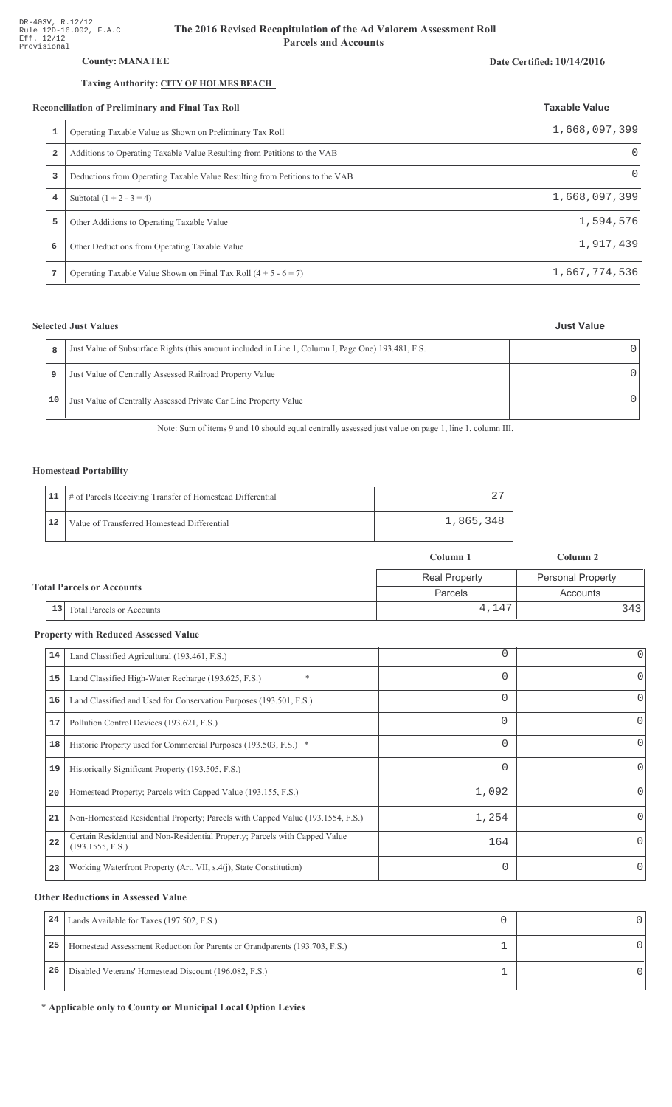## **County: MANATEE**

## Taxing Authority: CITY OF HOLMES BEACH

### Reconciliation of Preliminary and Final Tax Roll

|                         | conciliation of Preliminary and Final Tax Roll                              | <b>Taxable Value</b> |  |
|-------------------------|-----------------------------------------------------------------------------|----------------------|--|
| 1                       | Operating Taxable Value as Shown on Preliminary Tax Roll                    | 1,668,097,399        |  |
| $\overline{\mathbf{2}}$ | Additions to Operating Taxable Value Resulting from Petitions to the VAB    |                      |  |
| 3                       | Deductions from Operating Taxable Value Resulting from Petitions to the VAB | $\Omega$             |  |
| 4                       | Subtotal $(1 + 2 - 3 = 4)$                                                  | 1,668,097,399        |  |
| 5                       | Other Additions to Operating Taxable Value                                  | 1,594,576            |  |
| 6                       | Other Deductions from Operating Taxable Value                               | 1,917,439            |  |
|                         | Operating Taxable Value Shown on Final Tax Roll $(4 + 5 - 6 = 7)$           | 1,667,774,536        |  |

## **Selected Just Values**

| 8    | Just Value of Subsurface Rights (this amount included in Line 1, Column I, Page One) 193.481, F.S. |  |
|------|----------------------------------------------------------------------------------------------------|--|
| 9    | Just Value of Centrally Assessed Railroad Property Value                                           |  |
| 10 - | Just Value of Centrally Assessed Private Car Line Property Value                                   |  |

Note: Sum of items 9 and 10 should equal centrally assessed just value on page 1, line 1, column III.

## **Homestead Portability**

|      | 11   # of Parcels Receiving Transfer of Homestead Differential |           |
|------|----------------------------------------------------------------|-----------|
| i 12 | Value of Transferred Homestead Differential                    | 1,865,348 |

|                                             |                                        | Column 1             | Column 2                 |
|---------------------------------------------|----------------------------------------|----------------------|--------------------------|
|                                             |                                        | <b>Real Property</b> | <b>Personal Property</b> |
| <b>Total Parcels or Accounts</b><br>Parcels |                                        | Accounts             |                          |
|                                             | 13<br><b>Total Parcels or Accounts</b> | 4,147                | 3431                     |

## **Property with Reduced Assessed Value**

| 14 | Land Classified Agricultural (193.461, F.S.)                                                    | 0        | 0        |
|----|-------------------------------------------------------------------------------------------------|----------|----------|
| 15 | $\ast$<br>Land Classified High-Water Recharge (193.625, F.S.)                                   | 0        | 0        |
| 16 | Land Classified and Used for Conservation Purposes (193.501, F.S.)                              | $\Omega$ | 0        |
| 17 | Pollution Control Devices (193.621, F.S.)                                                       | 0        | 0        |
| 18 | Historic Property used for Commercial Purposes (193.503, F.S.) *                                | 0        |          |
| 19 | Historically Significant Property (193.505, F.S.)                                               | $\Omega$ | 0        |
| 20 | Homestead Property; Parcels with Capped Value (193.155, F.S.)                                   | 1,092    |          |
| 21 | Non-Homestead Residential Property; Parcels with Capped Value (193.1554, F.S.)                  | 1,254    |          |
| 22 | Certain Residential and Non-Residential Property; Parcels with Capped Value<br>(193.1555, F.S.) | 164      | 0        |
| 23 | Working Waterfront Property (Art. VII, s.4(j), State Constitution)                              | $\Omega$ | $\Omega$ |

## **Other Reductions in Assessed Value**

| 24 | Lands Available for Taxes (197.502, F.S.)                                  |  |
|----|----------------------------------------------------------------------------|--|
| 25 | Homestead Assessment Reduction for Parents or Grandparents (193.703, F.S.) |  |
| 26 | Disabled Veterans' Homestead Discount (196.082, F.S.)                      |  |

\* Applicable only to County or Municipal Local Option Levies

### Date Certified: 10/14/2016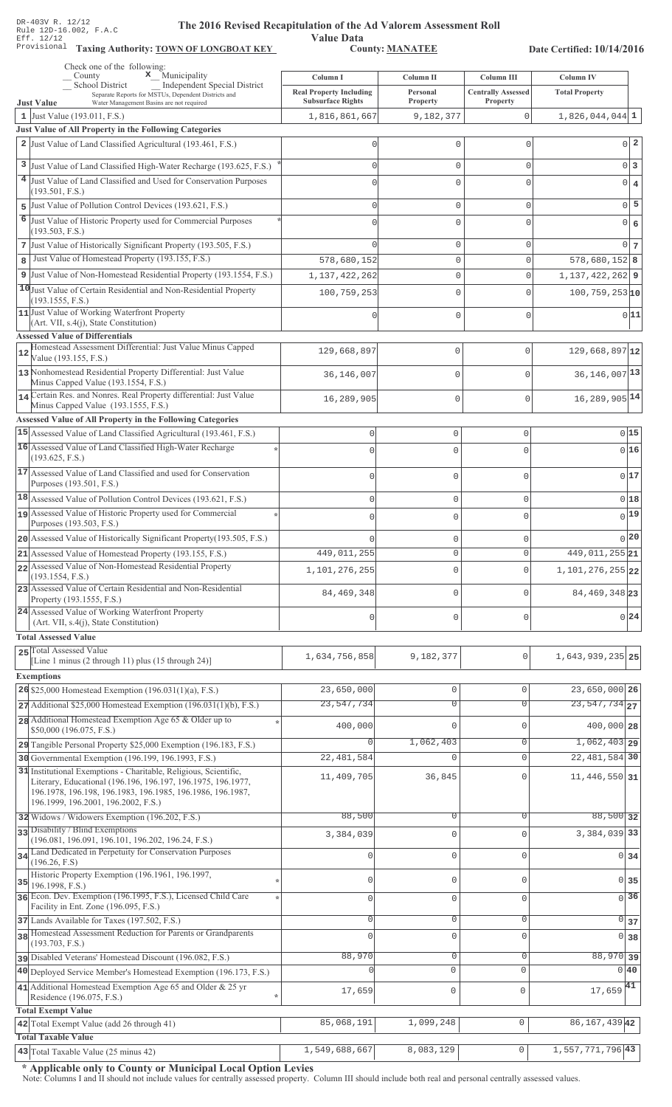Value Data<br>County: MANATEE Taxing Authority: **TOWN OF LONGBOAT KEY** County: **MANATEE** 

Date Certified: 10/14/2016

| Check one of the following:<br>$\mathbf x$ Municipality<br>County                                                                        |                                            |                            |                                         |                                           |
|------------------------------------------------------------------------------------------------------------------------------------------|--------------------------------------------|----------------------------|-----------------------------------------|-------------------------------------------|
| School District<br>Independent Special District                                                                                          | Column I<br><b>Real Property Including</b> | Column II<br>Personal      | Column III<br><b>Centrally Assessed</b> | <b>Column IV</b><br><b>Total Property</b> |
| Separate Reports for MSTUs, Dependent Districts and<br><b>Just Value</b><br>Water Management Basins are not required                     | <b>Subsurface Rights</b>                   | Property                   | <b>Property</b>                         |                                           |
| 1 Just Value $(193.011, F.S.)$                                                                                                           | 1,816,861,667                              | 9,182,377                  | $\Omega$                                | $1,826,044,044$ <sup>1</sup>              |
| <b>Just Value of All Property in the Following Categories</b><br>2 Just Value of Land Classified Agricultural (193.461, F.S.)            |                                            |                            |                                         | $0\vert 2$                                |
|                                                                                                                                          |                                            | 0                          | 0                                       |                                           |
| 3 Just Value of Land Classified High-Water Recharge (193.625, F.S.)                                                                      |                                            | $\mathbf{0}$               | 0                                       | $0\vert 3$                                |
| 4 Just Value of Land Classified and Used for Conservation Purposes<br>(193.501, F.S.)                                                    |                                            | $\mathbf 0$                | 0                                       | $0 \mid 4$                                |
| Just Value of Pollution Control Devices (193.621, F.S.)<br>5                                                                             | Λ                                          | $\mathbb O$                | 0                                       | $0\vert 5$                                |
| 6 Just Value of Historic Property used for Commercial Purposes                                                                           |                                            | $\mathbf{0}$               | 0                                       | $0 \big  6$                               |
| (193.503, F.S.)                                                                                                                          |                                            |                            |                                         |                                           |
| 7 Just Value of Historically Significant Property (193.505, F.S.)<br>Just Value of Homestead Property (193.155, F.S.)                    |                                            | $\mathbb O$                | 0                                       | 0 <sub>7</sub>                            |
| 8                                                                                                                                        | 578,680,152                                | $\mathbb O$<br>$\mathbf 0$ | 0                                       | $578,680,152$ 8                           |
| 9 Just Value of Non-Homestead Residential Property (193.1554, F.S.)<br>10 Just Value of Certain Residential and Non-Residential Property | 1,137,422,262                              |                            | 0                                       | 1, 137, 422, 262 9                        |
| (193.1555, F.S.)                                                                                                                         | 100,759,253                                | 0                          | 0                                       | $100, 759, 253$ 10                        |
| 11 Just Value of Working Waterfront Property<br>(Art. VII, s.4(j), State Constitution)                                                   |                                            | 0                          | 0                                       | 0 11                                      |
| <b>Assessed Value of Differentials</b>                                                                                                   |                                            |                            |                                         |                                           |
| Homestead Assessment Differential: Just Value Minus Capped<br>Value (193.155, F.S.)                                                      | 129,668,897                                | 0                          | $\mathbf{0}$                            | $129,668,897$ <sup>12</sup>               |
| 13 Nonhomestead Residential Property Differential: Just Value                                                                            |                                            |                            |                                         |                                           |
| Minus Capped Value (193.1554, F.S.)                                                                                                      | 36,146,007                                 | 0                          | $\mathbf{0}$                            | $36, 146, 007$ <sup>13</sup>              |
| 14 Certain Res. and Nonres. Real Property differential: Just Value<br>Minus Capped Value (193.1555, F.S.)                                | 16,289,905                                 | 0                          | $\mathbf{0}$                            | 16, 289, 905 14                           |
| <b>Assessed Value of All Property in the Following Categories</b>                                                                        |                                            |                            |                                         |                                           |
| 15 Assessed Value of Land Classified Agricultural (193.461, F.S.)                                                                        | $\mathbf 0$                                | $\mathbf 0$                | 0                                       | 0 15                                      |
| 16 Assessed Value of Land Classified High-Water Recharge                                                                                 | $\mathbf 0$                                | $\mathbf 0$                | $\Omega$                                | 0 16                                      |
| (193.625, F.S.)                                                                                                                          |                                            |                            |                                         |                                           |
| 17 Assessed Value of Land Classified and used for Conservation<br>Purposes (193.501, F.S.)                                               | $\mathbf 0$                                | $\mathbf 0$                | $\Omega$                                | 017                                       |
| $\boxed{18}$ Assessed Value of Pollution Control Devices (193.621, F.S.)                                                                 | $\mathbf 0$                                | $\mathbf 0$                | $\Omega$                                | 018                                       |
| 19 Assessed Value of Historic Property used for Commercial                                                                               | $\mathbf 0$                                | $\mathbf 0$                | $\Omega$                                | 0 19                                      |
| Purposes (193.503, F.S.)                                                                                                                 |                                            |                            |                                         |                                           |
| 20 Assessed Value of Historically Significant Property (193.505, F.S.)                                                                   | $\Omega$                                   | $\mathbf 0$                |                                         | 0 20                                      |
| 21 Assessed Value of Homestead Property (193.155, F.S.)<br>22 Assessed Value of Non-Homestead Residential Property                       | 449, 011, 255                              | U                          | U                                       | 449, 011, 255 21                          |
| (193.1554, F.S.)                                                                                                                         | 1,101,276,255                              | $\Omega$                   | $\Omega$                                | 1, 101, 276, 255 22                       |
| 23 Assessed Value of Certain Residential and Non-Residential<br>Property (193.1555, F.S.)                                                | 84, 469, 348                               | $\mathbf 0$                | 0                                       | 84, 469, 348 23                           |
| 24 Assessed Value of Working Waterfront Property                                                                                         |                                            |                            |                                         | 0 24                                      |
| (Art. VII, s.4(j), State Constitution)                                                                                                   | $\mathbf 0$                                | $\mathbf 0$                | 0                                       |                                           |
| <b>Total Assessed Value</b><br>25 Total Assessed Value                                                                                   |                                            |                            |                                         |                                           |
| [Line 1 minus $(2 \text{ through } 11)$ plus $(15 \text{ through } 24)$ ]                                                                | 1,634,756,858                              | 9,182,377                  | 0                                       | 1,643,939,235 25                          |
| <b>Exemptions</b>                                                                                                                        |                                            |                            |                                         |                                           |
| 26 \$25,000 Homestead Exemption $(196.031(1)(a), F.S.)$                                                                                  | 23,650,000                                 | $\mathbf 0$                | 0                                       | $23,650,000$ 26                           |
| $27$ Additional \$25,000 Homestead Exemption (196.031(1)(b), F.S.)                                                                       | 23, 547, 734                               | $\overline{0}$             | 0                                       | $\overline{23,547,734}$ 27                |
| 28 Additional Homestead Exemption Age 65 & Older up to<br>\$50,000 (196.075, F.S.)                                                       | 400,000                                    | $\mathbf 0$                | 0                                       | 400,000 28                                |
| 29 Tangible Personal Property \$25,000 Exemption (196.183, F.S.)                                                                         |                                            | 1,062,403                  | 0                                       | $1,062,403$ 29                            |
| 30 Governmental Exemption (196.199, 196.1993, F.S.)                                                                                      | 22, 481, 584                               | $\mathbf 0$                | $\mathbf 0$                             | 22, 481, 584 30                           |
| 31 Institutional Exemptions - Charitable, Religious, Scientific,                                                                         | 11,409,705                                 | 36,845                     | 0                                       | 11,446,550 31                             |
| Literary, Educational (196.196, 196.197, 196.1975, 196.1977,<br>196.1978, 196.198, 196.1983, 196.1985, 196.1986, 196.1987,               |                                            |                            |                                         |                                           |
| 196.1999, 196.2001, 196.2002, F.S.)                                                                                                      |                                            |                            |                                         |                                           |
| 32 Widows / Widowers Exemption (196.202, F.S.)                                                                                           | 88,500                                     | 0                          | 0                                       | $88,500$ 32                               |
| 33 Disability / Blind Exemptions<br>(196.081, 196.091, 196.101, 196.202, 196.24, F.S.)                                                   | 3,384,039                                  | $\mathbf 0$                | $\Omega$                                | 3, 384, 039 33                            |
| 34 Land Dedicated in Perpetuity for Conservation Purposes                                                                                | 0                                          | $\mathbb O$                | 0                                       | 0 34                                      |
| (196.26, F.S)<br>Historic Property Exemption (196.1961, 196.1997,                                                                        |                                            |                            |                                         |                                           |
| $35$ 196.1998, F.S.)                                                                                                                     | $\mathbf 0$                                | $\mathbf 0$                | 0                                       | 0 35                                      |
| 36 Econ. Dev. Exemption (196.1995, F.S.), Licensed Child Care<br>Facility in Ent. Zone (196.095, F.S.)                                   | $\mathbf{0}$                               | $\mathbf 0$                | 0                                       | 36<br>$\Omega$                            |
| 37 Lands Available for Taxes (197.502, F.S.)                                                                                             | $\mathbf 0$                                | $\mathbf 0$                | 0                                       | $\overline{0}$ 37                         |
| 38 Homestead Assessment Reduction for Parents or Grandparents<br>(193.703, F.S.)                                                         | $\Omega$                                   | $\mathbf 0$                | $\Omega$                                | $\Omega$<br>38                            |
| pisabled Veterans' Homestead Discount (196.082, F.S.)                                                                                    | 88,970                                     | $\mathbf 0$                | 0                                       | 88,970 39                                 |
| 40 Deployed Service Member's Homestead Exemption (196.173, F.S.)                                                                         |                                            | $\circ$                    | $\mathbf{0}$                            | 0 40                                      |
| 41 Additional Homestead Exemption Age 65 and Older & 25 yr                                                                               | 17,659                                     | $\mathbb O$                | $\mathbf 0$                             | $17,659$ <sup>41</sup>                    |
| Residence (196.075, F.S.)                                                                                                                |                                            |                            |                                         |                                           |
| <b>Total Exempt Value</b><br>86, 167, 439 42<br>42 Total Exempt Value (add 26 through 41)<br>85,068,191<br>1,099,248<br>$\mathbf 0$      |                                            |                            |                                         |                                           |
| <b>Total Taxable Value</b>                                                                                                               |                                            |                            |                                         |                                           |
| 43 Total Taxable Value (25 minus 42)                                                                                                     | 1,549,688,667                              | 8,083,129                  | $\mathsf{O}\xspace$                     | 1,557,771,796 43                          |

\* Applicable only to County or Municipal Local Option Levies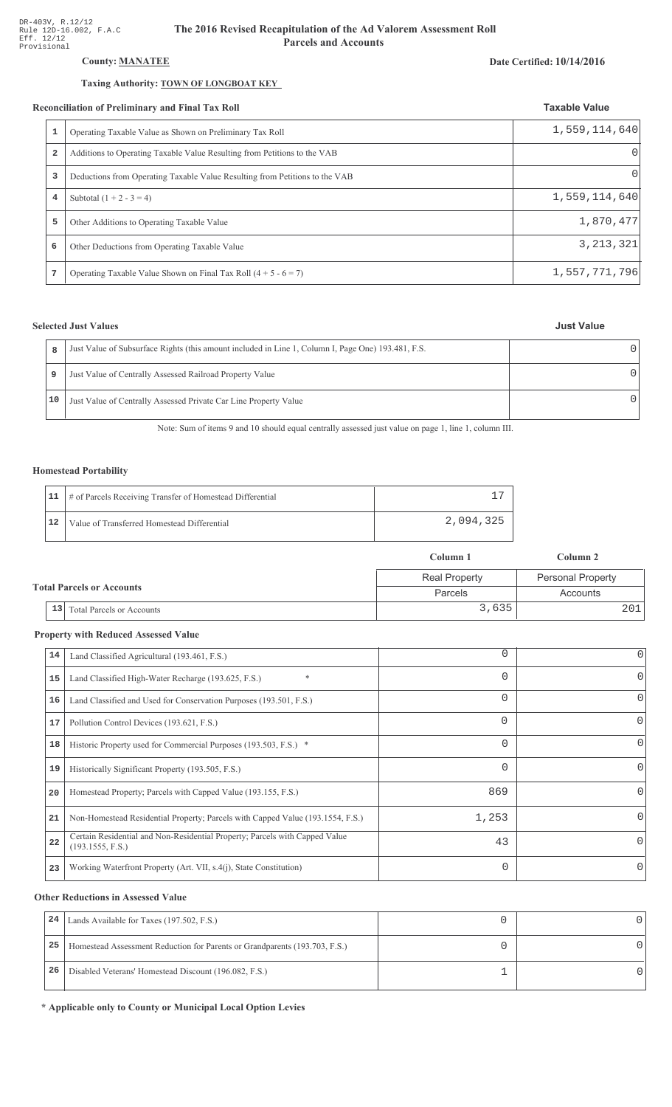## County: **MANATEE**

### Taxing Authority: **TOWN OF LONGBOAT KEY**

#### Reconciliation of Preliminary and Final Tax Roll

|   | conciliation of Preliminary and Final Tax Roll                              | <b>Taxable Value</b> |
|---|-----------------------------------------------------------------------------|----------------------|
| 1 | Operating Taxable Value as Shown on Preliminary Tax Roll                    | 1,559,114,640        |
| 2 | Additions to Operating Taxable Value Resulting from Petitions to the VAB    | $\Omega$             |
| 3 | Deductions from Operating Taxable Value Resulting from Petitions to the VAB | $\left( \right)$     |
| 4 | Subtotal $(1 + 2 - 3 = 4)$                                                  | 1,559,114,640        |
| 5 | Other Additions to Operating Taxable Value                                  | 1,870,477            |
| 6 | Other Deductions from Operating Taxable Value                               | 3, 213, 321          |
| 7 | Operating Taxable Value Shown on Final Tax Roll $(4 + 5 - 6 = 7)$           | 1,557,771,796        |

## **Selected Just Values**

Date Certified: 10/14/2016

| R  | Just Value of Subsurface Rights (this amount included in Line 1, Column I, Page One) 193.481, F.S. |  |
|----|----------------------------------------------------------------------------------------------------|--|
| 9  | Just Value of Centrally Assessed Railroad Property Value                                           |  |
| 10 | Just Value of Centrally Assessed Private Car Line Property Value                                   |  |

Note: Sum of items 9 and 10 should equal centrally assessed just value on page 1, line 1, column III.

## Homestead Portability

|    | 11   # of Parcels Receiving Transfer of Homestead Differential |           |
|----|----------------------------------------------------------------|-----------|
| 12 | Value of Transferred Homestead Differential                    | 2,094,325 |

|                                  |                                        | Column 1             | Column 2                 |  |
|----------------------------------|----------------------------------------|----------------------|--------------------------|--|
|                                  |                                        | <b>Real Property</b> | <b>Personal Property</b> |  |
| <b>Total Parcels or Accounts</b> |                                        | Parcels              | Accounts                 |  |
|                                  | 13<br><b>Total Parcels or Accounts</b> | 3,635                |                          |  |

#### **Property with Reduced Assessed Value**

| 14 | Land Classified Agricultural (193.461, F.S.)                                                    | 0        | 0        |
|----|-------------------------------------------------------------------------------------------------|----------|----------|
| 15 | Land Classified High-Water Recharge (193.625, F.S.)                                             | $\Omega$ | $\Omega$ |
| 16 | Land Classified and Used for Conservation Purposes (193.501, F.S.)                              | $\Omega$ | $\Omega$ |
| 17 | Pollution Control Devices (193.621, F.S.)                                                       | 0        | 0        |
| 18 | Historic Property used for Commercial Purposes (193.503, F.S.) *                                | $\Omega$ | $\Omega$ |
| 19 | Historically Significant Property (193.505, F.S.)                                               | $\Omega$ | $\Omega$ |
| 20 | Homestead Property; Parcels with Capped Value (193.155, F.S.)                                   | 869      | $\Omega$ |
| 21 | Non-Homestead Residential Property; Parcels with Capped Value (193.1554, F.S.)                  | 1,253    | 0        |
| 22 | Certain Residential and Non-Residential Property; Parcels with Capped Value<br>(193.1555, F.S.) | 43       | 0        |
| 23 | Working Waterfront Property (Art. VII, s.4(j), State Constitution)                              | $\Omega$ | 0        |

#### **Other Reductions in Assessed Value**

| 24 | Lands Available for Taxes (197.502, F.S.)                                  |  |
|----|----------------------------------------------------------------------------|--|
| 25 | Homestead Assessment Reduction for Parents or Grandparents (193.703, F.S.) |  |
| 26 | Disabled Veterans' Homestead Discount (196.082, F.S.)                      |  |

\* Applicable only to County or Municipal Local Option Levies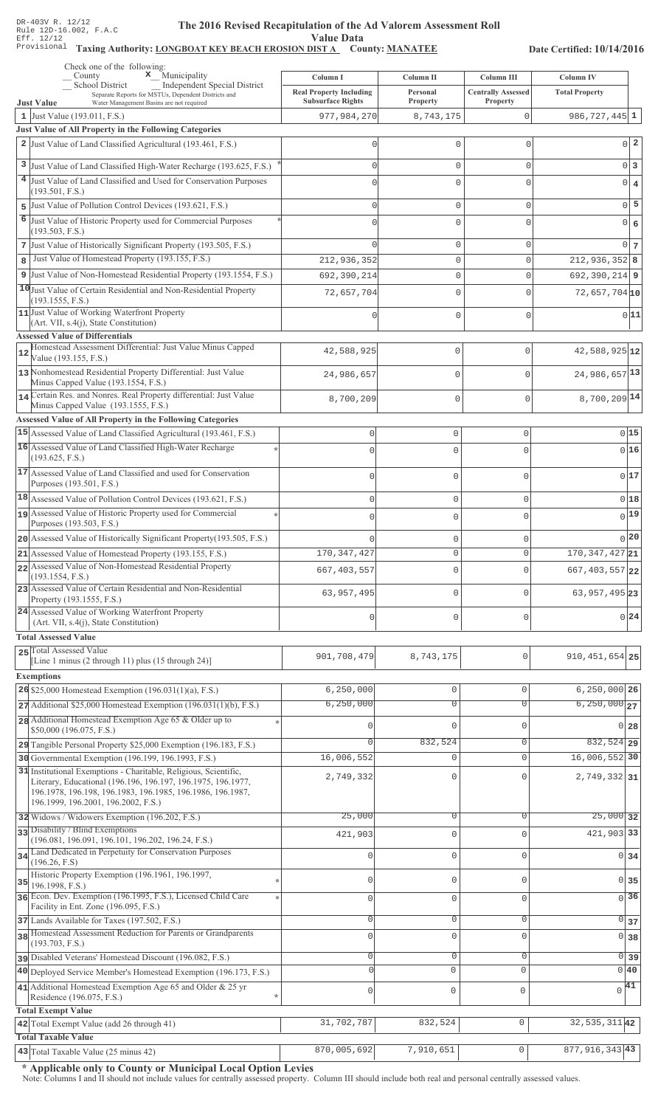#### The 2016 Revised Recapitulation of th The 2016 Revised Recapitulation of the Ad Valorem Assessment Roll **Value Data**

## Taxing Authority: LONGBOAT KEY BEACH EROSION DIST A County: MANATEE

Date Certified: 10/14/2016

|                | Check one of the following:<br>$\mathbf x$ Municipality<br>County                                                                                                                                                                     | Column I                                | Column II             | Column III                | Column IV                     |                 |
|----------------|---------------------------------------------------------------------------------------------------------------------------------------------------------------------------------------------------------------------------------------|-----------------------------------------|-----------------------|---------------------------|-------------------------------|-----------------|
|                | School District<br>Independent Special District<br>Separate Reports for MSTUs, Dependent Districts and                                                                                                                                | <b>Real Property Including</b>          | Personal              | <b>Centrally Assessed</b> | <b>Total Property</b>         |                 |
|                | <b>Just Value</b><br>Water Management Basins are not required<br>1 Just Value (193.011, F.S.)                                                                                                                                         | <b>Subsurface Rights</b><br>977,984,270 | Property<br>8,743,175 | Property<br>0             | $986, 727, 445$ 1             |                 |
|                | Just Value of All Property in the Following Categories                                                                                                                                                                                |                                         |                       |                           |                               |                 |
|                | 2 Just Value of Land Classified Agricultural (193.461, F.S.)                                                                                                                                                                          | Λ                                       | $\mathbf 0$           | $\circ$                   |                               | $0\vert 2$      |
|                | 3 Just Value of Land Classified High-Water Recharge (193.625, F.S.)                                                                                                                                                                   |                                         | $\mathbf 0$           | $\circ$                   | $0\vert 3$                    |                 |
| 4 <sup>1</sup> | Just Value of Land Classified and Used for Conservation Purposes                                                                                                                                                                      |                                         | $\Omega$              | $\cap$                    |                               |                 |
|                | (193.501, F.S.)                                                                                                                                                                                                                       |                                         |                       |                           | $0 \mid 4$                    |                 |
|                | 5 Just Value of Pollution Control Devices (193.621, F.S.)                                                                                                                                                                             |                                         | $\mathbf 0$           | $\circ$                   |                               | $0\overline{5}$ |
| 6              | Just Value of Historic Property used for Commercial Purposes<br>(193.503, F.S.)                                                                                                                                                       |                                         | $\mathbf 0$           | U                         | $0 \big  6$                   |                 |
|                | 7 Just Value of Historically Significant Property (193.505, F.S.)                                                                                                                                                                     |                                         | $\mathbf 0$           | $\circ$                   |                               | $0\overline{7}$ |
| 8              | Just Value of Homestead Property (193.155, F.S.)                                                                                                                                                                                      | 212,936,352                             | $\mathbb O$           | $\mathsf 0$               | $212,936,352$ 8               |                 |
| 9              | Just Value of Non-Homestead Residential Property (193.1554, F.S.)                                                                                                                                                                     | 692,390,214                             | $\mathbf{0}$          | $\circ$                   | $692, 390, 214$ 9             |                 |
|                | 10 Just Value of Certain Residential and Non-Residential Property                                                                                                                                                                     | 72,657,704                              | $\mathbf 0$           | $\Omega$                  | $72,657,704$ 10               |                 |
|                | (193.1555, F.S.)<br>11 Just Value of Working Waterfront Property                                                                                                                                                                      |                                         |                       |                           |                               | 0 11            |
|                | (Art. VII, s.4(j), State Constitution)                                                                                                                                                                                                |                                         | $\Omega$              | $\mathbf 0$               |                               |                 |
|                | <b>Assessed Value of Differentials</b><br>Homestead Assessment Differential: Just Value Minus Capped                                                                                                                                  |                                         |                       |                           |                               |                 |
| 12             | Value (193.155, F.S.)                                                                                                                                                                                                                 | 42,588,925                              | 0                     | $\mathbf{0}$              | 42,588,925 12                 |                 |
|                | 13 Nonhomestead Residential Property Differential: Just Value<br>Minus Capped Value (193.1554, F.S.)                                                                                                                                  | 24,986,657                              | 0                     | $\mathbf{0}$              | 24,986,657 13                 |                 |
|                | 14 Certain Res. and Nonres. Real Property differential: Just Value                                                                                                                                                                    | 8,700,209                               | 0                     | $\mathbf 0$               | 8,700,209 14                  |                 |
|                | Minus Capped Value (193.1555, F.S.)<br>Assessed Value of All Property in the Following Categories                                                                                                                                     |                                         |                       |                           |                               |                 |
|                | 15 Assessed Value of Land Classified Agricultural (193.461, F.S.)                                                                                                                                                                     | $\mathbf 0$                             | $\mathbf 0$           | 0                         | 0 15                          |                 |
|                | 16 Assessed Value of Land Classified High-Water Recharge                                                                                                                                                                              | $\mathbf{0}$                            | $\mathbf 0$           | $\cap$                    | 016                           |                 |
|                | (193.625, F.S.)                                                                                                                                                                                                                       |                                         |                       |                           |                               |                 |
|                | 17 Assessed Value of Land Classified and used for Conservation<br>Purposes (193.501, F.S.)                                                                                                                                            | $\mathbf 0$                             | $\mathbf 0$           | 0                         | 0 17                          |                 |
|                | $18$ Assessed Value of Pollution Control Devices (193.621, F.S.)                                                                                                                                                                      | $\mathbf 0$                             | $\mathbf 0$           | 0                         | 018                           |                 |
|                | 19 Assessed Value of Historic Property used for Commercial<br>Purposes (193.503, F.S.)                                                                                                                                                | $\mathbf{0}$                            | $\mathbf 0$           | $\Omega$                  | $0$ <sup>19</sup>             |                 |
|                | 20 Assessed Value of Historically Significant Property (193.505, F.S.)                                                                                                                                                                |                                         | $\mathbf 0$           | U                         | 0 20                          |                 |
|                | 21 Assessed Value of Homestead Property (193.155, F.S.)                                                                                                                                                                               | 170, 347, 427                           | $\circ$               | 0                         | $\overline{170,347,427}$ 21   |                 |
|                | 22 Assessed Value of Non-Homestead Residential Property                                                                                                                                                                               | 667, 403, 557                           | $\mathbf{0}$          | 0                         | $667, 403, 557$  22           |                 |
|                | (193.1554, F.S.)<br>23 Assessed Value of Certain Residential and Non-Residential                                                                                                                                                      | 63, 957, 495                            | $\mathbf 0$           | O                         | 63, 957, 495 23               |                 |
|                | Property (193.1555, F.S.)<br>24 Assessed Value of Working Waterfront Property                                                                                                                                                         |                                         |                       |                           |                               |                 |
|                | (Art. VII, s.4(j), State Constitution)                                                                                                                                                                                                | $\mathbf{0}$                            | $\mathbf 0$           | U                         | 0 24                          |                 |
|                | <b>Total Assessed Value</b>                                                                                                                                                                                                           |                                         |                       |                           |                               |                 |
|                | 25 Total Assessed Value<br>[Line 1 minus (2 through 11) plus (15 through 24)]                                                                                                                                                         | 901,708,479                             | 8,743,175             | 0                         | $910, 451, 654$ 25            |                 |
|                | <b>Exemptions</b>                                                                                                                                                                                                                     |                                         |                       |                           |                               |                 |
|                | 26 \$25,000 Homestead Exemption (196.031(1)(a), F.S.)                                                                                                                                                                                 | 6, 250, 000                             | $\mathbb O$           | $\mathbf 0$               | $6,250,000$ 26                |                 |
|                | $27$ Additional \$25,000 Homestead Exemption (196.031(1)(b), F.S.)                                                                                                                                                                    | 6, 250, 000                             | $\overline{0}$        | $\Omega$                  | $6,250,000$ 27                |                 |
|                | 28 Additional Homestead Exemption Age 65 & Older up to<br>\$50,000 (196.075, F.S.)                                                                                                                                                    |                                         | $\mathbf{0}$          | $\Omega$                  | $0$ 28                        |                 |
|                | 29 Tangible Personal Property \$25,000 Exemption (196.183, F.S.)                                                                                                                                                                      |                                         | 832,524               | $\mathbf 0$               | $832,524$ 29                  |                 |
|                | 30 Governmental Exemption (196.199, 196.1993, F.S.)                                                                                                                                                                                   | 16,006,552                              | $\mathbb O$           | $\Omega$                  | 16,006,552 30                 |                 |
|                | 31 Institutional Exemptions - Charitable, Religious, Scientific,<br>Literary, Educational (196.196, 196.197, 196.1975, 196.1977,<br>196.1978, 196.198, 196.1983, 196.1985, 196.1986, 196.1987,<br>196.1999, 196.2001, 196.2002, F.S.) | 2,749,332                               | $\Omega$              |                           | 2,749,332 31                  |                 |
|                | 32 Widows / Widowers Exemption (196.202, F.S.)                                                                                                                                                                                        | 25,000                                  | $\overline{0}$        | $\Omega$                  | $25,000$ 32                   |                 |
|                | 33 Disability / Blind Exemptions<br>(196.081, 196.091, 196.101, 196.202, 196.24, F.S.)                                                                                                                                                | 421,903                                 | $\mathbb O$           | $\Omega$                  | 421,903 33                    |                 |
|                | 34 Land Dedicated in Perpetuity for Conservation Purposes                                                                                                                                                                             |                                         | $\mathbb O$           | $\Omega$                  | 0 34                          |                 |
|                | (196.26, F.S)                                                                                                                                                                                                                         |                                         |                       |                           |                               |                 |
| 35             | Historic Property Exemption (196.1961, 196.1997,<br>196.1998, F.S.)                                                                                                                                                                   | 0                                       | $\mathbb O$           | $\mathbf{0}$              | 0 35                          |                 |
|                | 36 Econ. Dev. Exemption (196.1995, F.S.), Licensed Child Care<br>Facility in Ent. Zone (196.095, F.S.)                                                                                                                                | $\circ$                                 | $\mathsf{O}\xspace$   | $\mathbf 0$               | $\overline{0}$ 36             |                 |
|                | 37 Lands Available for Taxes (197.502, F.S.)                                                                                                                                                                                          | $\circ$                                 | $\mathbb O$           | 0                         | $\overline{0}$ 37             |                 |
|                | 38 Homestead Assessment Reduction for Parents or Grandparents<br>(193.703, F.S.)                                                                                                                                                      | $\Omega$                                | $\mathbf 0$           | $\Omega$                  | 0 38                          |                 |
|                | pisabled Veterans' Homestead Discount (196.082, F.S.)                                                                                                                                                                                 | 0                                       | $\mathbb O$           | $\mathbf 0$               | 0 39                          |                 |
|                | 40 Deployed Service Member's Homestead Exemption (196.173, F.S.)                                                                                                                                                                      | $\Omega$                                | $\mathbf 0$           | $\circ$                   | 0 40                          |                 |
|                | 41 Additional Homestead Exemption Age 65 and Older & 25 yr                                                                                                                                                                            | 0                                       | $\mathsf 0$           | $\mathbf 0$               | $\sqrt{41}$                   |                 |
|                | Residence (196.075, F.S.)<br><b>Total Exempt Value</b>                                                                                                                                                                                |                                         |                       |                           |                               |                 |
|                | 42 Total Exempt Value (add 26 through 41)                                                                                                                                                                                             | 31,702,787                              | 832,524               | $\mathbf 0$               | $\overline{32}$ , 535, 311 42 |                 |
|                | <b>Total Taxable Value</b>                                                                                                                                                                                                            |                                         |                       |                           |                               |                 |
|                | 43 Total Taxable Value (25 minus 42)                                                                                                                                                                                                  | 870,005,692                             | 7,910,651             | $\mathsf{O}\xspace$       | 877, 916, 343 43              |                 |

\* Applicable only to County or Municipal Local Option Levies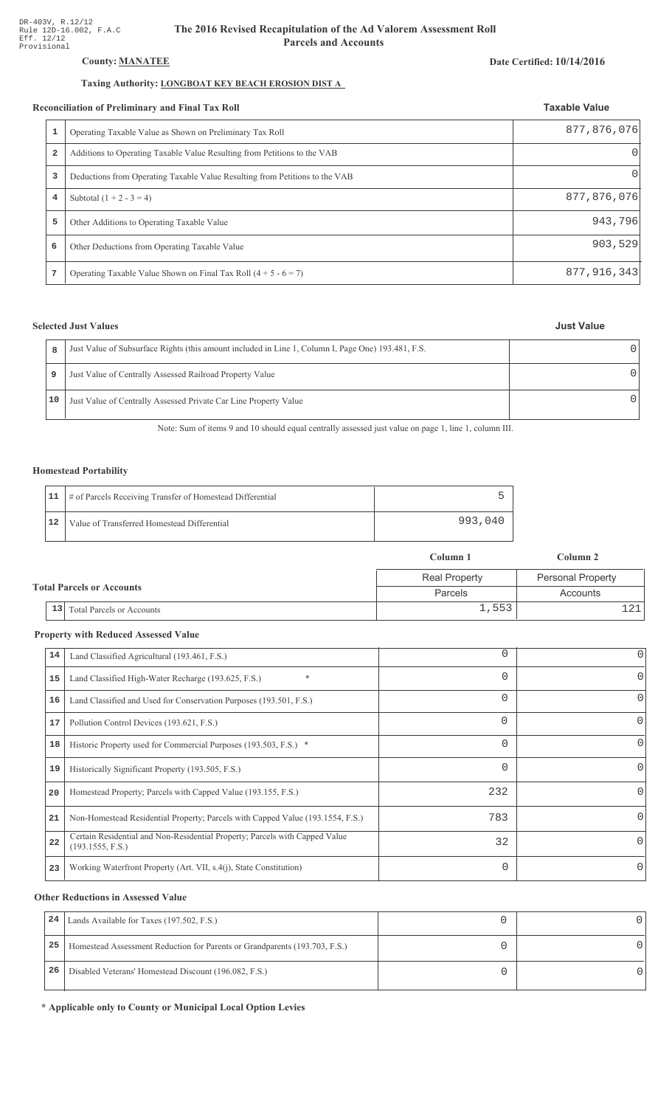## **County: MANATEE**

## Taxing Authority: **LONGBOAT KEY BEACH EROSION DIST A**

#### **Reconciliation of Preliminary and Final Tax Roll**

|   | conciliation of Preliminary and Final Tax Roll                              | <b>Taxable Value</b> |
|---|-----------------------------------------------------------------------------|----------------------|
|   | Operating Taxable Value as Shown on Preliminary Tax Roll                    | 877,876,076          |
| 2 | Additions to Operating Taxable Value Resulting from Petitions to the VAB    |                      |
| 3 | Deductions from Operating Taxable Value Resulting from Petitions to the VAB | $\left( \right)$     |
| 4 | Subtotal $(1 + 2 - 3 = 4)$                                                  | 877,876,076          |
| 5 | Other Additions to Operating Taxable Value                                  | 943,796              |
| 6 | Other Deductions from Operating Taxable Value                               | 903, 529             |
| 7 | Operating Taxable Value Shown on Final Tax Roll $(4 + 5 - 6 = 7)$           | 877, 916, 343        |

## **Selected Just Values**

| <b>Just Value</b> |
|-------------------|
|                   |

| R  | Just Value of Subsurface Rights (this amount included in Line 1, Column I, Page One) 193.481, F.S. |  |
|----|----------------------------------------------------------------------------------------------------|--|
|    | Just Value of Centrally Assessed Railroad Property Value                                           |  |
| 10 | Just Value of Centrally Assessed Private Car Line Property Value                                   |  |

Note: Sum of items 9 and 10 should equal centrally assessed just value on page 1, line 1, column III.

## **Homestead Portability**

|    | 11   # of Parcels Receiving Transfer of Homestead Differential |         |
|----|----------------------------------------------------------------|---------|
| 12 | Value of Transferred Homestead Differential                    | 993,040 |

|                                  |    |                           | Column 1             | Column 2                 |
|----------------------------------|----|---------------------------|----------------------|--------------------------|
|                                  |    |                           | <b>Real Property</b> | <b>Personal Property</b> |
| <b>Total Parcels or Accounts</b> |    |                           | Parcels              | Accounts                 |
|                                  | 13 | Total Parcels or Accounts | 1,553                |                          |

## **Property with Reduced Assessed Value**

| 14 | Land Classified Agricultural (193.461, F.S.)                                                    | 0        | 0        |
|----|-------------------------------------------------------------------------------------------------|----------|----------|
| 15 | Land Classified High-Water Recharge (193.625, F.S.)                                             | $\Omega$ | $\Omega$ |
| 16 | Land Classified and Used for Conservation Purposes (193.501, F.S.)                              | $\Omega$ | $\Omega$ |
| 17 | Pollution Control Devices (193.621, F.S.)                                                       | 0        | 0        |
| 18 | Historic Property used for Commercial Purposes (193.503, F.S.) *                                | $\Omega$ | $\Omega$ |
| 19 | Historically Significant Property (193.505, F.S.)                                               | $\Omega$ | $\Omega$ |
| 20 | Homestead Property; Parcels with Capped Value (193.155, F.S.)                                   | 232      | $\Omega$ |
| 21 | Non-Homestead Residential Property; Parcels with Capped Value (193.1554, F.S.)                  | 783      | 0        |
| 22 | Certain Residential and Non-Residential Property; Parcels with Capped Value<br>(193.1555, F.S.) | 32       | 0        |
| 23 | Working Waterfront Property (Art. VII, s.4(j), State Constitution)                              | $\Omega$ | 0        |

## **Other Reductions in Assessed Value**

| 24 | Lands Available for Taxes (197.502, F.S.)                                  |  |
|----|----------------------------------------------------------------------------|--|
| 25 | Homestead Assessment Reduction for Parents or Grandparents (193.703, F.S.) |  |
| 26 | Disabled Veterans' Homestead Discount (196.082, F.S.)                      |  |

\* Applicable only to County or Municipal Local Option Levies

### **Date Certified: 10/14/2016**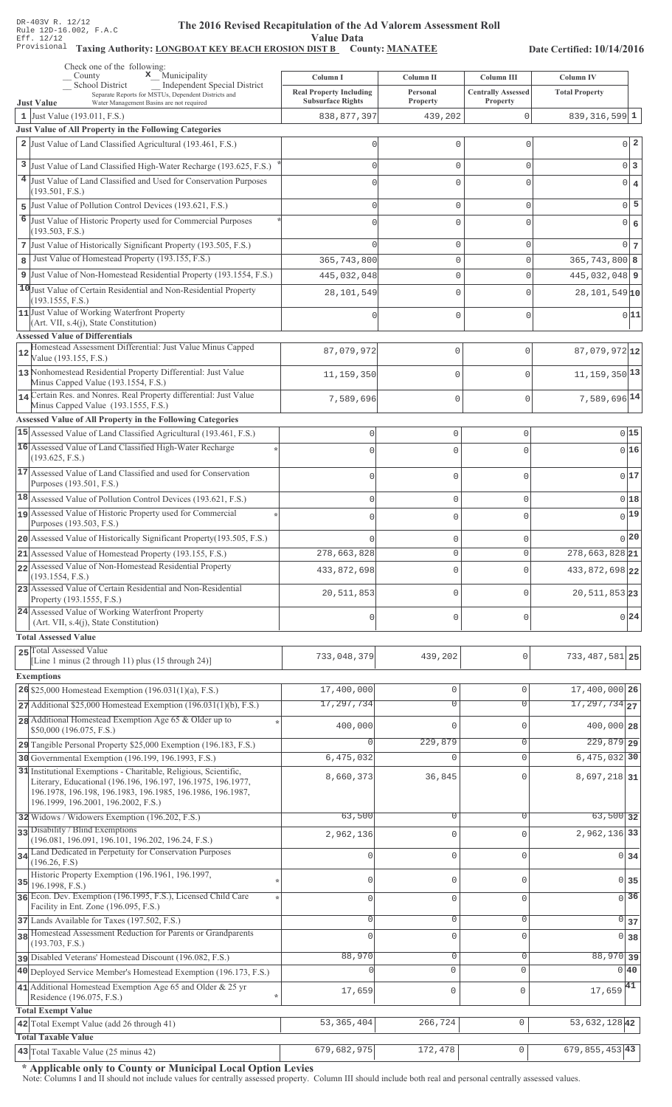#### The 2016 Revised Recapitulation of th The 2016 Revised Recapitulation of the Ad Valorem Assessment Roll **Value Data**

## Taxing Authority: LONGBOAT KEY BEACH EROSION DIST B County: MANATEE

Date Certified: 10/14/2016

| Check one of the following:<br>$\mathbf x$ Municipality<br>County                                             |                                            |                                |                                         |                                           |
|---------------------------------------------------------------------------------------------------------------|--------------------------------------------|--------------------------------|-----------------------------------------|-------------------------------------------|
| <b>School District</b><br>Independent Special District<br>Separate Reports for MSTUs, Dependent Districts and | Column I<br><b>Real Property Including</b> | Column II<br>Personal          | Column III<br><b>Centrally Assessed</b> | <b>Column IV</b><br><b>Total Property</b> |
| <b>Just Value</b><br>Water Management Basins are not required                                                 | <b>Subsurface Rights</b>                   | <b>Property</b>                | Property                                |                                           |
| 1 Just Value $(193.011, F.S.)$<br>Just Value of All Property in the Following Categories                      | 838, 877, 397                              | 439,202                        | 0                                       | $839, 316, 599$ 1                         |
| 2 Just Value of Land Classified Agricultural (193.461, F.S.)                                                  | 0                                          | 0                              | $\mathbf{0}$                            | $0\vert 2$                                |
|                                                                                                               |                                            |                                |                                         |                                           |
| 3 Just Value of Land Classified High-Water Recharge (193.625, F.S.)                                           | $\Omega$                                   | 0                              | $\mathbf{0}$                            | 0 3                                       |
| 4 Just Value of Land Classified and Used for Conservation Purposes<br>(193.501, F.S.)                         | $\Omega$                                   | $\Omega$                       | $\Omega$                                | $0 \mid 4$                                |
| 5 Just Value of Pollution Control Devices (193.621, F.S.)                                                     | $\Omega$                                   | $\mathbf 0$                    | $\mathbf 0$                             | $0$ 5                                     |
| 6 Just Value of Historic Property used for Commercial Purposes                                                |                                            |                                |                                         |                                           |
| (193.503, F.S.)                                                                                               | U                                          | $\Omega$                       | 0                                       | $0 \mid 6$                                |
| 7 Just Value of Historically Significant Property (193.505, F.S.)                                             | $\Omega$                                   | $\mathbf 0$                    | $\mathbf{0}$                            | $0\vert 7$                                |
| Just Value of Homestead Property (193.155, F.S.)<br>8                                                         | 365,743,800                                | 0                              | $\mathbf 0$                             | $365, 743, 800$ 8                         |
| 9 Just Value of Non-Homestead Residential Property (193.1554, F.S.)                                           | 445,032,048                                | $\mathbf 0$                    | $\mathbf{0}$                            | $445,032,048$ 9                           |
| 10 Just Value of Certain Residential and Non-Residential Property                                             | 28,101,549                                 | 0                              | $\Omega$                                | $28,101,549$ 10                           |
| (193.1555, F.S.)<br>11 Just Value of Working Waterfront Property                                              |                                            |                                |                                         |                                           |
| (Art. VII, s.4(j), State Constitution)                                                                        | U                                          | 0                              | $\mathbf 0$                             | 0 11                                      |
| <b>Assessed Value of Differentials</b>                                                                        |                                            |                                |                                         |                                           |
| Homestead Assessment Differential: Just Value Minus Capped<br>$12$                                            | 87,079,972                                 | 0                              | $\mathbf{0}$                            | $87,079,972$ 12                           |
| Value (193.155, F.S.)<br>13 Nonhomestead Residential Property Differential: Just Value                        |                                            |                                |                                         |                                           |
| Minus Capped Value (193.1554, F.S.)                                                                           | 11,159,350                                 | 0                              | $\Omega$                                | $11, 159, 350$ <sup>13</sup>              |
| 14 Certain Res. and Nonres. Real Property differential: Just Value                                            | 7,589,696                                  | 0                              | $\mathbf{0}$                            | 7,589,696 14                              |
| Minus Capped Value (193.1555, F.S.)                                                                           |                                            |                                |                                         |                                           |
| Assessed Value of All Property in the Following Categories                                                    |                                            |                                |                                         |                                           |
| 15 Assessed Value of Land Classified Agricultural (193.461, F.S.)                                             | $\mathbf{0}$                               | $\mathbf 0$                    | 0                                       | 015                                       |
| 16 Assessed Value of Land Classified High-Water Recharge<br>(193.625, F.S.)                                   | $\bigcap$                                  | $\Omega$                       | $\Omega$                                | 016                                       |
| 17 Assessed Value of Land Classified and used for Conservation                                                | $\cap$                                     | $\mathbf{0}$                   | O                                       | 017                                       |
| Purposes (193.501, F.S.)                                                                                      |                                            |                                |                                         |                                           |
| 18 Assessed Value of Pollution Control Devices (193.621, F.S.)                                                | $\mathbf 0$                                | $\mathbf 0$                    | 0                                       | $0$ 18                                    |
| 19 Assessed Value of Historic Property used for Commercial                                                    | $\bigcap$                                  | $\mathbf 0$                    | $\Omega$                                | $_{0} 19 $                                |
| Purposes (193.503, F.S.)                                                                                      |                                            |                                |                                         |                                           |
| 20 Assessed Value of Historically Significant Property (193.505, F.S.)                                        |                                            | $\mathbf 0$                    | 0                                       | 0 20                                      |
| 21 Assessed Value of Homestead Property (193.155, F.S.)                                                       | 278,663,828                                | $\mathbf{0}$                   | 0                                       | 278, 663, 828 21                          |
| 22 Assessed Value of Non-Homestead Residential Property<br>(193.1554, F.S.)                                   | 433,872,698                                | $\mathbf{0}$                   | $\Omega$                                | 433, 872, 698 22                          |
| 23 Assessed Value of Certain Residential and Non-Residential<br>Property (193.1555, F.S.)                     | 20, 511, 853                               | $\mathbf{0}$                   | O                                       | 20, 511, 853 23                           |
| 24 Assessed Value of Working Waterfront Property<br>(Art. VII, s.4(j), State Constitution)                    | $\cap$                                     | $\mathbf 0$                    | 0                                       | $0^{24}$                                  |
| <b>Total Assessed Value</b>                                                                                   |                                            |                                |                                         |                                           |
| 25 Total Assessed Value                                                                                       |                                            |                                |                                         |                                           |
| [Line 1 minus (2 through 11) plus (15 through 24)]                                                            | 733,048,379                                | 439,202                        | $\mathbf{0}$                            | 733, 487, 581 25                          |
| <b>Exemptions</b>                                                                                             |                                            |                                |                                         |                                           |
| 26 \$25,000 Homestead Exemption (196.031(1)(a), F.S.)                                                         | 17,400,000                                 | $\mathbb O$                    | $\mathbf{0}$                            | 17,400,000 26                             |
| 27 Additional \$25,000 Homestead Exemption (196.031(1)(b), F.S.)                                              | 17,297,734                                 | $\overline{0}$                 | $\Omega$                                | $\overline{17,297,734}$ 27                |
| 28 Additional Homestead Exemption Age 65 & Older up to<br>\$50,000 (196.075, F.S.)                            | 400,000                                    | $\Omega$                       | $\Omega$                                | 400,000 28                                |
| 29 Tangible Personal Property \$25,000 Exemption (196.183, F.S.)                                              | $\Omega$                                   | 229,879                        | 0                                       | $229,879$ 29                              |
| 30 Governmental Exemption (196.199, 196.1993, F.S.)                                                           | 6,475,032                                  | $\mathbf 0$                    | $\mathbf{0}$                            | $6,475,032$ 30                            |
| 31 Institutional Exemptions - Charitable, Religious, Scientific,                                              |                                            |                                |                                         |                                           |
| Literary, Educational (196.196, 196.197, 196.1975, 196.1977,                                                  | 8,660,373                                  | 36,845                         | $\Omega$                                | 8,697,218 31                              |
| 196.1978, 196.198, 196.1983, 196.1985, 196.1986, 196.1987,<br>196.1999, 196.2001, 196.2002, F.S.)             |                                            |                                |                                         |                                           |
| 32 Widows / Widowers Exemption (196.202, F.S.)                                                                | 63,500                                     | 0                              | $\Omega$                                | $63,500$ 32                               |
| 33 Disability / Blind Exemptions                                                                              | 2,962,136                                  | $\mathbf 0$                    | $\Omega$                                | 2,962,136 33                              |
| (196.081, 196.091, 196.101, 196.202, 196.24, F.S.)                                                            |                                            |                                |                                         |                                           |
| 34 Land Dedicated in Perpetuity for Conservation Purposes<br>(196.26, F.S)                                    | 0                                          | $\mathbf 0$                    | $\Omega$                                | $0\overline{34}$                          |
| Historic Property Exemption (196.1961, 196.1997,                                                              | $\mathbf{0}$                               | $\mathbf 0$                    | $\Omega$                                |                                           |
| $35$ 196.1998, F.S.)                                                                                          |                                            |                                |                                         | $0\overline{35}$                          |
| 36 Econ. Dev. Exemption (196.1995, F.S.), Licensed Child Care<br>Facility in Ent. Zone (196.095, F.S.)        | $\mathbf{0}$                               | $\mathbf 0$                    | $\mathbf 0$                             | $\overline{0}$ 36                         |
| 37 Lands Available for Taxes (197.502, F.S.)                                                                  | $\circ$                                    | $\mathbb O$                    | $\mathsf 0$                             | $\overline{0}$ 37                         |
| 38 Homestead Assessment Reduction for Parents or Grandparents                                                 | $\Omega$                                   | $\mathbf 0$                    | $\mathbf{0}$                            | 0 38                                      |
| (193.703, F.S.)                                                                                               |                                            |                                |                                         |                                           |
| pisabled Veterans' Homestead Discount (196.082, F.S.)                                                         | 88,970                                     | $\mathsf{O}\xspace$<br>$\circ$ | 0<br>$\Omega$                           | 88,970 39                                 |
| 40 Deployed Service Member's Homestead Exemption (196.173, F.S.)                                              |                                            |                                |                                         | $0\vert 40$                               |
| 41 Additional Homestead Exemption Age 65 and Older $& 25$ yr<br>Residence (196.075, F.S.)                     | 17,659                                     | 0                              | $\mathbf 0$                             | $17,659$ <sup>41</sup>                    |
| <b>Total Exempt Value</b>                                                                                     |                                            |                                |                                         |                                           |
| 42 Total Exempt Value (add 26 through 41)                                                                     | 53, 365, 404                               | 266,724                        | $\mathbf{0}$                            | 53, 632, 128 42                           |
| <b>Total Taxable Value</b>                                                                                    |                                            |                                |                                         |                                           |
| $\sqrt{43}$ Total Taxable Value (25 minus 42)                                                                 | 679,682,975                                | 172,478                        | 0                                       | $679, 855, 453$ 43                        |

\* Applicable only to County or Municipal Local Option Levies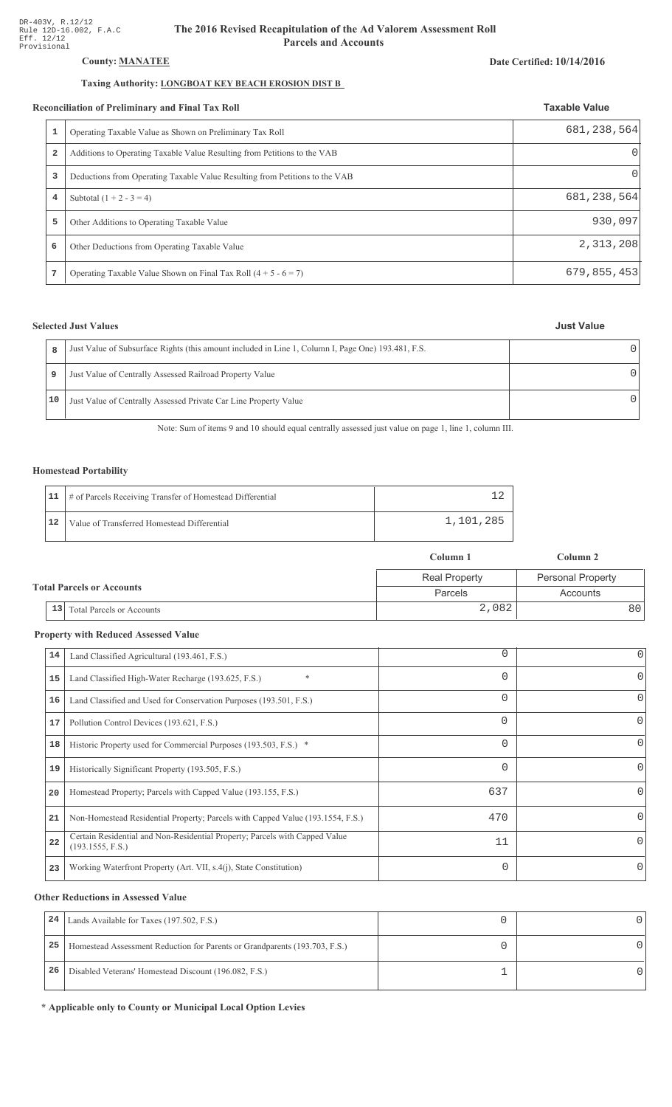## **County: MANATEE**

## Taxing Authority: **LONGBOAT KEY BEACH EROSION DIST B**

#### **Reconciliation of Preliminary and Final Tax Roll**

|   | conciliation of Preliminary and Final Tax Roll                              | <b>Taxable Value</b><br>681, 238, 564 |
|---|-----------------------------------------------------------------------------|---------------------------------------|
|   | Operating Taxable Value as Shown on Preliminary Tax Roll                    |                                       |
| 2 | Additions to Operating Taxable Value Resulting from Petitions to the VAB    |                                       |
| 3 | Deductions from Operating Taxable Value Resulting from Petitions to the VAB | $\left( \right)$                      |
| 4 | Subtotal $(1 + 2 - 3 = 4)$                                                  | 681, 238, 564                         |
| 5 | Other Additions to Operating Taxable Value                                  | 930,097                               |
| 6 | Other Deductions from Operating Taxable Value                               | 2,313,208                             |
| 7 | Operating Taxable Value Shown on Final Tax Roll $(4 + 5 - 6 = 7)$           | 679, 855, 453                         |

## **Selected Just Values**

| <b>Just Value</b> |  |
|-------------------|--|
|                   |  |

| R  | Just Value of Subsurface Rights (this amount included in Line 1, Column I, Page One) 193.481, F.S. |  |
|----|----------------------------------------------------------------------------------------------------|--|
| 9  | Just Value of Centrally Assessed Railroad Property Value                                           |  |
| 10 | Just Value of Centrally Assessed Private Car Line Property Value                                   |  |

Note: Sum of items 9 and 10 should equal centrally assessed just value on page 1, line 1, column III.

## **Homestead Portability**

|    | 11   # of Parcels Receiving Transfer of Homestead Differential |           |
|----|----------------------------------------------------------------|-----------|
| 12 | Value of Transferred Homestead Differential                    | 1,101,285 |

|                                  |                                      | Column 1             | Column 2                 |  |
|----------------------------------|--------------------------------------|----------------------|--------------------------|--|
|                                  |                                      | <b>Real Property</b> | <b>Personal Property</b> |  |
| <b>Total Parcels or Accounts</b> |                                      | Parcels              | Accounts                 |  |
|                                  | $\vert$ 13 Total Parcels or Accounts | 2,082                | 80 I                     |  |

## **Property with Reduced Assessed Value**

| 14 | Land Classified Agricultural (193.461, F.S.)                                                    | 0        | 0        |
|----|-------------------------------------------------------------------------------------------------|----------|----------|
| 15 | *<br>Land Classified High-Water Recharge (193.625, F.S.)                                        | 0        | 0        |
| 16 | Land Classified and Used for Conservation Purposes (193.501, F.S.)                              | 0        |          |
| 17 | Pollution Control Devices (193.621, F.S.)                                                       | 0        | 0        |
| 18 | Historic Property used for Commercial Purposes (193.503, F.S.) *                                | 0        |          |
| 19 | Historically Significant Property (193.505, F.S.)                                               | $\Omega$ | 0        |
| 20 | Homestead Property; Parcels with Capped Value (193.155, F.S.)                                   | 637      | 0        |
| 21 | Non-Homestead Residential Property; Parcels with Capped Value (193.1554, F.S.)                  | 470      | 0        |
| 22 | Certain Residential and Non-Residential Property; Parcels with Capped Value<br>(193.1555, F.S.) | 11       | $\Omega$ |
| 23 | Working Waterfront Property (Art. VII, s.4(j), State Constitution)                              | $\Omega$ |          |
|    |                                                                                                 |          |          |

## **Other Reductions in Assessed Value**

| 24 | Lands Available for Taxes (197.502, F.S.)                                  |  |
|----|----------------------------------------------------------------------------|--|
| 25 | Homestead Assessment Reduction for Parents or Grandparents (193.703, F.S.) |  |
| 26 | Disabled Veterans' Homestead Discount (196.082, F.S.)                      |  |

\* Applicable only to County or Municipal Local Option Levies

## Date Certified: 10/14/2016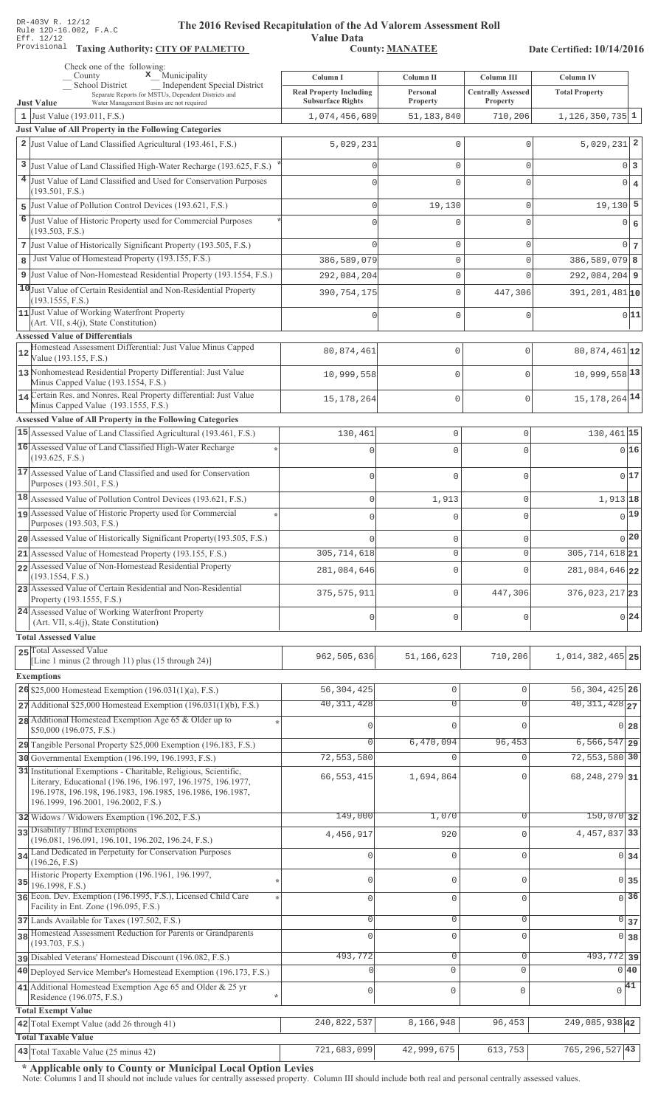**Taxing Auth** 

#### **The 2016 Rev** ised Recapitulation of the Ad Valorem Assessment Roll

**Value Data** ority: <u>CITY OF PALMETTO</u> County: MANATEE

Date Certified: 10/14/2016

|    | Check one of the following:<br>$\mathbf{x}$ Municipality<br>County                                                                                                                                                                    | Column I                                                   | Column II            | Column III                            | <b>Column IV</b>           |
|----|---------------------------------------------------------------------------------------------------------------------------------------------------------------------------------------------------------------------------------------|------------------------------------------------------------|----------------------|---------------------------------------|----------------------------|
|    | <b>School District</b><br>Independent Special District<br>Separate Reports for MSTUs, Dependent Districts and<br><b>Just Value</b><br>Water Management Basins are not required                                                        | <b>Real Property Including</b><br><b>Subsurface Rights</b> | Personal<br>Property | <b>Centrally Assessed</b><br>Property | <b>Total Property</b>      |
|    | 1 Just Value (193.011, F.S.)                                                                                                                                                                                                          | 1,074,456,689                                              | 51,183,840           | 710,206                               | $1,126,350,735$ 1          |
|    | Just Value of All Property in the Following Categories                                                                                                                                                                                |                                                            |                      |                                       |                            |
|    | 2 Just Value of Land Classified Agricultural (193.461, F.S.)                                                                                                                                                                          | 5,029,231                                                  | 0                    | 0                                     | $5,029,231$ 2              |
|    | 3 Just Value of Land Classified High-Water Recharge (193.625, F.S.)                                                                                                                                                                   | U                                                          | 0                    | 0                                     | 0 <sup>3</sup>             |
|    | 4 Just Value of Land Classified and Used for Conservation Purposes                                                                                                                                                                    | $\Omega$                                                   | 0                    | 0                                     | $0 \mid 4$                 |
|    | (193.501, F.S.)                                                                                                                                                                                                                       |                                                            |                      |                                       |                            |
|    | 5 Just Value of Pollution Control Devices (193.621, F.S.)                                                                                                                                                                             | $\Omega$                                                   | 19,130               | 0                                     | $19,130$ 5                 |
|    | 6 Just Value of Historic Property used for Commercial Purposes<br>(193.503, F.S.)                                                                                                                                                     |                                                            | 0                    | $\Omega$                              | $0 \mid 6$                 |
|    | 7 Just Value of Historically Significant Property (193.505, F.S.)                                                                                                                                                                     | $\cap$                                                     | 0                    | 0                                     | 0 <sub>7</sub>             |
| 8  | Just Value of Homestead Property (193.155, F.S.)                                                                                                                                                                                      | 386,589,079                                                | 0                    | 0                                     | $386, 589, 079$ 8          |
|    | 9 Just Value of Non-Homestead Residential Property (193.1554, F.S.)                                                                                                                                                                   | 292,084,204                                                | 0                    | 0                                     | $292,084,204$ 9            |
|    | 10 Just Value of Certain Residential and Non-Residential Property                                                                                                                                                                     | 390, 754, 175                                              | 0                    | 447,306                               | 391, 201, 481 10           |
|    | (193.1555, F.S.)<br>11 Just Value of Working Waterfront Property<br>(Art. VII, s.4(j), State Constitution)                                                                                                                            |                                                            | 0                    | 0                                     | 0 11                       |
|    | <b>Assessed Value of Differentials</b><br>Homestead Assessment Differential: Just Value Minus Capped                                                                                                                                  |                                                            |                      |                                       |                            |
| 12 | Value (193.155, F.S.)                                                                                                                                                                                                                 | 80,874,461                                                 | $\mathbf 0$          | $\Omega$                              | 80,874,461 12              |
|    | 13 Nonhomestead Residential Property Differential: Just Value<br>Minus Capped Value (193.1554, F.S.)                                                                                                                                  | 10,999,558                                                 | $\mathbf 0$          |                                       | 10,999,558 13              |
|    | 14 Certain Res. and Nonres. Real Property differential: Just Value<br>Minus Capped Value (193.1555, F.S.)                                                                                                                             | 15, 178, 264                                               | $\mathbf 0$          | $\Omega$                              | 15, 178, 264 14            |
|    | Assessed Value of All Property in the Following Categories                                                                                                                                                                            |                                                            |                      |                                       |                            |
|    | 15 Assessed Value of Land Classified Agricultural (193.461, F.S.)                                                                                                                                                                     | 130,461                                                    | $\circ$              | 0                                     | 130,461 15                 |
|    | 16 Assessed Value of Land Classified High-Water Recharge                                                                                                                                                                              |                                                            | $\Omega$             | $\Omega$                              | 016                        |
|    | (193.625, F.S.)                                                                                                                                                                                                                       |                                                            |                      |                                       |                            |
|    | 17 Assessed Value of Land Classified and used for Conservation<br>Purposes (193.501, F.S.)                                                                                                                                            | $\sqrt{ }$                                                 | $\Omega$             | $\Omega$                              | 017                        |
|    | 18 Assessed Value of Pollution Control Devices (193.621, F.S.)                                                                                                                                                                        | $\Omega$                                                   | 1,913                | $\mathsf{O}\xspace$                   | 1,913 18                   |
|    | 19 Assessed Value of Historic Property used for Commercial<br>Purposes (193.503, F.S.)                                                                                                                                                | $\Omega$                                                   | $\Omega$             | $\overline{0}$                        | 0 19                       |
|    | 20 Assessed Value of Historically Significant Property (193.505, F.S.)                                                                                                                                                                |                                                            | $\mathbf 0$          | 0                                     | 0 20                       |
|    | 21 Assessed Value of Homestead Property (193.155, F.S.)                                                                                                                                                                               | 305, 714, 618                                              | $\circ$              | $\circ$                               | 305, 714, 618 21           |
|    | 22 Assessed Value of Non-Homestead Residential Property<br>(193.1554, F.S.)                                                                                                                                                           | 281,084,646                                                | $\mathbf 0$          | $\Omega$                              | 281,084,646 22             |
|    | 23 Assessed Value of Certain Residential and Non-Residential<br>Property (193.1555, F.S.)                                                                                                                                             | 375, 575, 911                                              | $\mathbf 0$          | 447,306                               | $376,023,217$ 23           |
|    | 24 Assessed Value of Working Waterfront Property<br>(Art. VII, s.4(j), State Constitution)                                                                                                                                            |                                                            | $\mathbf{0}$         | $\Omega$                              | 0 24                       |
|    | <b>Total Assessed Value</b>                                                                                                                                                                                                           |                                                            |                      |                                       |                            |
|    | 25 Total Assessed Value<br>[Line 1 minus (2 through 11) plus (15 through 24)]                                                                                                                                                         | 962,505,636                                                | 51, 166, 623         | 710,206                               | 1,014,382,465 25           |
|    | <b>Exemptions</b>                                                                                                                                                                                                                     |                                                            |                      |                                       |                            |
|    | 26 \$25,000 Homestead Exemption (196.031(1)(a), F.S.)                                                                                                                                                                                 | 56, 304, 425                                               | $\mathbf 0$          | $\mathbf{0}$                          | 56, 304, 425 26            |
|    | $27$ Additional \$25,000 Homestead Exemption (196.031(1)(b), F.S.)                                                                                                                                                                    | 40, 311, 428                                               | 0                    | $\Omega$                              | $40,311,428$ <sub>27</sub> |
|    | 28 Additional Homestead Exemption Age 65 & Older up to<br>\$50,000 (196.075, F.S.)                                                                                                                                                    |                                                            | $\Omega$             | ∩                                     | $0\vert 28$                |
|    | 29 Tangible Personal Property \$25,000 Exemption (196.183, F.S.)                                                                                                                                                                      |                                                            | 6,470,094            | 96,453                                | $6, 566, 547$ 29           |
|    | 30 Governmental Exemption (196.199, 196.1993, F.S.)                                                                                                                                                                                   | 72,553,580                                                 | $\mathbf{0}$         | $\cap$                                | 72,553,580 30              |
|    | 31 Institutional Exemptions - Charitable, Religious, Scientific,<br>Literary, Educational (196.196, 196.197, 196.1975, 196.1977,<br>196.1978, 196.198, 196.1983, 196.1985, 196.1986, 196.1987,<br>196.1999, 196.2001, 196.2002, F.S.) | 66, 553, 415                                               | 1,694,864            |                                       | 68, 248, 279 31            |
|    | 32 Widows / Widowers Exemption (196.202, F.S.)                                                                                                                                                                                        | 149,000                                                    | 1,070                | $\Omega$                              | $150,070$ 32               |
|    | 33 Disability / Blind Exemptions<br>(196.081, 196.091, 196.101, 196.202, 196.24, F.S.)                                                                                                                                                | 4,456,917                                                  | 920                  | $\Omega$                              | 4, 457, 837 33             |
|    | 34 Land Dedicated in Perpetuity for Conservation Purposes                                                                                                                                                                             |                                                            | $\mathbf{0}$         | $\cap$                                | 0 34                       |
|    | (196.26, F.S)<br>Historic Property Exemption (196.1961, 196.1997,                                                                                                                                                                     |                                                            |                      |                                       |                            |
| 35 | 196.1998, F.S.)                                                                                                                                                                                                                       | O                                                          | $\mathbf{0}$         | $\cap$                                | 0135                       |
|    | 36 Econ. Dev. Exemption (196.1995, F.S.), Licensed Child Care<br>Facility in Ent. Zone (196.095, F.S.)                                                                                                                                | 0                                                          | $\mathbf 0$          | $\mathbf{0}$                          | $\overline{0}$ 36          |
|    | 37 Lands Available for Taxes (197.502, F.S.)                                                                                                                                                                                          | 0                                                          | $\mathbb O$          | $\mathbf{0}$                          | $\circ$<br>37              |
|    | 38 Homestead Assessment Reduction for Parents or Grandparents<br>(193.703, F.S.)                                                                                                                                                      | $\Omega$                                                   | $\mathbf 0$          | $\Omega$                              | $\overline{0}$<br>38       |
|    | pisabled Veterans' Homestead Discount (196.082, F.S.)                                                                                                                                                                                 | 493,772                                                    | $\mathbf 0$          | 0                                     | $493,772$ 39               |
|    | 40 Deployed Service Member's Homestead Exemption (196.173, F.S.)                                                                                                                                                                      |                                                            | $\circ$              | $\Omega$                              | 0 40                       |
|    | 41 Additional Homestead Exemption Age 65 and Older & 25 yr                                                                                                                                                                            |                                                            | $\mathbb O$          |                                       | $\sqrt{41}$                |
|    | Residence (196.075, F.S.)<br>÷                                                                                                                                                                                                        | 0                                                          |                      | $\mathbf 0$                           |                            |
|    | <b>Total Exempt Value</b>                                                                                                                                                                                                             | 240,822,537                                                | 8,166,948            | 96,453                                | 249,085,938 42             |
|    | 42 Total Exempt Value (add 26 through 41)<br><b>Total Taxable Value</b>                                                                                                                                                               |                                                            |                      |                                       |                            |
|    | 43 Total Taxable Value (25 minus 42)                                                                                                                                                                                                  | 721,683,099                                                | 42,999,675           | 613,753                               | $765, 296, 527$ 43         |

\* Applicable only to County or Municipal Local Option Levies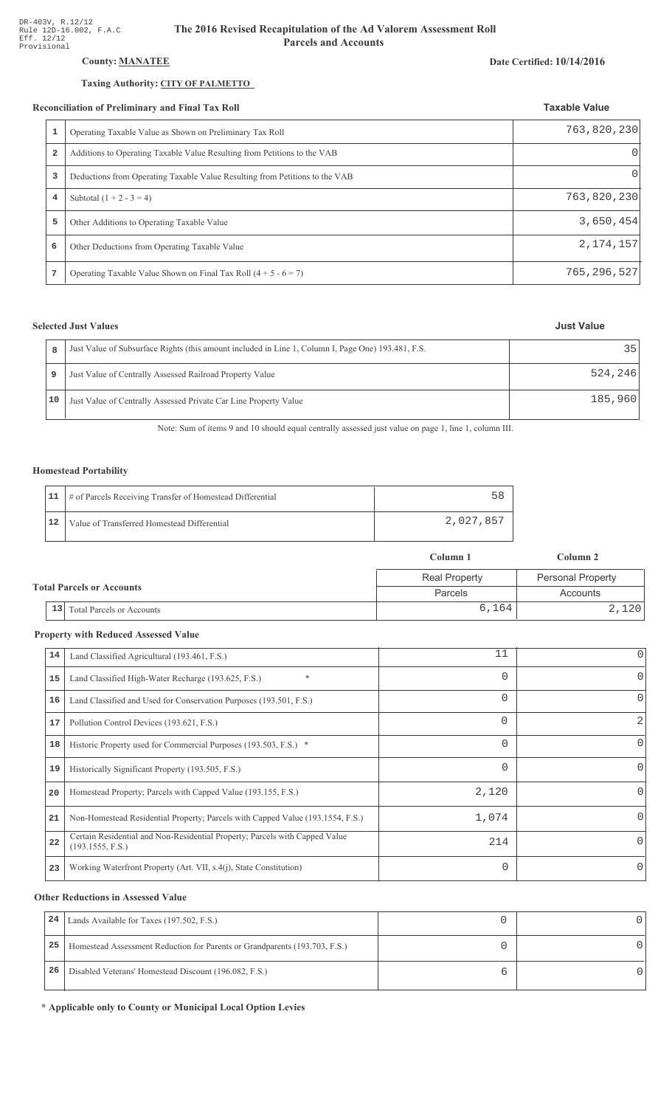## County: **MANATEE**

## Taxing Authority: CITY OF PALMETTO

**7** Operating Taxable Value Shown on Final Tax Roll  $(4 + 5 - 6 = 7)$ 

### Reconciliation of Preliminary and Final Tax Roll

| 1 | Operating Taxable Value as Shown on Preliminary Tax Roll                    | 763,820,230 |
|---|-----------------------------------------------------------------------------|-------------|
| 2 | Additions to Operating Taxable Value Resulting from Petitions to the VAB    | O           |
| 3 | Deductions from Operating Taxable Value Resulting from Petitions to the VAB | $\Omega$    |
| 4 | Subtotal $(1 + 2 - 3 = 4)$                                                  | 763,820,230 |
| 5 | Other Additions to Operating Taxable Value                                  | 3,650,454   |
| 6 | Other Deductions from Operating Taxable Value                               | 2, 174, 157 |
|   |                                                                             |             |

## **Selected Just Values**

| 8  | Just Value of Subsurface Rights (this amount included in Line 1, Column I, Page One) 193.481, F.S. | 35      |
|----|----------------------------------------------------------------------------------------------------|---------|
| 9  | Just Value of Centrally Assessed Railroad Property Value                                           | 524,246 |
| 10 | Just Value of Centrally Assessed Private Car Line Property Value                                   | 185,960 |

Note: Sum of items 9 and 10 should equal centrally assessed just value on page 1, line 1, column III.

## Homestead Portability

|    | 11   # of Parcels Receiving Transfer of Homestead Differential | 58        |
|----|----------------------------------------------------------------|-----------|
| 12 | Value of Transferred Homestead Differential                    | 2,027,857 |

|                                  |                                        | Column 1             | Column 2                 |
|----------------------------------|----------------------------------------|----------------------|--------------------------|
| <b>Total Parcels or Accounts</b> |                                        | <b>Real Property</b> | <b>Personal Property</b> |
|                                  |                                        | <b>Parcels</b>       | Accounts                 |
|                                  | 13<br><b>Total Parcels or Accounts</b> | 6,164                | 2,120                    |

#### **Property with Reduced Assessed Value**

| 14 | Land Classified Agricultural (193.461, F.S.)                                                    | 11       | 0            |
|----|-------------------------------------------------------------------------------------------------|----------|--------------|
| 15 | $\ast$<br>Land Classified High-Water Recharge (193.625, F.S.)                                   | $\Omega$ | 0            |
| 16 | Land Classified and Used for Conservation Purposes (193.501, F.S.)                              | 0        | $\Omega$     |
| 17 | Pollution Control Devices (193.621, F.S.)                                                       | 0        | 2            |
| 18 | Historic Property used for Commercial Purposes (193.503, F.S.) *                                | 0        | 0            |
| 19 | Historically Significant Property (193.505, F.S.)                                               | 0        | 0            |
| 20 | Homestead Property; Parcels with Capped Value (193.155, F.S.)                                   | 2,120    | <sup>o</sup> |
| 21 | Non-Homestead Residential Property; Parcels with Capped Value (193.1554, F.S.)                  | 1,074    | <sup>o</sup> |
| 22 | Certain Residential and Non-Residential Property; Parcels with Capped Value<br>(193.1555, F.S.) | 214      | 0            |
| 23 | Working Waterfront Property (Art. VII, s.4(j), State Constitution)                              | $\Omega$ | $\Omega$     |

#### **Other Reductions in Assessed Value**

| 24 | Lands Available for Taxes (197.502, F.S.)                                  |  |
|----|----------------------------------------------------------------------------|--|
| 25 | Homestead Assessment Reduction for Parents or Grandparents (193.703, F.S.) |  |
| 26 | Disabled Veterans' Homestead Discount (196.082, F.S.)                      |  |

\* Applicable only to County or Municipal Local Option Levies

## Date Certified: 10/14/2016

**Taxable Value** 

**Just Value** 

765,296,527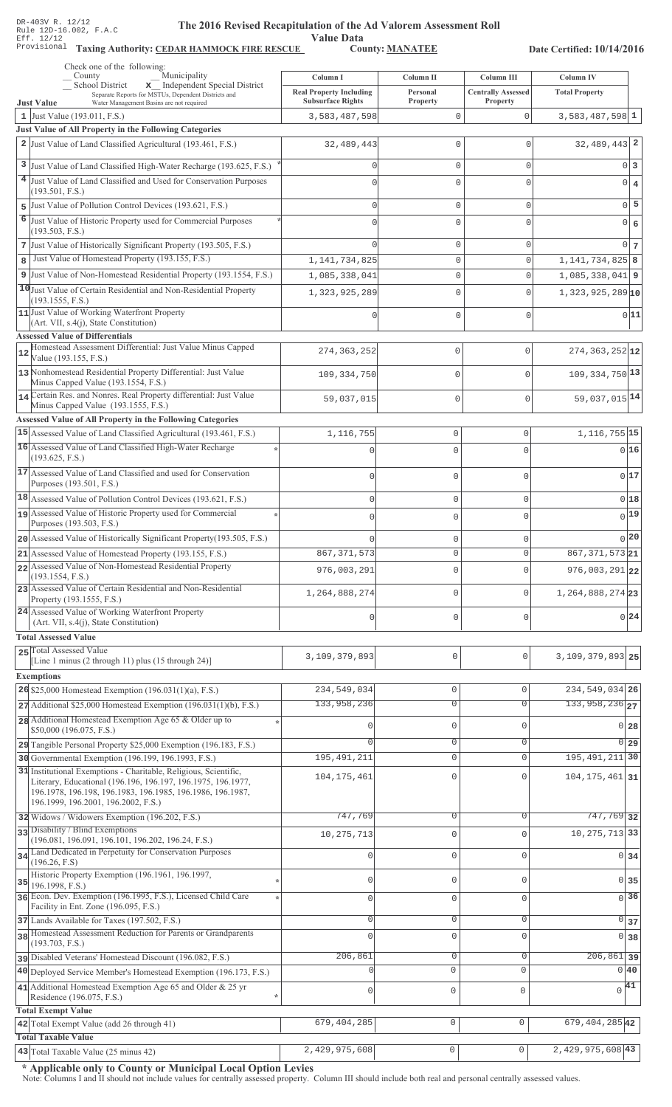Value Data<br>County: MANATEE

Taxing Authority: CEDAR HAMMOCK FIRE RESCUE County: MANATEE

Date Certified: 10/14/2016

|    | Check one of the following:                                                                                                |                                |                     |                           |                               |                 |
|----|----------------------------------------------------------------------------------------------------------------------------|--------------------------------|---------------------|---------------------------|-------------------------------|-----------------|
|    | Municipality<br>County                                                                                                     | Column I                       | Column II           | Column III                | Column IV                     |                 |
|    | x Independent Special District<br>School District<br>Separate Reports for MSTUs, Dependent Districts and                   | <b>Real Property Including</b> | Personal            | <b>Centrally Assessed</b> | <b>Total Property</b>         |                 |
|    | <b>Just Value</b><br>Water Management Basins are not required                                                              | <b>Subsurface Rights</b>       | Property            | Property                  |                               |                 |
|    | 1 Just Value $(193.011, F.S.)$                                                                                             | 3,583,487,598                  | $\mathbf{0}$        | $\mathbf 0$               | $3,583,487,598$ <sup>1</sup>  |                 |
|    | Just Value of All Property in the Following Categories                                                                     |                                |                     |                           |                               |                 |
|    | 2 Just Value of Land Classified Agricultural (193.461, F.S.)                                                               | 32,489,443                     | $\mathbf{0}$        | $\mathbf{0}$              | $32,489,443$ 2                |                 |
|    |                                                                                                                            |                                |                     |                           |                               |                 |
|    | 3 Just Value of Land Classified High-Water Recharge (193.625, F.S.)                                                        |                                | $\mathbf{0}$        | $\mathbf{0}$              |                               | 0 3             |
|    | 4 Just Value of Land Classified and Used for Conservation Purposes                                                         |                                | $\mathbf{0}$        | $\Omega$                  |                               | $0 \mid 4$      |
|    | (193.501, F.S.)                                                                                                            |                                |                     |                           |                               |                 |
|    | 5 Just Value of Pollution Control Devices (193.621, F.S.)                                                                  | $\Omega$                       | $\mathbf 0$         | $\mathbf 0$               |                               | $0\overline{5}$ |
| 6  |                                                                                                                            |                                |                     |                           |                               |                 |
|    | Just Value of Historic Property used for Commercial Purposes<br>(193.503, F.S.)                                            |                                | $\Omega$            | 0                         |                               | $0 \mid 6$      |
|    |                                                                                                                            |                                |                     |                           |                               |                 |
|    | 7 Just Value of Historically Significant Property (193.505, F.S.)                                                          |                                | $\mathbf{0}$        | $\mathbf{0}$              |                               | $0\vert 7$      |
| 8  | Just Value of Homestead Property (193.155, F.S.)                                                                           | 1, 141, 734, 825               | $\mathbf{0}$        | $\mathbf 0$               | 1, 141, 734, 825 8            |                 |
| 9  | Just Value of Non-Homestead Residential Property (193.1554, F.S.)                                                          | 1,085,338,041                  | $\mathbb O$         | $\mathbf{0}$              | $1,085,338,041$ 9             |                 |
|    | 10 Just Value of Certain Residential and Non-Residential Property                                                          |                                | $\mathbf{0}$        | $\Omega$                  | $1,323,925,289$ <sub>10</sub> |                 |
|    | (193.1555, F.S.)                                                                                                           | 1,323,925,289                  |                     |                           |                               |                 |
|    | 11 Just Value of Working Waterfront Property                                                                               |                                | $\mathbf{0}$        | $\mathbf 0$               |                               | 0 11            |
|    | (Art. VII, s.4(j), State Constitution)                                                                                     |                                |                     |                           |                               |                 |
|    | <b>Assessed Value of Differentials</b>                                                                                     |                                |                     |                           |                               |                 |
|    | Homestead Assessment Differential: Just Value Minus Capped                                                                 | 274, 363, 252                  | 0                   | $\mathbf 0$               | $274, 363, 252$ 12            |                 |
| 12 | Value (193.155, F.S.)                                                                                                      |                                |                     |                           |                               |                 |
|    | 13 Nonhomestead Residential Property Differential: Just Value                                                              | 109,334,750                    | 0                   | $\mathbf{0}$              | $109, 334, 750$ <sup>13</sup> |                 |
|    | Minus Capped Value (193.1554, F.S.)                                                                                        |                                |                     |                           |                               |                 |
|    | 14 Certain Res. and Nonres. Real Property differential: Just Value                                                         |                                | 0                   | $\mathbf 0$               | 59,037,015 14                 |                 |
|    | Minus Capped Value (193.1555, F.S.)                                                                                        | 59,037,015                     |                     |                           |                               |                 |
|    | Assessed Value of All Property in the Following Categories                                                                 |                                |                     |                           |                               |                 |
|    | 15 Assessed Value of Land Classified Agricultural (193.461, F.S.)                                                          | 1,116,755                      | $\mathbf 0$         | 0                         | 1, 116, 755 15                |                 |
|    | 16 Assessed Value of Land Classified High-Water Recharge                                                                   |                                |                     |                           |                               |                 |
|    | (193.625, F.S.)                                                                                                            | C                              | $\Omega$            | $\Omega$                  |                               | 0 16            |
|    |                                                                                                                            |                                |                     |                           |                               |                 |
|    | 17 Assessed Value of Land Classified and used for Conservation                                                             | $\mathbf{0}$                   | $\mathbf 0$         | O                         |                               | 017             |
|    | Purposes (193.501, F.S.)                                                                                                   |                                |                     |                           |                               |                 |
|    | $18$ Assessed Value of Pollution Control Devices (193.621, F.S.)                                                           | $\mathbf 0$                    | $\mathbf 0$         | 0                         |                               | $0$ 18          |
|    | 19 Assessed Value of Historic Property used for Commercial                                                                 | $\mathbf 0$                    | $\mathbf 0$         | $\Omega$                  |                               | $_{0} 19 $      |
|    | Purposes (193.503, F.S.)                                                                                                   |                                |                     |                           |                               |                 |
|    | 20 Assessed Value of Historically Significant Property (193.505, F.S.)                                                     | $\Omega$                       | $\mathbf 0$         | 0                         |                               | 0 20            |
|    | 21 Assessed Value of Homestead Property (193.155, F.S.)                                                                    | 867, 371, 573                  | $\mathbf{0}$        | 0                         | 867, 371, 573 21              |                 |
|    | 22 Assessed Value of Non-Homestead Residential Property                                                                    |                                |                     |                           |                               |                 |
|    | (193.1554, F.S.)                                                                                                           | 976,003,291                    | $\mathbf 0$         | O                         | $976,003,291$ 22              |                 |
|    | 23 Assessed Value of Certain Residential and Non-Residential                                                               |                                |                     |                           |                               |                 |
|    | Property (193.1555, F.S.)                                                                                                  | 1,264,888,274                  | $\mathbf 0$         | O                         | 1, 264, 888, 274 23           |                 |
|    | 24 Assessed Value of Working Waterfront Property                                                                           |                                |                     |                           |                               |                 |
|    | (Art. VII, s.4(j), State Constitution)                                                                                     | $\mathbf{0}$                   | $\mathbf 0$         | 0                         |                               | $0^{24}$        |
|    | <b>Total Assessed Value</b>                                                                                                |                                |                     |                           |                               |                 |
|    |                                                                                                                            |                                |                     |                           |                               |                 |
|    | 25 Total Assessed Value<br>[Line 1 minus (2 through 11) plus (15 through 24)]                                              | 3,109,379,893                  | 0                   | $\mathbf{0}$              | $3,109,379,893$ 25            |                 |
|    |                                                                                                                            |                                |                     |                           |                               |                 |
|    | <b>Exemptions</b>                                                                                                          |                                |                     |                           |                               |                 |
|    | 26 \$25,000 Homestead Exemption $(196.031(1)(a), F.S.)$                                                                    | 234,549,034                    | $\mathsf{O}\xspace$ | $\mathbf 0$               | 234, 549, 034 26              |                 |
|    | $27$ Additional \$25,000 Homestead Exemption (196.031(1)(b), F.S.)                                                         | 133,958,236                    | $\overline{0}$      | $\Omega$                  | $133,958,236$ <sub>27</sub>   |                 |
|    | 28 Additional Homestead Exemption Age 65 & Older up to                                                                     |                                |                     |                           |                               |                 |
|    | \$50,000 (196.075, F.S.)                                                                                                   |                                | $\mathbb O$         | $\Omega$                  | $0\overline{28}$              |                 |
|    | 29 Tangible Personal Property \$25,000 Exemption (196.183, F.S.)                                                           |                                | $\circ$             | $\mathbf 0$               | $0$ 29                        |                 |
|    |                                                                                                                            | 195, 491, 211                  | $\mathbb O$         | $\mathbf 0$               | 195, 491, 211 30              |                 |
|    | 30 Governmental Exemption (196.199, 196.1993, F.S.)                                                                        |                                |                     |                           |                               |                 |
|    | 31 Institutional Exemptions - Charitable, Religious, Scientific,                                                           | 104, 175, 461                  | $\mathbf{0}$        | $\Omega$                  | $104, 175, 461$ 31            |                 |
|    | Literary, Educational (196.196, 196.197, 196.1975, 196.1977,<br>196.1978, 196.198, 196.1983, 196.1985, 196.1986, 196.1987, |                                |                     |                           |                               |                 |
|    | 196.1999, 196.2001, 196.2002, F.S.)                                                                                        |                                |                     |                           |                               |                 |
|    |                                                                                                                            |                                |                     | $\Omega$                  |                               |                 |
|    | 32 Widows / Widowers Exemption (196.202, F.S.)                                                                             | 747,769                        | 0                   |                           | 747,769 32                    |                 |
|    | 33 Disability / Blind Exemptions<br>(196.081, 196.091, 196.101, 196.202, 196.24, F.S.)                                     | 10, 275, 713                   | $\mathbf 0$         | $\Omega$                  | 10, 275, 713 33               |                 |
|    | 34 Land Dedicated in Perpetuity for Conservation Purposes                                                                  |                                |                     |                           |                               |                 |
|    | (196.26, F.S)                                                                                                              |                                | $\mathbb O$         | $\Omega$                  | $0\overline{34}$              |                 |
|    | Historic Property Exemption (196.1961, 196.1997,                                                                           |                                |                     |                           |                               |                 |
| 35 | 196.1998, F.S.)                                                                                                            | Ω                              | $\mathbf{0}$        | U                         | $0\overline{35}$              |                 |
|    | 36 Econ. Dev. Exemption (196.1995, F.S.), Licensed Child Care                                                              | $\circ$                        | $\mathbf 0$         | $\mathbf 0$               | $\overline{0}$ 36             |                 |
|    | Facility in Ent. Zone (196.095, F.S.)                                                                                      |                                |                     |                           |                               |                 |
|    | 37 Lands Available for Taxes (197.502, F.S.)                                                                               | $\circ$                        | $\mathbb O$         | $\mathbf 0$               | $\overline{0}$ 37             |                 |
|    | 38 Homestead Assessment Reduction for Parents or Grandparents                                                              |                                |                     |                           |                               |                 |
|    | (193.703, F.S.)                                                                                                            | $\Omega$                       | $\mathbf{0}$        | $\mathbf{0}$              | $0\overline{38}$              |                 |
|    | pisabled Veterans' Homestead Discount (196.082, F.S.)                                                                      | 206,861                        | $\mathbb O$         | 0                         | $\overline{206,861}$ 39       |                 |
|    | 40 Deployed Service Member's Homestead Exemption (196.173, F.S.)                                                           |                                | $\circ$             | $\mathbf 0$               | $0\vert 40$                   |                 |
|    |                                                                                                                            |                                |                     |                           |                               |                 |
|    | 41 Additional Homestead Exemption Age 65 and Older & 25 yr<br>÷                                                            | 0                              | $\mathsf 0$         | $\mathbf 0$               | $\sqrt{41}$                   |                 |
|    | Residence (196.075, F.S.)                                                                                                  |                                |                     |                           |                               |                 |
|    | <b>Total Exempt Value</b>                                                                                                  |                                |                     |                           |                               |                 |
|    | 42 Total Exempt Value (add 26 through 41)                                                                                  | 679, 404, 285                  | $\mathsf 0$         | $\mathbf{0}$              | 679, 404, 285 42              |                 |
|    | <b>Total Taxable Value</b>                                                                                                 |                                |                     |                           |                               |                 |
|    | $\vert$ 43 Total Taxable Value (25 minus 42)                                                                               | 2,429,975,608                  | 0                   | $\mathsf{O}\xspace$       | $2,429,975,608$ 43            |                 |

\* Applicable only to County or Municipal Local Option Levies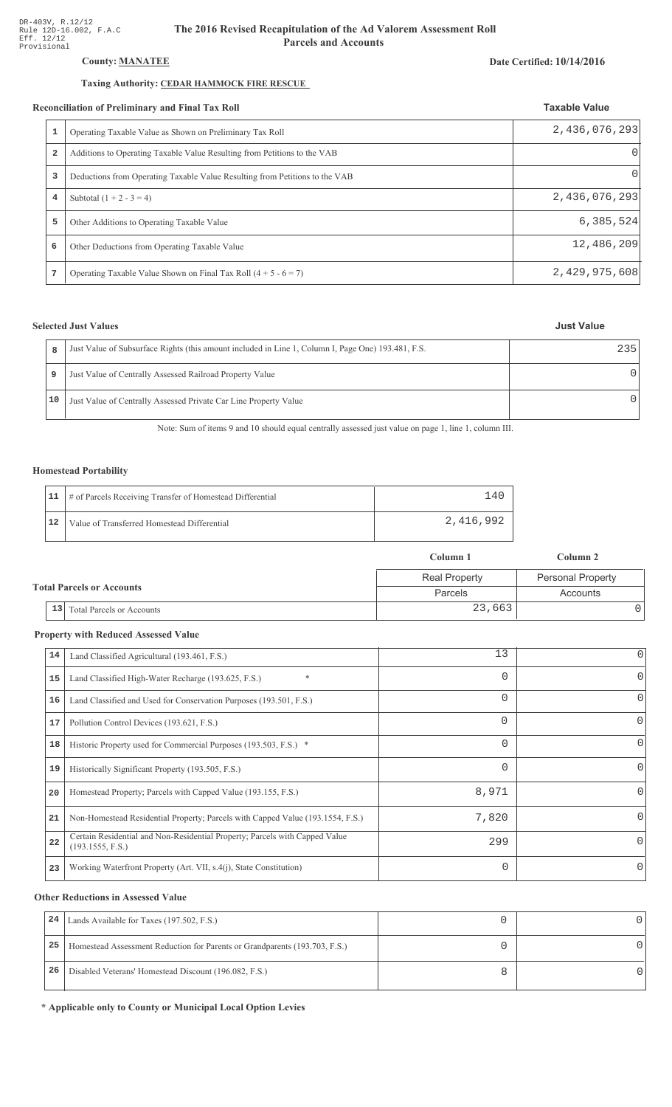## County: **MANATEE**

## Taxing Authority: CEDAR HAMMOCK FIRE RESCUE

#### Reconciliation of Preliminary and Final Tax Roll

|   | conciliation of Preliminary and Final Tax Roll                              | <b>Taxable Value</b> |
|---|-----------------------------------------------------------------------------|----------------------|
|   | Operating Taxable Value as Shown on Preliminary Tax Roll                    | 2,436,076,293        |
| 2 | Additions to Operating Taxable Value Resulting from Petitions to the VAB    | $\Omega$             |
| 3 | Deductions from Operating Taxable Value Resulting from Petitions to the VAB | 0                    |
| 4 | Subtotal $(1 + 2 - 3 = 4)$                                                  | 2,436,076,293        |
| 5 | Other Additions to Operating Taxable Value                                  | 6,385,524            |
| 6 | Other Deductions from Operating Taxable Value                               | 12,486,209           |
| 7 | Operating Taxable Value Shown on Final Tax Roll $(4 + 5 - 6 = 7)$           | 2,429,975,608        |

## **Selected Just Values**

| 8  | Just Value of Subsurface Rights (this amount included in Line 1, Column I, Page One) 193.481, F.S. | 235    |
|----|----------------------------------------------------------------------------------------------------|--------|
| 9  | Just Value of Centrally Assessed Railroad Property Value                                           | $\cap$ |
| 10 | Just Value of Centrally Assessed Private Car Line Property Value                                   | $\cap$ |

Note: Sum of items 9 and 10 should equal centrally assessed just value on page 1, line 1, column III.

## Homestead Portability

|    | 11   # of Parcels Receiving Transfer of Homestead Differential | 4'        |
|----|----------------------------------------------------------------|-----------|
| 12 | Value of Transferred Homestead Differential                    | 2,416,992 |

|                                        | Column 1             | Column 2                 |  |
|----------------------------------------|----------------------|--------------------------|--|
|                                        | <b>Real Property</b> | <b>Personal Property</b> |  |
| <b>Total Parcels or Accounts</b>       | Parcels              | Accounts                 |  |
| 13<br><b>Total Parcels or Accounts</b> | 23,663               |                          |  |

#### **Property with Reduced Assessed Value**

| 14 | Land Classified Agricultural (193.461, F.S.)                                                    | 13       | 0            |
|----|-------------------------------------------------------------------------------------------------|----------|--------------|
| 15 | $\ast$<br>Land Classified High-Water Recharge (193.625, F.S.)                                   | $\Omega$ | 0            |
| 16 | Land Classified and Used for Conservation Purposes (193.501, F.S.)                              | 0        | O            |
| 17 | Pollution Control Devices (193.621, F.S.)                                                       | 0        | 0            |
| 18 | Historic Property used for Commercial Purposes (193.503, F.S.) *                                | 0        | 0            |
| 19 | Historically Significant Property (193.505, F.S.)                                               | 0        | 0            |
| 20 | Homestead Property; Parcels with Capped Value (193.155, F.S.)                                   | 8,971    | <sup>o</sup> |
| 21 | Non-Homestead Residential Property; Parcels with Capped Value (193.1554, F.S.)                  | 7,820    | <sup>o</sup> |
| 22 | Certain Residential and Non-Residential Property; Parcels with Capped Value<br>(193.1555, F.S.) | 299      | $\Omega$     |
| 23 | Working Waterfront Property (Art. VII, s.4(j), State Constitution)                              | $\Omega$ | $\Omega$     |

#### **Other Reductions in Assessed Value**

| 24 | Lands Available for Taxes (197.502, F.S.)                                  |  |
|----|----------------------------------------------------------------------------|--|
| 25 | Homestead Assessment Reduction for Parents or Grandparents (193.703, F.S.) |  |
| 26 | Disabled Veterans' Homestead Discount (196.082, F.S.)                      |  |

\* Applicable only to County or Municipal Local Option Levies

# Date Certified: 10/14/2016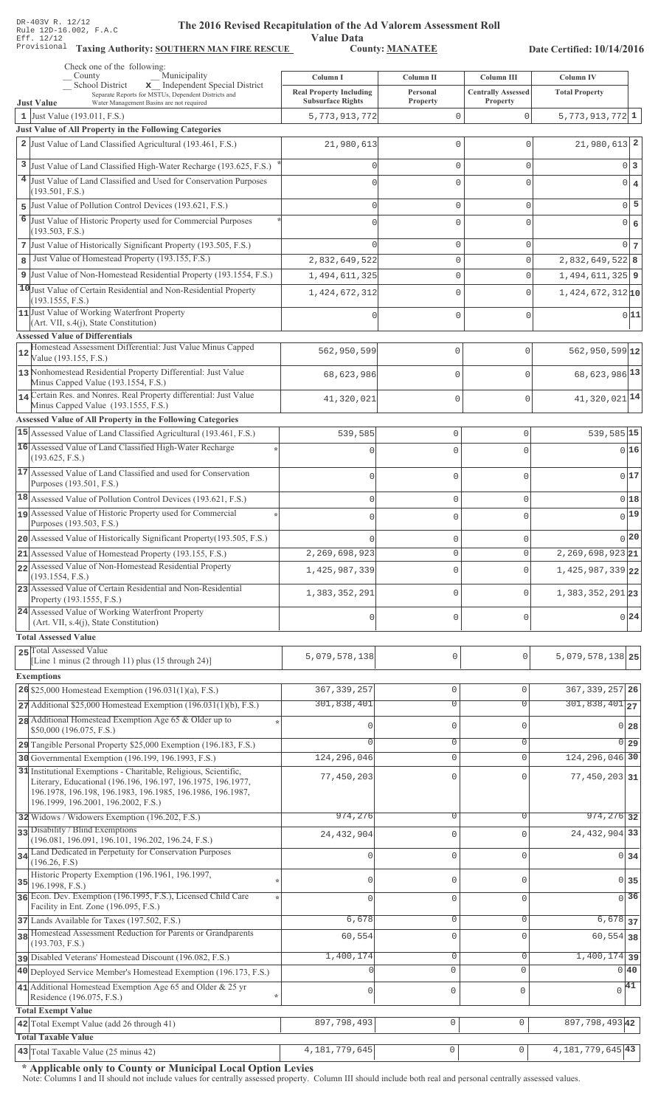Value Data<br>County: MANATEE Taxing Authority: SOUTHERN MAN FIRE RESCUE County: MANATEE

Date Certified: 10/14/2016

| Check one of the following:<br>Municipality<br>County                                                                                                             | Column I                                                   | Column II                     | Column III                            | <b>Column IV</b>                                |
|-------------------------------------------------------------------------------------------------------------------------------------------------------------------|------------------------------------------------------------|-------------------------------|---------------------------------------|-------------------------------------------------|
| School District<br>x Independent Special District<br>Separate Reports for MSTUs, Dependent Districts and                                                          | <b>Real Property Including</b><br><b>Subsurface Rights</b> | Personal<br>Property          | <b>Centrally Assessed</b><br>Property | <b>Total Property</b>                           |
| <b>Just Value</b><br>Water Management Basins are not required<br>1 Just Value (193.011, F.S.)                                                                     | 5,773,913,772                                              | $\mathbb O$                   | 0                                     | $5,773,913,772$ 1                               |
| Just Value of All Property in the Following Categories                                                                                                            |                                                            |                               |                                       |                                                 |
| 2 Just Value of Land Classified Agricultural (193.461, F.S.)                                                                                                      | 21,980,613                                                 | $\mathbf{0}$                  | $\Omega$                              | $21,980,613$ 2                                  |
| 3 Just Value of Land Classified High-Water Recharge (193.625, F.S.)                                                                                               | O                                                          | $\mathbf{0}$                  | 0                                     | $0\vert 3$                                      |
| 4 Just Value of Land Classified and Used for Conservation Purposes                                                                                                |                                                            | $\Omega$                      | $\Omega$                              | $0 \mid 4$                                      |
| (193.501, F.S.)                                                                                                                                                   |                                                            |                               |                                       | $0\overline{5}$                                 |
| Just Value of Pollution Control Devices (193.621, F.S.)<br>5<br>6<br>Just Value of Historic Property used for Commercial Purposes                                 | $\Omega$                                                   | $\mathbb O$                   | 0                                     |                                                 |
| (193.503, F.S.)                                                                                                                                                   | U                                                          | $\mathbf 0$                   | $\Omega$                              | $0 \big  6$                                     |
| 7 Just Value of Historically Significant Property (193.505, F.S.)                                                                                                 |                                                            | $\mathbb O$                   | 0                                     | 0 <sub>7</sub>                                  |
| Just Value of Homestead Property (193.155, F.S.)<br>8                                                                                                             | 2,832,649,522                                              | $\mathsf{O}\xspace$           | 0                                     | 2,832,649,522 8                                 |
| 9 Just Value of Non-Homestead Residential Property (193.1554, F.S.)                                                                                               | 1,494,611,325                                              | $\mathsf{O}\xspace$           | 0                                     | $1,494,611,325$ 9                               |
| 10 Just Value of Certain Residential and Non-Residential Property<br>(193.1555, F.S.)                                                                             | 1,424,672,312                                              | $\mathbf{0}$                  | 0                                     | $1,424,672,312$ <sub>10</sub>                   |
| 11 Just Value of Working Waterfront Property                                                                                                                      |                                                            | $\mathbf 0$                   | $\Omega$                              | 0 11                                            |
| $(Art. VII, s.4(j), State Constitution)$<br><b>Assessed Value of Differentials</b>                                                                                |                                                            |                               |                                       |                                                 |
| Homestead Assessment Differential: Just Value Minus Capped<br>12                                                                                                  | 562,950,599                                                | $\mathbf{0}$                  | $\mathbf{0}$                          | $562,950,599$ 12                                |
| Value (193.155, F.S.)<br>13 Nonhomestead Residential Property Differential: Just Value                                                                            |                                                            |                               |                                       |                                                 |
| Minus Capped Value (193.1554, F.S.)                                                                                                                               | 68,623,986                                                 | $\mathbf{0}$                  | $\mathbf{0}$                          | 68, 623, 986 13                                 |
| 14 Certain Res. and Nonres. Real Property differential: Just Value<br>Minus Capped Value (193.1555, F.S.)                                                         | 41,320,021                                                 | $\mathbf 0$                   | $\mathbf 0$                           | 41,320,021 14                                   |
| <b>Assessed Value of All Property in the Following Categories</b>                                                                                                 |                                                            |                               |                                       |                                                 |
| 15 Assessed Value of Land Classified Agricultural (193.461, F.S.)                                                                                                 | 539,585                                                    | $\mathbf 0$                   | $\mathbf 0$                           | 539,585 15                                      |
| 16 Assessed Value of Land Classified High-Water Recharge                                                                                                          |                                                            | $\cap$                        | U                                     | 016                                             |
| (193.625, F.S.)                                                                                                                                                   |                                                            |                               |                                       |                                                 |
| 17 Assessed Value of Land Classified and used for Conservation<br>Purposes (193.501, F.S.)                                                                        | 0                                                          | $\mathbf 0$                   | 0                                     | 0 17                                            |
| 18 Assessed Value of Pollution Control Devices (193.621, F.S.)                                                                                                    | $\mathbf 0$                                                | $\mathbf 0$                   | $\mathbf 0$                           | 0 18                                            |
| 19 Assessed Value of Historic Property used for Commercial                                                                                                        | $\cap$                                                     | $\cap$                        | 0                                     | $0$ <sup>19</sup>                               |
| Purposes (193.503, F.S.)<br>20 Assessed Value of Historically Significant Property (193.505, F.S.)                                                                |                                                            |                               |                                       | $_0$  20                                        |
| $21$ Assessed Value of Homestead Property (193.155, F.S.)                                                                                                         | $\Omega$<br>2,269,698,923                                  | $\mathbf 0$<br>$\Omega$       | $\circ$<br>$\Omega$                   | $2,269,698,923$ <sub>21</sub>                   |
| 22 Assessed Value of Non-Homestead Residential Property                                                                                                           | 1,425,987,339                                              | 0                             | 0                                     | $1,425,987,339$ 22                              |
| (193.1554, F.S.)<br>23 Assessed Value of Certain Residential and Non-Residential                                                                                  |                                                            |                               |                                       |                                                 |
| Property (193.1555, F.S.)                                                                                                                                         | 1,383,352,291                                              | $\mathbf 0$                   | $\circ$                               | 1, 383, 352, 291 23                             |
| 24 Assessed Value of Working Waterfront Property<br>(Art. VII, s.4(j), State Constitution)                                                                        | $\Omega$                                                   | $\mathbf 0$                   | 0                                     | $0^{24}$                                        |
| <b>Total Assessed Value</b>                                                                                                                                       |                                                            |                               |                                       |                                                 |
| 25 Total Assessed Value                                                                                                                                           |                                                            |                               |                                       |                                                 |
| [Line 1 minus (2 through 11) plus (15 through 24)]                                                                                                                | 5,079,578,138                                              | $\mathbf 0$                   | 0                                     | 5,079,578,138 25                                |
| <b>Exemptions</b>                                                                                                                                                 |                                                            |                               |                                       |                                                 |
| 26 \$25,000 Homestead Exemption $(196.031(1)(a), F.S.)$<br>$27$ Additional \$25,000 Homestead Exemption (196.031(1)(b), F.S.)                                     | 367, 339, 257<br>301,838,401                               | $\mathbb O$<br>$\overline{0}$ | $\mathbf 0$<br>$\Omega$               | 367, 339, 257 26<br>$301,838,401$ <sub>27</sub> |
| 28 Additional Homestead Exemption Age 65 & Older up to                                                                                                            |                                                            |                               |                                       |                                                 |
| \$50,000 (196.075, F.S.)                                                                                                                                          | 0                                                          | $\mathbf 0$                   | $\mathbf{0}$                          | $0\,$ 28                                        |
| 29 Tangible Personal Property \$25,000 Exemption (196.183, F.S.)                                                                                                  | $\Omega$                                                   | $\mathbf 0$                   | $\overline{0}$                        | 0 <sub>29</sub>                                 |
| 30 Governmental Exemption (196.199, 196.1993, F.S.)<br>31 Institutional Exemptions - Charitable, Religious, Scientific,                                           | 124, 296, 046                                              | $\mathbb O$                   | $\Omega$                              | 124, 296, 046 30                                |
| Literary, Educational (196.196, 196.197, 196.1975, 196.1977,<br>196.1978, 196.198, 196.1983, 196.1985, 196.1986, 196.1987,<br>196.1999, 196.2001, 196.2002, F.S.) | 77,450,203                                                 | $\mathbf 0$                   | U                                     | 77,450,203 31                                   |
| 32 Widows / Widowers Exemption (196.202, F.S.)                                                                                                                    | 974,276                                                    | $\overline{0}$                | $\circ$                               | 974, 276 32                                     |
| 33 Disability / Blind Exemptions<br>(196.081, 196.091, 196.101, 196.202, 196.24, F.S.)                                                                            | 24, 432, 904                                               | $\mathbf 0$                   | $\Omega$                              | 24, 432, 904 33                                 |
| 34 Land Dedicated in Perpetuity for Conservation Purposes                                                                                                         | $\Omega$                                                   | $\mathsf{O}\xspace$           | $\Omega$                              | $0 \overline{\smash{34}}$                       |
| (196.26, F.S)                                                                                                                                                     |                                                            |                               |                                       |                                                 |
| Historic Property Exemption (196.1961, 196.1997,<br>35<br>196.1998, F.S.)                                                                                         | 0                                                          | $\mathbf 0$                   | $\Omega$                              | 0 35                                            |
| 36 Econ. Dev. Exemption (196.1995, F.S.), Licensed Child Care<br>Facility in Ent. Zone (196.095, F.S.)                                                            | $\Omega$                                                   | $\mathbb O$                   | $\Omega$                              | $\overline{0}$ 36                               |
| 37 Lands Available for Taxes (197.502, F.S.)                                                                                                                      | 6,678                                                      | $\mathbb O$                   | $\circ$                               | $6,678$ 37                                      |
| 38 Homestead Assessment Reduction for Parents or Grandparents                                                                                                     | 60,554                                                     | $\mathsf{O}\xspace$           | $\Omega$                              | $60, 554$ 38                                    |
| (193.703, F.S.)<br>pisabled Veterans' Homestead Discount (196.082, F.S.)                                                                                          | 1,400,174                                                  | $\mathbb O$                   | 0                                     | $1,400,174$ 39                                  |
| 40 Deployed Service Member's Homestead Exemption (196.173, F.S.)                                                                                                  |                                                            | $\circ$                       | $\mathbf 0$                           | 0 40                                            |
| 41 Additional Homestead Exemption Age 65 and Older & 25 yr                                                                                                        | $\mathbf{0}$                                               | 0                             | 0                                     | $\sqrt{41}$                                     |
| Residence (196.075, F.S.)                                                                                                                                         |                                                            |                               |                                       |                                                 |
| <b>Total Exempt Value</b>                                                                                                                                         | 897,798,493                                                | 0                             | $\circ$                               | 897, 798, 493 42                                |
| 42 Total Exempt Value (add 26 through 41)<br><b>Total Taxable Value</b>                                                                                           |                                                            |                               |                                       |                                                 |
| 43 Total Taxable Value (25 minus 42)                                                                                                                              | 4,181,779,645                                              | $\circ$                       | 0                                     | $4,181,779,645$ 43                              |

\* Applicable only to County or Municipal Local Option Levies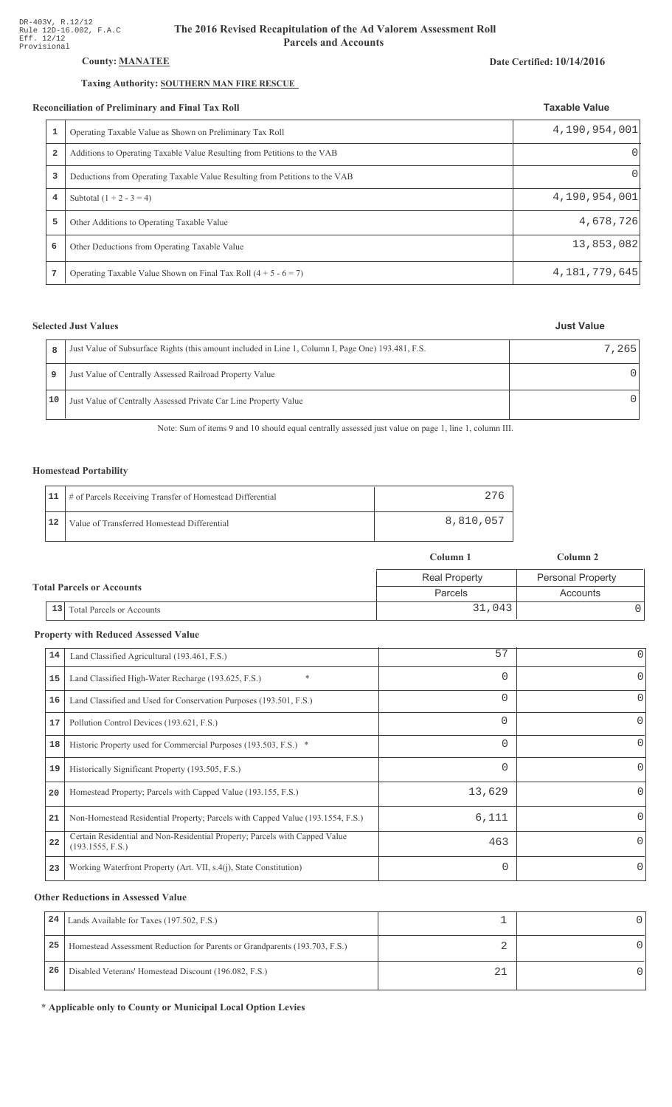## County: **MANATEE**

## Taxing Authority: SOUTHERN MAN FIRE RESCUE

#### Reconciliation of Preliminary and Final Tax Roll

|   | conciliation of Preliminary and Final Tax Roll                              | <b>Taxable Value</b> |
|---|-----------------------------------------------------------------------------|----------------------|
| 1 | Operating Taxable Value as Shown on Preliminary Tax Roll                    | 4,190,954,001        |
| 2 | Additions to Operating Taxable Value Resulting from Petitions to the VAB    | $\Omega$             |
| 3 | Deductions from Operating Taxable Value Resulting from Petitions to the VAB | Ω                    |
| 4 | Subtotal $(1 + 2 - 3 = 4)$                                                  | 4,190,954,001        |
| 5 | Other Additions to Operating Taxable Value                                  | 4,678,726            |
| 6 | Other Deductions from Operating Taxable Value                               | 13,853,082           |
| 7 | Operating Taxable Value Shown on Final Tax Roll $(4 + 5 - 6 = 7)$           | 4, 181, 779, 645     |

## **Selected Just Values**

| 8  | Just Value of Subsurface Rights (this amount included in Line 1, Column I, Page One) 193.481, F.S. | 7.265 |
|----|----------------------------------------------------------------------------------------------------|-------|
| 9  | Just Value of Centrally Assessed Railroad Property Value                                           |       |
| 10 | Just Value of Centrally Assessed Private Car Line Property Value                                   |       |

Note: Sum of items 9 and 10 should equal centrally assessed just value on page 1, line 1, column III.

## Homestead Portability

|    | 11   # of Parcels Receiving Transfer of Homestead Differential |           |
|----|----------------------------------------------------------------|-----------|
| 12 | Value of Transferred Homestead Differential                    | 8,810,057 |

|                                  |                                        | Column 1             | Column 2                 |  |
|----------------------------------|----------------------------------------|----------------------|--------------------------|--|
|                                  |                                        | <b>Real Property</b> | <b>Personal Property</b> |  |
| <b>Total Parcels or Accounts</b> |                                        | Parcels              | Accounts                 |  |
|                                  | 13<br><b>Total Parcels or Accounts</b> | 31,043               |                          |  |

#### **Property with Reduced Assessed Value**

| 14 | Land Classified Agricultural (193.461, F.S.)                                                    | 57       | 0            |
|----|-------------------------------------------------------------------------------------------------|----------|--------------|
| 15 | $\ast$<br>Land Classified High-Water Recharge (193.625, F.S.)                                   | $\Omega$ | 0            |
| 16 | Land Classified and Used for Conservation Purposes (193.501, F.S.)                              | 0        | O            |
| 17 | Pollution Control Devices (193.621, F.S.)                                                       | 0        | 0            |
| 18 | Historic Property used for Commercial Purposes (193.503, F.S.) *                                | 0        | 0            |
| 19 | Historically Significant Property (193.505, F.S.)                                               | 0        | 0            |
| 20 | Homestead Property; Parcels with Capped Value (193.155, F.S.)                                   | 13,629   | <sup>0</sup> |
| 21 | Non-Homestead Residential Property; Parcels with Capped Value (193.1554, F.S.)                  | 6,111    | <sup>0</sup> |
| 22 | Certain Residential and Non-Residential Property; Parcels with Capped Value<br>(193.1555, F.S.) | 463      | 0            |
| 23 | Working Waterfront Property (Art. VII, s.4(j), State Constitution)                              | $\Omega$ | $\Omega$     |

#### **Other Reductions in Assessed Value**

| 24 | Lands Available for Taxes (197.502, F.S.)                                  |  |
|----|----------------------------------------------------------------------------|--|
| 25 | Homestead Assessment Reduction for Parents or Grandparents (193.703, F.S.) |  |
| 26 | Disabled Veterans' Homestead Discount (196.082, F.S.)                      |  |

\* Applicable only to County or Municipal Local Option Levies

## Date Certified: 10/14/2016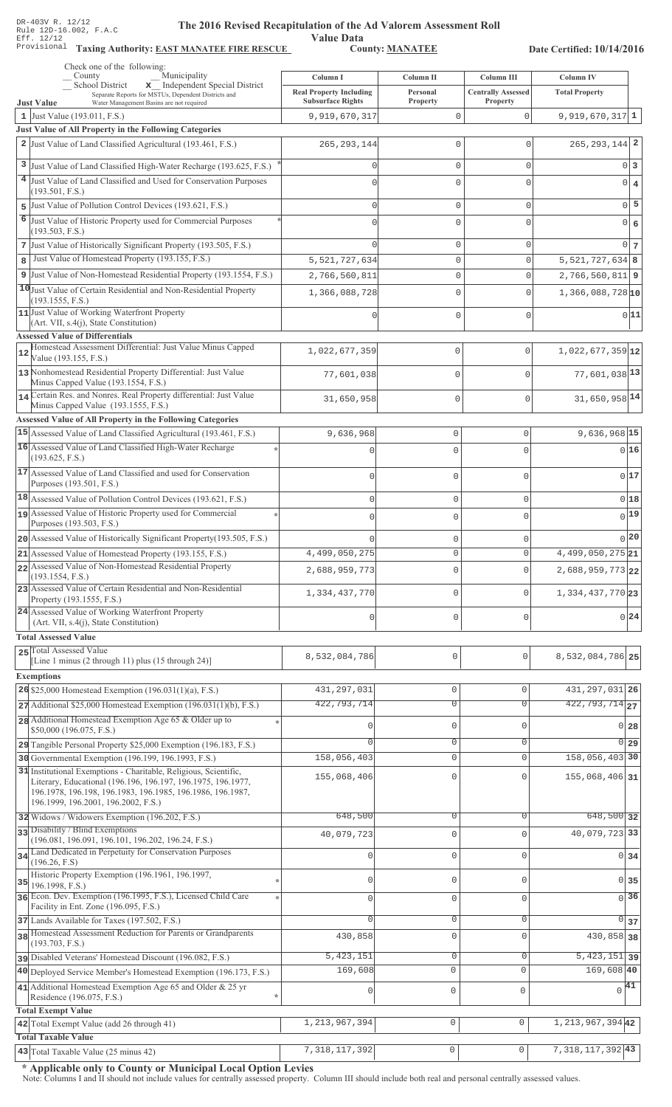Value Data<br>County: MANATEE Taxing Authority: **EAST MANATEE FIRE RESCUE** County: **MANATEE** 

Date Certified: 10/14/2016

|   | Check one of the following:<br>Municipality                                                                                                                                                                                           |                                                            |                               |                                       |                                                   |
|---|---------------------------------------------------------------------------------------------------------------------------------------------------------------------------------------------------------------------------------------|------------------------------------------------------------|-------------------------------|---------------------------------------|---------------------------------------------------|
|   | County<br>x Independent Special District<br><b>School District</b>                                                                                                                                                                    | Column I                                                   | <b>Column II</b>              | Column III                            | <b>Column IV</b>                                  |
|   | Separate Reports for MSTUs, Dependent Districts and<br><b>Just Value</b><br>Water Management Basins are not required                                                                                                                  | <b>Real Property Including</b><br><b>Subsurface Rights</b> | Personal<br><b>Property</b>   | <b>Centrally Assessed</b><br>Property | <b>Total Property</b>                             |
|   | 1 Just Value $(193.011, F.S.)$                                                                                                                                                                                                        | 9,919,670,317                                              | $\mathbf{0}$                  | 0                                     | $9,919,670,317$ 1                                 |
|   | <b>Just Value of All Property in the Following Categories</b>                                                                                                                                                                         |                                                            |                               |                                       |                                                   |
|   | 2 Just Value of Land Classified Agricultural (193.461, F.S.)                                                                                                                                                                          | 265, 293, 144                                              | $\mathbf{0}$                  | $\Omega$                              | $265, 293, 144$ 2                                 |
|   | 3 Just Value of Land Classified High-Water Recharge (193.625, F.S.)                                                                                                                                                                   | $\Omega$                                                   | $\mathbf{0}$                  | 0                                     | 0 3                                               |
|   | 4 Just Value of Land Classified and Used for Conservation Purposes                                                                                                                                                                    |                                                            | $\Omega$                      | $\Omega$                              | $0 \mid 4$                                        |
| 5 | (193.501, F.S.)<br>Just Value of Pollution Control Devices (193.621, F.S.)                                                                                                                                                            | $\Omega$                                                   | $\mathbf{0}$                  | 0                                     | $0\vert 5$                                        |
|   | 6 Just Value of Historic Property used for Commercial Purposes                                                                                                                                                                        |                                                            | $\Omega$                      | $\Omega$                              | $0 \big  6$                                       |
|   | (193.503, F.S.)                                                                                                                                                                                                                       |                                                            |                               |                                       |                                                   |
|   | 7 Just Value of Historically Significant Property (193.505, F.S.)                                                                                                                                                                     |                                                            | $\mathbf{0}$                  | 0                                     | 0 <sub>7</sub>                                    |
| 8 | Just Value of Homestead Property (193.155, F.S.)                                                                                                                                                                                      | 5, 521, 727, 634                                           | $\mathbf{0}$                  | 0                                     | $5,521,727,634$ 8                                 |
|   | 9 Just Value of Non-Homestead Residential Property (193.1554, F.S.)                                                                                                                                                                   | 2,766,560,811                                              | $\mathbb O$                   | 0                                     | $2,766,560,811$ 9                                 |
|   | 10 Just Value of Certain Residential and Non-Residential Property<br>(193.1555, F.S.)                                                                                                                                                 | 1,366,088,728                                              | 0                             | $\Omega$                              | $1,366,088,728$ <sub>10</sub>                     |
|   | 11 Just Value of Working Waterfront Property                                                                                                                                                                                          |                                                            | 0                             | $\Omega$                              | 0 11                                              |
|   | (Art. VII, s.4(j), State Constitution)<br><b>Assessed Value of Differentials</b>                                                                                                                                                      |                                                            |                               |                                       |                                                   |
|   | Homestead Assessment Differential: Just Value Minus Capped                                                                                                                                                                            | 1,022,677,359                                              | $\mathbf{0}$                  | $\circ$                               | $1,022,677,359$ 12                                |
|   | Value (193.155, F.S.)                                                                                                                                                                                                                 |                                                            |                               |                                       |                                                   |
|   | 13 Nonhomestead Residential Property Differential: Just Value<br>Minus Capped Value (193.1554, F.S.)                                                                                                                                  | 77,601,038                                                 | $\mathbf{0}$                  | $\mathbf{0}$                          | 77,601,038 13                                     |
|   | 14 Certain Res. and Nonres. Real Property differential: Just Value                                                                                                                                                                    | 31,650,958                                                 | $\mathbf{0}$                  | $\mathbf{0}$                          | 31,650,958 14                                     |
|   | Minus Capped Value (193.1555, F.S.)                                                                                                                                                                                                   |                                                            |                               |                                       |                                                   |
|   | <b>Assessed Value of All Property in the Following Categories</b><br>15 Assessed Value of Land Classified Agricultural (193.461, F.S.)                                                                                                | 9,636,968                                                  | $\mathbf 0$                   | 0                                     | 9,636,968 15                                      |
|   | 16 Assessed Value of Land Classified High-Water Recharge                                                                                                                                                                              | C                                                          | $\Omega$                      | 0                                     | 0 16                                              |
|   | (193.625, F.S.)                                                                                                                                                                                                                       |                                                            |                               |                                       |                                                   |
|   | 17 Assessed Value of Land Classified and used for Conservation                                                                                                                                                                        | $\cap$                                                     | $\Omega$                      | O                                     | 0 17                                              |
|   | Purposes (193.501, F.S.)<br>18 Assessed Value of Pollution Control Devices (193.621, F.S.)                                                                                                                                            |                                                            |                               |                                       |                                                   |
|   | 19 Assessed Value of Historic Property used for Commercial                                                                                                                                                                            | $\mathbf 0$                                                | $\mathbf 0$                   | 0                                     | 0 18<br>$0$ <sup>19</sup>                         |
|   | Purposes (193.503, F.S.)                                                                                                                                                                                                              | $\Omega$                                                   | $\mathbf 0$                   | 0                                     |                                                   |
|   | 20 Assessed Value of Historically Significant Property (193.505, F.S.)                                                                                                                                                                | n                                                          | $\mathbf 0$                   |                                       | 0 20                                              |
|   | 21 Assessed Value of Homestead Property (193.155, F.S.)                                                                                                                                                                               | 4,499,050,275                                              | U                             | U                                     | $4,499,050,275$ 21                                |
|   | 22 Assessed Value of Non-Homestead Residential Property<br>(193.1554, F.S.)                                                                                                                                                           | 2,688,959,773                                              | $\Omega$                      | $\Omega$                              | $2,688,959,773$ 22                                |
|   | 23 Assessed Value of Certain Residential and Non-Residential<br>Property (193.1555, F.S.)                                                                                                                                             | 1,334,437,770                                              | 0                             | 0                                     | 1,334,437,770 23                                  |
|   | 24 Assessed Value of Working Waterfront Property<br>(Art. VII, s.4(j), State Constitution)                                                                                                                                            | 0                                                          | $\mathbf 0$                   | $\mathbf{0}$                          | $0^{24}$                                          |
|   | <b>Total Assessed Value</b>                                                                                                                                                                                                           |                                                            |                               |                                       |                                                   |
|   | 25 Total Assessed Value                                                                                                                                                                                                               |                                                            |                               |                                       |                                                   |
|   | [Line 1 minus $(2 \text{ through } 11)$ plus $(15 \text{ through } 24)$ ]                                                                                                                                                             | 8,532,084,786                                              | $\mathbf 0$                   | 0                                     | 8,532,084,786 25                                  |
|   | <b>Exemptions</b>                                                                                                                                                                                                                     |                                                            |                               |                                       |                                                   |
|   | 26 \$25,000 Homestead Exemption $(196.031(1)(a), F.S.)$                                                                                                                                                                               | 431, 297, 031<br>422,793,714                               | $\mathbb O$<br>$\overline{0}$ | $\mathbf 0$<br>$\overline{0}$         | 431, 297, 031 26<br>$\overline{422, 793, 714}$ 27 |
|   | $27$ Additional \$25,000 Homestead Exemption (196.031(1)(b), F.S.)<br>28 Additional Homestead Exemption Age 65 & Older up to                                                                                                          |                                                            |                               |                                       |                                                   |
|   | \$50,000 (196.075, F.S.)                                                                                                                                                                                                              | 0                                                          | $\mathbf 0$                   | $\mathbf{0}$                          | $0$ 28                                            |
|   | 29 Tangible Personal Property \$25,000 Exemption (196.183, F.S.)                                                                                                                                                                      | $\Omega$                                                   | $\mathbf 0$                   | $\mathbf{0}$                          | $\overline{0}$ 29                                 |
|   | 30 Governmental Exemption (196.199, 196.1993, F.S.)                                                                                                                                                                                   | 158,056,403                                                | $\mathbb O$                   | $\mathbf 0$                           | 158,056,403 30                                    |
|   | 31 Institutional Exemptions - Charitable, Religious, Scientific,<br>Literary, Educational (196.196, 196.197, 196.1975, 196.1977,<br>196.1978, 196.198, 196.1983, 196.1985, 196.1986, 196.1987,<br>196.1999, 196.2001, 196.2002, F.S.) | 155,068,406                                                | $\mathbf 0$                   | $\mathbf{0}$                          | 155,068,406 31                                    |
|   | 32 Widows / Widowers Exemption (196.202, F.S.)                                                                                                                                                                                        | 648,500                                                    | 0                             | 0                                     | 648,500 32                                        |
|   | 33 Disability / Blind Exemptions<br>(196.081, 196.091, 196.101, 196.202, 196.24, F.S.)                                                                                                                                                | 40,079,723                                                 | $\mathbf 0$                   | $\Omega$                              | 40,079,723 33                                     |
|   | 34 Land Dedicated in Perpetuity for Conservation Purposes                                                                                                                                                                             | $\mathbf{0}$                                               | $\mathsf{O}\xspace$           | $\mathbf 0$                           | $0 \overline{\smash)34}$                          |
|   | (196.26, F.S)<br>Historic Property Exemption (196.1961, 196.1997,                                                                                                                                                                     |                                                            |                               |                                       |                                                   |
|   | $35$ 196.1998, F.S.)                                                                                                                                                                                                                  | $\circ$                                                    | $\mathbb O$                   | $\Omega$                              | $0\overline{35}$                                  |
|   | 36 Econ. Dev. Exemption (196.1995, F.S.), Licensed Child Care<br>Facility in Ent. Zone (196.095, F.S.)                                                                                                                                | $\circ$                                                    | $\mathbf 0$                   | $\Omega$                              | $\sqrt{36}$                                       |
|   | 37 Lands Available for Taxes (197.502, F.S.)                                                                                                                                                                                          | $\Omega$                                                   | $\mathbb O$                   | $\mathbf 0$                           | $\Omega$<br>37                                    |
|   | 38 Homestead Assessment Reduction for Parents or Grandparents                                                                                                                                                                         | 430,858                                                    | $\mathbb O$                   | $\Omega$                              | 430,858 38                                        |
|   | (193.703, F.S.)<br>pisabled Veterans' Homestead Discount (196.082, F.S.)                                                                                                                                                              | 5, 423, 151                                                | 0                             | 0                                     | $\overline{5,423,151}$ 39                         |
|   | 40 Deployed Service Member's Homestead Exemption (196.173, F.S.)                                                                                                                                                                      | 169,608                                                    | $\mathsf 0$                   | $\mathbf{0}$                          | 169,608 40                                        |
|   | 41 Additional Homestead Exemption Age 65 and Older & 25 yr                                                                                                                                                                            | $\mathbf{0}$                                               | $\mathbb O$                   | 0                                     | $\sqrt{41}$                                       |
|   | Residence (196.075, F.S.)                                                                                                                                                                                                             |                                                            |                               |                                       |                                                   |
|   | <b>Total Exempt Value</b>                                                                                                                                                                                                             |                                                            | 0                             | $\circ$                               | 1, 213, 967, 394 42                               |
|   | 42 Total Exempt Value (add 26 through 41)<br><b>Total Taxable Value</b>                                                                                                                                                               | 1, 213, 967, 394                                           |                               |                                       |                                                   |
|   | 43 Total Taxable Value (25 minus 42)                                                                                                                                                                                                  | 7, 318, 117, 392                                           | $\mathsf{O}\xspace$           | $\mathsf{O}\xspace$                   | 7, 318, 117, 392 43                               |

\* Applicable only to County or Municipal Local Option Levies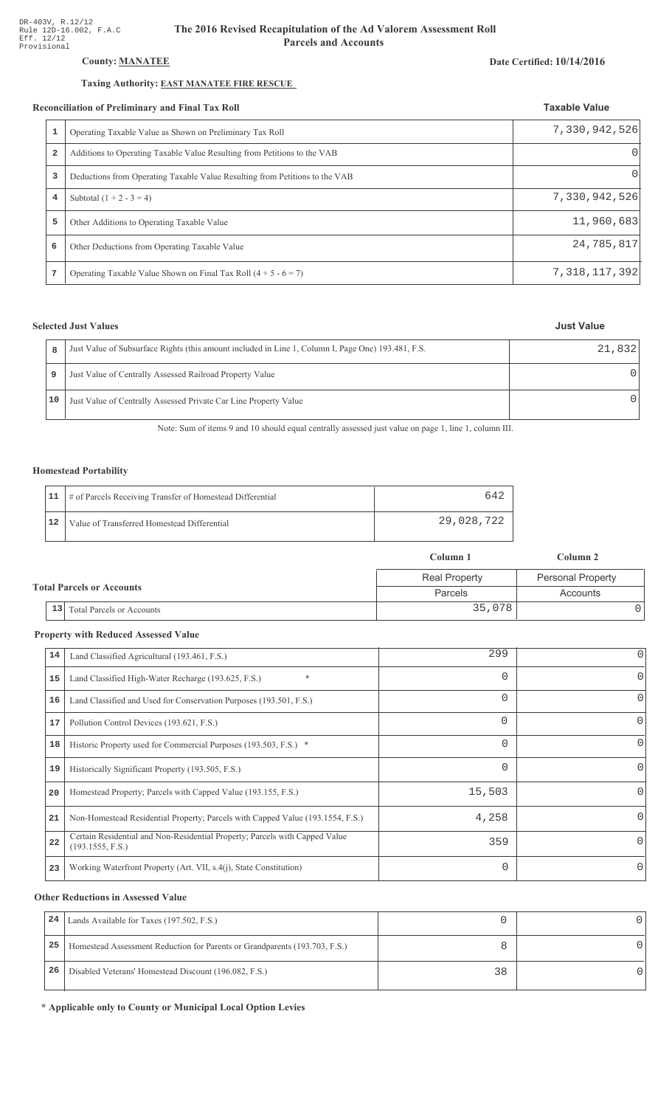## County: **MANATEE**

## Taxing Authority: **EAST MANATEE FIRE RESCUE**

#### Reconciliation of Preliminary and Final Tax Roll

| conciliation of Preliminary and Final Tax Roll |                                                                             | <b>Taxable Value</b> |
|------------------------------------------------|-----------------------------------------------------------------------------|----------------------|
| 1                                              | Operating Taxable Value as Shown on Preliminary Tax Roll                    | 7,330,942,526        |
| $\overline{\mathbf{2}}$                        | Additions to Operating Taxable Value Resulting from Petitions to the VAB    | $\Omega$             |
| 3                                              | Deductions from Operating Taxable Value Resulting from Petitions to the VAB | $\Omega$             |
| 4                                              | Subtotal $(1 + 2 - 3 = 4)$                                                  | 7,330,942,526        |
| 5                                              | Other Additions to Operating Taxable Value                                  | 11,960,683           |
| 6                                              | Other Deductions from Operating Taxable Value                               | 24,785,817           |
|                                                | Operating Taxable Value Shown on Final Tax Roll $(4 + 5 - 6 = 7)$           | 7, 318, 117, 392     |

## **Selected Just Values**

|    | Just Value of Subsurface Rights (this amount included in Line 1, Column I, Page One) 193.481, F.S. | 21,832           |
|----|----------------------------------------------------------------------------------------------------|------------------|
| 9  | Just Value of Centrally Assessed Railroad Property Value                                           | $\left( \right)$ |
| 10 | Just Value of Centrally Assessed Private Car Line Property Value                                   | U                |

Note: Sum of items 9 and 10 should equal centrally assessed just value on page 1, line 1, column III.

## Homestead Portability

|    | 11   # of Parcels Receiving Transfer of Homestead Differential | 64.        |
|----|----------------------------------------------------------------|------------|
| 12 | Value of Transferred Homestead Differential                    | 29,028,722 |

|                                        | Column 1             | Column 2                 |
|----------------------------------------|----------------------|--------------------------|
|                                        | <b>Real Property</b> | <b>Personal Property</b> |
| <b>Total Parcels or Accounts</b>       | Parcels              | Accounts                 |
| 13<br><b>Total Parcels or Accounts</b> | 35,078               |                          |

#### **Property with Reduced Assessed Value**

| 14 | Land Classified Agricultural (193.461, F.S.)                                                    | 299      | 0            |
|----|-------------------------------------------------------------------------------------------------|----------|--------------|
| 15 | $\ast$<br>Land Classified High-Water Recharge (193.625, F.S.)                                   | $\Omega$ | 0            |
| 16 | Land Classified and Used for Conservation Purposes (193.501, F.S.)                              | $\Omega$ | O            |
| 17 | Pollution Control Devices (193.621, F.S.)                                                       | $\Omega$ | 0            |
| 18 | Historic Property used for Commercial Purposes (193.503, F.S.) *                                | $\Omega$ | 0            |
| 19 | Historically Significant Property (193.505, F.S.)                                               | $\Omega$ | 0            |
| 20 | Homestead Property; Parcels with Capped Value (193.155, F.S.)                                   | 15,503   |              |
| 21 | Non-Homestead Residential Property; Parcels with Capped Value (193.1554, F.S.)                  | 4,258    | <sup>o</sup> |
| 22 | Certain Residential and Non-Residential Property; Parcels with Capped Value<br>(193.1555, F.S.) | 359      | 0            |
| 23 | Working Waterfront Property (Art. VII, s.4(j), State Constitution)                              | $\Omega$ | 0            |

#### **Other Reductions in Assessed Value**

| 24 | Lands Available for Taxes (197.502, F.S.)                                  |    |  |
|----|----------------------------------------------------------------------------|----|--|
| 25 | Homestead Assessment Reduction for Parents or Grandparents (193.703, F.S.) |    |  |
| 26 | Disabled Veterans' Homestead Discount (196.082, F.S.)                      | 38 |  |

\* Applicable only to County or Municipal Local Option Levies

# Date Certified: 10/14/2016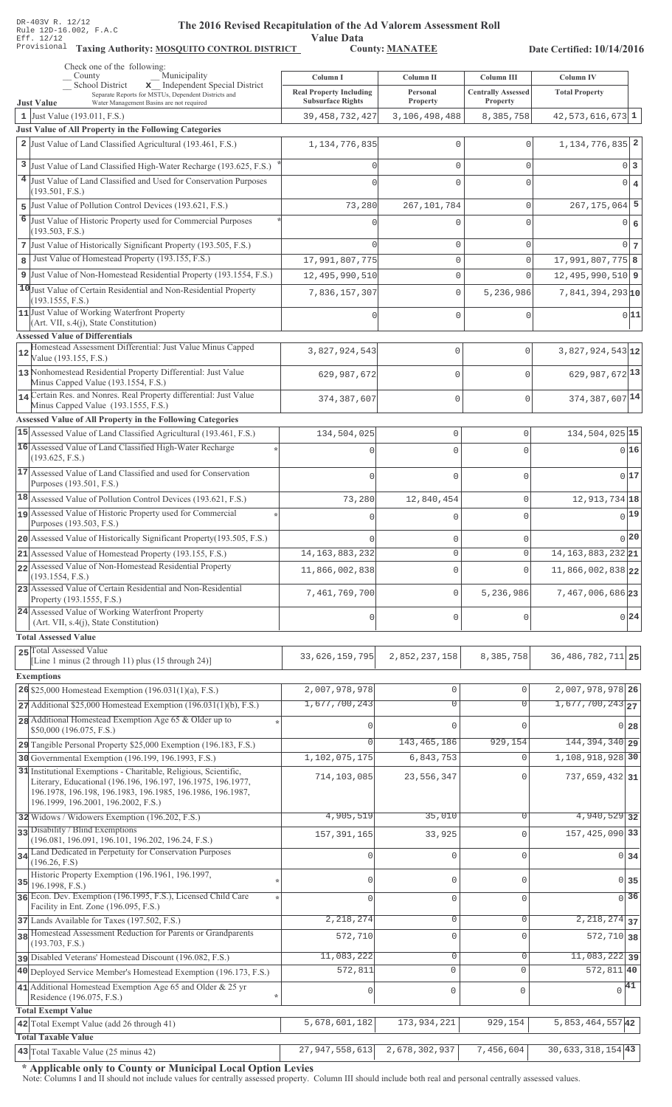# **The 2016 Rev** ised Recapitulation of the Ad Valorem Assessment Roll ation of ....<br>Value Data<br>County: <u>MANATEE</u>

Taxing Authority: **MOSQUITO CONTROL DISTRICT** County: **MANATEE** 

Date Certified: 10/14/2016

| Check one of the following:<br>Municipality<br>County                                                                                                                                                                                 |                                            |                       |                                         |                                    |
|---------------------------------------------------------------------------------------------------------------------------------------------------------------------------------------------------------------------------------------|--------------------------------------------|-----------------------|-----------------------------------------|------------------------------------|
| x Independent Special District<br>School District<br>Separate Reports for MSTUs, Dependent Districts and                                                                                                                              | Column I<br><b>Real Property Including</b> | Column II<br>Personal | Column III<br><b>Centrally Assessed</b> | Column IV<br><b>Total Property</b> |
| <b>Just Value</b><br>Water Management Basins are not required                                                                                                                                                                         | <b>Subsurface Rights</b>                   | Property              | Property                                |                                    |
| 1 Just Value (193.011, F.S.)                                                                                                                                                                                                          | 39, 458, 732, 427                          | 3,106,498,488         | 8,385,758                               | $42,573,616,673$ 1                 |
| Just Value of All Property in the Following Categories<br>2 Just Value of Land Classified Agricultural (193.461, F.S.)                                                                                                                |                                            |                       |                                         | 1, 134, 776, 835 2                 |
|                                                                                                                                                                                                                                       | 1, 134, 776, 835                           | 0                     | $\Omega$                                |                                    |
| 3 Just Value of Land Classified High-Water Recharge (193.625, F.S.)                                                                                                                                                                   |                                            | 0                     | $\mathbf{0}$                            | 0 <sup>3</sup>                     |
| 4 Just Value of Land Classified and Used for Conservation Purposes                                                                                                                                                                    |                                            | 0                     | $\Omega$                                | $0 \mid 4$                         |
| (193.501, F.S.)<br>5 Just Value of Pollution Control Devices (193.621, F.S.)                                                                                                                                                          | 73,280                                     | 267, 101, 784         | $\mathbf{0}$                            | $267, 175, 064$ 5                  |
| 6 Just Value of Historic Property used for Commercial Purposes                                                                                                                                                                        |                                            | 0                     | $\Omega$                                |                                    |
| (193.503, F.S.)                                                                                                                                                                                                                       |                                            |                       |                                         | $0 \mid 6$                         |
| 7 Just Value of Historically Significant Property (193.505, F.S.)                                                                                                                                                                     |                                            | 0                     | $\mathbf{0}$                            | 0 <sub>7</sub>                     |
| Just Value of Homestead Property (193.155, F.S.)<br>8                                                                                                                                                                                 | 17,991,807,775                             | 0                     | $\mathbf 0$                             | 17,991,807,775 8                   |
| 9 Just Value of Non-Homestead Residential Property (193.1554, F.S.)                                                                                                                                                                   | 12,495,990,510                             | 0                     | $\Omega$                                | $12,495,990,510$ 9                 |
| 10 Just Value of Certain Residential and Non-Residential Property                                                                                                                                                                     | 7,836,157,307                              | 0                     | 5,236,986                               | $7,841,394,293$ <sub>10</sub>      |
| (193.1555, F.S.)<br>11 Just Value of Working Waterfront Property                                                                                                                                                                      |                                            |                       |                                         |                                    |
| (Art. VII, s.4(j), State Constitution)                                                                                                                                                                                                |                                            | 0                     | $\mathbf 0$                             | 0 11                               |
| <b>Assessed Value of Differentials</b>                                                                                                                                                                                                |                                            |                       |                                         |                                    |
| Homestead Assessment Differential: Just Value Minus Capped<br>12<br>Value (193.155, F.S.)                                                                                                                                             | 3,827,924,543                              | 0                     | 0                                       | 3,827,924,543 12                   |
| 13 Nonhomestead Residential Property Differential: Just Value                                                                                                                                                                         | 629,987,672                                | $\Omega$              | $\Omega$                                | 629, 987, 672 13                   |
| Minus Capped Value (193.1554, F.S.)<br>14 Certain Res. and Nonres. Real Property differential: Just Value                                                                                                                             |                                            |                       |                                         |                                    |
| Minus Capped Value (193.1555, F.S.)                                                                                                                                                                                                   | 374,387,607                                | $\mathbf 0$           | $\Omega$                                | 374, 387, 607 14                   |
| Assessed Value of All Property in the Following Categories                                                                                                                                                                            |                                            |                       |                                         |                                    |
| 15 Assessed Value of Land Classified Agricultural (193.461, F.S.)                                                                                                                                                                     | 134,504,025                                | $\mathbb O$           | $\mathbf 0$                             | 134, 504, 025 15                   |
| 16 Assessed Value of Land Classified High-Water Recharge                                                                                                                                                                              |                                            | $\Omega$              | $\Omega$                                | 016                                |
| (193.625, F.S.)<br>17 Assessed Value of Land Classified and used for Conservation                                                                                                                                                     |                                            |                       |                                         |                                    |
| Purposes (193.501, F.S.)                                                                                                                                                                                                              | $\Omega$                                   | $\mathbf 0$           | $\Omega$                                | 017                                |
| 18 Assessed Value of Pollution Control Devices (193.621, F.S.)                                                                                                                                                                        | 73,280                                     | 12,840,454            | 0                                       | 12, 913, 734 18                    |
| 19 Assessed Value of Historic Property used for Commercial                                                                                                                                                                            |                                            | $\Omega$              | $\Omega$                                | 0 19                               |
| Purposes (193.503, F.S.)                                                                                                                                                                                                              |                                            |                       |                                         |                                    |
| 20 Assessed Value of Historically Significant Property (193.505, F.S.)                                                                                                                                                                |                                            | $\mathbf 0$           | $\Omega$                                | 0 20                               |
| 21 Assessed Value of Homestead Property (193.155, F.S.)                                                                                                                                                                               | 14, 163, 883, 232                          | $\circ$               | $\mathsf{O}\xspace$                     | $14, 163, 883, 232$ 21             |
| 22 Assessed Value of Non-Homestead Residential Property<br>(193.1554, F.S.)                                                                                                                                                           | 11,866,002,838                             | $\mathbf{0}$          | $\Omega$                                | 11,866,002,838 22                  |
| 23 Assessed Value of Certain Residential and Non-Residential                                                                                                                                                                          | 7,461,769,700                              | $\mathbf 0$           | 5,236,986                               | 7,467,006,686 23                   |
| Property (193.1555, F.S.)<br>24 Assessed Value of Working Waterfront Property                                                                                                                                                         |                                            |                       |                                         |                                    |
| (Art. VII, s.4(j), State Constitution)                                                                                                                                                                                                | $\Omega$                                   | $\mathbf 0$           | U                                       | 0 24                               |
| <b>Total Assessed Value</b>                                                                                                                                                                                                           |                                            |                       |                                         |                                    |
| 25 Total Assessed Value<br>[Line 1 minus (2 through 11) plus (15 through 24)]                                                                                                                                                         | 33,626,159,795                             | 2,852,237,158         | 8,385,758                               | 36, 486, 782, 711 25               |
| <b>Exemptions</b>                                                                                                                                                                                                                     |                                            |                       |                                         |                                    |
| 26 \$25,000 Homestead Exemption (196.031(1)(a), F.S.)                                                                                                                                                                                 | 2,007,978,978                              | $\mathbb O$           | $\mathbf 0$                             | 2,007,978,978 26                   |
| 27 Additional \$25,000 Homestead Exemption (196.031(1)(b), F.S.)                                                                                                                                                                      | 1,677,700,243                              | $\overline{0}$        | $\overline{0}$                          | $1,677,700,243$ <sub>27</sub>      |
| 28 Additional Homestead Exemption Age 65 & Older up to                                                                                                                                                                                |                                            |                       |                                         |                                    |
| \$50,000 (196.075, F.S.)                                                                                                                                                                                                              |                                            | $\Omega$              |                                         | $0\vert 28$                        |
| 29 Tangible Personal Property \$25,000 Exemption (196.183, F.S.)                                                                                                                                                                      |                                            | 143, 465, 186         | 929,154                                 | 144, 394, 340 29                   |
| 30 Governmental Exemption (196.199, 196.1993, F.S.)                                                                                                                                                                                   | 1,102,075,175                              | 6,843,753             | $\Omega$                                | 1,108,918,928 30                   |
| 31 Institutional Exemptions - Charitable, Religious, Scientific,<br>Literary, Educational (196.196, 196.197, 196.1975, 196.1977,<br>196.1978, 196.198, 196.1983, 196.1985, 196.1986, 196.1987,<br>196.1999, 196.2001, 196.2002, F.S.) | 714,103,085                                | 23,556,347            |                                         | $737,659,432$ 31                   |
| 32 Widows / Widowers Exemption (196.202, F.S.)                                                                                                                                                                                        | 4,905,519                                  | 35,010                | $\Omega$                                | 4,940,529 32                       |
| 33 Disability / Blind Exemptions                                                                                                                                                                                                      | 157, 391, 165                              | 33,925                | $\Omega$                                | 157, 425, 090 33                   |
| (196.081, 196.091, 196.101, 196.202, 196.24, F.S.)<br>34 Land Dedicated in Perpetuity for Conservation Purposes                                                                                                                       |                                            |                       |                                         |                                    |
| (196.26, F.S)                                                                                                                                                                                                                         |                                            | 0                     | $\cap$                                  | $0 \overline{\smash{34}}$          |
| Historic Property Exemption (196.1961, 196.1997,<br>$35$ 196.1998, F.S.)                                                                                                                                                              | O                                          | 0                     | $\mathbf{0}$                            | 0 35                               |
| 36 Econ. Dev. Exemption (196.1995, F.S.), Licensed Child Care                                                                                                                                                                         | $\cap$                                     | $\overline{0}$        | $\mathbf 0$                             | 36<br>$\Omega$                     |
| Facility in Ent. Zone (196.095, F.S.)<br>37 Lands Available for Taxes (197.502, F.S.)                                                                                                                                                 | 2, 218, 274                                | $\mathbf 0$           | 0                                       | $2,218,274$ 37                     |
| 38 Homestead Assessment Reduction for Parents or Grandparents                                                                                                                                                                         |                                            | $\mathbf{0}$          | $\Omega$                                | $572, 710$ 38                      |
| (193.703, F.S.)                                                                                                                                                                                                                       | 572,710                                    |                       |                                         |                                    |
| pisabled Veterans' Homestead Discount (196.082, F.S.)                                                                                                                                                                                 | 11,083,222                                 | $\mathbf 0$           | $\mathbf 0$                             | $11,083,222$ 39                    |
| 40 Deployed Service Member's Homestead Exemption (196.173, F.S.)                                                                                                                                                                      | 572,811                                    | $\circ$               | $\Omega$                                | $572,811$ 40                       |
| 41 Additional Homestead Exemption Age 65 and Older & 25 yr<br>Residence (196.075, F.S.)                                                                                                                                               | $\Omega$                                   | $\mathbf 0$           | $\mathbf 0$                             | $\sqrt{41}$                        |
| <b>Total Exempt Value</b>                                                                                                                                                                                                             |                                            |                       |                                         |                                    |
| 42 Total Exempt Value (add 26 through 41)                                                                                                                                                                                             | 5,678,601,182                              | 173,934,221           | 929,154                                 | $5,853,464,557$ 42                 |
| <b>Total Taxable Value</b>                                                                                                                                                                                                            |                                            |                       |                                         |                                    |
| 43 Total Taxable Value (25 minus 42)                                                                                                                                                                                                  | 27,947,558,613                             | 2,678,302,937         | 7,456,604                               | $30,633,318,154$ 43                |

\* Applicable only to County or Municipal Local Option Levies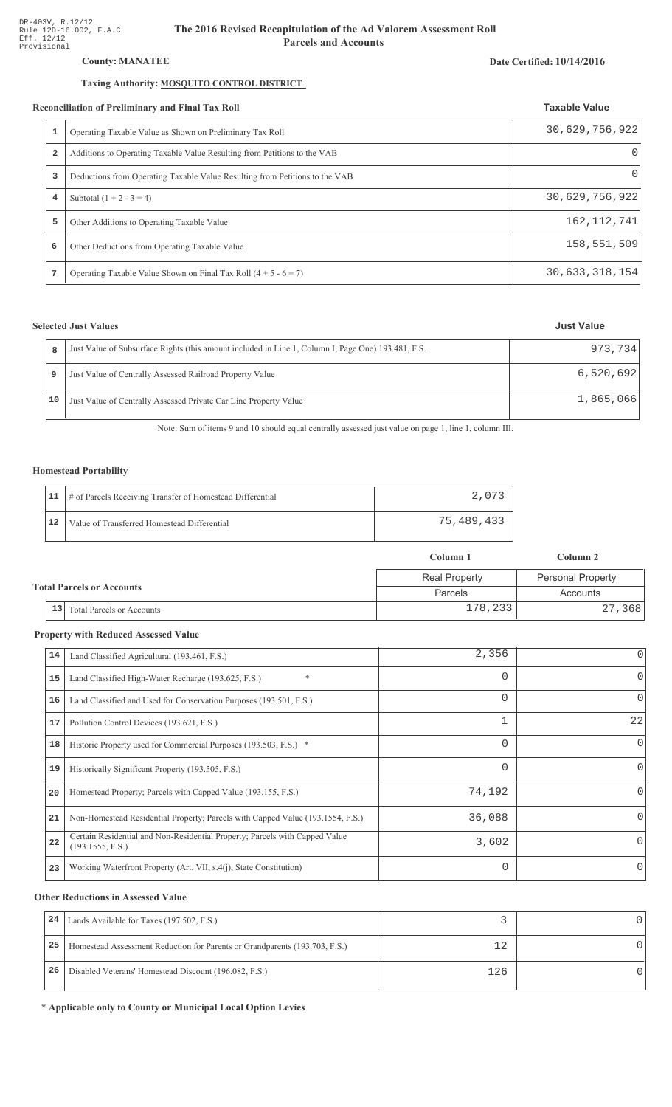## County: **MANATEE**

## Taxing Authority: MOSQUITO CONTROL DISTRICT

### Reconciliation of Preliminary and Final Tax Roll

| conciliation of Preliminary and Final Tax Roll |                                                                             | <b>Taxable Value</b> |  |
|------------------------------------------------|-----------------------------------------------------------------------------|----------------------|--|
| 1                                              | Operating Taxable Value as Shown on Preliminary Tax Roll                    | 30,629,756,922       |  |
| $\overline{a}$                                 | Additions to Operating Taxable Value Resulting from Petitions to the VAB    | $\Omega$             |  |
| 3                                              | Deductions from Operating Taxable Value Resulting from Petitions to the VAB | $\Omega$             |  |
| 4                                              | Subtotal $(1 + 2 - 3 = 4)$                                                  | 30,629,756,922       |  |
| 5                                              | Other Additions to Operating Taxable Value                                  | 162, 112, 741        |  |
| 6                                              | Other Deductions from Operating Taxable Value                               | 158,551,509          |  |
|                                                | Operating Taxable Value Shown on Final Tax Roll $(4 + 5 - 6 = 7)$           | 30,633,318,154       |  |

## **Selected Just Values**

|    | Just Value of Subsurface Rights (this amount included in Line 1, Column I, Page One) 193.481, F.S. | 973.734   |
|----|----------------------------------------------------------------------------------------------------|-----------|
|    | Just Value of Centrally Assessed Railroad Property Value                                           | 6,520,692 |
| 10 | Just Value of Centrally Assessed Private Car Line Property Value                                   | 1,865,066 |

Note: Sum of items 9 and 10 should equal centrally assessed just value on page 1, line 1, column III.

## Homestead Portability

|    | 11   # of Parcels Receiving Transfer of Homestead Differential | 2,073      |
|----|----------------------------------------------------------------|------------|
| 12 | Value of Transferred Homestead Differential                    | 75,489,433 |

|                                  |                                        | Column 1             | Column 2                 |
|----------------------------------|----------------------------------------|----------------------|--------------------------|
| <b>Total Parcels or Accounts</b> |                                        | <b>Real Property</b> | <b>Personal Property</b> |
|                                  |                                        | Parcels              | Accounts                 |
|                                  | 13<br><b>Total Parcels or Accounts</b> | 178,233              | 27,368                   |

#### **Property with Reduced Assessed Value**

| 14 | Land Classified Agricultural (193.461, F.S.)                                                    | 2,356    |          |
|----|-------------------------------------------------------------------------------------------------|----------|----------|
| 15 | $\ast$<br>Land Classified High-Water Recharge (193.625, F.S.)                                   | 0        | $\Omega$ |
| 16 | Land Classified and Used for Conservation Purposes (193.501, F.S.)                              | $\Omega$ | 0        |
| 17 | Pollution Control Devices (193.621, F.S.)                                                       | 1        | 22       |
| 18 | Historic Property used for Commercial Purposes (193.503, F.S.) *                                | 0        | $\Omega$ |
| 19 | Historically Significant Property (193.505, F.S.)                                               | 0        | $\Omega$ |
| 20 | Homestead Property; Parcels with Capped Value (193.155, F.S.)                                   | 74,192   |          |
| 21 | Non-Homestead Residential Property; Parcels with Capped Value (193.1554, F.S.)                  | 36,088   |          |
| 22 | Certain Residential and Non-Residential Property; Parcels with Capped Value<br>(193.1555, F.S.) | 3,602    | $\Omega$ |
| 23 | Working Waterfront Property (Art. VII, s.4(j), State Constitution)                              | $\Omega$ | $\Omega$ |

#### **Other Reductions in Assessed Value**

| 24 | Lands Available for Taxes (197.502, F.S.)                                  |     |  |
|----|----------------------------------------------------------------------------|-----|--|
| 25 | Homestead Assessment Reduction for Parents or Grandparents (193.703, F.S.) |     |  |
| 26 | Disabled Veterans' Homestead Discount (196.082, F.S.)                      | 126 |  |

\* Applicable only to County or Municipal Local Option Levies

# Date Certified: 10/14/2016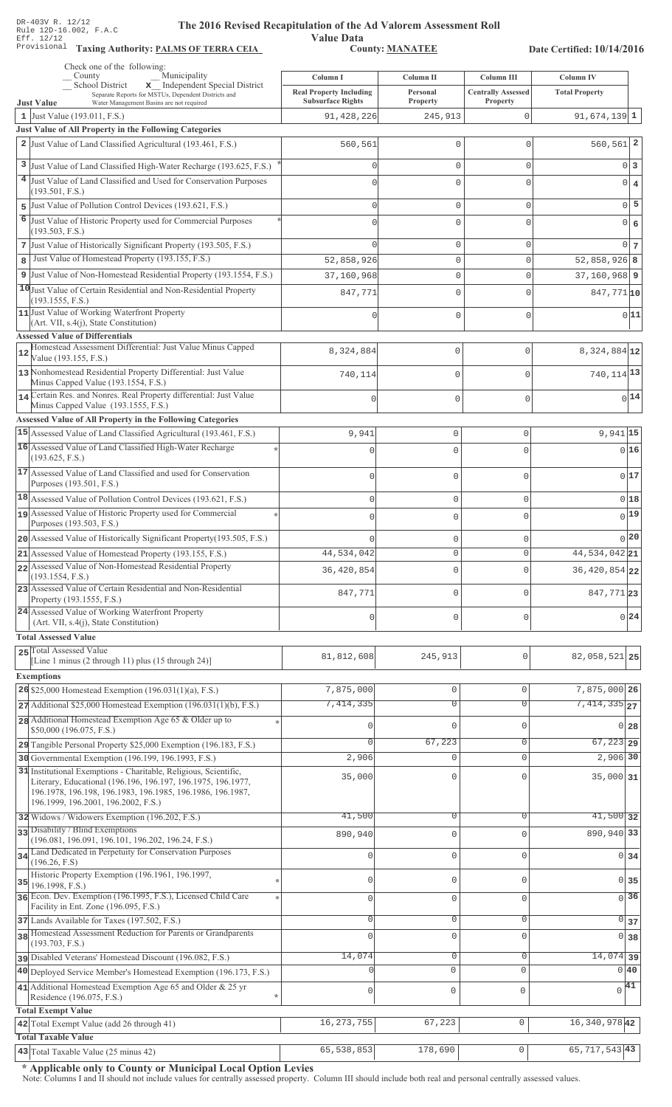Value Data<br>County: MANATEE

Taxing Authority: PALMS OF TERRA CEIA COUNTY: MANATEE

Date Certified: 10/14/2016

| Check one of the following:<br>Municipality<br>County                                                                      | Column I                               | Column II           | Column III                | Column IV                        |  |
|----------------------------------------------------------------------------------------------------------------------------|----------------------------------------|---------------------|---------------------------|----------------------------------|--|
| x Independent Special District<br>School District<br>Separate Reports for MSTUs, Dependent Districts and                   | <b>Real Property Including</b>         | Personal            | <b>Centrally Assessed</b> | <b>Total Property</b>            |  |
| <b>Just Value</b><br>Water Management Basins are not required<br>1 Just Value (193.011, F.S.)                              | <b>Subsurface Rights</b><br>91,428,226 | Property<br>245,913 | Property<br>0             | $91,674,139$ 1                   |  |
| Just Value of All Property in the Following Categories                                                                     |                                        |                     |                           |                                  |  |
| 2 Just Value of Land Classified Agricultural (193.461, F.S.)                                                               | 560,561                                | $\mathbf 0$         | $\mathbf 0$               | $560, 561$ 2                     |  |
| 3 Just Value of Land Classified High-Water Recharge (193.625, F.S.)                                                        |                                        | $\mathbf{0}$        | $\mathbf 0$               | $0\vert 3$                       |  |
| <sup>4</sup> Just Value of Land Classified and Used for Conservation Purposes                                              |                                        | $\mathbf{0}$        | $\Omega$                  |                                  |  |
| (193.501, F.S.)                                                                                                            |                                        |                     |                           | $0 \mid 4$                       |  |
| 5 Just Value of Pollution Control Devices (193.621, F.S.)                                                                  |                                        | $\mathbf{0}$        | $\mathbf 0$               | $0$ 5                            |  |
| 6<br>Just Value of Historic Property used for Commercial Purposes                                                          |                                        | $\mathbf{0}$        | $\Omega$                  | $0 \big  6$                      |  |
| (193.503, F.S.)<br>7 Just Value of Historically Significant Property (193.505, F.S.)                                       |                                        | $\mathbf{0}$        | $\mathbf 0$               | $0\overline{7}$                  |  |
| Just Value of Homestead Property (193.155, F.S.)<br>8                                                                      | 52,858,926                             | $\mathsf{O}\xspace$ | $\mathbf 0$               | $52,858,926$ 8                   |  |
| 9 Just Value of Non-Homestead Residential Property (193.1554, F.S.)                                                        | 37,160,968                             | $\mathbb O$         | $\mathbf 0$               | $37, 160, 968$ 9                 |  |
| 10 Just Value of Certain Residential and Non-Residential Property                                                          | 847,771                                | $\mathbf 0$         | $\Omega$                  | 847,771 10                       |  |
| (193.1555, F.S.)                                                                                                           |                                        |                     |                           |                                  |  |
| 11 Just Value of Working Waterfront Property<br>(Art. VII, s.4(j), State Constitution)                                     |                                        | $\mathbf 0$         | $\mathbf 0$               | 0 11                             |  |
| <b>Assessed Value of Differentials</b>                                                                                     |                                        |                     |                           |                                  |  |
| Homestead Assessment Differential: Just Value Minus Capped<br>12                                                           | 8,324,884                              | 0                   | $\mathbf{0}$              | 8,324,884 12                     |  |
| Value (193.155, F.S.)<br>13 Nonhomestead Residential Property Differential: Just Value                                     |                                        |                     |                           |                                  |  |
| Minus Capped Value (193.1554, F.S.)                                                                                        | 740,114                                | 0                   | $\mathbf{0}$              | 740, 114 13                      |  |
| 14 Certain Res. and Nonres. Real Property differential: Just Value                                                         |                                        | 0                   | $\mathbf 0$               | $0$ <sup>14</sup>                |  |
| Minus Capped Value (193.1555, F.S.)<br>Assessed Value of All Property in the Following Categories                          |                                        |                     |                           |                                  |  |
| 15 Assessed Value of Land Classified Agricultural (193.461, F.S.)                                                          | 9,941                                  | $\mathbf 0$         | 0                         | $9,941$ 15                       |  |
| 16 Assessed Value of Land Classified High-Water Recharge                                                                   | $\Omega$                               | $\mathbf 0$         | O                         | 0 16                             |  |
| (193.625, F.S.)                                                                                                            |                                        |                     |                           |                                  |  |
| 17 Assessed Value of Land Classified and used for Conservation                                                             | $\mathbf{0}$                           | $\mathbf 0$         | 0                         | 0 17                             |  |
| Purposes (193.501, F.S.)<br>$18$ Assessed Value of Pollution Control Devices (193.621, F.S.)                               |                                        |                     |                           | 018                              |  |
| 19 Assessed Value of Historic Property used for Commercial                                                                 | $\mathbf{0}$                           | $\mathbf 0$         | 0                         | $0$ <sup>19</sup>                |  |
| Purposes (193.503, F.S.)                                                                                                   | $\mathbf 0$                            | $\mathbf 0$         | $\Omega$                  |                                  |  |
| 20 Assessed Value of Historically Significant Property (193.505, F.S.)                                                     |                                        | $\mathbf 0$         | U                         | 0 20                             |  |
| 21 Assessed Value of Homestead Property (193.155, F.S.)                                                                    | 44,534,042                             | $\mathbb O$         | 0                         | $\overline{44,534,042}$ 21       |  |
| 22 Assessed Value of Non-Homestead Residential Property<br>(193.1554, F.S.)                                                | 36, 420, 854                           | $\mathbf{0}$        | U                         | 36, 420, 854 22                  |  |
| 23 Assessed Value of Certain Residential and Non-Residential                                                               | 847,771                                | $\mathbf 0$         | O                         |                                  |  |
| Property (193.1555, F.S.)                                                                                                  |                                        |                     |                           | 847,77123                        |  |
| 24 Assessed Value of Working Waterfront Property<br>(Art. VII, s.4(j), State Constitution)                                 | $\theta$                               | $\mathbf 0$         | U                         | 0 24                             |  |
| <b>Total Assessed Value</b>                                                                                                |                                        |                     |                           |                                  |  |
| 25 Total Assessed Value                                                                                                    |                                        |                     |                           |                                  |  |
| [Line 1 minus (2 through 11) plus (15 through 24)]                                                                         | 81,812,608                             | 245,913             | 0                         | 82,058,521 25                    |  |
| <b>Exemptions</b>                                                                                                          |                                        |                     |                           |                                  |  |
| 26 \$25,000 Homestead Exemption $(196.031(1)(a), F.S.)$                                                                    | 7,875,000                              | $\mathbb O$         | $\mathbf 0$               | 7,875,000 26                     |  |
| $27$ Additional \$25,000 Homestead Exemption (196.031(1)(b), F.S.)                                                         | 7,414,335                              | $\overline{0}$      | $\overline{0}$            | $7,414,335$ <sub>27</sub>        |  |
| 28 Additional Homestead Exemption Age 65 & Older up to<br>\$50,000 (196.075, F.S.)                                         | O                                      | $\mathbf{0}$        | $\Omega$                  | $0$ 28                           |  |
| 29 Tangible Personal Property \$25,000 Exemption (196.183, F.S.)                                                           |                                        | 67,223              | $\mathbf 0$               | $67,223$ 29                      |  |
| 30 Governmental Exemption (196.199, 196.1993, F.S.)                                                                        | 2,906                                  | $\mathbf 0$         | $\Omega$                  | 2,906 30                         |  |
| 31 Institutional Exemptions - Charitable, Religious, Scientific,                                                           | 35,000                                 | $\mathbf{0}$        |                           | 35,000 31                        |  |
| Literary, Educational (196.196, 196.197, 196.1975, 196.1977,<br>196.1978, 196.198, 196.1983, 196.1985, 196.1986, 196.1987, |                                        |                     |                           |                                  |  |
| 196.1999, 196.2001, 196.2002, F.S.)                                                                                        |                                        |                     |                           |                                  |  |
| 32 Widows / Widowers Exemption (196.202, F.S.)                                                                             | 41,500                                 | $\overline{0}$      | $\Omega$                  | $41,500$ 32                      |  |
| 33 Disability / Blind Exemptions<br>(196.081, 196.091, 196.101, 196.202, 196.24, F.S.)                                     | 890,940                                | $\mathbf 0$         | $\Omega$                  | 890,940 33                       |  |
| 34 Land Dedicated in Perpetuity for Conservation Purposes                                                                  |                                        | $\mathbb O$         | $\Omega$                  | $0 \overline{\smash{34}}$        |  |
| (196.26, F.S)<br>Historic Property Exemption (196.1961, 196.1997,                                                          |                                        |                     |                           |                                  |  |
| 35<br>196.1998, F.S.)                                                                                                      | Ω                                      | $\mathbb O$         | $\mathbf 0$               | 0 35                             |  |
| 36 Econ. Dev. Exemption (196.1995, F.S.), Licensed Child Care<br>Facility in Ent. Zone (196.095, F.S.)                     | 0                                      | $\mathbf 0$         | $\mathbf 0$               | $\overline{0}$ 36                |  |
| 37 Lands Available for Taxes (197.502, F.S.)                                                                               | 0                                      | $\mathbf 0$         | 0                         | $0 \overline{\smash{\big)}\ 37}$ |  |
| 38 Homestead Assessment Reduction for Parents or Grandparents                                                              | $\Omega$                               | $\mathbf 0$         | $\mathbf 0$               | 0 38                             |  |
| (193.703, F.S.)                                                                                                            |                                        |                     |                           |                                  |  |
| pisabled Veterans' Homestead Discount (196.082, F.S.)                                                                      | 14,074                                 | $\mathbf 0$         | $\mathbf 0$               | $14,074$ 39                      |  |
| 40 Deployed Service Member's Homestead Exemption (196.173, F.S.)                                                           |                                        | 0                   | $\mathbf{0}$              | 0 40                             |  |
| 41 Additional Homestead Exemption Age 65 and Older & 25 yr<br>Residence (196.075, F.S.)                                    | 0                                      | $\mathbf 0$         | $\mathbf 0$               | $\sqrt{41}$                      |  |
| <b>Total Exempt Value</b>                                                                                                  |                                        |                     |                           |                                  |  |
| 42 Total Exempt Value (add 26 through 41)                                                                                  | 16, 273, 755                           | 67,223              | $\mathbf{0}$              | 16, 340, 978 42                  |  |
| <b>Total Taxable Value</b>                                                                                                 |                                        |                     |                           |                                  |  |
| 43 Total Taxable Value (25 minus 42)                                                                                       | 65,538,853                             | 178,690             | $\mathsf{O}\xspace$       | 65, 717, 543 43                  |  |

\* Applicable only to County or Municipal Local Option Levies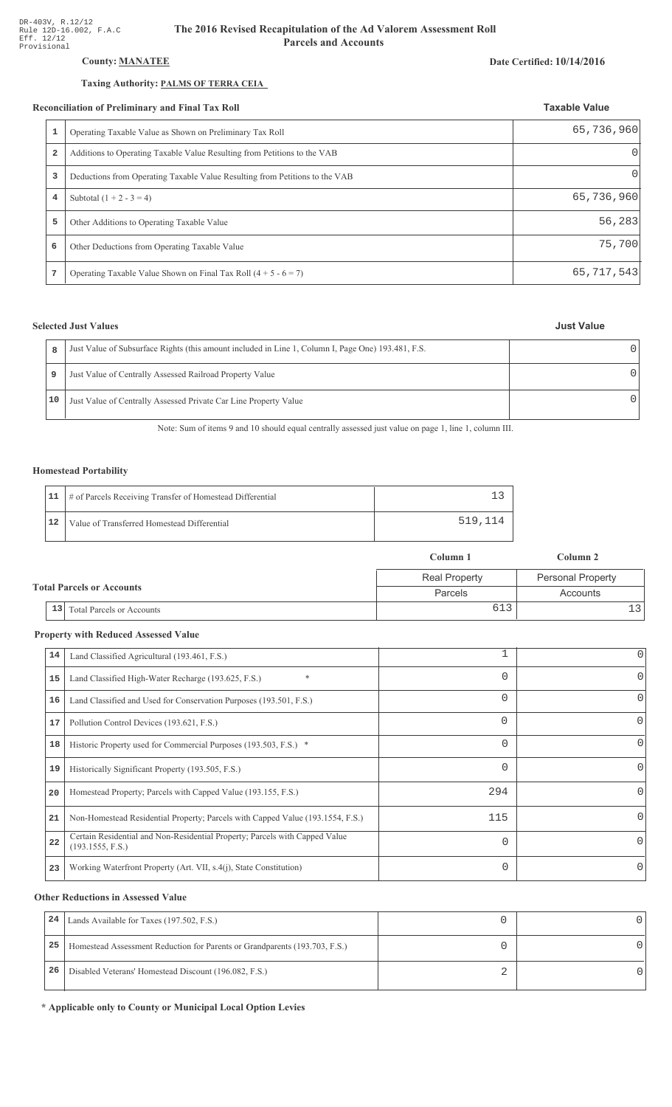## **County: MANATEE**

## Taxing Authority: PALMS OF TERRA CEIA

### Reconciliation of Preliminary and Final Tax Roll

|                         | conciliation of Preliminary and Final Tax Roll                              | <b>Taxable Value</b> |
|-------------------------|-----------------------------------------------------------------------------|----------------------|
| 1                       | Operating Taxable Value as Shown on Preliminary Tax Roll                    | 65,736,960           |
| $\overline{\mathbf{2}}$ | Additions to Operating Taxable Value Resulting from Petitions to the VAB    | $\Omega$             |
| 3                       | Deductions from Operating Taxable Value Resulting from Petitions to the VAB | $\Omega$             |
| 4                       | Subtotal $(1 + 2 - 3 = 4)$                                                  | 65,736,960           |
| 5                       | Other Additions to Operating Taxable Value                                  | 56,283               |
| 6                       | Other Deductions from Operating Taxable Value                               | 75,700               |
|                         | Operating Taxable Value Shown on Final Tax Roll $(4 + 5 - 6 = 7)$           | 65,717,543           |

## **Selected Just Values**

| 8    | Just Value of Subsurface Rights (this amount included in Line 1, Column I, Page One) 193.481, F.S. |  |
|------|----------------------------------------------------------------------------------------------------|--|
| 9    | Just Value of Centrally Assessed Railroad Property Value                                           |  |
| 10 I | Just Value of Centrally Assessed Private Car Line Property Value                                   |  |

Note: Sum of items 9 and 10 should equal centrally assessed just value on page 1, line 1, column III.

## **Homestead Portability**

|    | 11   # of Parcels Receiving Transfer of Homestead Differential |         |
|----|----------------------------------------------------------------|---------|
| 12 | Value of Transferred Homestead Differential                    | 519,114 |

|  |    |                                  | Column 1             | Column 2                 |
|--|----|----------------------------------|----------------------|--------------------------|
|  |    |                                  | <b>Real Property</b> | <b>Personal Property</b> |
|  |    | <b>Total Parcels or Accounts</b> | Parcels              | Accounts                 |
|  | 13 | <b>Total Parcels or Accounts</b> | 613                  |                          |

## **Property with Reduced Assessed Value**

| 14 | Land Classified Agricultural (193.461, F.S.)                                                    |          | 0        |
|----|-------------------------------------------------------------------------------------------------|----------|----------|
| 15 | *<br>Land Classified High-Water Recharge (193.625, F.S.)                                        | 0        | 0        |
| 16 | Land Classified and Used for Conservation Purposes (193.501, F.S.)                              | 0        |          |
| 17 | Pollution Control Devices (193.621, F.S.)                                                       | 0        | 0        |
| 18 | Historic Property used for Commercial Purposes (193.503, F.S.) *                                | 0        |          |
| 19 | Historically Significant Property (193.505, F.S.)                                               | $\Omega$ | 0        |
| 20 | Homestead Property; Parcels with Capped Value (193.155, F.S.)                                   | 294      | 0        |
| 21 | Non-Homestead Residential Property; Parcels with Capped Value (193.1554, F.S.)                  | 115      | 0        |
| 22 | Certain Residential and Non-Residential Property; Parcels with Capped Value<br>(193.1555, F.S.) | $\Omega$ | $\Omega$ |
| 23 | Working Waterfront Property (Art. VII, s.4(j), State Constitution)                              | $\Omega$ |          |
|    |                                                                                                 |          |          |

## **Other Reductions in Assessed Value**

| 24 | Lands Available for Taxes (197.502, F.S.)                                  |  |
|----|----------------------------------------------------------------------------|--|
| 25 | Homestead Assessment Reduction for Parents or Grandparents (193.703, F.S.) |  |
| 26 | Disabled Veterans' Homestead Discount (196.082, F.S.)                      |  |

\* Applicable only to County or Municipal Local Option Levies

### Date Certified: 10/14/2016

|  | <b>Just Value</b> |
|--|-------------------|
|--|-------------------|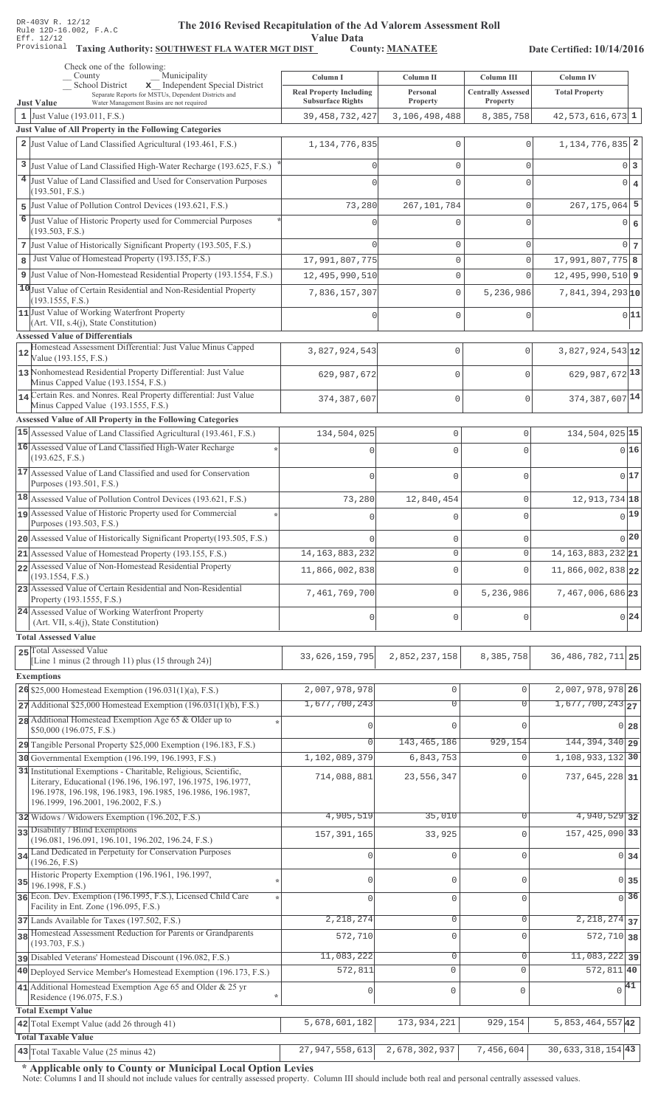Value Data<br>
County: <u>MANATEE</u>

Taxing Authority: SOUTHWEST FLA WATER MGT DIST County: MANATEE

Date Certified: 10/14/2016

| School District<br>x Independent Special District<br><b>Real Property Including</b><br><b>Centrally Assessed</b><br><b>Total Property</b><br>Personal<br>Separate Reports for MSTUs, Dependent Districts and<br><b>Subsurface Rights</b><br>Property<br>Property<br><b>Just Value</b><br>Water Management Basins are not required<br>8,385,758<br>$42,573,616,673$ 1<br>1 Just Value (193.011, F.S.)<br>39, 458, 732, 427<br>3,106,498,488<br>Just Value of All Property in the Following Categories<br>2 Just Value of Land Classified Agricultural (193.461, F.S.)<br>1, 134, 776, 835<br>$\Omega$<br>$\Omega$<br>3<br>Just Value of Land Classified High-Water Recharge (193.625, F.S.)<br>$0\vert 3$<br>$\mathbf 0$<br>$\mathbf{0}$<br>4 Just Value of Land Classified and Used for Conservation Purposes<br> 0 <br>$\Omega$<br>$\mathbf{0}$<br>$\overline{4}$<br>U<br>(193.501, F.S.)<br>5 Just Value of Pollution Control Devices (193.621, F.S.)<br>73,280<br>267, 101, 784<br>$\mathsf{O}\xspace$<br>6<br>Just Value of Historic Property used for Commercial Purposes<br>0 6<br>$\mathbf{0}$<br>$\Omega$<br>(193.503, F.S.)<br>7 Just Value of Historically Significant Property (193.505, F.S.)<br>$\mathbf 0$<br>$\mathsf{O}\xspace$<br>Just Value of Homestead Property (193.155, F.S.)<br>$17,991,807,775$ 8<br>8<br>17,991,807,775<br>$\mathbf 0$<br>$\mathbf{0}$<br>9 Just Value of Non-Homestead Residential Property (193.1554, F.S.)<br>$\mathbf{0}$<br>12, 495, 990, 510<br>$\Omega$<br>10 Just Value of Certain Residential and Non-Residential Property<br>7,836,157,307<br>$\mathbf{0}$<br>5,236,986<br>(193.1555, F.S.)<br>11 Just Value of Working Waterfront Property<br>$\mathbf{0}$<br>$\mathbf{0}$<br>$\Omega$<br>(Art. VII, s.4(j), State Constitution)<br><b>Assessed Value of Differentials</b><br>Homestead Assessment Differential: Just Value Minus Capped<br>3,827,924,543<br>0<br>$\mathbf{0}$<br>12<br>Value (193.155, F.S.)<br>13 Nonhomestead Residential Property Differential: Just Value<br>629,987,672<br>0<br>$\Omega$<br>Minus Capped Value (193.1554, F.S.)<br>14 Certain Res. and Nonres. Real Property differential: Just Value<br>0<br>$\mathbf{0}$<br>374,387,607<br>Minus Capped Value (193.1555, F.S.)<br>Assessed Value of All Property in the Following Categories<br>15 Assessed Value of Land Classified Agricultural (193.461, F.S.)<br>134, 504, 025 15<br>134,504,025<br>$\mathbf 0$<br>$\mathbf 0$<br>16 Assessed Value of Land Classified High-Water Recharge<br>016<br>$\Omega$<br>$\cap$<br>(193.625, F.S.)<br>17 Assessed Value of Land Classified and used for Conservation<br>0 17<br>$\Omega$<br>$\Omega$<br>Purposes (193.501, F.S.)<br>18 Assessed Value of Pollution Control Devices (193.621, F.S.)<br>12, 913, 734 18<br>73,280<br>$\mathbf 0$<br>12,840,454<br>19 Assessed Value of Historic Property used for Commercial<br>$0$ <sup>19</sup><br>$\Omega$<br>$\cap$<br>Purposes (193.503, F.S.)<br>0 20<br>20 Assessed Value of Historically Significant Property (193.505, F.S.)<br>$\mathbf 0$<br>$\mathbf 0$<br>14, 163, 883, 232 21<br>14, 163, 883, 232<br>$\mathsf{O}\xspace$<br>$21$ Assessed Value of Homestead Property (193.155, F.S.)<br>$\circ$<br>22 Assessed Value of Non-Homestead Residential Property<br>11,866,002,838 22<br>11,866,002,838<br>$\mathbf 0$<br>$\Omega$<br>(193.1554, F.S.)<br>23 Assessed Value of Certain Residential and Non-Residential<br>7,467,006,686 23<br>7,461,769,700<br>$\mathsf 0$<br>5,236,986<br>Property (193.1555, F.S.)<br>24 Assessed Value of Working Waterfront Property<br>0 24<br>$\mathbf 0$<br>$\Omega$<br>$\cap$<br>(Art. VII, s.4(j), State Constitution)<br><b>Total Assessed Value</b><br>25 Total Assessed Value<br>36, 486, 782, 711 25<br>33,626,159,795<br>2,852,237,158<br>8,385,758<br>[Line 1 minus (2 through 11) plus (15 through 24)]<br><b>Exemptions</b><br>2,007,978,978 26<br>26 \$25,000 Homestead Exemption $(196.031(1)(a), F.S.)$<br>2,007,978,978<br>$\mathsf{O}\xspace$<br>$\mathbf 0$<br>1,677,700,243<br>$1,677,700,243$ <sub>27</sub><br>$\overline{0}$<br>$\Omega$<br>$27$ Additional \$25,000 Homestead Exemption (196.031(1)(b), F.S.)<br>28 Additional Homestead Exemption Age 65 & Older up to<br>$\Omega$<br>$\Omega$<br>$0\vert 28$<br>0<br>\$50,000 (196.075, F.S.)<br>143, 465, 186<br>929, 154<br>144, 394, 340 29<br>$\Omega$<br>29 Tangible Personal Property \$25,000 Exemption (196.183, F.S.)<br>1, 108, 933, 132 30<br>30 Governmental Exemption (196.199, 196.1993, F.S.)<br>1,102,089,379<br>6,843,753<br>$\Omega$<br>31 Institutional Exemptions - Charitable, Religious, Scientific,<br>714,088,881<br>23,556,347<br>737,645,228 31<br>$\Omega$<br>Literary, Educational (196.196, 196.197, 196.1975, 196.1977,<br>196.1978, 196.198, 196.1983, 196.1985, 196.1986, 196.1987,<br>196.1999, 196.2001, 196.2002, F.S.)<br>4,940,529 32<br>4,905,519<br>35,010<br>0<br>32 Widows / Widowers Exemption (196.202, F.S.)<br>33 Disability / Blind Exemptions<br>157, 425, 090 33<br>33,925<br>$\Omega$<br>157, 391, 165<br>(196.081, 196.091, 196.101, 196.202, 196.24, F.S.)<br>34 Land Dedicated in Perpetuity for Conservation Purposes<br>$\mathbf 0$<br>$\Omega$<br>0 <sub>34</sub><br>$\mathbf 0$<br>(196.26, F.S)<br>Historic Property Exemption (196.1961, 196.1997,<br>0<br>$\mathbf 0$<br>$\mathbf 0$<br>$0\overline{35}$<br>35 <br>196.1998, F.S.)<br>36 Econ. Dev. Exemption (196.1995, F.S.), Licensed Child Care<br>$\overline{0}$ 36<br>$\mathsf{O}\xspace$<br>$\cap$<br>$\Omega$<br>Facility in Ent. Zone (196.095, F.S.)<br>2, 218, 274<br>$\overline{2,218,274}$ 37<br>$\mathsf{O}\xspace$<br>$\mathbf{0}$<br>37 Lands Available for Taxes (197.502, F.S.)<br>38 Homestead Assessment Reduction for Parents or Grandparents<br>$\mathbf 0$<br>572,710<br>$\Omega$<br>$572, 710$ 38<br>(193.703, F.S.)<br>$11,083,222$ 39<br>11,083,222<br>$\mathsf{O}\xspace$<br>$\mathsf{O}\xspace$<br>pisabled Veterans' Homestead Discount (196.082, F.S.)<br>$572,811$ 40<br>572,811<br>$\mathbf{0}$<br>$\mathbf 0$<br>40 Deployed Service Member's Homestead Exemption (196.173, F.S.)<br>41 Additional Homestead Exemption Age 65 and Older & 25 yr<br>$\sqrt{41}$<br>$\mathbf 0$<br>$\circ$<br>$\mathbf{0}$<br>Residence (196.075, F.S.)<br><b>Total Exempt Value</b><br>$5,853,464,557$ <sup>42</sup><br>5,678,601,182<br>173,934,221<br>929,154<br>42 Total Exempt Value (add 26 through 41)<br><b>Total Taxable Value</b><br>$30,633,318,154$ 43<br>43 Total Taxable Value (25 minus 42)<br>27,947,558,613<br>2,678,302,937<br>7,456,604 | Check one of the following:<br>Municipality<br>County | Column I | Column II | Column III | Column IV |
|-----------------------------------------------------------------------------------------------------------------------------------------------------------------------------------------------------------------------------------------------------------------------------------------------------------------------------------------------------------------------------------------------------------------------------------------------------------------------------------------------------------------------------------------------------------------------------------------------------------------------------------------------------------------------------------------------------------------------------------------------------------------------------------------------------------------------------------------------------------------------------------------------------------------------------------------------------------------------------------------------------------------------------------------------------------------------------------------------------------------------------------------------------------------------------------------------------------------------------------------------------------------------------------------------------------------------------------------------------------------------------------------------------------------------------------------------------------------------------------------------------------------------------------------------------------------------------------------------------------------------------------------------------------------------------------------------------------------------------------------------------------------------------------------------------------------------------------------------------------------------------------------------------------------------------------------------------------------------------------------------------------------------------------------------------------------------------------------------------------------------------------------------------------------------------------------------------------------------------------------------------------------------------------------------------------------------------------------------------------------------------------------------------------------------------------------------------------------------------------------------------------------------------------------------------------------------------------------------------------------------------------------------------------------------------------------------------------------------------------------------------------------------------------------------------------------------------------------------------------------------------------------------------------------------------------------------------------------------------------------------------------------------------------------------------------------------------------------------------------------------------------------------------------------------------------------------------------------------------------------------------------------------------------------------------------------------------------------------------------------------------------------------------------------------------------------------------------------------------------------------------------------------------------------------------------------------------------------------------------------------------------------------------------------------------------------------------------------------------------------------------------------------------------------------------------------------------------------------------------------------------------------------------------------------------------------------------------------------------------------------------------------------------------------------------------------------------------------------------------------------------------------------------------------------------------------------------------------------------------------------------------------------------------------------------------------------------------------------------------------------------------------------------------------------------------------------------------------------------------------------------------------------------------------------------------------------------------------------------------------------------------------------------------------------------------------------------------------------------------------------------------------------------------------------------------------------------------------------------------------------------------------------------------------------------------------------------------------------------------------------------------------------------------------------------------------------------------------------------------------------------------------------------------------------------------------------------------------------------------------------------------------------------------------------------------------------------------------------------------------------------------------------------------------------------------------------------------------------------------------------------------------------------------------------------------------------------------------------------------------------------------------------------------------------------------------------------------------------------------------------------------------------------------------------------------------------------------------------------------------------------------------------------------------------------------------------------------------------------------------------------------------------------------------------------------------------------------------------------------------------------------------------------------------------------------------------------------------------------------------------------------------------------------------------------------------------------------------------------------------------------------------------------------------------------------------------------------------------------------------------------------------------------------------------------------------------------------------------------------------------------------|-------------------------------------------------------|----------|-----------|------------|-----------|
|                                                                                                                                                                                                                                                                                                                                                                                                                                                                                                                                                                                                                                                                                                                                                                                                                                                                                                                                                                                                                                                                                                                                                                                                                                                                                                                                                                                                                                                                                                                                                                                                                                                                                                                                                                                                                                                                                                                                                                                                                                                                                                                                                                                                                                                                                                                                                                                                                                                                                                                                                                                                                                                                                                                                                                                                                                                                                                                                                                                                                                                                                                                                                                                                                                                                                                                                                                                                                                                                                                                                                                                                                                                                                                                                                                                                                                                                                                                                                                                                                                                                                                                                                                                                                                                                                                                                                                                                                                                                                                                                                                                                                                                                                                                                                                                                                                                                                                                                                                                                                                                                                                                                                                                                                                                                                                                                                                                                                                                                                                                                                                                                                                                                                                                                                                                                                                                                                                                                                                                                                                                                                                                                                                                                                                                                                                                                                                                                                                                                                                                                                                                                                                   |                                                       |          |           |            |           |
|                                                                                                                                                                                                                                                                                                                                                                                                                                                                                                                                                                                                                                                                                                                                                                                                                                                                                                                                                                                                                                                                                                                                                                                                                                                                                                                                                                                                                                                                                                                                                                                                                                                                                                                                                                                                                                                                                                                                                                                                                                                                                                                                                                                                                                                                                                                                                                                                                                                                                                                                                                                                                                                                                                                                                                                                                                                                                                                                                                                                                                                                                                                                                                                                                                                                                                                                                                                                                                                                                                                                                                                                                                                                                                                                                                                                                                                                                                                                                                                                                                                                                                                                                                                                                                                                                                                                                                                                                                                                                                                                                                                                                                                                                                                                                                                                                                                                                                                                                                                                                                                                                                                                                                                                                                                                                                                                                                                                                                                                                                                                                                                                                                                                                                                                                                                                                                                                                                                                                                                                                                                                                                                                                                                                                                                                                                                                                                                                                                                                                                                                                                                                                                   |                                                       |          |           |            |           |
| $1,134,776,835$ 2<br>$267, 175, 064$ 5<br>$0\vert 7$<br>$12,495,990,510$ 9<br>$7,841,394,293$ <sub>10</sub><br>0 11 <br>$3,827,924,543$ 12<br>629, 987, 672 13<br>374, 387, 607 14                                                                                                                                                                                                                                                                                                                                                                                                                                                                                                                                                                                                                                                                                                                                                                                                                                                                                                                                                                                                                                                                                                                                                                                                                                                                                                                                                                                                                                                                                                                                                                                                                                                                                                                                                                                                                                                                                                                                                                                                                                                                                                                                                                                                                                                                                                                                                                                                                                                                                                                                                                                                                                                                                                                                                                                                                                                                                                                                                                                                                                                                                                                                                                                                                                                                                                                                                                                                                                                                                                                                                                                                                                                                                                                                                                                                                                                                                                                                                                                                                                                                                                                                                                                                                                                                                                                                                                                                                                                                                                                                                                                                                                                                                                                                                                                                                                                                                                                                                                                                                                                                                                                                                                                                                                                                                                                                                                                                                                                                                                                                                                                                                                                                                                                                                                                                                                                                                                                                                                                                                                                                                                                                                                                                                                                                                                                                                                                                                                                |                                                       |          |           |            |           |
|                                                                                                                                                                                                                                                                                                                                                                                                                                                                                                                                                                                                                                                                                                                                                                                                                                                                                                                                                                                                                                                                                                                                                                                                                                                                                                                                                                                                                                                                                                                                                                                                                                                                                                                                                                                                                                                                                                                                                                                                                                                                                                                                                                                                                                                                                                                                                                                                                                                                                                                                                                                                                                                                                                                                                                                                                                                                                                                                                                                                                                                                                                                                                                                                                                                                                                                                                                                                                                                                                                                                                                                                                                                                                                                                                                                                                                                                                                                                                                                                                                                                                                                                                                                                                                                                                                                                                                                                                                                                                                                                                                                                                                                                                                                                                                                                                                                                                                                                                                                                                                                                                                                                                                                                                                                                                                                                                                                                                                                                                                                                                                                                                                                                                                                                                                                                                                                                                                                                                                                                                                                                                                                                                                                                                                                                                                                                                                                                                                                                                                                                                                                                                                   |                                                       |          |           |            |           |
|                                                                                                                                                                                                                                                                                                                                                                                                                                                                                                                                                                                                                                                                                                                                                                                                                                                                                                                                                                                                                                                                                                                                                                                                                                                                                                                                                                                                                                                                                                                                                                                                                                                                                                                                                                                                                                                                                                                                                                                                                                                                                                                                                                                                                                                                                                                                                                                                                                                                                                                                                                                                                                                                                                                                                                                                                                                                                                                                                                                                                                                                                                                                                                                                                                                                                                                                                                                                                                                                                                                                                                                                                                                                                                                                                                                                                                                                                                                                                                                                                                                                                                                                                                                                                                                                                                                                                                                                                                                                                                                                                                                                                                                                                                                                                                                                                                                                                                                                                                                                                                                                                                                                                                                                                                                                                                                                                                                                                                                                                                                                                                                                                                                                                                                                                                                                                                                                                                                                                                                                                                                                                                                                                                                                                                                                                                                                                                                                                                                                                                                                                                                                                                   |                                                       |          |           |            |           |
|                                                                                                                                                                                                                                                                                                                                                                                                                                                                                                                                                                                                                                                                                                                                                                                                                                                                                                                                                                                                                                                                                                                                                                                                                                                                                                                                                                                                                                                                                                                                                                                                                                                                                                                                                                                                                                                                                                                                                                                                                                                                                                                                                                                                                                                                                                                                                                                                                                                                                                                                                                                                                                                                                                                                                                                                                                                                                                                                                                                                                                                                                                                                                                                                                                                                                                                                                                                                                                                                                                                                                                                                                                                                                                                                                                                                                                                                                                                                                                                                                                                                                                                                                                                                                                                                                                                                                                                                                                                                                                                                                                                                                                                                                                                                                                                                                                                                                                                                                                                                                                                                                                                                                                                                                                                                                                                                                                                                                                                                                                                                                                                                                                                                                                                                                                                                                                                                                                                                                                                                                                                                                                                                                                                                                                                                                                                                                                                                                                                                                                                                                                                                                                   |                                                       |          |           |            |           |
|                                                                                                                                                                                                                                                                                                                                                                                                                                                                                                                                                                                                                                                                                                                                                                                                                                                                                                                                                                                                                                                                                                                                                                                                                                                                                                                                                                                                                                                                                                                                                                                                                                                                                                                                                                                                                                                                                                                                                                                                                                                                                                                                                                                                                                                                                                                                                                                                                                                                                                                                                                                                                                                                                                                                                                                                                                                                                                                                                                                                                                                                                                                                                                                                                                                                                                                                                                                                                                                                                                                                                                                                                                                                                                                                                                                                                                                                                                                                                                                                                                                                                                                                                                                                                                                                                                                                                                                                                                                                                                                                                                                                                                                                                                                                                                                                                                                                                                                                                                                                                                                                                                                                                                                                                                                                                                                                                                                                                                                                                                                                                                                                                                                                                                                                                                                                                                                                                                                                                                                                                                                                                                                                                                                                                                                                                                                                                                                                                                                                                                                                                                                                                                   |                                                       |          |           |            |           |
|                                                                                                                                                                                                                                                                                                                                                                                                                                                                                                                                                                                                                                                                                                                                                                                                                                                                                                                                                                                                                                                                                                                                                                                                                                                                                                                                                                                                                                                                                                                                                                                                                                                                                                                                                                                                                                                                                                                                                                                                                                                                                                                                                                                                                                                                                                                                                                                                                                                                                                                                                                                                                                                                                                                                                                                                                                                                                                                                                                                                                                                                                                                                                                                                                                                                                                                                                                                                                                                                                                                                                                                                                                                                                                                                                                                                                                                                                                                                                                                                                                                                                                                                                                                                                                                                                                                                                                                                                                                                                                                                                                                                                                                                                                                                                                                                                                                                                                                                                                                                                                                                                                                                                                                                                                                                                                                                                                                                                                                                                                                                                                                                                                                                                                                                                                                                                                                                                                                                                                                                                                                                                                                                                                                                                                                                                                                                                                                                                                                                                                                                                                                                                                   |                                                       |          |           |            |           |
|                                                                                                                                                                                                                                                                                                                                                                                                                                                                                                                                                                                                                                                                                                                                                                                                                                                                                                                                                                                                                                                                                                                                                                                                                                                                                                                                                                                                                                                                                                                                                                                                                                                                                                                                                                                                                                                                                                                                                                                                                                                                                                                                                                                                                                                                                                                                                                                                                                                                                                                                                                                                                                                                                                                                                                                                                                                                                                                                                                                                                                                                                                                                                                                                                                                                                                                                                                                                                                                                                                                                                                                                                                                                                                                                                                                                                                                                                                                                                                                                                                                                                                                                                                                                                                                                                                                                                                                                                                                                                                                                                                                                                                                                                                                                                                                                                                                                                                                                                                                                                                                                                                                                                                                                                                                                                                                                                                                                                                                                                                                                                                                                                                                                                                                                                                                                                                                                                                                                                                                                                                                                                                                                                                                                                                                                                                                                                                                                                                                                                                                                                                                                                                   |                                                       |          |           |            |           |
|                                                                                                                                                                                                                                                                                                                                                                                                                                                                                                                                                                                                                                                                                                                                                                                                                                                                                                                                                                                                                                                                                                                                                                                                                                                                                                                                                                                                                                                                                                                                                                                                                                                                                                                                                                                                                                                                                                                                                                                                                                                                                                                                                                                                                                                                                                                                                                                                                                                                                                                                                                                                                                                                                                                                                                                                                                                                                                                                                                                                                                                                                                                                                                                                                                                                                                                                                                                                                                                                                                                                                                                                                                                                                                                                                                                                                                                                                                                                                                                                                                                                                                                                                                                                                                                                                                                                                                                                                                                                                                                                                                                                                                                                                                                                                                                                                                                                                                                                                                                                                                                                                                                                                                                                                                                                                                                                                                                                                                                                                                                                                                                                                                                                                                                                                                                                                                                                                                                                                                                                                                                                                                                                                                                                                                                                                                                                                                                                                                                                                                                                                                                                                                   |                                                       |          |           |            |           |
|                                                                                                                                                                                                                                                                                                                                                                                                                                                                                                                                                                                                                                                                                                                                                                                                                                                                                                                                                                                                                                                                                                                                                                                                                                                                                                                                                                                                                                                                                                                                                                                                                                                                                                                                                                                                                                                                                                                                                                                                                                                                                                                                                                                                                                                                                                                                                                                                                                                                                                                                                                                                                                                                                                                                                                                                                                                                                                                                                                                                                                                                                                                                                                                                                                                                                                                                                                                                                                                                                                                                                                                                                                                                                                                                                                                                                                                                                                                                                                                                                                                                                                                                                                                                                                                                                                                                                                                                                                                                                                                                                                                                                                                                                                                                                                                                                                                                                                                                                                                                                                                                                                                                                                                                                                                                                                                                                                                                                                                                                                                                                                                                                                                                                                                                                                                                                                                                                                                                                                                                                                                                                                                                                                                                                                                                                                                                                                                                                                                                                                                                                                                                                                   |                                                       |          |           |            |           |
|                                                                                                                                                                                                                                                                                                                                                                                                                                                                                                                                                                                                                                                                                                                                                                                                                                                                                                                                                                                                                                                                                                                                                                                                                                                                                                                                                                                                                                                                                                                                                                                                                                                                                                                                                                                                                                                                                                                                                                                                                                                                                                                                                                                                                                                                                                                                                                                                                                                                                                                                                                                                                                                                                                                                                                                                                                                                                                                                                                                                                                                                                                                                                                                                                                                                                                                                                                                                                                                                                                                                                                                                                                                                                                                                                                                                                                                                                                                                                                                                                                                                                                                                                                                                                                                                                                                                                                                                                                                                                                                                                                                                                                                                                                                                                                                                                                                                                                                                                                                                                                                                                                                                                                                                                                                                                                                                                                                                                                                                                                                                                                                                                                                                                                                                                                                                                                                                                                                                                                                                                                                                                                                                                                                                                                                                                                                                                                                                                                                                                                                                                                                                                                   |                                                       |          |           |            |           |
|                                                                                                                                                                                                                                                                                                                                                                                                                                                                                                                                                                                                                                                                                                                                                                                                                                                                                                                                                                                                                                                                                                                                                                                                                                                                                                                                                                                                                                                                                                                                                                                                                                                                                                                                                                                                                                                                                                                                                                                                                                                                                                                                                                                                                                                                                                                                                                                                                                                                                                                                                                                                                                                                                                                                                                                                                                                                                                                                                                                                                                                                                                                                                                                                                                                                                                                                                                                                                                                                                                                                                                                                                                                                                                                                                                                                                                                                                                                                                                                                                                                                                                                                                                                                                                                                                                                                                                                                                                                                                                                                                                                                                                                                                                                                                                                                                                                                                                                                                                                                                                                                                                                                                                                                                                                                                                                                                                                                                                                                                                                                                                                                                                                                                                                                                                                                                                                                                                                                                                                                                                                                                                                                                                                                                                                                                                                                                                                                                                                                                                                                                                                                                                   |                                                       |          |           |            |           |
|                                                                                                                                                                                                                                                                                                                                                                                                                                                                                                                                                                                                                                                                                                                                                                                                                                                                                                                                                                                                                                                                                                                                                                                                                                                                                                                                                                                                                                                                                                                                                                                                                                                                                                                                                                                                                                                                                                                                                                                                                                                                                                                                                                                                                                                                                                                                                                                                                                                                                                                                                                                                                                                                                                                                                                                                                                                                                                                                                                                                                                                                                                                                                                                                                                                                                                                                                                                                                                                                                                                                                                                                                                                                                                                                                                                                                                                                                                                                                                                                                                                                                                                                                                                                                                                                                                                                                                                                                                                                                                                                                                                                                                                                                                                                                                                                                                                                                                                                                                                                                                                                                                                                                                                                                                                                                                                                                                                                                                                                                                                                                                                                                                                                                                                                                                                                                                                                                                                                                                                                                                                                                                                                                                                                                                                                                                                                                                                                                                                                                                                                                                                                                                   |                                                       |          |           |            |           |
|                                                                                                                                                                                                                                                                                                                                                                                                                                                                                                                                                                                                                                                                                                                                                                                                                                                                                                                                                                                                                                                                                                                                                                                                                                                                                                                                                                                                                                                                                                                                                                                                                                                                                                                                                                                                                                                                                                                                                                                                                                                                                                                                                                                                                                                                                                                                                                                                                                                                                                                                                                                                                                                                                                                                                                                                                                                                                                                                                                                                                                                                                                                                                                                                                                                                                                                                                                                                                                                                                                                                                                                                                                                                                                                                                                                                                                                                                                                                                                                                                                                                                                                                                                                                                                                                                                                                                                                                                                                                                                                                                                                                                                                                                                                                                                                                                                                                                                                                                                                                                                                                                                                                                                                                                                                                                                                                                                                                                                                                                                                                                                                                                                                                                                                                                                                                                                                                                                                                                                                                                                                                                                                                                                                                                                                                                                                                                                                                                                                                                                                                                                                                                                   |                                                       |          |           |            |           |
|                                                                                                                                                                                                                                                                                                                                                                                                                                                                                                                                                                                                                                                                                                                                                                                                                                                                                                                                                                                                                                                                                                                                                                                                                                                                                                                                                                                                                                                                                                                                                                                                                                                                                                                                                                                                                                                                                                                                                                                                                                                                                                                                                                                                                                                                                                                                                                                                                                                                                                                                                                                                                                                                                                                                                                                                                                                                                                                                                                                                                                                                                                                                                                                                                                                                                                                                                                                                                                                                                                                                                                                                                                                                                                                                                                                                                                                                                                                                                                                                                                                                                                                                                                                                                                                                                                                                                                                                                                                                                                                                                                                                                                                                                                                                                                                                                                                                                                                                                                                                                                                                                                                                                                                                                                                                                                                                                                                                                                                                                                                                                                                                                                                                                                                                                                                                                                                                                                                                                                                                                                                                                                                                                                                                                                                                                                                                                                                                                                                                                                                                                                                                                                   |                                                       |          |           |            |           |
|                                                                                                                                                                                                                                                                                                                                                                                                                                                                                                                                                                                                                                                                                                                                                                                                                                                                                                                                                                                                                                                                                                                                                                                                                                                                                                                                                                                                                                                                                                                                                                                                                                                                                                                                                                                                                                                                                                                                                                                                                                                                                                                                                                                                                                                                                                                                                                                                                                                                                                                                                                                                                                                                                                                                                                                                                                                                                                                                                                                                                                                                                                                                                                                                                                                                                                                                                                                                                                                                                                                                                                                                                                                                                                                                                                                                                                                                                                                                                                                                                                                                                                                                                                                                                                                                                                                                                                                                                                                                                                                                                                                                                                                                                                                                                                                                                                                                                                                                                                                                                                                                                                                                                                                                                                                                                                                                                                                                                                                                                                                                                                                                                                                                                                                                                                                                                                                                                                                                                                                                                                                                                                                                                                                                                                                                                                                                                                                                                                                                                                                                                                                                                                   |                                                       |          |           |            |           |
|                                                                                                                                                                                                                                                                                                                                                                                                                                                                                                                                                                                                                                                                                                                                                                                                                                                                                                                                                                                                                                                                                                                                                                                                                                                                                                                                                                                                                                                                                                                                                                                                                                                                                                                                                                                                                                                                                                                                                                                                                                                                                                                                                                                                                                                                                                                                                                                                                                                                                                                                                                                                                                                                                                                                                                                                                                                                                                                                                                                                                                                                                                                                                                                                                                                                                                                                                                                                                                                                                                                                                                                                                                                                                                                                                                                                                                                                                                                                                                                                                                                                                                                                                                                                                                                                                                                                                                                                                                                                                                                                                                                                                                                                                                                                                                                                                                                                                                                                                                                                                                                                                                                                                                                                                                                                                                                                                                                                                                                                                                                                                                                                                                                                                                                                                                                                                                                                                                                                                                                                                                                                                                                                                                                                                                                                                                                                                                                                                                                                                                                                                                                                                                   |                                                       |          |           |            |           |
|                                                                                                                                                                                                                                                                                                                                                                                                                                                                                                                                                                                                                                                                                                                                                                                                                                                                                                                                                                                                                                                                                                                                                                                                                                                                                                                                                                                                                                                                                                                                                                                                                                                                                                                                                                                                                                                                                                                                                                                                                                                                                                                                                                                                                                                                                                                                                                                                                                                                                                                                                                                                                                                                                                                                                                                                                                                                                                                                                                                                                                                                                                                                                                                                                                                                                                                                                                                                                                                                                                                                                                                                                                                                                                                                                                                                                                                                                                                                                                                                                                                                                                                                                                                                                                                                                                                                                                                                                                                                                                                                                                                                                                                                                                                                                                                                                                                                                                                                                                                                                                                                                                                                                                                                                                                                                                                                                                                                                                                                                                                                                                                                                                                                                                                                                                                                                                                                                                                                                                                                                                                                                                                                                                                                                                                                                                                                                                                                                                                                                                                                                                                                                                   |                                                       |          |           |            |           |
|                                                                                                                                                                                                                                                                                                                                                                                                                                                                                                                                                                                                                                                                                                                                                                                                                                                                                                                                                                                                                                                                                                                                                                                                                                                                                                                                                                                                                                                                                                                                                                                                                                                                                                                                                                                                                                                                                                                                                                                                                                                                                                                                                                                                                                                                                                                                                                                                                                                                                                                                                                                                                                                                                                                                                                                                                                                                                                                                                                                                                                                                                                                                                                                                                                                                                                                                                                                                                                                                                                                                                                                                                                                                                                                                                                                                                                                                                                                                                                                                                                                                                                                                                                                                                                                                                                                                                                                                                                                                                                                                                                                                                                                                                                                                                                                                                                                                                                                                                                                                                                                                                                                                                                                                                                                                                                                                                                                                                                                                                                                                                                                                                                                                                                                                                                                                                                                                                                                                                                                                                                                                                                                                                                                                                                                                                                                                                                                                                                                                                                                                                                                                                                   |                                                       |          |           |            |           |
|                                                                                                                                                                                                                                                                                                                                                                                                                                                                                                                                                                                                                                                                                                                                                                                                                                                                                                                                                                                                                                                                                                                                                                                                                                                                                                                                                                                                                                                                                                                                                                                                                                                                                                                                                                                                                                                                                                                                                                                                                                                                                                                                                                                                                                                                                                                                                                                                                                                                                                                                                                                                                                                                                                                                                                                                                                                                                                                                                                                                                                                                                                                                                                                                                                                                                                                                                                                                                                                                                                                                                                                                                                                                                                                                                                                                                                                                                                                                                                                                                                                                                                                                                                                                                                                                                                                                                                                                                                                                                                                                                                                                                                                                                                                                                                                                                                                                                                                                                                                                                                                                                                                                                                                                                                                                                                                                                                                                                                                                                                                                                                                                                                                                                                                                                                                                                                                                                                                                                                                                                                                                                                                                                                                                                                                                                                                                                                                                                                                                                                                                                                                                                                   |                                                       |          |           |            |           |
|                                                                                                                                                                                                                                                                                                                                                                                                                                                                                                                                                                                                                                                                                                                                                                                                                                                                                                                                                                                                                                                                                                                                                                                                                                                                                                                                                                                                                                                                                                                                                                                                                                                                                                                                                                                                                                                                                                                                                                                                                                                                                                                                                                                                                                                                                                                                                                                                                                                                                                                                                                                                                                                                                                                                                                                                                                                                                                                                                                                                                                                                                                                                                                                                                                                                                                                                                                                                                                                                                                                                                                                                                                                                                                                                                                                                                                                                                                                                                                                                                                                                                                                                                                                                                                                                                                                                                                                                                                                                                                                                                                                                                                                                                                                                                                                                                                                                                                                                                                                                                                                                                                                                                                                                                                                                                                                                                                                                                                                                                                                                                                                                                                                                                                                                                                                                                                                                                                                                                                                                                                                                                                                                                                                                                                                                                                                                                                                                                                                                                                                                                                                                                                   |                                                       |          |           |            |           |
|                                                                                                                                                                                                                                                                                                                                                                                                                                                                                                                                                                                                                                                                                                                                                                                                                                                                                                                                                                                                                                                                                                                                                                                                                                                                                                                                                                                                                                                                                                                                                                                                                                                                                                                                                                                                                                                                                                                                                                                                                                                                                                                                                                                                                                                                                                                                                                                                                                                                                                                                                                                                                                                                                                                                                                                                                                                                                                                                                                                                                                                                                                                                                                                                                                                                                                                                                                                                                                                                                                                                                                                                                                                                                                                                                                                                                                                                                                                                                                                                                                                                                                                                                                                                                                                                                                                                                                                                                                                                                                                                                                                                                                                                                                                                                                                                                                                                                                                                                                                                                                                                                                                                                                                                                                                                                                                                                                                                                                                                                                                                                                                                                                                                                                                                                                                                                                                                                                                                                                                                                                                                                                                                                                                                                                                                                                                                                                                                                                                                                                                                                                                                                                   |                                                       |          |           |            |           |
|                                                                                                                                                                                                                                                                                                                                                                                                                                                                                                                                                                                                                                                                                                                                                                                                                                                                                                                                                                                                                                                                                                                                                                                                                                                                                                                                                                                                                                                                                                                                                                                                                                                                                                                                                                                                                                                                                                                                                                                                                                                                                                                                                                                                                                                                                                                                                                                                                                                                                                                                                                                                                                                                                                                                                                                                                                                                                                                                                                                                                                                                                                                                                                                                                                                                                                                                                                                                                                                                                                                                                                                                                                                                                                                                                                                                                                                                                                                                                                                                                                                                                                                                                                                                                                                                                                                                                                                                                                                                                                                                                                                                                                                                                                                                                                                                                                                                                                                                                                                                                                                                                                                                                                                                                                                                                                                                                                                                                                                                                                                                                                                                                                                                                                                                                                                                                                                                                                                                                                                                                                                                                                                                                                                                                                                                                                                                                                                                                                                                                                                                                                                                                                   |                                                       |          |           |            |           |
|                                                                                                                                                                                                                                                                                                                                                                                                                                                                                                                                                                                                                                                                                                                                                                                                                                                                                                                                                                                                                                                                                                                                                                                                                                                                                                                                                                                                                                                                                                                                                                                                                                                                                                                                                                                                                                                                                                                                                                                                                                                                                                                                                                                                                                                                                                                                                                                                                                                                                                                                                                                                                                                                                                                                                                                                                                                                                                                                                                                                                                                                                                                                                                                                                                                                                                                                                                                                                                                                                                                                                                                                                                                                                                                                                                                                                                                                                                                                                                                                                                                                                                                                                                                                                                                                                                                                                                                                                                                                                                                                                                                                                                                                                                                                                                                                                                                                                                                                                                                                                                                                                                                                                                                                                                                                                                                                                                                                                                                                                                                                                                                                                                                                                                                                                                                                                                                                                                                                                                                                                                                                                                                                                                                                                                                                                                                                                                                                                                                                                                                                                                                                                                   |                                                       |          |           |            |           |
|                                                                                                                                                                                                                                                                                                                                                                                                                                                                                                                                                                                                                                                                                                                                                                                                                                                                                                                                                                                                                                                                                                                                                                                                                                                                                                                                                                                                                                                                                                                                                                                                                                                                                                                                                                                                                                                                                                                                                                                                                                                                                                                                                                                                                                                                                                                                                                                                                                                                                                                                                                                                                                                                                                                                                                                                                                                                                                                                                                                                                                                                                                                                                                                                                                                                                                                                                                                                                                                                                                                                                                                                                                                                                                                                                                                                                                                                                                                                                                                                                                                                                                                                                                                                                                                                                                                                                                                                                                                                                                                                                                                                                                                                                                                                                                                                                                                                                                                                                                                                                                                                                                                                                                                                                                                                                                                                                                                                                                                                                                                                                                                                                                                                                                                                                                                                                                                                                                                                                                                                                                                                                                                                                                                                                                                                                                                                                                                                                                                                                                                                                                                                                                   |                                                       |          |           |            |           |
|                                                                                                                                                                                                                                                                                                                                                                                                                                                                                                                                                                                                                                                                                                                                                                                                                                                                                                                                                                                                                                                                                                                                                                                                                                                                                                                                                                                                                                                                                                                                                                                                                                                                                                                                                                                                                                                                                                                                                                                                                                                                                                                                                                                                                                                                                                                                                                                                                                                                                                                                                                                                                                                                                                                                                                                                                                                                                                                                                                                                                                                                                                                                                                                                                                                                                                                                                                                                                                                                                                                                                                                                                                                                                                                                                                                                                                                                                                                                                                                                                                                                                                                                                                                                                                                                                                                                                                                                                                                                                                                                                                                                                                                                                                                                                                                                                                                                                                                                                                                                                                                                                                                                                                                                                                                                                                                                                                                                                                                                                                                                                                                                                                                                                                                                                                                                                                                                                                                                                                                                                                                                                                                                                                                                                                                                                                                                                                                                                                                                                                                                                                                                                                   |                                                       |          |           |            |           |
|                                                                                                                                                                                                                                                                                                                                                                                                                                                                                                                                                                                                                                                                                                                                                                                                                                                                                                                                                                                                                                                                                                                                                                                                                                                                                                                                                                                                                                                                                                                                                                                                                                                                                                                                                                                                                                                                                                                                                                                                                                                                                                                                                                                                                                                                                                                                                                                                                                                                                                                                                                                                                                                                                                                                                                                                                                                                                                                                                                                                                                                                                                                                                                                                                                                                                                                                                                                                                                                                                                                                                                                                                                                                                                                                                                                                                                                                                                                                                                                                                                                                                                                                                                                                                                                                                                                                                                                                                                                                                                                                                                                                                                                                                                                                                                                                                                                                                                                                                                                                                                                                                                                                                                                                                                                                                                                                                                                                                                                                                                                                                                                                                                                                                                                                                                                                                                                                                                                                                                                                                                                                                                                                                                                                                                                                                                                                                                                                                                                                                                                                                                                                                                   |                                                       |          |           |            |           |
|                                                                                                                                                                                                                                                                                                                                                                                                                                                                                                                                                                                                                                                                                                                                                                                                                                                                                                                                                                                                                                                                                                                                                                                                                                                                                                                                                                                                                                                                                                                                                                                                                                                                                                                                                                                                                                                                                                                                                                                                                                                                                                                                                                                                                                                                                                                                                                                                                                                                                                                                                                                                                                                                                                                                                                                                                                                                                                                                                                                                                                                                                                                                                                                                                                                                                                                                                                                                                                                                                                                                                                                                                                                                                                                                                                                                                                                                                                                                                                                                                                                                                                                                                                                                                                                                                                                                                                                                                                                                                                                                                                                                                                                                                                                                                                                                                                                                                                                                                                                                                                                                                                                                                                                                                                                                                                                                                                                                                                                                                                                                                                                                                                                                                                                                                                                                                                                                                                                                                                                                                                                                                                                                                                                                                                                                                                                                                                                                                                                                                                                                                                                                                                   |                                                       |          |           |            |           |
|                                                                                                                                                                                                                                                                                                                                                                                                                                                                                                                                                                                                                                                                                                                                                                                                                                                                                                                                                                                                                                                                                                                                                                                                                                                                                                                                                                                                                                                                                                                                                                                                                                                                                                                                                                                                                                                                                                                                                                                                                                                                                                                                                                                                                                                                                                                                                                                                                                                                                                                                                                                                                                                                                                                                                                                                                                                                                                                                                                                                                                                                                                                                                                                                                                                                                                                                                                                                                                                                                                                                                                                                                                                                                                                                                                                                                                                                                                                                                                                                                                                                                                                                                                                                                                                                                                                                                                                                                                                                                                                                                                                                                                                                                                                                                                                                                                                                                                                                                                                                                                                                                                                                                                                                                                                                                                                                                                                                                                                                                                                                                                                                                                                                                                                                                                                                                                                                                                                                                                                                                                                                                                                                                                                                                                                                                                                                                                                                                                                                                                                                                                                                                                   |                                                       |          |           |            |           |
|                                                                                                                                                                                                                                                                                                                                                                                                                                                                                                                                                                                                                                                                                                                                                                                                                                                                                                                                                                                                                                                                                                                                                                                                                                                                                                                                                                                                                                                                                                                                                                                                                                                                                                                                                                                                                                                                                                                                                                                                                                                                                                                                                                                                                                                                                                                                                                                                                                                                                                                                                                                                                                                                                                                                                                                                                                                                                                                                                                                                                                                                                                                                                                                                                                                                                                                                                                                                                                                                                                                                                                                                                                                                                                                                                                                                                                                                                                                                                                                                                                                                                                                                                                                                                                                                                                                                                                                                                                                                                                                                                                                                                                                                                                                                                                                                                                                                                                                                                                                                                                                                                                                                                                                                                                                                                                                                                                                                                                                                                                                                                                                                                                                                                                                                                                                                                                                                                                                                                                                                                                                                                                                                                                                                                                                                                                                                                                                                                                                                                                                                                                                                                                   |                                                       |          |           |            |           |
|                                                                                                                                                                                                                                                                                                                                                                                                                                                                                                                                                                                                                                                                                                                                                                                                                                                                                                                                                                                                                                                                                                                                                                                                                                                                                                                                                                                                                                                                                                                                                                                                                                                                                                                                                                                                                                                                                                                                                                                                                                                                                                                                                                                                                                                                                                                                                                                                                                                                                                                                                                                                                                                                                                                                                                                                                                                                                                                                                                                                                                                                                                                                                                                                                                                                                                                                                                                                                                                                                                                                                                                                                                                                                                                                                                                                                                                                                                                                                                                                                                                                                                                                                                                                                                                                                                                                                                                                                                                                                                                                                                                                                                                                                                                                                                                                                                                                                                                                                                                                                                                                                                                                                                                                                                                                                                                                                                                                                                                                                                                                                                                                                                                                                                                                                                                                                                                                                                                                                                                                                                                                                                                                                                                                                                                                                                                                                                                                                                                                                                                                                                                                                                   |                                                       |          |           |            |           |
|                                                                                                                                                                                                                                                                                                                                                                                                                                                                                                                                                                                                                                                                                                                                                                                                                                                                                                                                                                                                                                                                                                                                                                                                                                                                                                                                                                                                                                                                                                                                                                                                                                                                                                                                                                                                                                                                                                                                                                                                                                                                                                                                                                                                                                                                                                                                                                                                                                                                                                                                                                                                                                                                                                                                                                                                                                                                                                                                                                                                                                                                                                                                                                                                                                                                                                                                                                                                                                                                                                                                                                                                                                                                                                                                                                                                                                                                                                                                                                                                                                                                                                                                                                                                                                                                                                                                                                                                                                                                                                                                                                                                                                                                                                                                                                                                                                                                                                                                                                                                                                                                                                                                                                                                                                                                                                                                                                                                                                                                                                                                                                                                                                                                                                                                                                                                                                                                                                                                                                                                                                                                                                                                                                                                                                                                                                                                                                                                                                                                                                                                                                                                                                   |                                                       |          |           |            |           |
|                                                                                                                                                                                                                                                                                                                                                                                                                                                                                                                                                                                                                                                                                                                                                                                                                                                                                                                                                                                                                                                                                                                                                                                                                                                                                                                                                                                                                                                                                                                                                                                                                                                                                                                                                                                                                                                                                                                                                                                                                                                                                                                                                                                                                                                                                                                                                                                                                                                                                                                                                                                                                                                                                                                                                                                                                                                                                                                                                                                                                                                                                                                                                                                                                                                                                                                                                                                                                                                                                                                                                                                                                                                                                                                                                                                                                                                                                                                                                                                                                                                                                                                                                                                                                                                                                                                                                                                                                                                                                                                                                                                                                                                                                                                                                                                                                                                                                                                                                                                                                                                                                                                                                                                                                                                                                                                                                                                                                                                                                                                                                                                                                                                                                                                                                                                                                                                                                                                                                                                                                                                                                                                                                                                                                                                                                                                                                                                                                                                                                                                                                                                                                                   |                                                       |          |           |            |           |
|                                                                                                                                                                                                                                                                                                                                                                                                                                                                                                                                                                                                                                                                                                                                                                                                                                                                                                                                                                                                                                                                                                                                                                                                                                                                                                                                                                                                                                                                                                                                                                                                                                                                                                                                                                                                                                                                                                                                                                                                                                                                                                                                                                                                                                                                                                                                                                                                                                                                                                                                                                                                                                                                                                                                                                                                                                                                                                                                                                                                                                                                                                                                                                                                                                                                                                                                                                                                                                                                                                                                                                                                                                                                                                                                                                                                                                                                                                                                                                                                                                                                                                                                                                                                                                                                                                                                                                                                                                                                                                                                                                                                                                                                                                                                                                                                                                                                                                                                                                                                                                                                                                                                                                                                                                                                                                                                                                                                                                                                                                                                                                                                                                                                                                                                                                                                                                                                                                                                                                                                                                                                                                                                                                                                                                                                                                                                                                                                                                                                                                                                                                                                                                   |                                                       |          |           |            |           |
|                                                                                                                                                                                                                                                                                                                                                                                                                                                                                                                                                                                                                                                                                                                                                                                                                                                                                                                                                                                                                                                                                                                                                                                                                                                                                                                                                                                                                                                                                                                                                                                                                                                                                                                                                                                                                                                                                                                                                                                                                                                                                                                                                                                                                                                                                                                                                                                                                                                                                                                                                                                                                                                                                                                                                                                                                                                                                                                                                                                                                                                                                                                                                                                                                                                                                                                                                                                                                                                                                                                                                                                                                                                                                                                                                                                                                                                                                                                                                                                                                                                                                                                                                                                                                                                                                                                                                                                                                                                                                                                                                                                                                                                                                                                                                                                                                                                                                                                                                                                                                                                                                                                                                                                                                                                                                                                                                                                                                                                                                                                                                                                                                                                                                                                                                                                                                                                                                                                                                                                                                                                                                                                                                                                                                                                                                                                                                                                                                                                                                                                                                                                                                                   |                                                       |          |           |            |           |
|                                                                                                                                                                                                                                                                                                                                                                                                                                                                                                                                                                                                                                                                                                                                                                                                                                                                                                                                                                                                                                                                                                                                                                                                                                                                                                                                                                                                                                                                                                                                                                                                                                                                                                                                                                                                                                                                                                                                                                                                                                                                                                                                                                                                                                                                                                                                                                                                                                                                                                                                                                                                                                                                                                                                                                                                                                                                                                                                                                                                                                                                                                                                                                                                                                                                                                                                                                                                                                                                                                                                                                                                                                                                                                                                                                                                                                                                                                                                                                                                                                                                                                                                                                                                                                                                                                                                                                                                                                                                                                                                                                                                                                                                                                                                                                                                                                                                                                                                                                                                                                                                                                                                                                                                                                                                                                                                                                                                                                                                                                                                                                                                                                                                                                                                                                                                                                                                                                                                                                                                                                                                                                                                                                                                                                                                                                                                                                                                                                                                                                                                                                                                                                   |                                                       |          |           |            |           |
|                                                                                                                                                                                                                                                                                                                                                                                                                                                                                                                                                                                                                                                                                                                                                                                                                                                                                                                                                                                                                                                                                                                                                                                                                                                                                                                                                                                                                                                                                                                                                                                                                                                                                                                                                                                                                                                                                                                                                                                                                                                                                                                                                                                                                                                                                                                                                                                                                                                                                                                                                                                                                                                                                                                                                                                                                                                                                                                                                                                                                                                                                                                                                                                                                                                                                                                                                                                                                                                                                                                                                                                                                                                                                                                                                                                                                                                                                                                                                                                                                                                                                                                                                                                                                                                                                                                                                                                                                                                                                                                                                                                                                                                                                                                                                                                                                                                                                                                                                                                                                                                                                                                                                                                                                                                                                                                                                                                                                                                                                                                                                                                                                                                                                                                                                                                                                                                                                                                                                                                                                                                                                                                                                                                                                                                                                                                                                                                                                                                                                                                                                                                                                                   |                                                       |          |           |            |           |
|                                                                                                                                                                                                                                                                                                                                                                                                                                                                                                                                                                                                                                                                                                                                                                                                                                                                                                                                                                                                                                                                                                                                                                                                                                                                                                                                                                                                                                                                                                                                                                                                                                                                                                                                                                                                                                                                                                                                                                                                                                                                                                                                                                                                                                                                                                                                                                                                                                                                                                                                                                                                                                                                                                                                                                                                                                                                                                                                                                                                                                                                                                                                                                                                                                                                                                                                                                                                                                                                                                                                                                                                                                                                                                                                                                                                                                                                                                                                                                                                                                                                                                                                                                                                                                                                                                                                                                                                                                                                                                                                                                                                                                                                                                                                                                                                                                                                                                                                                                                                                                                                                                                                                                                                                                                                                                                                                                                                                                                                                                                                                                                                                                                                                                                                                                                                                                                                                                                                                                                                                                                                                                                                                                                                                                                                                                                                                                                                                                                                                                                                                                                                                                   |                                                       |          |           |            |           |
|                                                                                                                                                                                                                                                                                                                                                                                                                                                                                                                                                                                                                                                                                                                                                                                                                                                                                                                                                                                                                                                                                                                                                                                                                                                                                                                                                                                                                                                                                                                                                                                                                                                                                                                                                                                                                                                                                                                                                                                                                                                                                                                                                                                                                                                                                                                                                                                                                                                                                                                                                                                                                                                                                                                                                                                                                                                                                                                                                                                                                                                                                                                                                                                                                                                                                                                                                                                                                                                                                                                                                                                                                                                                                                                                                                                                                                                                                                                                                                                                                                                                                                                                                                                                                                                                                                                                                                                                                                                                                                                                                                                                                                                                                                                                                                                                                                                                                                                                                                                                                                                                                                                                                                                                                                                                                                                                                                                                                                                                                                                                                                                                                                                                                                                                                                                                                                                                                                                                                                                                                                                                                                                                                                                                                                                                                                                                                                                                                                                                                                                                                                                                                                   |                                                       |          |           |            |           |
|                                                                                                                                                                                                                                                                                                                                                                                                                                                                                                                                                                                                                                                                                                                                                                                                                                                                                                                                                                                                                                                                                                                                                                                                                                                                                                                                                                                                                                                                                                                                                                                                                                                                                                                                                                                                                                                                                                                                                                                                                                                                                                                                                                                                                                                                                                                                                                                                                                                                                                                                                                                                                                                                                                                                                                                                                                                                                                                                                                                                                                                                                                                                                                                                                                                                                                                                                                                                                                                                                                                                                                                                                                                                                                                                                                                                                                                                                                                                                                                                                                                                                                                                                                                                                                                                                                                                                                                                                                                                                                                                                                                                                                                                                                                                                                                                                                                                                                                                                                                                                                                                                                                                                                                                                                                                                                                                                                                                                                                                                                                                                                                                                                                                                                                                                                                                                                                                                                                                                                                                                                                                                                                                                                                                                                                                                                                                                                                                                                                                                                                                                                                                                                   |                                                       |          |           |            |           |
|                                                                                                                                                                                                                                                                                                                                                                                                                                                                                                                                                                                                                                                                                                                                                                                                                                                                                                                                                                                                                                                                                                                                                                                                                                                                                                                                                                                                                                                                                                                                                                                                                                                                                                                                                                                                                                                                                                                                                                                                                                                                                                                                                                                                                                                                                                                                                                                                                                                                                                                                                                                                                                                                                                                                                                                                                                                                                                                                                                                                                                                                                                                                                                                                                                                                                                                                                                                                                                                                                                                                                                                                                                                                                                                                                                                                                                                                                                                                                                                                                                                                                                                                                                                                                                                                                                                                                                                                                                                                                                                                                                                                                                                                                                                                                                                                                                                                                                                                                                                                                                                                                                                                                                                                                                                                                                                                                                                                                                                                                                                                                                                                                                                                                                                                                                                                                                                                                                                                                                                                                                                                                                                                                                                                                                                                                                                                                                                                                                                                                                                                                                                                                                   |                                                       |          |           |            |           |
|                                                                                                                                                                                                                                                                                                                                                                                                                                                                                                                                                                                                                                                                                                                                                                                                                                                                                                                                                                                                                                                                                                                                                                                                                                                                                                                                                                                                                                                                                                                                                                                                                                                                                                                                                                                                                                                                                                                                                                                                                                                                                                                                                                                                                                                                                                                                                                                                                                                                                                                                                                                                                                                                                                                                                                                                                                                                                                                                                                                                                                                                                                                                                                                                                                                                                                                                                                                                                                                                                                                                                                                                                                                                                                                                                                                                                                                                                                                                                                                                                                                                                                                                                                                                                                                                                                                                                                                                                                                                                                                                                                                                                                                                                                                                                                                                                                                                                                                                                                                                                                                                                                                                                                                                                                                                                                                                                                                                                                                                                                                                                                                                                                                                                                                                                                                                                                                                                                                                                                                                                                                                                                                                                                                                                                                                                                                                                                                                                                                                                                                                                                                                                                   |                                                       |          |           |            |           |
|                                                                                                                                                                                                                                                                                                                                                                                                                                                                                                                                                                                                                                                                                                                                                                                                                                                                                                                                                                                                                                                                                                                                                                                                                                                                                                                                                                                                                                                                                                                                                                                                                                                                                                                                                                                                                                                                                                                                                                                                                                                                                                                                                                                                                                                                                                                                                                                                                                                                                                                                                                                                                                                                                                                                                                                                                                                                                                                                                                                                                                                                                                                                                                                                                                                                                                                                                                                                                                                                                                                                                                                                                                                                                                                                                                                                                                                                                                                                                                                                                                                                                                                                                                                                                                                                                                                                                                                                                                                                                                                                                                                                                                                                                                                                                                                                                                                                                                                                                                                                                                                                                                                                                                                                                                                                                                                                                                                                                                                                                                                                                                                                                                                                                                                                                                                                                                                                                                                                                                                                                                                                                                                                                                                                                                                                                                                                                                                                                                                                                                                                                                                                                                   |                                                       |          |           |            |           |
|                                                                                                                                                                                                                                                                                                                                                                                                                                                                                                                                                                                                                                                                                                                                                                                                                                                                                                                                                                                                                                                                                                                                                                                                                                                                                                                                                                                                                                                                                                                                                                                                                                                                                                                                                                                                                                                                                                                                                                                                                                                                                                                                                                                                                                                                                                                                                                                                                                                                                                                                                                                                                                                                                                                                                                                                                                                                                                                                                                                                                                                                                                                                                                                                                                                                                                                                                                                                                                                                                                                                                                                                                                                                                                                                                                                                                                                                                                                                                                                                                                                                                                                                                                                                                                                                                                                                                                                                                                                                                                                                                                                                                                                                                                                                                                                                                                                                                                                                                                                                                                                                                                                                                                                                                                                                                                                                                                                                                                                                                                                                                                                                                                                                                                                                                                                                                                                                                                                                                                                                                                                                                                                                                                                                                                                                                                                                                                                                                                                                                                                                                                                                                                   |                                                       |          |           |            |           |
|                                                                                                                                                                                                                                                                                                                                                                                                                                                                                                                                                                                                                                                                                                                                                                                                                                                                                                                                                                                                                                                                                                                                                                                                                                                                                                                                                                                                                                                                                                                                                                                                                                                                                                                                                                                                                                                                                                                                                                                                                                                                                                                                                                                                                                                                                                                                                                                                                                                                                                                                                                                                                                                                                                                                                                                                                                                                                                                                                                                                                                                                                                                                                                                                                                                                                                                                                                                                                                                                                                                                                                                                                                                                                                                                                                                                                                                                                                                                                                                                                                                                                                                                                                                                                                                                                                                                                                                                                                                                                                                                                                                                                                                                                                                                                                                                                                                                                                                                                                                                                                                                                                                                                                                                                                                                                                                                                                                                                                                                                                                                                                                                                                                                                                                                                                                                                                                                                                                                                                                                                                                                                                                                                                                                                                                                                                                                                                                                                                                                                                                                                                                                                                   |                                                       |          |           |            |           |
|                                                                                                                                                                                                                                                                                                                                                                                                                                                                                                                                                                                                                                                                                                                                                                                                                                                                                                                                                                                                                                                                                                                                                                                                                                                                                                                                                                                                                                                                                                                                                                                                                                                                                                                                                                                                                                                                                                                                                                                                                                                                                                                                                                                                                                                                                                                                                                                                                                                                                                                                                                                                                                                                                                                                                                                                                                                                                                                                                                                                                                                                                                                                                                                                                                                                                                                                                                                                                                                                                                                                                                                                                                                                                                                                                                                                                                                                                                                                                                                                                                                                                                                                                                                                                                                                                                                                                                                                                                                                                                                                                                                                                                                                                                                                                                                                                                                                                                                                                                                                                                                                                                                                                                                                                                                                                                                                                                                                                                                                                                                                                                                                                                                                                                                                                                                                                                                                                                                                                                                                                                                                                                                                                                                                                                                                                                                                                                                                                                                                                                                                                                                                                                   |                                                       |          |           |            |           |
|                                                                                                                                                                                                                                                                                                                                                                                                                                                                                                                                                                                                                                                                                                                                                                                                                                                                                                                                                                                                                                                                                                                                                                                                                                                                                                                                                                                                                                                                                                                                                                                                                                                                                                                                                                                                                                                                                                                                                                                                                                                                                                                                                                                                                                                                                                                                                                                                                                                                                                                                                                                                                                                                                                                                                                                                                                                                                                                                                                                                                                                                                                                                                                                                                                                                                                                                                                                                                                                                                                                                                                                                                                                                                                                                                                                                                                                                                                                                                                                                                                                                                                                                                                                                                                                                                                                                                                                                                                                                                                                                                                                                                                                                                                                                                                                                                                                                                                                                                                                                                                                                                                                                                                                                                                                                                                                                                                                                                                                                                                                                                                                                                                                                                                                                                                                                                                                                                                                                                                                                                                                                                                                                                                                                                                                                                                                                                                                                                                                                                                                                                                                                                                   |                                                       |          |           |            |           |
|                                                                                                                                                                                                                                                                                                                                                                                                                                                                                                                                                                                                                                                                                                                                                                                                                                                                                                                                                                                                                                                                                                                                                                                                                                                                                                                                                                                                                                                                                                                                                                                                                                                                                                                                                                                                                                                                                                                                                                                                                                                                                                                                                                                                                                                                                                                                                                                                                                                                                                                                                                                                                                                                                                                                                                                                                                                                                                                                                                                                                                                                                                                                                                                                                                                                                                                                                                                                                                                                                                                                                                                                                                                                                                                                                                                                                                                                                                                                                                                                                                                                                                                                                                                                                                                                                                                                                                                                                                                                                                                                                                                                                                                                                                                                                                                                                                                                                                                                                                                                                                                                                                                                                                                                                                                                                                                                                                                                                                                                                                                                                                                                                                                                                                                                                                                                                                                                                                                                                                                                                                                                                                                                                                                                                                                                                                                                                                                                                                                                                                                                                                                                                                   |                                                       |          |           |            |           |
|                                                                                                                                                                                                                                                                                                                                                                                                                                                                                                                                                                                                                                                                                                                                                                                                                                                                                                                                                                                                                                                                                                                                                                                                                                                                                                                                                                                                                                                                                                                                                                                                                                                                                                                                                                                                                                                                                                                                                                                                                                                                                                                                                                                                                                                                                                                                                                                                                                                                                                                                                                                                                                                                                                                                                                                                                                                                                                                                                                                                                                                                                                                                                                                                                                                                                                                                                                                                                                                                                                                                                                                                                                                                                                                                                                                                                                                                                                                                                                                                                                                                                                                                                                                                                                                                                                                                                                                                                                                                                                                                                                                                                                                                                                                                                                                                                                                                                                                                                                                                                                                                                                                                                                                                                                                                                                                                                                                                                                                                                                                                                                                                                                                                                                                                                                                                                                                                                                                                                                                                                                                                                                                                                                                                                                                                                                                                                                                                                                                                                                                                                                                                                                   |                                                       |          |           |            |           |
|                                                                                                                                                                                                                                                                                                                                                                                                                                                                                                                                                                                                                                                                                                                                                                                                                                                                                                                                                                                                                                                                                                                                                                                                                                                                                                                                                                                                                                                                                                                                                                                                                                                                                                                                                                                                                                                                                                                                                                                                                                                                                                                                                                                                                                                                                                                                                                                                                                                                                                                                                                                                                                                                                                                                                                                                                                                                                                                                                                                                                                                                                                                                                                                                                                                                                                                                                                                                                                                                                                                                                                                                                                                                                                                                                                                                                                                                                                                                                                                                                                                                                                                                                                                                                                                                                                                                                                                                                                                                                                                                                                                                                                                                                                                                                                                                                                                                                                                                                                                                                                                                                                                                                                                                                                                                                                                                                                                                                                                                                                                                                                                                                                                                                                                                                                                                                                                                                                                                                                                                                                                                                                                                                                                                                                                                                                                                                                                                                                                                                                                                                                                                                                   |                                                       |          |           |            |           |
|                                                                                                                                                                                                                                                                                                                                                                                                                                                                                                                                                                                                                                                                                                                                                                                                                                                                                                                                                                                                                                                                                                                                                                                                                                                                                                                                                                                                                                                                                                                                                                                                                                                                                                                                                                                                                                                                                                                                                                                                                                                                                                                                                                                                                                                                                                                                                                                                                                                                                                                                                                                                                                                                                                                                                                                                                                                                                                                                                                                                                                                                                                                                                                                                                                                                                                                                                                                                                                                                                                                                                                                                                                                                                                                                                                                                                                                                                                                                                                                                                                                                                                                                                                                                                                                                                                                                                                                                                                                                                                                                                                                                                                                                                                                                                                                                                                                                                                                                                                                                                                                                                                                                                                                                                                                                                                                                                                                                                                                                                                                                                                                                                                                                                                                                                                                                                                                                                                                                                                                                                                                                                                                                                                                                                                                                                                                                                                                                                                                                                                                                                                                                                                   |                                                       |          |           |            |           |
|                                                                                                                                                                                                                                                                                                                                                                                                                                                                                                                                                                                                                                                                                                                                                                                                                                                                                                                                                                                                                                                                                                                                                                                                                                                                                                                                                                                                                                                                                                                                                                                                                                                                                                                                                                                                                                                                                                                                                                                                                                                                                                                                                                                                                                                                                                                                                                                                                                                                                                                                                                                                                                                                                                                                                                                                                                                                                                                                                                                                                                                                                                                                                                                                                                                                                                                                                                                                                                                                                                                                                                                                                                                                                                                                                                                                                                                                                                                                                                                                                                                                                                                                                                                                                                                                                                                                                                                                                                                                                                                                                                                                                                                                                                                                                                                                                                                                                                                                                                                                                                                                                                                                                                                                                                                                                                                                                                                                                                                                                                                                                                                                                                                                                                                                                                                                                                                                                                                                                                                                                                                                                                                                                                                                                                                                                                                                                                                                                                                                                                                                                                                                                                   |                                                       |          |           |            |           |
|                                                                                                                                                                                                                                                                                                                                                                                                                                                                                                                                                                                                                                                                                                                                                                                                                                                                                                                                                                                                                                                                                                                                                                                                                                                                                                                                                                                                                                                                                                                                                                                                                                                                                                                                                                                                                                                                                                                                                                                                                                                                                                                                                                                                                                                                                                                                                                                                                                                                                                                                                                                                                                                                                                                                                                                                                                                                                                                                                                                                                                                                                                                                                                                                                                                                                                                                                                                                                                                                                                                                                                                                                                                                                                                                                                                                                                                                                                                                                                                                                                                                                                                                                                                                                                                                                                                                                                                                                                                                                                                                                                                                                                                                                                                                                                                                                                                                                                                                                                                                                                                                                                                                                                                                                                                                                                                                                                                                                                                                                                                                                                                                                                                                                                                                                                                                                                                                                                                                                                                                                                                                                                                                                                                                                                                                                                                                                                                                                                                                                                                                                                                                                                   |                                                       |          |           |            |           |
|                                                                                                                                                                                                                                                                                                                                                                                                                                                                                                                                                                                                                                                                                                                                                                                                                                                                                                                                                                                                                                                                                                                                                                                                                                                                                                                                                                                                                                                                                                                                                                                                                                                                                                                                                                                                                                                                                                                                                                                                                                                                                                                                                                                                                                                                                                                                                                                                                                                                                                                                                                                                                                                                                                                                                                                                                                                                                                                                                                                                                                                                                                                                                                                                                                                                                                                                                                                                                                                                                                                                                                                                                                                                                                                                                                                                                                                                                                                                                                                                                                                                                                                                                                                                                                                                                                                                                                                                                                                                                                                                                                                                                                                                                                                                                                                                                                                                                                                                                                                                                                                                                                                                                                                                                                                                                                                                                                                                                                                                                                                                                                                                                                                                                                                                                                                                                                                                                                                                                                                                                                                                                                                                                                                                                                                                                                                                                                                                                                                                                                                                                                                                                                   |                                                       |          |           |            |           |
|                                                                                                                                                                                                                                                                                                                                                                                                                                                                                                                                                                                                                                                                                                                                                                                                                                                                                                                                                                                                                                                                                                                                                                                                                                                                                                                                                                                                                                                                                                                                                                                                                                                                                                                                                                                                                                                                                                                                                                                                                                                                                                                                                                                                                                                                                                                                                                                                                                                                                                                                                                                                                                                                                                                                                                                                                                                                                                                                                                                                                                                                                                                                                                                                                                                                                                                                                                                                                                                                                                                                                                                                                                                                                                                                                                                                                                                                                                                                                                                                                                                                                                                                                                                                                                                                                                                                                                                                                                                                                                                                                                                                                                                                                                                                                                                                                                                                                                                                                                                                                                                                                                                                                                                                                                                                                                                                                                                                                                                                                                                                                                                                                                                                                                                                                                                                                                                                                                                                                                                                                                                                                                                                                                                                                                                                                                                                                                                                                                                                                                                                                                                                                                   |                                                       |          |           |            |           |
|                                                                                                                                                                                                                                                                                                                                                                                                                                                                                                                                                                                                                                                                                                                                                                                                                                                                                                                                                                                                                                                                                                                                                                                                                                                                                                                                                                                                                                                                                                                                                                                                                                                                                                                                                                                                                                                                                                                                                                                                                                                                                                                                                                                                                                                                                                                                                                                                                                                                                                                                                                                                                                                                                                                                                                                                                                                                                                                                                                                                                                                                                                                                                                                                                                                                                                                                                                                                                                                                                                                                                                                                                                                                                                                                                                                                                                                                                                                                                                                                                                                                                                                                                                                                                                                                                                                                                                                                                                                                                                                                                                                                                                                                                                                                                                                                                                                                                                                                                                                                                                                                                                                                                                                                                                                                                                                                                                                                                                                                                                                                                                                                                                                                                                                                                                                                                                                                                                                                                                                                                                                                                                                                                                                                                                                                                                                                                                                                                                                                                                                                                                                                                                   |                                                       |          |           |            |           |
|                                                                                                                                                                                                                                                                                                                                                                                                                                                                                                                                                                                                                                                                                                                                                                                                                                                                                                                                                                                                                                                                                                                                                                                                                                                                                                                                                                                                                                                                                                                                                                                                                                                                                                                                                                                                                                                                                                                                                                                                                                                                                                                                                                                                                                                                                                                                                                                                                                                                                                                                                                                                                                                                                                                                                                                                                                                                                                                                                                                                                                                                                                                                                                                                                                                                                                                                                                                                                                                                                                                                                                                                                                                                                                                                                                                                                                                                                                                                                                                                                                                                                                                                                                                                                                                                                                                                                                                                                                                                                                                                                                                                                                                                                                                                                                                                                                                                                                                                                                                                                                                                                                                                                                                                                                                                                                                                                                                                                                                                                                                                                                                                                                                                                                                                                                                                                                                                                                                                                                                                                                                                                                                                                                                                                                                                                                                                                                                                                                                                                                                                                                                                                                   |                                                       |          |           |            |           |
|                                                                                                                                                                                                                                                                                                                                                                                                                                                                                                                                                                                                                                                                                                                                                                                                                                                                                                                                                                                                                                                                                                                                                                                                                                                                                                                                                                                                                                                                                                                                                                                                                                                                                                                                                                                                                                                                                                                                                                                                                                                                                                                                                                                                                                                                                                                                                                                                                                                                                                                                                                                                                                                                                                                                                                                                                                                                                                                                                                                                                                                                                                                                                                                                                                                                                                                                                                                                                                                                                                                                                                                                                                                                                                                                                                                                                                                                                                                                                                                                                                                                                                                                                                                                                                                                                                                                                                                                                                                                                                                                                                                                                                                                                                                                                                                                                                                                                                                                                                                                                                                                                                                                                                                                                                                                                                                                                                                                                                                                                                                                                                                                                                                                                                                                                                                                                                                                                                                                                                                                                                                                                                                                                                                                                                                                                                                                                                                                                                                                                                                                                                                                                                   |                                                       |          |           |            |           |
|                                                                                                                                                                                                                                                                                                                                                                                                                                                                                                                                                                                                                                                                                                                                                                                                                                                                                                                                                                                                                                                                                                                                                                                                                                                                                                                                                                                                                                                                                                                                                                                                                                                                                                                                                                                                                                                                                                                                                                                                                                                                                                                                                                                                                                                                                                                                                                                                                                                                                                                                                                                                                                                                                                                                                                                                                                                                                                                                                                                                                                                                                                                                                                                                                                                                                                                                                                                                                                                                                                                                                                                                                                                                                                                                                                                                                                                                                                                                                                                                                                                                                                                                                                                                                                                                                                                                                                                                                                                                                                                                                                                                                                                                                                                                                                                                                                                                                                                                                                                                                                                                                                                                                                                                                                                                                                                                                                                                                                                                                                                                                                                                                                                                                                                                                                                                                                                                                                                                                                                                                                                                                                                                                                                                                                                                                                                                                                                                                                                                                                                                                                                                                                   |                                                       |          |           |            |           |

\* Applicable only to County or Municipal Local Option Levies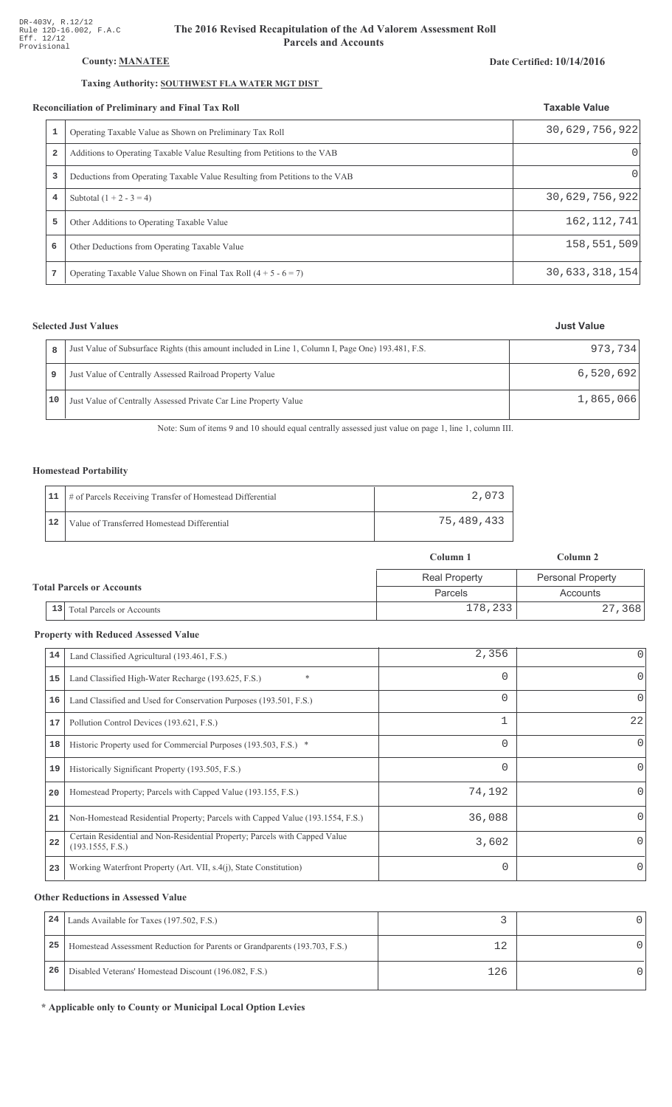## County: **MANATEE**

## Taxing Authority: SOUTHWEST FLA WATER MGT DIST

### Reconciliation of Preliminary and Final Tax Roll

| $\mathbf{1}$   | Operating Taxable Value as Shown on Preliminary Tax Roll                    | 30,629,756,922    |
|----------------|-----------------------------------------------------------------------------|-------------------|
| $\overline{a}$ | Additions to Operating Taxable Value Resulting from Petitions to the VAB    |                   |
| 3              | Deductions from Operating Taxable Value Resulting from Petitions to the VAB |                   |
| 4              | Subtotal $(1 + 2 - 3 = 4)$                                                  | 30,629,756,922    |
| 5              | Other Additions to Operating Taxable Value                                  | 162, 112, 741     |
| 6              | Other Deductions from Operating Taxable Value                               | 158,551,509       |
|                | Operating Taxable Value Shown on Final Tax Roll $(4 + 5 - 6 = 7)$           | 30, 633, 318, 154 |

## **Selected Just Values**

|    | Just Value of Subsurface Rights (this amount included in Line 1, Column I, Page One) 193.481, F.S. | 973.734   |
|----|----------------------------------------------------------------------------------------------------|-----------|
|    | Just Value of Centrally Assessed Railroad Property Value                                           | 6,520,692 |
| 10 | Just Value of Centrally Assessed Private Car Line Property Value                                   | 1,865,066 |

Note: Sum of items 9 and 10 should equal centrally assessed just value on page 1, line 1, column III.

## Homestead Portability

|    | 11   # of Parcels Receiving Transfer of Homestead Differential | 2,073      |
|----|----------------------------------------------------------------|------------|
| 12 | Value of Transferred Homestead Differential                    | 75,489,433 |

|                                            | Column 1             | Column 2                 |  |
|--------------------------------------------|----------------------|--------------------------|--|
|                                            | <b>Real Property</b> | <b>Personal Property</b> |  |
| <b>Total Parcels or Accounts</b>           | Parcels              | Accounts                 |  |
| $\vert 13 \vert$ Total Parcels or Accounts | 178,233              | 27,368                   |  |

#### **Property with Reduced Assessed Value**

| 14 | Land Classified Agricultural (193.461, F.S.)                                                    | 2,356    |          |
|----|-------------------------------------------------------------------------------------------------|----------|----------|
| 15 | $\ast$<br>Land Classified High-Water Recharge (193.625, F.S.)                                   | 0        | $\Omega$ |
| 16 | Land Classified and Used for Conservation Purposes (193.501, F.S.)                              | $\Omega$ | 0        |
| 17 | Pollution Control Devices (193.621, F.S.)                                                       | 1        | 22       |
| 18 | Historic Property used for Commercial Purposes (193.503, F.S.) *                                | 0        | $\Omega$ |
| 19 | Historically Significant Property (193.505, F.S.)                                               | 0        | $\Omega$ |
| 20 | Homestead Property; Parcels with Capped Value (193.155, F.S.)                                   | 74,192   |          |
| 21 | Non-Homestead Residential Property; Parcels with Capped Value (193.1554, F.S.)                  | 36,088   |          |
| 22 | Certain Residential and Non-Residential Property; Parcels with Capped Value<br>(193.1555, F.S.) | 3,602    | $\Omega$ |
| 23 | Working Waterfront Property (Art. VII, s.4(j), State Constitution)                              | $\Omega$ | $\Omega$ |

#### **Other Reductions in Assessed Value**

| 24 | Lands Available for Taxes (197.502, F.S.)                                  |     |  |
|----|----------------------------------------------------------------------------|-----|--|
| 25 | Homestead Assessment Reduction for Parents or Grandparents (193.703, F.S.) |     |  |
| 26 | Disabled Veterans' Homestead Discount (196.082, F.S.)                      | 126 |  |

\* Applicable only to County or Municipal Local Option Levies

# Date Certified: 10/14/2016

**Taxable Value**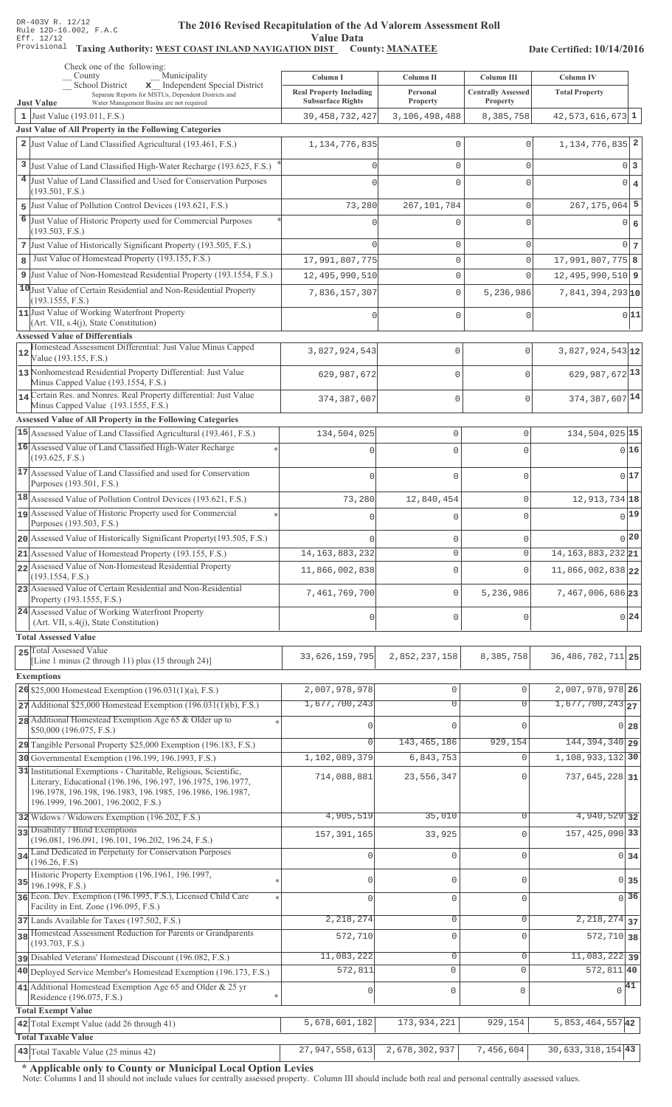#### The 2016 Revised Recapitulation of th The 2016 Revised Recapitulation of the Ad Valorem Assessment Roll **Value Data**

# Taxing Authority: WEST COAST INLAND NAVIGATION DIST County: MANATEE

Date Certified: 10/14/2016

|                                        | Check one of the following:<br>Municipality<br>County                                                                            | Column I                       | Column II                     | Column III                 | Column IV                                         |                           |
|----------------------------------------|----------------------------------------------------------------------------------------------------------------------------------|--------------------------------|-------------------------------|----------------------------|---------------------------------------------------|---------------------------|
|                                        | School District<br>x Independent Special District<br>Separate Reports for MSTUs, Dependent Districts and                         | <b>Real Property Including</b> | Personal                      | <b>Centrally Assessed</b>  | <b>Total Property</b>                             |                           |
| <b>Just Value</b>                      | Water Management Basins are not required                                                                                         | <b>Subsurface Rights</b>       | Property                      | Property                   |                                                   |                           |
| 1 Just Value (193.011, F.S.)           | Just Value of All Property in the Following Categories                                                                           | 39, 458, 732, 427              | 3,106,498,488                 | 8,385,758                  | $42,573,616,673$ 1                                |                           |
|                                        | 2 Just Value of Land Classified Agricultural (193.461, F.S.)                                                                     | 1, 134, 776, 835               | 0                             | $\mathbf 0$                | $1,134,776,835$ 2                                 |                           |
|                                        |                                                                                                                                  |                                |                               |                            |                                                   |                           |
|                                        | 3 Just Value of Land Classified High-Water Recharge (193.625, F.S.)                                                              |                                | $\mathbf{0}$                  | $\Omega$                   |                                                   | 0 3                       |
| (193.501, F.S.)                        | 4 Just Value of Land Classified and Used for Conservation Purposes                                                               |                                | $\mathbf 0$                   | $\Omega$                   |                                                   | $0 \mid 4$                |
|                                        | 5 Just Value of Pollution Control Devices (193.621, F.S.)                                                                        | 73,280                         | 267, 101, 784                 | $\mathbf 0$                | $267, 175, 064$ 5                                 |                           |
|                                        | 6 Just Value of Historic Property used for Commercial Purposes                                                                   |                                | 0                             | $\Omega$                   |                                                   | 0 6                       |
| (193.503, F.S.)                        | 7 Just Value of Historically Significant Property (193.505, F.S.)                                                                |                                | $\mathbf{0}$                  |                            |                                                   | 0 <sub>7</sub>            |
| 8                                      | Just Value of Homestead Property (193.155, F.S.)                                                                                 | 17,991,807,775                 | $\mathbb O$                   | $\mathbf 0$<br>$\mathbf 0$ | 17,991,807,775 8                                  |                           |
|                                        | 9 Just Value of Non-Homestead Residential Property (193.1554, F.S.)                                                              | 12,495,990,510                 | $\mathsf{O}\xspace$           | $\Omega$                   | $12,495,990,510$ 9                                |                           |
|                                        | 10 Just Value of Certain Residential and Non-Residential Property                                                                | 7,836,157,307                  | $\mathbb O$                   | 5,236,986                  | $7,841,394,293$ <sub>10</sub>                     |                           |
| (193.1555, F.S.)                       |                                                                                                                                  |                                |                               |                            |                                                   |                           |
|                                        | 11 Just Value of Working Waterfront Property<br>(Art. VII, s.4(j), State Constitution)                                           |                                | $\mathbf 0$                   | $\mathbf 0$                |                                                   | 0 11                      |
| <b>Assessed Value of Differentials</b> |                                                                                                                                  |                                |                               |                            |                                                   |                           |
| 12<br>Value (193.155, F.S.)            | Homestead Assessment Differential: Just Value Minus Capped                                                                       | 3,827,924,543                  | 0                             | $\mathbf{0}$               | $3,827,924,543$ 12                                |                           |
|                                        | 13 Nonhomestead Residential Property Differential: Just Value                                                                    | 629,987,672                    | 0                             | $\Omega$                   | 629, 987, 672 13                                  |                           |
|                                        | Minus Capped Value (193.1554, F.S.)                                                                                              |                                |                               |                            |                                                   |                           |
|                                        | 14 Certain Res. and Nonres. Real Property differential: Just Value<br>Minus Capped Value (193.1555, F.S.)                        | 374,387,607                    | 0                             | $\mathbf 0$                | 374, 387, 607 14                                  |                           |
|                                        | Assessed Value of All Property in the Following Categories                                                                       |                                |                               |                            |                                                   |                           |
|                                        | 15 Assessed Value of Land Classified Agricultural (193.461, F.S.)                                                                | 134,504,025                    | $\mathbb O$                   | 0                          | 134,504,025 15                                    |                           |
|                                        | 16 Assessed Value of Land Classified High-Water Recharge                                                                         | n                              | $\Omega$                      | $\Omega$                   |                                                   | 0 16                      |
| (193.625, F.S.)                        | 17 Assessed Value of Land Classified and used for Conservation                                                                   |                                |                               |                            |                                                   |                           |
| Purposes (193.501, F.S.)               |                                                                                                                                  | $\Omega$                       | $\Omega$                      | $\Omega$                   |                                                   | 0 17                      |
|                                        | 18 Assessed Value of Pollution Control Devices (193.621, F.S.)                                                                   | 73,280                         | 12,840,454                    | 0                          | 12, 913, 734 18                                   |                           |
|                                        | 19 Assessed Value of Historic Property used for Commercial                                                                       | $\Omega$                       | $\Omega$                      | O                          |                                                   | $0$ <sup>19</sup>         |
| Purposes (193.503, F.S.)               |                                                                                                                                  |                                |                               |                            |                                                   | $0$  20                   |
|                                        | 20 Assessed Value of Historically Significant Property (193.505, F.S.)                                                           | 14, 163, 883, 232              | $\mathbf 0$<br>$\circ$        | 0<br>0                     | 14, 163, 883, 232 21                              |                           |
|                                        | 21 Assessed Value of Homestead Property (193.155, F.S.)<br>22 Assessed Value of Non-Homestead Residential Property               |                                |                               |                            |                                                   |                           |
| (193.1554, F.S.)                       |                                                                                                                                  | 11,866,002,838                 | $\mathbf 0$                   | $\Omega$                   | 11,866,002,838 22                                 |                           |
| Property (193.1555, F.S.)              | 23 Assessed Value of Certain Residential and Non-Residential                                                                     | 7,461,769,700                  | $\mathbf 0$                   | 5,236,986                  | 7,467,006,686 23                                  |                           |
|                                        | 24 Assessed Value of Working Waterfront Property<br>(Art. VII, s.4(j), State Constitution)                                       | $\mathbf 0$                    | $\mathbf 0$                   | 0                          |                                                   | 0 24                      |
| <b>Total Assessed Value</b>            |                                                                                                                                  |                                |                               |                            |                                                   |                           |
| 25 Total Assessed Value                |                                                                                                                                  |                                |                               |                            |                                                   |                           |
|                                        | [Line 1 minus (2 through 11) plus (15 through 24)]                                                                               | 33, 626, 159, 795              | 2,852,237,158                 | 8,385,758                  | 36, 486, 782, 711 25                              |                           |
| <b>Exemptions</b>                      |                                                                                                                                  |                                |                               |                            |                                                   |                           |
|                                        | 26 \$25,000 Homestead Exemption $(196.031(1)(a), F.S.)$                                                                          | 2,007,978,978<br>1,677,700,243 | $\mathbb O$<br>$\overline{0}$ | $\mathbf 0$<br>$\Omega$    | 2,007,978,978 26<br>$1,677,700,243$ <sub>27</sub> |                           |
|                                        | $27$ Additional \$25,000 Homestead Exemption (196.031(1)(b), F.S.)<br>28 Additional Homestead Exemption Age 65 & Older up to     |                                |                               |                            |                                                   |                           |
| \$50,000 (196.075, F.S.)               |                                                                                                                                  |                                | $\Omega$                      | U                          |                                                   | $0\overline{28}$          |
|                                        | 29 Tangible Personal Property \$25,000 Exemption (196.183, F.S.)                                                                 |                                | 143, 465, 186                 | 929,154                    | 144, 394, 340 29                                  |                           |
|                                        | 30 Governmental Exemption (196.199, 196.1993, F.S.)                                                                              | 1,102,089,379                  | 6,843,753                     | $\mathbf 0$                | 1, 108, 933, 132 30                               |                           |
|                                        | 31 Institutional Exemptions - Charitable, Religious, Scientific,<br>Literary, Educational (196.196, 196.197, 196.1975, 196.1977, | 714,088,881                    | 23,556,347                    | $\Omega$                   | $737,645,228$ 31                                  |                           |
|                                        | 196.1978, 196.198, 196.1983, 196.1985, 196.1986, 196.1987,                                                                       |                                |                               |                            |                                                   |                           |
|                                        | 196.1999, 196.2001, 196.2002, F.S.)<br>32 Widows / Widowers Exemption (196.202, F.S.)                                            | 4,905,519                      | 35,010                        | $\Omega$                   | 4,940,529 32                                      |                           |
| 33 Disability / Blind Exemptions       |                                                                                                                                  |                                |                               | $\Omega$                   | 157, 425, 090 33                                  |                           |
|                                        | (196.081, 196.091, 196.101, 196.202, 196.24, F.S.)                                                                               | 157, 391, 165                  | 33,925                        |                            |                                                   |                           |
| (196.26, F.S)                          | 34 Land Dedicated in Perpetuity for Conservation Purposes                                                                        |                                | $\mathbf 0$                   | $\Omega$                   |                                                   | $0 \overline{\smash{34}}$ |
| 35                                     | Historic Property Exemption (196.1961, 196.1997,                                                                                 | $\Omega$                       | $\mathbf 0$                   | $\Omega$                   |                                                   | 0 35                      |
| 196.1998, F.S.)                        | 36 Econ. Dev. Exemption (196.1995, F.S.), Licensed Child Care                                                                    |                                |                               |                            |                                                   | $0\overline{36}$          |
|                                        | Facility in Ent. Zone (196.095, F.S.)                                                                                            |                                | $\mathbf 0$                   | $\Omega$                   |                                                   |                           |
|                                        | 37 Lands Available for Taxes (197.502, F.S.)                                                                                     | 2,218,274                      | $\mathbf 0$                   | $\mathbf{0}$               | $\overline{2,218,274}$ 37                         |                           |
| (193.703, F.S.)                        | 38 Homestead Assessment Reduction for Parents or Grandparents                                                                    | 572,710                        | $\mathbb O$                   | $\Omega$                   | $572, 710$ 38                                     |                           |
|                                        | pisabled Veterans' Homestead Discount (196.082, F.S.)                                                                            | 11,083,222                     | $\overline{0}$                | $\mathsf{O}\xspace$        | $11,083,222$ 39                                   |                           |
|                                        | 40 Deployed Service Member's Homestead Exemption (196.173, F.S.)                                                                 | $\overline{572}$ , 811         | $\mathbf 0$                   | $\mathbf 0$                | $572,811$ 40                                      |                           |
| Residence (196.075, F.S.)              | 41 Additional Homestead Exemption Age 65 and Older & 25 yr                                                                       | $\mathbf 0$                    | 0                             | $\mathbf 0$                | $\sqrt{41}$                                       |                           |
| <b>Total Exempt Value</b>              |                                                                                                                                  |                                |                               |                            |                                                   |                           |
|                                        | 42 Total Exempt Value (add 26 through 41)                                                                                        | 5,678,601,182                  | 173,934,221                   | 929,154                    | 5,853,464,55742                                   |                           |
| <b>Total Taxable Value</b>             |                                                                                                                                  |                                |                               |                            |                                                   |                           |
|                                        | 43 Total Taxable Value (25 minus 42)                                                                                             | 27, 947, 558, 613              | 2,678,302,937                 | 7,456,604                  | $30,633,318,154$ 43                               |                           |

\* Applicable only to County or Municipal Local Option Levies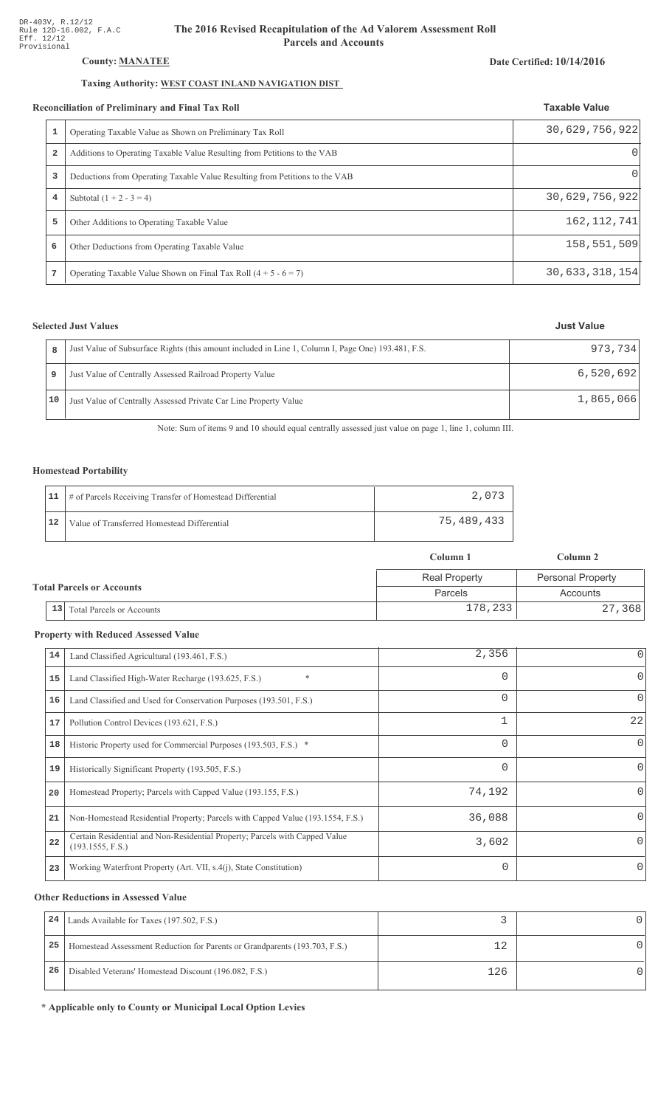## County: **MANATEE**

## Taxing Authority: WEST COAST INLAND NAVIGATION DIST

#### Reconciliation of Preliminary and Final Tax Roll

|   | conciliation of Preliminary and Final Tax Roll                              | <b>Taxable Value</b> |
|---|-----------------------------------------------------------------------------|----------------------|
|   | Operating Taxable Value as Shown on Preliminary Tax Roll                    | 30,629,756,922       |
| 2 | Additions to Operating Taxable Value Resulting from Petitions to the VAB    | $\Omega$             |
| 3 | Deductions from Operating Taxable Value Resulting from Petitions to the VAB |                      |
| 4 | Subtotal $(1 + 2 - 3 = 4)$                                                  | 30,629,756,922       |
| 5 | Other Additions to Operating Taxable Value                                  | 162, 112, 741        |
| 6 | Other Deductions from Operating Taxable Value                               | 158,551,509          |
| 7 | Operating Taxable Value Shown on Final Tax Roll $(4 + 5 - 6 = 7)$           | 30, 633, 318, 154    |

## **Selected Just Values**

|  |    | Just Value of Subsurface Rights (this amount included in Line 1, Column I, Page One) 193.481, F.S. | 973,734   |
|--|----|----------------------------------------------------------------------------------------------------|-----------|
|  |    | Just Value of Centrally Assessed Railroad Property Value                                           | 6,520,692 |
|  | 10 | Just Value of Centrally Assessed Private Car Line Property Value                                   | 1,865,066 |

Note: Sum of items 9 and 10 should equal centrally assessed just value on page 1, line 1, column III.

## Homestead Portability

|    | 11   # of Parcels Receiving Transfer of Homestead Differential | 2,073      |
|----|----------------------------------------------------------------|------------|
| 12 | Value of Transferred Homestead Differential                    | 75,489,433 |

|                                        | Column 1             | Column 2                 |  |
|----------------------------------------|----------------------|--------------------------|--|
|                                        | <b>Real Property</b> | <b>Personal Property</b> |  |
| <b>Total Parcels or Accounts</b>       | Parcels              | Accounts                 |  |
| 13<br><b>Total Parcels or Accounts</b> | 178,233              | 27,368                   |  |

#### **Property with Reduced Assessed Value**

| 14 | Land Classified Agricultural (193.461, F.S.)                                                    | 2,356    |          |
|----|-------------------------------------------------------------------------------------------------|----------|----------|
| 15 | $\ast$<br>Land Classified High-Water Recharge (193.625, F.S.)                                   | 0        | $\Omega$ |
| 16 | Land Classified and Used for Conservation Purposes (193.501, F.S.)                              | $\Omega$ | 0        |
| 17 | Pollution Control Devices (193.621, F.S.)                                                       | 1        | 22       |
| 18 | Historic Property used for Commercial Purposes (193.503, F.S.) *                                | 0        | $\Omega$ |
| 19 | Historically Significant Property (193.505, F.S.)                                               | 0        | $\Omega$ |
| 20 | Homestead Property; Parcels with Capped Value (193.155, F.S.)                                   | 74,192   |          |
| 21 | Non-Homestead Residential Property; Parcels with Capped Value (193.1554, F.S.)                  | 36,088   |          |
| 22 | Certain Residential and Non-Residential Property; Parcels with Capped Value<br>(193.1555, F.S.) | 3,602    | $\Omega$ |
| 23 | Working Waterfront Property (Art. VII, s.4(j), State Constitution)                              | $\Omega$ | $\Omega$ |

#### **Other Reductions in Assessed Value**

| 24 | Lands Available for Taxes (197.502, F.S.)                                  |     |  |
|----|----------------------------------------------------------------------------|-----|--|
| 25 | Homestead Assessment Reduction for Parents or Grandparents (193.703, F.S.) |     |  |
| 26 | Disabled Veterans' Homestead Discount (196.082, F.S.)                      | 126 |  |

\* Applicable only to County or Municipal Local Option Levies

### Date Certified: 10/14/2016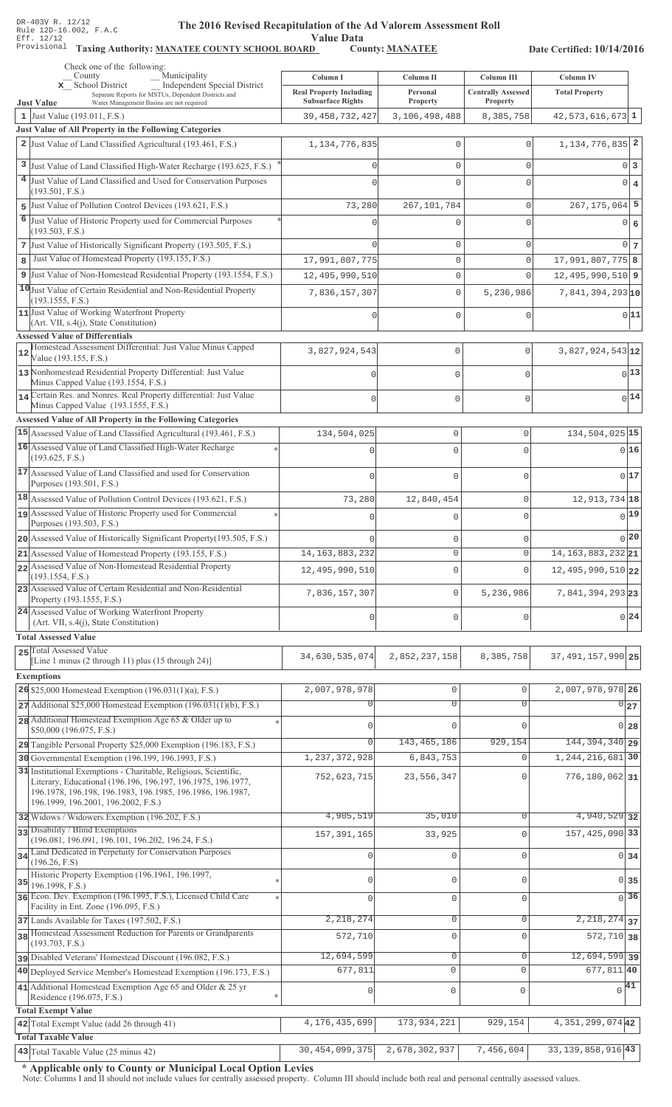Value Data<br>D County: MANATEE

Taxing Authority: MANATEE COUNTY SCHOOL BOARD County: MANATEE

Date Certified: 10/14/2016

|    | Check one of the following:<br>Municipality<br>County                                                                          | Column I                         | Column II                           | Column III                  | Column IV                                |                |
|----|--------------------------------------------------------------------------------------------------------------------------------|----------------------------------|-------------------------------------|-----------------------------|------------------------------------------|----------------|
|    | <b>Independent Special District</b><br>x School District                                                                       | <b>Real Property Including</b>   | Personal                            | <b>Centrally Assessed</b>   | <b>Total Property</b>                    |                |
|    | Separate Reports for MSTUs, Dependent Districts and<br><b>Just Value</b><br>Water Management Basins are not required           | <b>Subsurface Rights</b>         | Property                            | Property                    |                                          |                |
|    | 1 Just Value (193.011, F.S.)                                                                                                   | 39, 458, 732, 427                | 3,106,498,488                       | 8,385,758                   | $42,573,616,673$ 1                       |                |
|    | Just Value of All Property in the Following Categories<br>2 Just Value of Land Classified Agricultural (193.461, F.S.)         | 1, 134, 776, 835                 | $\mathbf 0$                         | $\Omega$                    | $1,134,776,835$ <sup>2</sup>             |                |
|    |                                                                                                                                |                                  |                                     |                             |                                          |                |
|    | 3 Just Value of Land Classified High-Water Recharge (193.625, F.S.)                                                            |                                  | $\Omega$                            | $\mathbf 0$                 | $0\vert 3$                               |                |
|    | 4 Just Value of Land Classified and Used for Conservation Purposes<br>(193.501, F.S.)                                          |                                  | $\Omega$                            | $\Omega$                    | $\circ$                                  | $\overline{4}$ |
|    | 5 Just Value of Pollution Control Devices (193.621, F.S.)                                                                      | 73,280                           | 267, 101, 784                       | $\circ$                     | $267, 175, 064$ 5                        |                |
| 6  | Just Value of Historic Property used for Commercial Purposes                                                                   |                                  |                                     | $\Omega$                    | 0 6                                      |                |
|    | (193.503, F.S.)                                                                                                                |                                  |                                     |                             |                                          |                |
|    | 7 Just Value of Historically Significant Property (193.505, F.S.)<br>Just Value of Homestead Property (193.155, F.S.)          |                                  | $\mathbf{0}$                        | $\mathbf{0}$                | $0\vert 7$<br>$17,991,807,775$  8        |                |
| 8  | 9 Just Value of Non-Homestead Residential Property (193.1554, F.S.)                                                            | 17,991,807,775<br>12,495,990,510 | $\mathsf{O}\xspace$<br>$\mathbf{0}$ | $\mathbf{0}$<br>$\mathbf 0$ | $12,495,990,510$ 9                       |                |
|    | 10 Just Value of Certain Residential and Non-Residential Property                                                              |                                  |                                     |                             |                                          |                |
|    | (193.1555, F.S.)                                                                                                               | 7,836,157,307                    | $\mathsf{O}\xspace$                 | 5,236,986                   | $7,841,394,293$ <sub>10</sub>            |                |
|    | 11 Just Value of Working Waterfront Property<br>(Art. VII, s.4(j), State Constitution)                                         |                                  | $\mathbf{0}$                        | $\Omega$                    | 0 11                                     |                |
|    | <b>Assessed Value of Differentials</b>                                                                                         |                                  |                                     |                             |                                          |                |
| 12 | Homestead Assessment Differential: Just Value Minus Capped                                                                     | 3,827,924,543                    | 0                                   | $\mathbf{0}$                | $3,827,924,543$ 12                       |                |
|    | Value (193.155, F.S.)<br>13 Nonhomestead Residential Property Differential: Just Value                                         |                                  |                                     |                             | $0$ <sup>13</sup>                        |                |
|    | Minus Capped Value (193.1554, F.S.)                                                                                            | U                                | 0                                   | $\cap$                      |                                          |                |
|    | 14 Certain Res. and Nonres. Real Property differential: Just Value<br>Minus Capped Value (193.1555, F.S.)                      |                                  | $\Omega$                            | $\cap$                      | 0 14                                     |                |
|    | Assessed Value of All Property in the Following Categories                                                                     |                                  |                                     |                             |                                          |                |
|    | 15 Assessed Value of Land Classified Agricultural (193.461, F.S.)                                                              | 134,504,025                      | 0                                   | $\mathbf 0$                 | 134, 504, 025 15                         |                |
|    | 16 Assessed Value of Land Classified High-Water Recharge                                                                       |                                  | $\Omega$                            | $\Omega$                    | 0 16                                     |                |
|    | (193.625, F.S.)                                                                                                                |                                  |                                     |                             |                                          |                |
|    | 17 Assessed Value of Land Classified and used for Conservation<br>Purposes (193.501, F.S.)                                     |                                  | $\mathbf 0$                         | $\mathbf 0$                 | 0 17                                     |                |
|    | 18 Assessed Value of Pollution Control Devices (193.621, F.S.)                                                                 | 73,280                           | 12,840,454                          | $\mathbf{0}$                | 12, 913, 734 18                          |                |
|    | 19 Assessed Value of Historic Property used for Commercial                                                                     |                                  | 0                                   | $\mathbf 0$                 | 0 19                                     |                |
|    | Purposes (193.503, F.S.)                                                                                                       |                                  |                                     |                             |                                          |                |
|    | 20 Assessed Value of Historically Significant Property (193.505, F.S.)                                                         |                                  | $\mathbf 0$                         | $\mathbf 0$                 | 0 20                                     |                |
|    | 21 Assessed Value of Homestead Property (193.155, F.S.)<br>22 Assessed Value of Non-Homestead Residential Property             | 14, 163, 883, 232                | $\circ$                             | $\overline{0}$              | 14, 163, 883, 232 21                     |                |
|    | (193.1554, F.S.)                                                                                                               | 12,495,990,510                   | 0                                   | $\Omega$                    | 12, 495, 990, 510 22                     |                |
|    | 23 Assessed Value of Certain Residential and Non-Residential<br>Property (193.1555, F.S.)                                      | 7,836,157,307                    | 0                                   | 5,236,986                   | 7,841,394,293 23                         |                |
|    | 24 Assessed Value of Working Waterfront Property                                                                               |                                  |                                     |                             |                                          |                |
|    | (Art. VII, s.4(j), State Constitution)                                                                                         | $\Omega$                         | $\mathbf 0$                         | $\Omega$                    | 0.24                                     |                |
|    | <b>Total Assessed Value</b>                                                                                                    |                                  |                                     |                             |                                          |                |
|    | 25 Total Assessed Value<br>[Line 1 minus (2 through 11) plus (15 through 24)]                                                  | 34,630,535,074                   | 2,852,237,158                       | 8,385,758                   | 37, 491, 157, 990 25                     |                |
|    | <b>Exemptions</b>                                                                                                              |                                  |                                     |                             |                                          |                |
|    | 26 \$25,000 Homestead Exemption $(196.031(1)(a), F.S.)$                                                                        | 2,007,978,978                    | $\mathsf{O}\xspace$                 | $\mathbf 0$                 | 2,007,978,978 26                         |                |
|    | $27$ Additional \$25,000 Homestead Exemption (196.031(1)(b), F.S.)                                                             |                                  | $\overline{0}$                      | $\overline{0}$              | 027                                      |                |
|    | 28 Additional Homestead Exemption Age 65 & Older up to                                                                         | $\Omega$                         | $\Omega$                            | $\Omega$                    | $0\vert 28$                              |                |
|    | \$50,000 (196.075, F.S.)<br>29 Tangible Personal Property \$25,000 Exemption (196.183, F.S.)                                   | $\Omega$                         | 143, 465, 186                       | 929,154                     | 144, 394, 340 29                         |                |
|    | 30 Governmental Exemption (196.199, 196.1993, F.S.)                                                                            | 1, 237, 372, 928                 | 6,843,753                           | $\Omega$                    | 1, 244, 216, 681 30                      |                |
|    | 31 Institutional Exemptions - Charitable, Religious, Scientific,                                                               | 752,623,715                      | 23,556,347                          | $\mathbf 0$                 | 776,180,062 31                           |                |
|    | Literary, Educational (196.196, 196.197, 196.1975, 196.1977,<br>196.1978, 196.198, 196.1983, 196.1985, 196.1986, 196.1987,     |                                  |                                     |                             |                                          |                |
|    | 196.1999, 196.2001, 196.2002, F.S.)                                                                                            |                                  |                                     |                             |                                          |                |
|    | 32 Widows / Widowers Exemption (196.202, F.S.)                                                                                 | 4,905,519                        | 35,010                              | 0                           | 4,940,529 32                             |                |
|    | 33 Disability / Blind Exemptions<br>(196.081, 196.091, 196.101, 196.202, 196.24, F.S.)                                         | 157, 391, 165                    | 33,925                              | $\Omega$                    | 157, 425, 090 33                         |                |
|    | 34 Land Dedicated in Perpetuity for Conservation Purposes                                                                      | $\Omega$                         | $\mathbf{0}$                        | $\Omega$                    | 0 34                                     |                |
|    | (196.26, F.S)                                                                                                                  |                                  |                                     |                             |                                          |                |
| 35 | Historic Property Exemption (196.1961, 196.1997,<br>196.1998, F.S.)                                                            |                                  | $\mathbf 0$                         | $\Omega$                    | $0\overline{35}$                         |                |
|    | 36 Econ. Dev. Exemption (196.1995, F.S.), Licensed Child Care                                                                  | $\cap$                           | $\mathbf 0$                         | $\mathbf 0$                 | $\sqrt{36}$                              |                |
|    | Facility in Ent. Zone (196.095, F.S.)<br>37 Lands Available for Taxes (197.502, F.S.)                                          | 2,218,274                        | 0                                   | $\mathbf 0$                 | $\overline{2,218,274}$ 37                |                |
|    | 38 Homestead Assessment Reduction for Parents or Grandparents                                                                  | 572,710                          | $\mathbf 0$                         | $\Omega$                    | $572, 710$ 38                            |                |
|    | (193.703, F.S.)                                                                                                                |                                  |                                     |                             |                                          |                |
|    | pisabled Veterans' Homestead Discount (196.082, F.S.)                                                                          | 12,694,599<br>677,811            | 0<br>$\mathbf 0$                    | $\circ$<br>$\Omega$         | $\overline{12,694,599}$ 39<br>677,811 40 |                |
|    | 40 Deployed Service Member's Homestead Exemption (196.173, F.S.)<br>41 Additional Homestead Exemption Age 65 and Older & 25 yr |                                  |                                     |                             | $\sqrt{41}$                              |                |
|    | Residence (196.075, F.S.)                                                                                                      | $\mathbf 0$                      | $\mathsf{O}\xspace$                 | 0                           |                                          |                |
|    | <b>Total Exempt Value</b>                                                                                                      |                                  |                                     |                             |                                          |                |
|    | 42 Total Exempt Value (add 26 through 41)                                                                                      | 4,176,435,699                    | 173,934,221                         | 929,154                     | 4, 351, 299, 074 42                      |                |
|    | <b>Total Taxable Value</b>                                                                                                     | 30, 454, 099, 375                |                                     |                             | 33, 139, 858, 916 43                     |                |
|    | 43 Total Taxable Value (25 minus 42)                                                                                           |                                  | 2,678,302,937                       | 7,456,604                   |                                          |                |

\* Applicable only to County or Municipal Local Option Levies